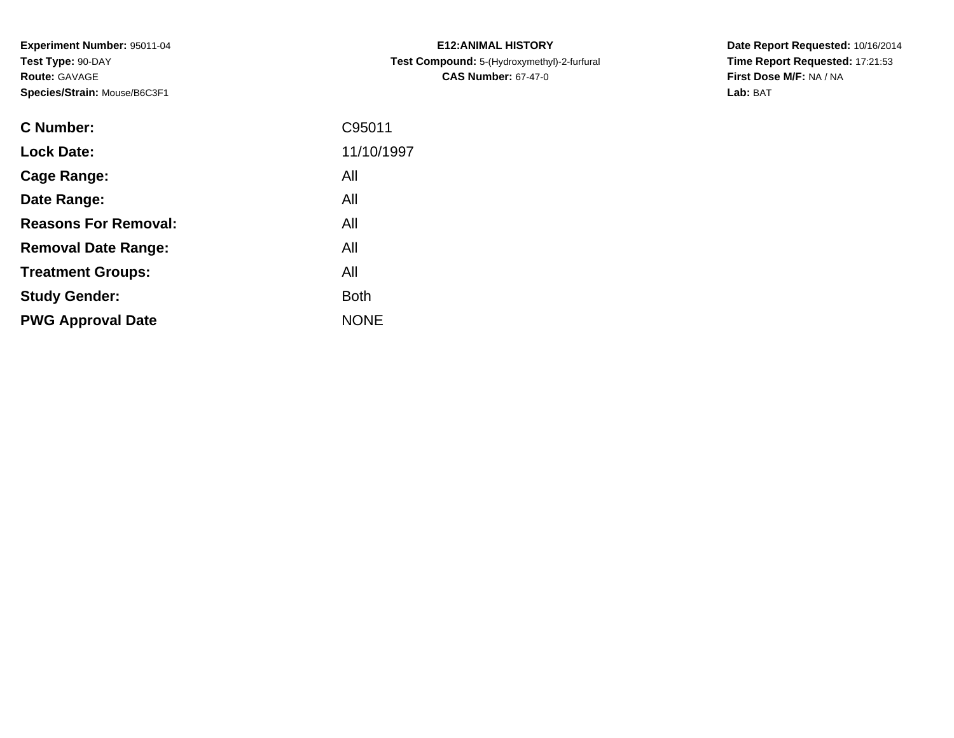**Experiment Number:** 95011-04**Test Type:** 90-DAY**Route:** GAVAGE**Species/Strain:** Mouse/B6C3F1

| C Number:                   | C95011      |
|-----------------------------|-------------|
| <b>Lock Date:</b>           | 11/10/1997  |
| Cage Range:                 | All         |
| Date Range:                 | All         |
| <b>Reasons For Removal:</b> | All         |
| <b>Removal Date Range:</b>  | All         |
| <b>Treatment Groups:</b>    | All         |
| <b>Study Gender:</b>        | <b>Both</b> |
| <b>PWG Approval Date</b>    | <b>NONF</b> |
|                             |             |

**E12:ANIMAL HISTORY Test Compound:** 5-(Hydroxymethyl)-2-furfural **CAS Number:** 67-47-0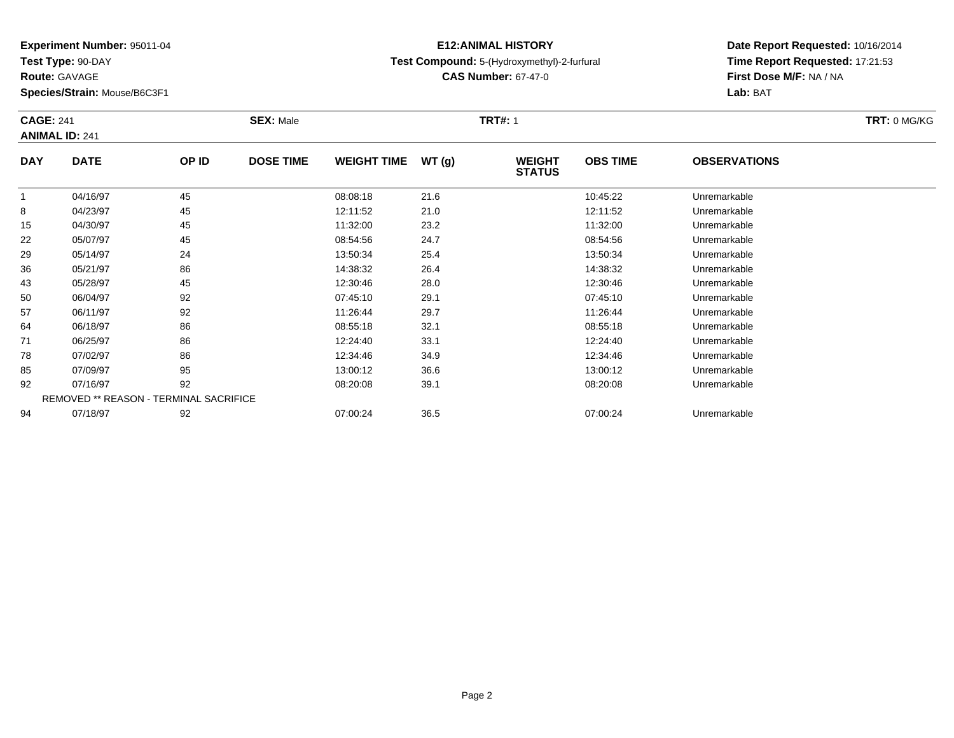**Test Type:** 90-DAY

**Route:** GAVAGE

**Species/Strain:** Mouse/B6C3F1

### **E12:ANIMAL HISTORYTest Compound:** 5-(Hydroxymethyl)-2-furfural

**CAS Number:** 67-47-0

|            | <b>CAGE: 241</b><br><b>ANIMAL ID: 241</b>     |       | <b>SEX: Male</b> | TRT: 0 MG/KG       |       |                                |                 |                     |  |
|------------|-----------------------------------------------|-------|------------------|--------------------|-------|--------------------------------|-----------------|---------------------|--|
| <b>DAY</b> | <b>DATE</b>                                   | OP ID | <b>DOSE TIME</b> | <b>WEIGHT TIME</b> | WT(g) | <b>WEIGHT</b><br><b>STATUS</b> | <b>OBS TIME</b> | <b>OBSERVATIONS</b> |  |
|            | 04/16/97                                      | 45    |                  | 08:08:18           | 21.6  |                                | 10:45:22        | Unremarkable        |  |
| 8          | 04/23/97                                      | 45    |                  | 12:11:52           | 21.0  |                                | 12:11:52        | Unremarkable        |  |
| 15         | 04/30/97                                      | 45    |                  | 11:32:00           | 23.2  |                                | 11:32:00        | Unremarkable        |  |
| 22         | 05/07/97                                      | 45    |                  | 08:54:56           | 24.7  |                                | 08:54:56        | Unremarkable        |  |
| 29         | 05/14/97                                      | 24    |                  | 13:50:34           | 25.4  |                                | 13:50:34        | Unremarkable        |  |
| 36         | 05/21/97                                      | 86    |                  | 14:38:32           | 26.4  |                                | 14:38:32        | Unremarkable        |  |
| 43         | 05/28/97                                      | 45    |                  | 12:30:46           | 28.0  |                                | 12:30:46        | Unremarkable        |  |
| 50         | 06/04/97                                      | 92    |                  | 07:45:10           | 29.1  |                                | 07:45:10        | Unremarkable        |  |
| 57         | 06/11/97                                      | 92    |                  | 11:26:44           | 29.7  |                                | 11:26:44        | Unremarkable        |  |
| 64         | 06/18/97                                      | 86    |                  | 08:55:18           | 32.1  |                                | 08:55:18        | Unremarkable        |  |
| 71         | 06/25/97                                      | 86    |                  | 12:24:40           | 33.1  |                                | 12:24:40        | Unremarkable        |  |
| 78         | 07/02/97                                      | 86    |                  | 12:34:46           | 34.9  |                                | 12:34:46        | Unremarkable        |  |
| 85         | 07/09/97                                      | 95    |                  | 13:00:12           | 36.6  |                                | 13:00:12        | Unremarkable        |  |
| 92         | 07/16/97                                      | 92    |                  | 08:20:08           | 39.1  |                                | 08:20:08        | Unremarkable        |  |
|            | <b>REMOVED ** REASON - TERMINAL SACRIFICE</b> |       |                  |                    |       |                                |                 |                     |  |
| 94         | 07/18/97                                      | 92    |                  | 07:00:24           | 36.5  |                                | 07:00:24        | Unremarkable        |  |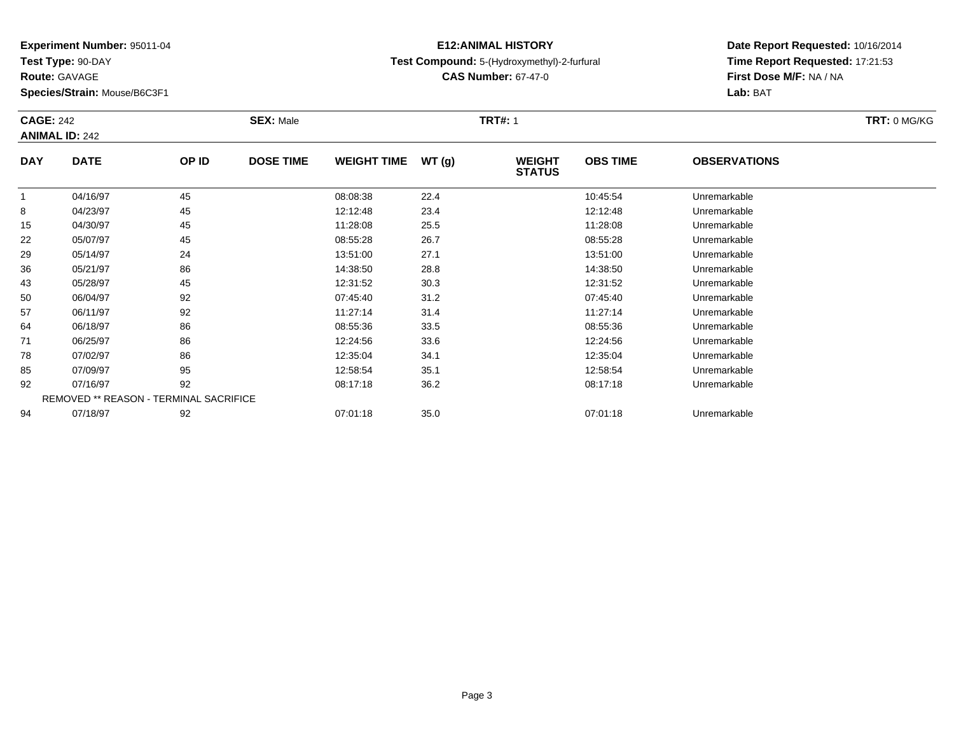**Test Type:** 90-DAY

**Route:** GAVAGE

**Species/Strain:** Mouse/B6C3F1

### **E12:ANIMAL HISTORYTest Compound:** 5-(Hydroxymethyl)-2-furfural

**CAS Number:** 67-47-0

**Date Report Requested:** 10/16/2014**Time Report Requested:** 17:21:53**First Dose M/F:** NA / NA**Lab:** BAT

|            | <b>CAGE: 242</b><br><b>ANIMAL ID: 242</b>     |       | <b>SEX: Male</b> | TRT: 0 MG/KG       |       |                                |                 |                     |  |
|------------|-----------------------------------------------|-------|------------------|--------------------|-------|--------------------------------|-----------------|---------------------|--|
| <b>DAY</b> | <b>DATE</b>                                   | OP ID | <b>DOSE TIME</b> | <b>WEIGHT TIME</b> | WT(g) | <b>WEIGHT</b><br><b>STATUS</b> | <b>OBS TIME</b> | <b>OBSERVATIONS</b> |  |
|            | 04/16/97                                      | 45    |                  | 08:08:38           | 22.4  |                                | 10:45:54        | Unremarkable        |  |
| 8          | 04/23/97                                      | 45    |                  | 12:12:48           | 23.4  |                                | 12:12:48        | Unremarkable        |  |
| 15         | 04/30/97                                      | 45    |                  | 11:28:08           | 25.5  |                                | 11:28:08        | Unremarkable        |  |
| 22         | 05/07/97                                      | 45    |                  | 08:55:28           | 26.7  |                                | 08:55:28        | Unremarkable        |  |
| 29         | 05/14/97                                      | 24    |                  | 13:51:00           | 27.1  |                                | 13:51:00        | Unremarkable        |  |
| 36         | 05/21/97                                      | 86    |                  | 14:38:50           | 28.8  |                                | 14:38:50        | Unremarkable        |  |
| 43         | 05/28/97                                      | 45    |                  | 12:31:52           | 30.3  |                                | 12:31:52        | Unremarkable        |  |
| 50         | 06/04/97                                      | 92    |                  | 07:45:40           | 31.2  |                                | 07:45:40        | Unremarkable        |  |
| 57         | 06/11/97                                      | 92    |                  | 11:27:14           | 31.4  |                                | 11:27:14        | Unremarkable        |  |
| 64         | 06/18/97                                      | 86    |                  | 08:55:36           | 33.5  |                                | 08:55:36        | Unremarkable        |  |
| 71         | 06/25/97                                      | 86    |                  | 12:24:56           | 33.6  |                                | 12:24:56        | Unremarkable        |  |
| 78         | 07/02/97                                      | 86    |                  | 12:35:04           | 34.1  |                                | 12:35:04        | Unremarkable        |  |
| 85         | 07/09/97                                      | 95    |                  | 12:58:54           | 35.1  |                                | 12:58:54        | Unremarkable        |  |
| 92         | 07/16/97                                      | 92    |                  | 08:17:18           | 36.2  |                                | 08:17:18        | Unremarkable        |  |
|            | <b>REMOVED ** REASON - TERMINAL SACRIFICE</b> |       |                  |                    |       |                                |                 |                     |  |
| 94         | 07/18/97                                      | 92    |                  | 07:01:18           | 35.0  |                                | 07:01:18        | Unremarkable        |  |

07/18/97 <sup>92</sup> 07:01:18 35.0 07:01:18 Unremarkable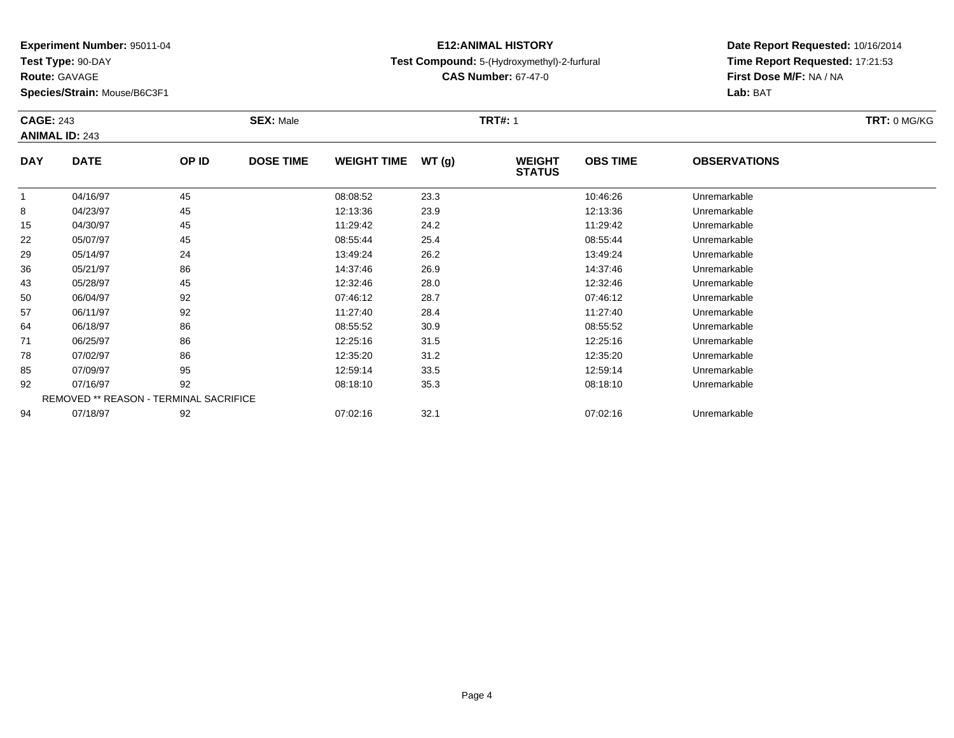**Test Type:** 90-DAY

**Route:** GAVAGE

**Species/Strain:** Mouse/B6C3F1

### **E12:ANIMAL HISTORYTest Compound:** 5-(Hydroxymethyl)-2-furfural

**CAS Number:** 67-47-0

**Date Report Requested:** 10/16/2014 **Time Report Requested:** 17:21:53**Lab:** BAT

|            | <b>CAGE: 243</b><br><b>ANIMAL ID: 243</b> |       | <b>SEX: Male</b> |                    |       | <b>TRT#: 1</b>                 | <b>TRT: 0 MG/KG</b> |                     |  |
|------------|-------------------------------------------|-------|------------------|--------------------|-------|--------------------------------|---------------------|---------------------|--|
| <b>DAY</b> | <b>DATE</b>                               | OP ID | <b>DOSE TIME</b> | <b>WEIGHT TIME</b> | WT(g) | <b>WEIGHT</b><br><b>STATUS</b> | <b>OBS TIME</b>     | <b>OBSERVATIONS</b> |  |
| 1          | 04/16/97                                  | 45    |                  | 08:08:52           | 23.3  |                                | 10:46:26            | Unremarkable        |  |
| 8          | 04/23/97                                  | 45    |                  | 12:13:36           | 23.9  |                                | 12:13:36            | Unremarkable        |  |
| 15         | 04/30/97                                  | 45    |                  | 11:29:42           | 24.2  |                                | 11:29:42            | Unremarkable        |  |
| 22         | 05/07/97                                  | 45    |                  | 08:55:44           | 25.4  |                                | 08:55:44            | Unremarkable        |  |
| 29         | 05/14/97                                  | 24    |                  | 13:49:24           | 26.2  |                                | 13:49:24            | Unremarkable        |  |
| 36         | 05/21/97                                  | 86    |                  | 14:37:46           | 26.9  |                                | 14:37:46            | Unremarkable        |  |
| 43         | 05/28/97                                  | 45    |                  | 12:32:46           | 28.0  |                                | 12:32:46            | Unremarkable        |  |
| 50         | 06/04/97                                  | 92    |                  | 07:46:12           | 28.7  |                                | 07:46:12            | Unremarkable        |  |
| 57         | 06/11/97                                  | 92    |                  | 11:27:40           | 28.4  |                                | 11:27:40            | Unremarkable        |  |
| 64         | 06/18/97                                  | 86    |                  | 08:55:52           | 30.9  |                                | 08:55:52            | Unremarkable        |  |
| 71         | 06/25/97                                  | 86    |                  | 12:25:16           | 31.5  |                                | 12:25:16            | Unremarkable        |  |
| 78         | 07/02/97                                  | 86    |                  | 12:35:20           | 31.2  |                                | 12:35:20            | Unremarkable        |  |
| 85         | 07/09/97                                  | 95    |                  | 12:59:14           | 33.5  |                                | 12:59:14            | Unremarkable        |  |
| 92         | 07/16/97                                  | 92    |                  | 08:18:10           | 35.3  |                                | 08:18:10            | Unremarkable        |  |
|            | REMOVED ** REASON - TERMINAL SACRIFICE    |       |                  |                    |       |                                |                     |                     |  |
| 94         | 07/18/97                                  | 92    |                  | 07:02:16           | 32.1  |                                | 07:02:16            | Unremarkable        |  |

**First Dose M/F:** NA / NA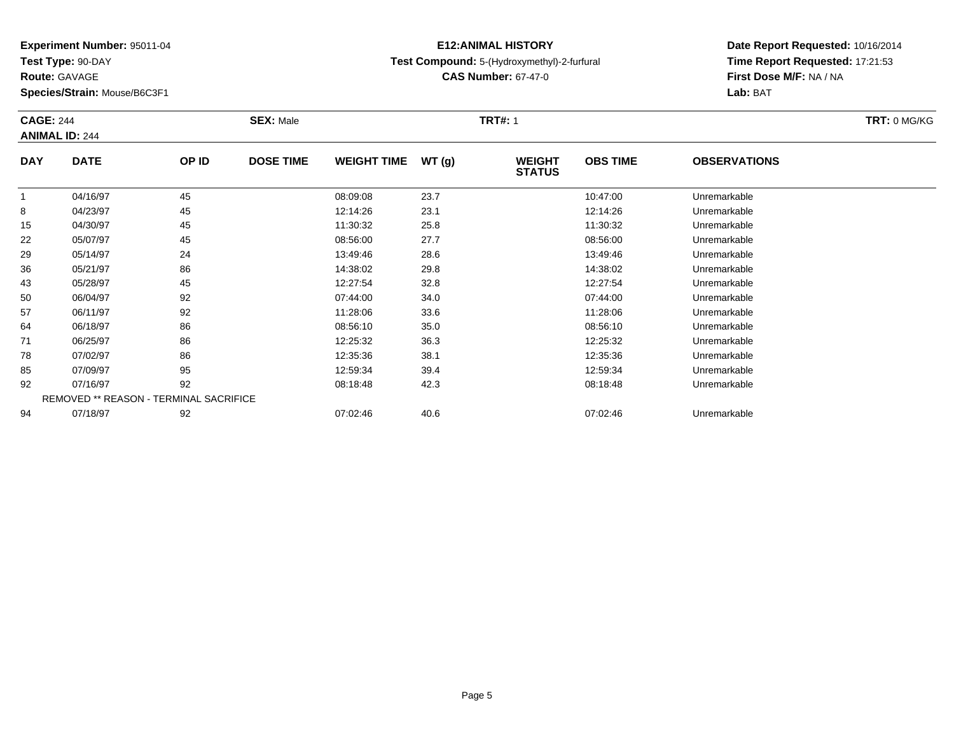**Test Type:** 90-DAY

**Route:** GAVAGE

**Species/Strain:** Mouse/B6C3F1

### **E12:ANIMAL HISTORYTest Compound:** 5-(Hydroxymethyl)-2-furfural

**CAS Number:** 67-47-0

|            | <b>CAGE: 244</b><br><b>ANIMAL ID: 244</b> |       | <b>SEX: Male</b> |                    |       | <b>TRT#: 1</b>                 |                 | <b>TRT: 0 MG/KG</b> |  |
|------------|-------------------------------------------|-------|------------------|--------------------|-------|--------------------------------|-----------------|---------------------|--|
| <b>DAY</b> | <b>DATE</b>                               | OP ID | <b>DOSE TIME</b> | <b>WEIGHT TIME</b> | WT(g) | <b>WEIGHT</b><br><b>STATUS</b> | <b>OBS TIME</b> | <b>OBSERVATIONS</b> |  |
| 1          | 04/16/97                                  | 45    |                  | 08:09:08           | 23.7  |                                | 10:47:00        | Unremarkable        |  |
| 8          | 04/23/97                                  | 45    |                  | 12:14:26           | 23.1  |                                | 12:14:26        | Unremarkable        |  |
| 15         | 04/30/97                                  | 45    |                  | 11:30:32           | 25.8  |                                | 11:30:32        | Unremarkable        |  |
| 22         | 05/07/97                                  | 45    |                  | 08:56:00           | 27.7  |                                | 08:56:00        | Unremarkable        |  |
| 29         | 05/14/97                                  | 24    |                  | 13:49:46           | 28.6  |                                | 13:49:46        | Unremarkable        |  |
| 36         | 05/21/97                                  | 86    |                  | 14:38:02           | 29.8  |                                | 14:38:02        | Unremarkable        |  |
| 43         | 05/28/97                                  | 45    |                  | 12:27:54           | 32.8  |                                | 12:27:54        | Unremarkable        |  |
| 50         | 06/04/97                                  | 92    |                  | 07:44:00           | 34.0  |                                | 07:44:00        | Unremarkable        |  |
| 57         | 06/11/97                                  | 92    |                  | 11:28:06           | 33.6  |                                | 11:28:06        | Unremarkable        |  |
| 64         | 06/18/97                                  | 86    |                  | 08:56:10           | 35.0  |                                | 08:56:10        | Unremarkable        |  |
| 71         | 06/25/97                                  | 86    |                  | 12:25:32           | 36.3  |                                | 12:25:32        | Unremarkable        |  |
| 78         | 07/02/97                                  | 86    |                  | 12:35:36           | 38.1  |                                | 12:35:36        | Unremarkable        |  |
| 85         | 07/09/97                                  | 95    |                  | 12:59:34           | 39.4  |                                | 12:59:34        | Unremarkable        |  |
| 92         | 07/16/97                                  | 92    |                  | 08:18:48           | 42.3  |                                | 08:18:48        | Unremarkable        |  |
|            | REMOVED ** REASON - TERMINAL SACRIFICE    |       |                  |                    |       |                                |                 |                     |  |
| 94         | 07/18/97                                  | 92    |                  | 07:02:46           | 40.6  |                                | 07:02:46        | Unremarkable        |  |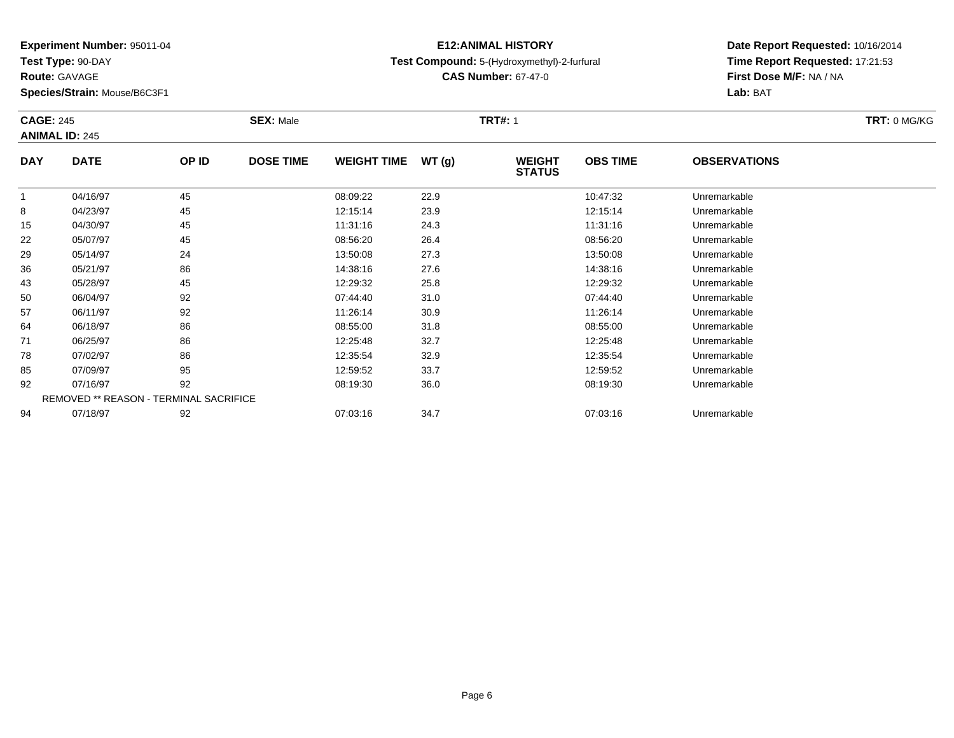**Test Type:** 90-DAY

**Route:** GAVAGE

**Species/Strain:** Mouse/B6C3F1

### **E12:ANIMAL HISTORYTest Compound:** 5-(Hydroxymethyl)-2-furfural

**CAS Number:** 67-47-0

|              | <b>CAGE: 245</b><br><b>ANIMAL ID: 245</b> |       | <b>SEX: Male</b> |                    |       | <b>TRT#: 1</b>                 | TRT: 0 MG/KG    |                     |  |
|--------------|-------------------------------------------|-------|------------------|--------------------|-------|--------------------------------|-----------------|---------------------|--|
| <b>DAY</b>   | <b>DATE</b>                               | OP ID | <b>DOSE TIME</b> | <b>WEIGHT TIME</b> | WT(g) | <b>WEIGHT</b><br><b>STATUS</b> | <b>OBS TIME</b> | <b>OBSERVATIONS</b> |  |
| $\mathbf{1}$ | 04/16/97                                  | 45    |                  | 08:09:22           | 22.9  |                                | 10:47:32        | Unremarkable        |  |
| 8            | 04/23/97                                  | 45    |                  | 12:15:14           | 23.9  |                                | 12:15:14        | Unremarkable        |  |
| 15           | 04/30/97                                  | 45    |                  | 11:31:16           | 24.3  |                                | 11:31:16        | Unremarkable        |  |
| 22           | 05/07/97                                  | 45    |                  | 08:56:20           | 26.4  |                                | 08:56:20        | Unremarkable        |  |
| 29           | 05/14/97                                  | 24    |                  | 13:50:08           | 27.3  |                                | 13:50:08        | Unremarkable        |  |
| 36           | 05/21/97                                  | 86    |                  | 14:38:16           | 27.6  |                                | 14:38:16        | Unremarkable        |  |
| 43           | 05/28/97                                  | 45    |                  | 12:29:32           | 25.8  |                                | 12:29:32        | Unremarkable        |  |
| 50           | 06/04/97                                  | 92    |                  | 07:44:40           | 31.0  |                                | 07:44:40        | Unremarkable        |  |
| 57           | 06/11/97                                  | 92    |                  | 11:26:14           | 30.9  |                                | 11:26:14        | Unremarkable        |  |
| 64           | 06/18/97                                  | 86    |                  | 08:55:00           | 31.8  |                                | 08:55:00        | Unremarkable        |  |
| 71           | 06/25/97                                  | 86    |                  | 12:25:48           | 32.7  |                                | 12:25:48        | Unremarkable        |  |
| 78           | 07/02/97                                  | 86    |                  | 12:35:54           | 32.9  |                                | 12:35:54        | Unremarkable        |  |
| 85           | 07/09/97                                  | 95    |                  | 12:59:52           | 33.7  |                                | 12:59:52        | Unremarkable        |  |
| 92           | 07/16/97                                  | 92    |                  | 08:19:30           | 36.0  |                                | 08:19:30        | Unremarkable        |  |
|              | REMOVED ** REASON - TERMINAL SACRIFICE    |       |                  |                    |       |                                |                 |                     |  |
| 94           | 07/18/97                                  | 92    |                  | 07:03:16           | 34.7  |                                | 07:03:16        | Unremarkable        |  |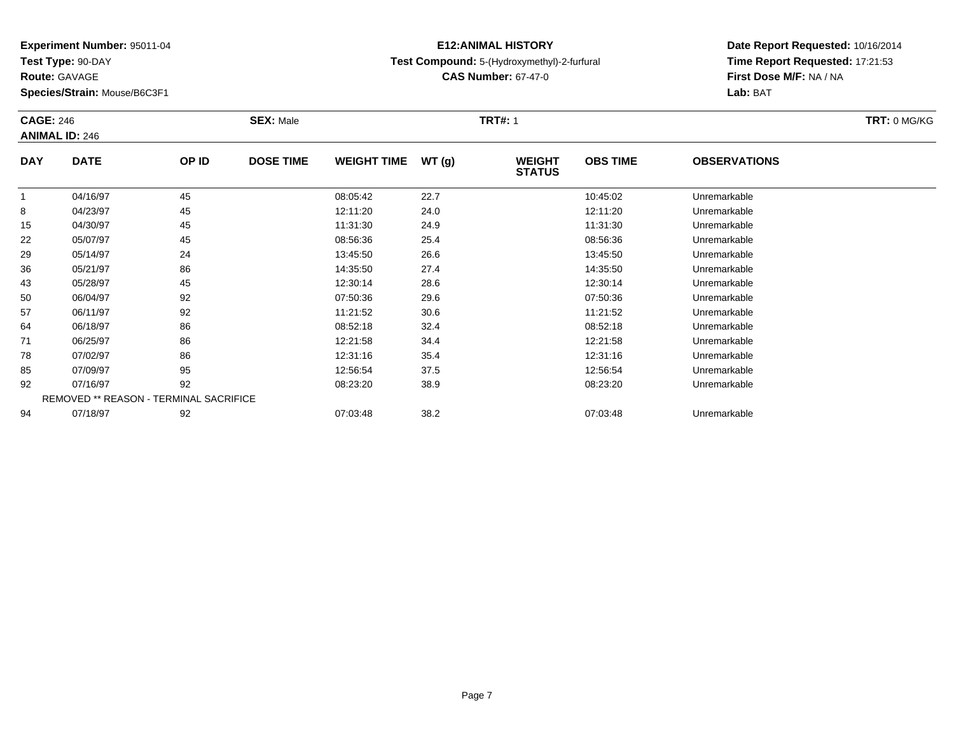**Test Type:** 90-DAY

**Route:** GAVAGE

**Species/Strain:** Mouse/B6C3F1

### **E12:ANIMAL HISTORYTest Compound:** 5-(Hydroxymethyl)-2-furfural

**CAS Number:** 67-47-0

|            | <b>CAGE: 246</b><br><b>ANIMAL ID: 246</b> |       | <b>SEX: Male</b> |                    |       | <b>TRT#: 1</b>                 | TRT: 0 MG/KG    |                     |  |
|------------|-------------------------------------------|-------|------------------|--------------------|-------|--------------------------------|-----------------|---------------------|--|
| <b>DAY</b> | <b>DATE</b>                               | OP ID | <b>DOSE TIME</b> | <b>WEIGHT TIME</b> | WT(g) | <b>WEIGHT</b><br><b>STATUS</b> | <b>OBS TIME</b> | <b>OBSERVATIONS</b> |  |
| 1          | 04/16/97                                  | 45    |                  | 08:05:42           | 22.7  |                                | 10:45:02        | Unremarkable        |  |
| 8          | 04/23/97                                  | 45    |                  | 12:11:20           | 24.0  |                                | 12:11:20        | Unremarkable        |  |
| 15         | 04/30/97                                  | 45    |                  | 11:31:30           | 24.9  |                                | 11:31:30        | Unremarkable        |  |
| 22         | 05/07/97                                  | 45    |                  | 08:56:36           | 25.4  |                                | 08:56:36        | Unremarkable        |  |
| 29         | 05/14/97                                  | 24    |                  | 13:45:50           | 26.6  |                                | 13:45:50        | Unremarkable        |  |
| 36         | 05/21/97                                  | 86    |                  | 14:35:50           | 27.4  |                                | 14:35:50        | Unremarkable        |  |
| 43         | 05/28/97                                  | 45    |                  | 12:30:14           | 28.6  |                                | 12:30:14        | Unremarkable        |  |
| 50         | 06/04/97                                  | 92    |                  | 07:50:36           | 29.6  |                                | 07:50:36        | Unremarkable        |  |
| 57         | 06/11/97                                  | 92    |                  | 11:21:52           | 30.6  |                                | 11:21:52        | Unremarkable        |  |
| 64         | 06/18/97                                  | 86    |                  | 08:52:18           | 32.4  |                                | 08:52:18        | Unremarkable        |  |
| 71         | 06/25/97                                  | 86    |                  | 12:21:58           | 34.4  |                                | 12:21:58        | Unremarkable        |  |
| 78         | 07/02/97                                  | 86    |                  | 12:31:16           | 35.4  |                                | 12:31:16        | Unremarkable        |  |
| 85         | 07/09/97                                  | 95    |                  | 12:56:54           | 37.5  |                                | 12:56:54        | Unremarkable        |  |
| 92         | 07/16/97                                  | 92    |                  | 08:23:20           | 38.9  |                                | 08:23:20        | Unremarkable        |  |
|            | REMOVED ** REASON - TERMINAL SACRIFICE    |       |                  |                    |       |                                |                 |                     |  |
| 94         | 07/18/97                                  | 92    |                  | 07:03:48           | 38.2  |                                | 07:03:48        | Unremarkable        |  |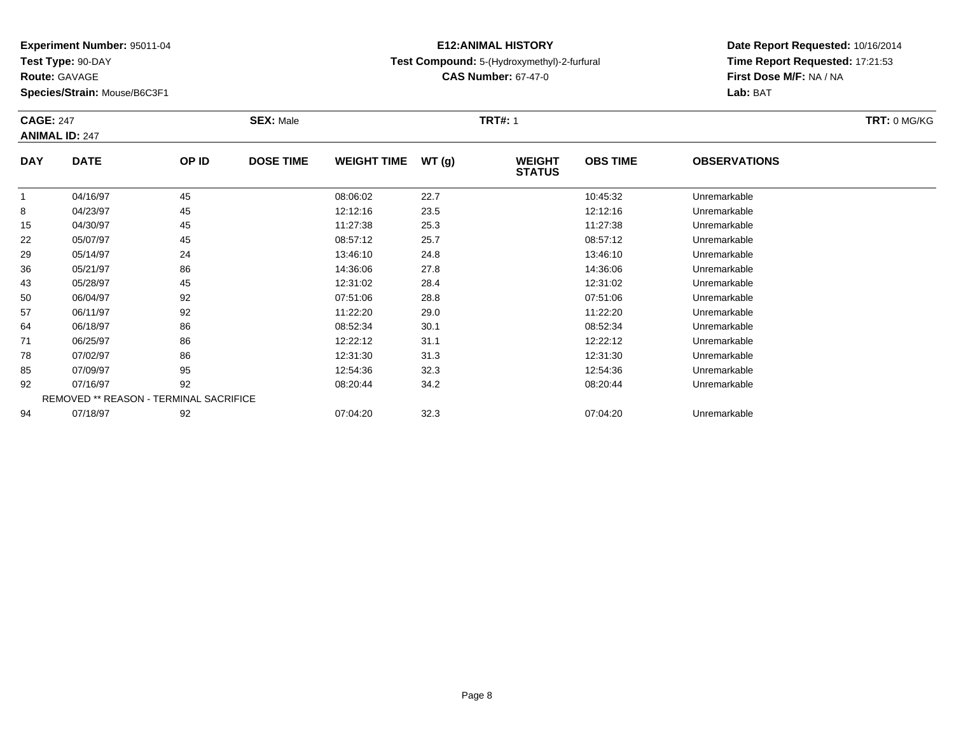**Test Type:** 90-DAY

**Route:** GAVAGE

**Species/Strain:** Mouse/B6C3F1

### **E12:ANIMAL HISTORYTest Compound:** 5-(Hydroxymethyl)-2-furfural

**CAS Number:** 67-47-0

**Date Report Requested:** 10/16/2014**Time Report Requested:** 17:21:53**First Dose M/F:** NA / NA**Lab:** BAT

|            | <b>CAGE: 247</b><br><b>ANIMAL ID: 247</b>     |       | <b>SEX: Male</b> |                    |       | <b>TRT#: 1</b>                 |                 |                     |  |  |
|------------|-----------------------------------------------|-------|------------------|--------------------|-------|--------------------------------|-----------------|---------------------|--|--|
| <b>DAY</b> | <b>DATE</b>                                   | OP ID | <b>DOSE TIME</b> | <b>WEIGHT TIME</b> | WT(g) | <b>WEIGHT</b><br><b>STATUS</b> | <b>OBS TIME</b> | <b>OBSERVATIONS</b> |  |  |
|            | 04/16/97                                      | 45    |                  | 08:06:02           | 22.7  |                                | 10:45:32        | Unremarkable        |  |  |
| 8          | 04/23/97                                      | 45    |                  | 12:12:16           | 23.5  |                                | 12:12:16        | Unremarkable        |  |  |
| 15         | 04/30/97                                      | 45    |                  | 11:27:38           | 25.3  |                                | 11:27:38        | Unremarkable        |  |  |
| 22         | 05/07/97                                      | 45    |                  | 08:57:12           | 25.7  |                                | 08:57:12        | Unremarkable        |  |  |
| 29         | 05/14/97                                      | 24    |                  | 13:46:10           | 24.8  |                                | 13:46:10        | Unremarkable        |  |  |
| 36         | 05/21/97                                      | 86    |                  | 14:36:06           | 27.8  |                                | 14:36:06        | Unremarkable        |  |  |
| 43         | 05/28/97                                      | 45    |                  | 12:31:02           | 28.4  |                                | 12:31:02        | Unremarkable        |  |  |
| 50         | 06/04/97                                      | 92    |                  | 07:51:06           | 28.8  |                                | 07:51:06        | Unremarkable        |  |  |
| 57         | 06/11/97                                      | 92    |                  | 11:22:20           | 29.0  |                                | 11:22:20        | Unremarkable        |  |  |
| 64         | 06/18/97                                      | 86    |                  | 08:52:34           | 30.1  |                                | 08:52:34        | Unremarkable        |  |  |
| 71         | 06/25/97                                      | 86    |                  | 12:22:12           | 31.1  |                                | 12:22:12        | Unremarkable        |  |  |
| 78         | 07/02/97                                      | 86    |                  | 12:31:30           | 31.3  |                                | 12:31:30        | Unremarkable        |  |  |
| 85         | 07/09/97                                      | 95    |                  | 12:54:36           | 32.3  |                                | 12:54:36        | Unremarkable        |  |  |
| 92         | 07/16/97                                      | 92    |                  | 08:20:44           | 34.2  |                                | 08:20:44        | Unremarkable        |  |  |
|            | <b>REMOVED ** REASON - TERMINAL SACRIFICE</b> |       |                  |                    |       |                                |                 |                     |  |  |
| 94         | 07/18/97                                      | 92    |                  | 07:04:20           | 32.3  |                                | 07:04:20        | Unremarkable        |  |  |

07/18/97 <sup>92</sup> 07:04:20 32.3 07:04:20 Unremarkable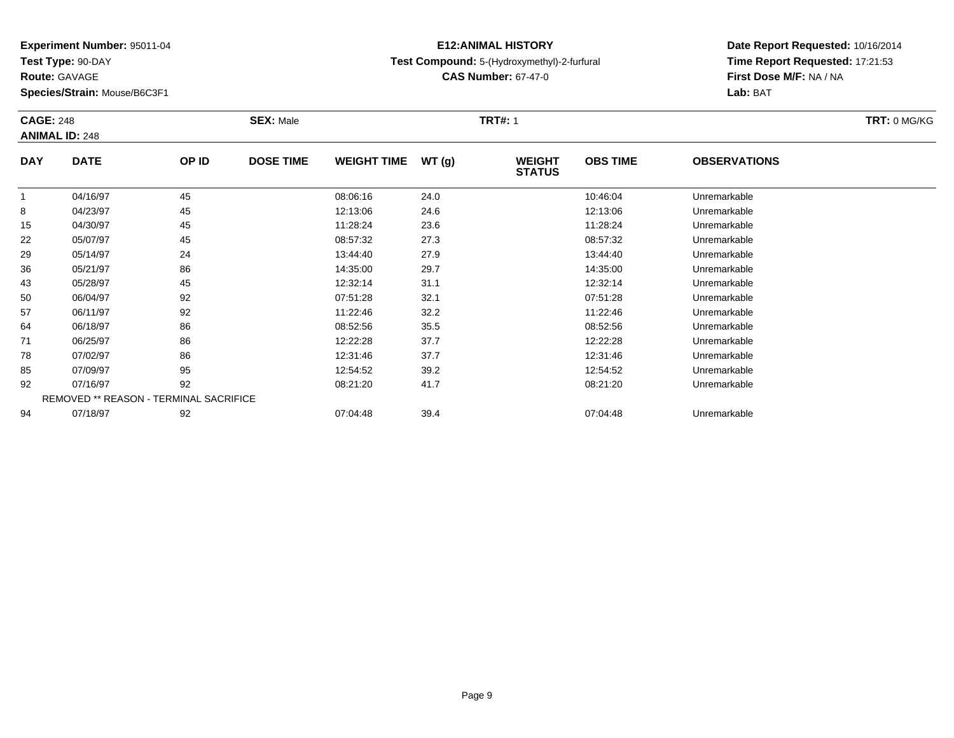**Test Type:** 90-DAY

**Route:** GAVAGE

**Species/Strain:** Mouse/B6C3F1

### **E12:ANIMAL HISTORYTest Compound:** 5-(Hydroxymethyl)-2-furfural

**CAS Number:** 67-47-0

|            | <b>CAGE: 248</b><br><b>ANIMAL ID: 248</b> |       | <b>SEX: Male</b> |                    |       | <b>TRT#: 1</b>                 |                 |                     |  |  |
|------------|-------------------------------------------|-------|------------------|--------------------|-------|--------------------------------|-----------------|---------------------|--|--|
| <b>DAY</b> | <b>DATE</b>                               | OP ID | <b>DOSE TIME</b> | <b>WEIGHT TIME</b> | WT(g) | <b>WEIGHT</b><br><b>STATUS</b> | <b>OBS TIME</b> | <b>OBSERVATIONS</b> |  |  |
|            | 04/16/97                                  | 45    |                  | 08:06:16           | 24.0  |                                | 10:46:04        | Unremarkable        |  |  |
| 8          | 04/23/97                                  | 45    |                  | 12:13:06           | 24.6  |                                | 12:13:06        | Unremarkable        |  |  |
| 15         | 04/30/97                                  | 45    |                  | 11:28:24           | 23.6  |                                | 11:28:24        | Unremarkable        |  |  |
| 22         | 05/07/97                                  | 45    |                  | 08:57:32           | 27.3  |                                | 08:57:32        | Unremarkable        |  |  |
| 29         | 05/14/97                                  | 24    |                  | 13:44:40           | 27.9  |                                | 13:44:40        | Unremarkable        |  |  |
| 36         | 05/21/97                                  | 86    |                  | 14:35:00           | 29.7  |                                | 14:35:00        | Unremarkable        |  |  |
| 43         | 05/28/97                                  | 45    |                  | 12:32:14           | 31.1  |                                | 12:32:14        | Unremarkable        |  |  |
| 50         | 06/04/97                                  | 92    |                  | 07:51:28           | 32.1  |                                | 07:51:28        | Unremarkable        |  |  |
| 57         | 06/11/97                                  | 92    |                  | 11:22:46           | 32.2  |                                | 11:22:46        | Unremarkable        |  |  |
| 64         | 06/18/97                                  | 86    |                  | 08:52:56           | 35.5  |                                | 08:52:56        | Unremarkable        |  |  |
| 71         | 06/25/97                                  | 86    |                  | 12:22:28           | 37.7  |                                | 12:22:28        | Unremarkable        |  |  |
| 78         | 07/02/97                                  | 86    |                  | 12:31:46           | 37.7  |                                | 12:31:46        | Unremarkable        |  |  |
| 85         | 07/09/97                                  | 95    |                  | 12:54:52           | 39.2  |                                | 12:54:52        | Unremarkable        |  |  |
| 92         | 07/16/97                                  | 92    |                  | 08:21:20           | 41.7  |                                | 08:21:20        | Unremarkable        |  |  |
|            | REMOVED ** REASON - TERMINAL SACRIFICE    |       |                  |                    |       |                                |                 |                     |  |  |
| 94         | 07/18/97                                  | 92    |                  | 07:04:48           | 39.4  |                                | 07:04:48        | Unremarkable        |  |  |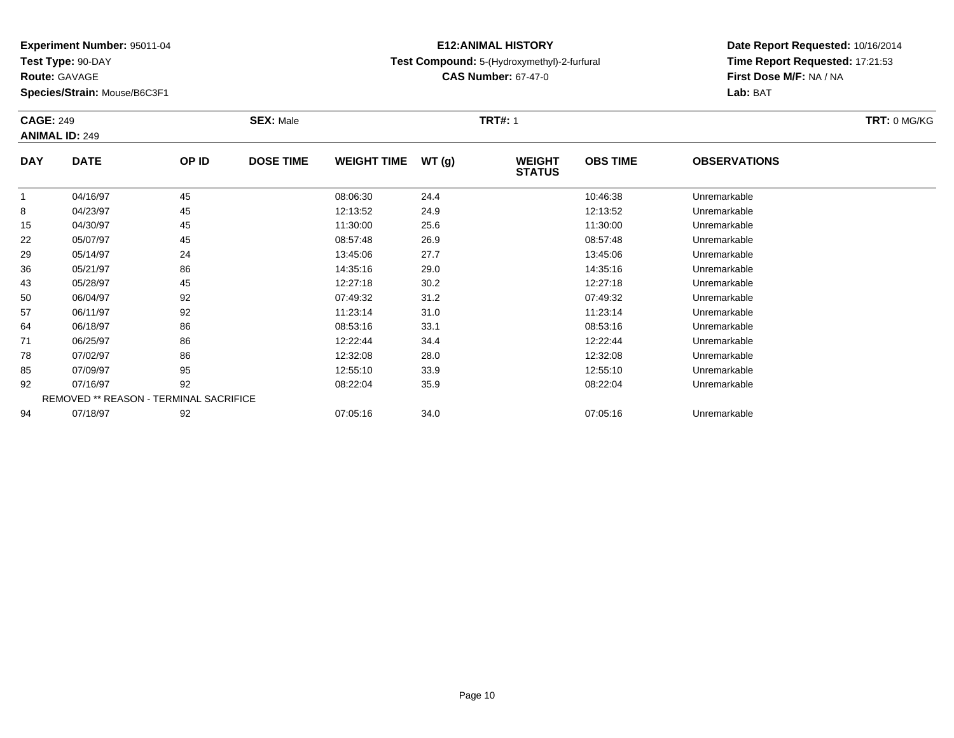**Test Type:** 90-DAY

**Route:** GAVAGE

**Species/Strain:** Mouse/B6C3F1

### **E12:ANIMAL HISTORYTest Compound:** 5-(Hydroxymethyl)-2-furfural

**CAS Number:** 67-47-0

|            | <b>CAGE: 249</b><br><b>ANIMAL ID: 249</b>     |       | <b>SEX: Male</b> |                    |       | <b>TRT#: 1</b>                 | TRT: 0 MG/KG    |                     |  |
|------------|-----------------------------------------------|-------|------------------|--------------------|-------|--------------------------------|-----------------|---------------------|--|
| <b>DAY</b> | <b>DATE</b>                                   | OP ID | <b>DOSE TIME</b> | <b>WEIGHT TIME</b> | WT(g) | <b>WEIGHT</b><br><b>STATUS</b> | <b>OBS TIME</b> | <b>OBSERVATIONS</b> |  |
|            | 04/16/97                                      | 45    |                  | 08:06:30           | 24.4  |                                | 10:46:38        | Unremarkable        |  |
| 8          | 04/23/97                                      | 45    |                  | 12:13:52           | 24.9  |                                | 12:13:52        | Unremarkable        |  |
| 15         | 04/30/97                                      | 45    |                  | 11:30:00           | 25.6  |                                | 11:30:00        | Unremarkable        |  |
| 22         | 05/07/97                                      | 45    |                  | 08:57:48           | 26.9  |                                | 08:57:48        | Unremarkable        |  |
| 29         | 05/14/97                                      | 24    |                  | 13:45:06           | 27.7  |                                | 13:45:06        | Unremarkable        |  |
| 36         | 05/21/97                                      | 86    |                  | 14:35:16           | 29.0  |                                | 14:35:16        | Unremarkable        |  |
| 43         | 05/28/97                                      | 45    |                  | 12:27:18           | 30.2  |                                | 12:27:18        | Unremarkable        |  |
| 50         | 06/04/97                                      | 92    |                  | 07:49:32           | 31.2  |                                | 07:49:32        | Unremarkable        |  |
| 57         | 06/11/97                                      | 92    |                  | 11:23:14           | 31.0  |                                | 11:23:14        | Unremarkable        |  |
| 64         | 06/18/97                                      | 86    |                  | 08:53:16           | 33.1  |                                | 08:53:16        | Unremarkable        |  |
| 71         | 06/25/97                                      | 86    |                  | 12:22:44           | 34.4  |                                | 12:22:44        | Unremarkable        |  |
| 78         | 07/02/97                                      | 86    |                  | 12:32:08           | 28.0  |                                | 12:32:08        | Unremarkable        |  |
| 85         | 07/09/97                                      | 95    |                  | 12:55:10           | 33.9  |                                | 12:55:10        | Unremarkable        |  |
| 92         | 07/16/97                                      | 92    |                  | 08:22:04           | 35.9  |                                | 08:22:04        | Unremarkable        |  |
|            | <b>REMOVED ** REASON - TERMINAL SACRIFICE</b> |       |                  |                    |       |                                |                 |                     |  |
| 94         | 07/18/97                                      | 92    |                  | 07:05:16           | 34.0  |                                | 07:05:16        | Unremarkable        |  |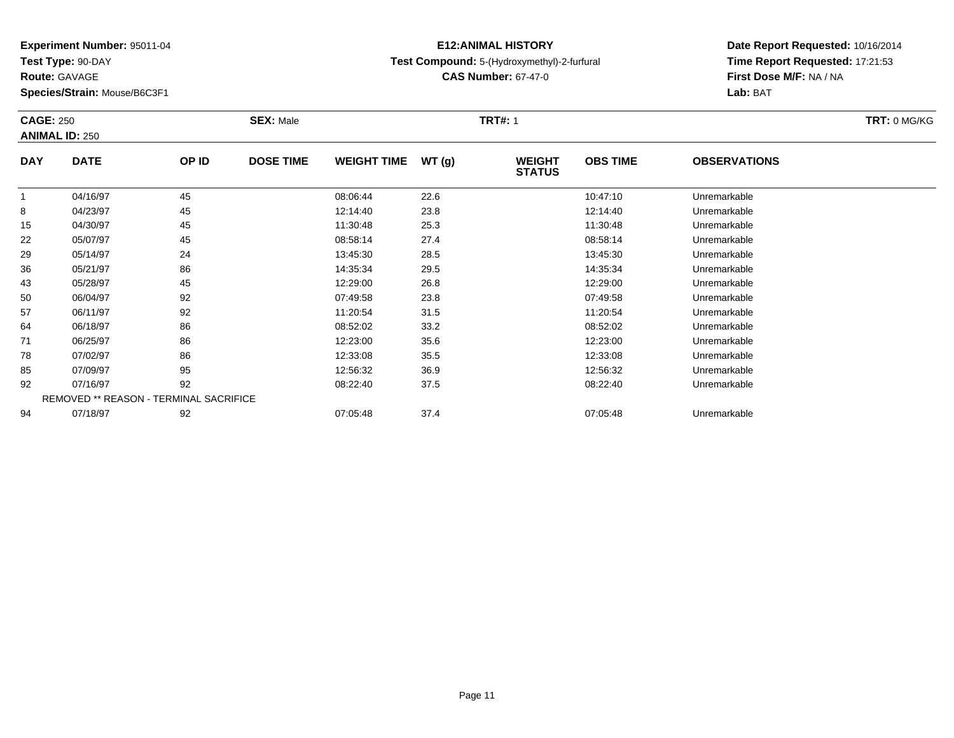**Test Type:** 90-DAY

**Route:** GAVAGE

**Species/Strain:** Mouse/B6C3F1

### **E12:ANIMAL HISTORYTest Compound:** 5-(Hydroxymethyl)-2-furfural

**CAS Number:** 67-47-0

| <b>CAGE: 250</b><br><b>ANIMAL ID: 250</b> |                                        | <b>SEX: Male</b> |                  |                    | <b>TRT#: 1</b> |                                |                 |                     |  |
|-------------------------------------------|----------------------------------------|------------------|------------------|--------------------|----------------|--------------------------------|-----------------|---------------------|--|
| <b>DAY</b>                                | <b>DATE</b>                            | OP ID            | <b>DOSE TIME</b> | <b>WEIGHT TIME</b> | WT(g)          | <b>WEIGHT</b><br><b>STATUS</b> | <b>OBS TIME</b> | <b>OBSERVATIONS</b> |  |
|                                           | 04/16/97                               | 45               |                  | 08:06:44           | 22.6           |                                | 10:47:10        | Unremarkable        |  |
| 8                                         | 04/23/97                               | 45               |                  | 12:14:40           | 23.8           |                                | 12:14:40        | Unremarkable        |  |
| 15                                        | 04/30/97                               | 45               |                  | 11:30:48           | 25.3           |                                | 11:30:48        | Unremarkable        |  |
| 22                                        | 05/07/97                               | 45               |                  | 08:58:14           | 27.4           |                                | 08:58:14        | Unremarkable        |  |
| 29                                        | 05/14/97                               | 24               |                  | 13:45:30           | 28.5           |                                | 13:45:30        | Unremarkable        |  |
| 36                                        | 05/21/97                               | 86               |                  | 14:35:34           | 29.5           |                                | 14:35:34        | Unremarkable        |  |
| 43                                        | 05/28/97                               | 45               |                  | 12:29:00           | 26.8           |                                | 12:29:00        | Unremarkable        |  |
| 50                                        | 06/04/97                               | 92               |                  | 07:49:58           | 23.8           |                                | 07:49:58        | Unremarkable        |  |
| 57                                        | 06/11/97                               | 92               |                  | 11:20:54           | 31.5           |                                | 11:20:54        | Unremarkable        |  |
| 64                                        | 06/18/97                               | 86               |                  | 08:52:02           | 33.2           |                                | 08:52:02        | Unremarkable        |  |
| 71                                        | 06/25/97                               | 86               |                  | 12:23:00           | 35.6           |                                | 12:23:00        | Unremarkable        |  |
| 78                                        | 07/02/97                               | 86               |                  | 12:33:08           | 35.5           |                                | 12:33:08        | Unremarkable        |  |
| 85                                        | 07/09/97                               | 95               |                  | 12:56:32           | 36.9           |                                | 12:56:32        | Unremarkable        |  |
| 92                                        | 07/16/97                               | 92               |                  | 08:22:40           | 37.5           |                                | 08:22:40        | Unremarkable        |  |
|                                           | REMOVED ** REASON - TERMINAL SACRIFICE |                  |                  |                    |                |                                |                 |                     |  |
| 94                                        | 07/18/97                               | 92               |                  | 07:05:48           | 37.4           |                                | 07:05:48        | Unremarkable        |  |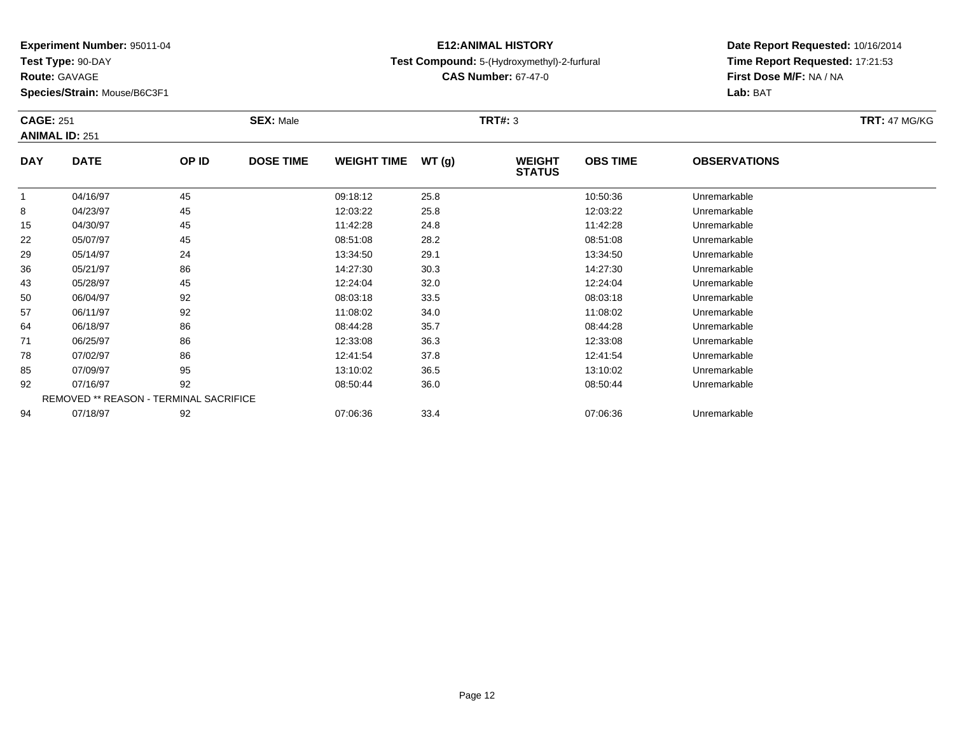**Test Type:** 90-DAY

**Route:** GAVAGE

**Species/Strain:** Mouse/B6C3F1

### **E12:ANIMAL HISTORYTest Compound:** 5-(Hydroxymethyl)-2-furfural

**CAS Number:** 67-47-0

|            | <b>CAGE: 251</b><br><b>ANIMAL ID: 251</b>     |       | <b>SEX: Male</b> |                    |       | <b>TRT#: 3</b>                 |                 |                     |  |  |  |
|------------|-----------------------------------------------|-------|------------------|--------------------|-------|--------------------------------|-----------------|---------------------|--|--|--|
| <b>DAY</b> | <b>DATE</b>                                   | OP ID | <b>DOSE TIME</b> | <b>WEIGHT TIME</b> | WT(g) | <b>WEIGHT</b><br><b>STATUS</b> | <b>OBS TIME</b> | <b>OBSERVATIONS</b> |  |  |  |
| 1          | 04/16/97                                      | 45    |                  | 09:18:12           | 25.8  |                                | 10:50:36        | Unremarkable        |  |  |  |
| 8          | 04/23/97                                      | 45    |                  | 12:03:22           | 25.8  |                                | 12:03:22        | Unremarkable        |  |  |  |
| 15         | 04/30/97                                      | 45    |                  | 11:42:28           | 24.8  |                                | 11:42:28        | Unremarkable        |  |  |  |
| 22         | 05/07/97                                      | 45    |                  | 08:51:08           | 28.2  |                                | 08:51:08        | Unremarkable        |  |  |  |
| 29         | 05/14/97                                      | 24    |                  | 13:34:50           | 29.1  |                                | 13:34:50        | Unremarkable        |  |  |  |
| 36         | 05/21/97                                      | 86    |                  | 14:27:30           | 30.3  |                                | 14:27:30        | Unremarkable        |  |  |  |
| 43         | 05/28/97                                      | 45    |                  | 12:24:04           | 32.0  |                                | 12:24:04        | Unremarkable        |  |  |  |
| 50         | 06/04/97                                      | 92    |                  | 08:03:18           | 33.5  |                                | 08:03:18        | Unremarkable        |  |  |  |
| 57         | 06/11/97                                      | 92    |                  | 11:08:02           | 34.0  |                                | 11:08:02        | Unremarkable        |  |  |  |
| 64         | 06/18/97                                      | 86    |                  | 08:44:28           | 35.7  |                                | 08:44:28        | Unremarkable        |  |  |  |
| 71         | 06/25/97                                      | 86    |                  | 12:33:08           | 36.3  |                                | 12:33:08        | Unremarkable        |  |  |  |
| 78         | 07/02/97                                      | 86    |                  | 12:41:54           | 37.8  |                                | 12:41:54        | Unremarkable        |  |  |  |
| 85         | 07/09/97                                      | 95    |                  | 13:10:02           | 36.5  |                                | 13:10:02        | Unremarkable        |  |  |  |
| 92         | 07/16/97                                      | 92    |                  | 08:50:44           | 36.0  |                                | 08:50:44        | Unremarkable        |  |  |  |
|            | <b>REMOVED ** REASON - TERMINAL SACRIFICE</b> |       |                  |                    |       |                                |                 |                     |  |  |  |
| 94         | 07/18/97                                      | 92    |                  | 07:06:36           | 33.4  |                                | 07:06:36        | Unremarkable        |  |  |  |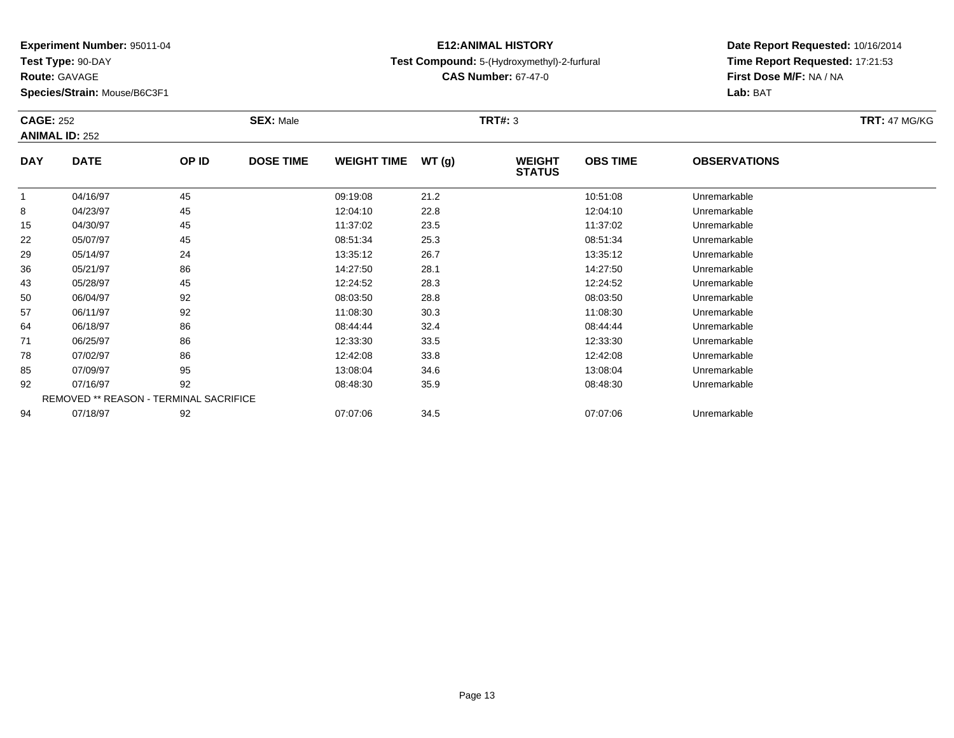**Test Type:** 90-DAY

**Route:** GAVAGE

**Species/Strain:** Mouse/B6C3F1

### **E12:ANIMAL HISTORYTest Compound:** 5-(Hydroxymethyl)-2-furfural

**CAS Number:** 67-47-0

| <b>CAGE: 252</b> | <b>ANIMAL ID: 252</b> |                                               | <b>SEX: Male</b> |                    |       | <b>TRT#: 3</b>                 |                 |                     | <b>TRT: 47 MG/KG</b> |
|------------------|-----------------------|-----------------------------------------------|------------------|--------------------|-------|--------------------------------|-----------------|---------------------|----------------------|
| <b>DAY</b>       | <b>DATE</b>           | OP ID                                         | <b>DOSE TIME</b> | <b>WEIGHT TIME</b> | WT(g) | <b>WEIGHT</b><br><b>STATUS</b> | <b>OBS TIME</b> | <b>OBSERVATIONS</b> |                      |
|                  | 04/16/97              | 45                                            |                  | 09:19:08           | 21.2  |                                | 10:51:08        | Unremarkable        |                      |
| 8                | 04/23/97              | 45                                            |                  | 12:04:10           | 22.8  |                                | 12:04:10        | Unremarkable        |                      |
| 15               | 04/30/97              | 45                                            |                  | 11:37:02           | 23.5  |                                | 11:37:02        | Unremarkable        |                      |
| 22               | 05/07/97              | 45                                            |                  | 08:51:34           | 25.3  |                                | 08:51:34        | Unremarkable        |                      |
| 29               | 05/14/97              | 24                                            |                  | 13:35:12           | 26.7  |                                | 13:35:12        | Unremarkable        |                      |
| 36               | 05/21/97              | 86                                            |                  | 14:27:50           | 28.1  |                                | 14:27:50        | Unremarkable        |                      |
| 43               | 05/28/97              | 45                                            |                  | 12:24:52           | 28.3  |                                | 12:24:52        | Unremarkable        |                      |
| 50               | 06/04/97              | 92                                            |                  | 08:03:50           | 28.8  |                                | 08:03:50        | Unremarkable        |                      |
| 57               | 06/11/97              | 92                                            |                  | 11:08:30           | 30.3  |                                | 11:08:30        | Unremarkable        |                      |
| 64               | 06/18/97              | 86                                            |                  | 08:44:44           | 32.4  |                                | 08:44:44        | Unremarkable        |                      |
| 71               | 06/25/97              | 86                                            |                  | 12:33:30           | 33.5  |                                | 12:33:30        | Unremarkable        |                      |
| 78               | 07/02/97              | 86                                            |                  | 12:42:08           | 33.8  |                                | 12:42:08        | Unremarkable        |                      |
| 85               | 07/09/97              | 95                                            |                  | 13:08:04           | 34.6  |                                | 13:08:04        | Unremarkable        |                      |
| 92               | 07/16/97              | 92                                            |                  | 08:48:30           | 35.9  |                                | 08:48:30        | Unremarkable        |                      |
|                  |                       | <b>REMOVED ** REASON - TERMINAL SACRIFICE</b> |                  |                    |       |                                |                 |                     |                      |
| 94               | 07/18/97              | 92                                            |                  | 07:07:06           | 34.5  |                                | 07:07:06        | Unremarkable        |                      |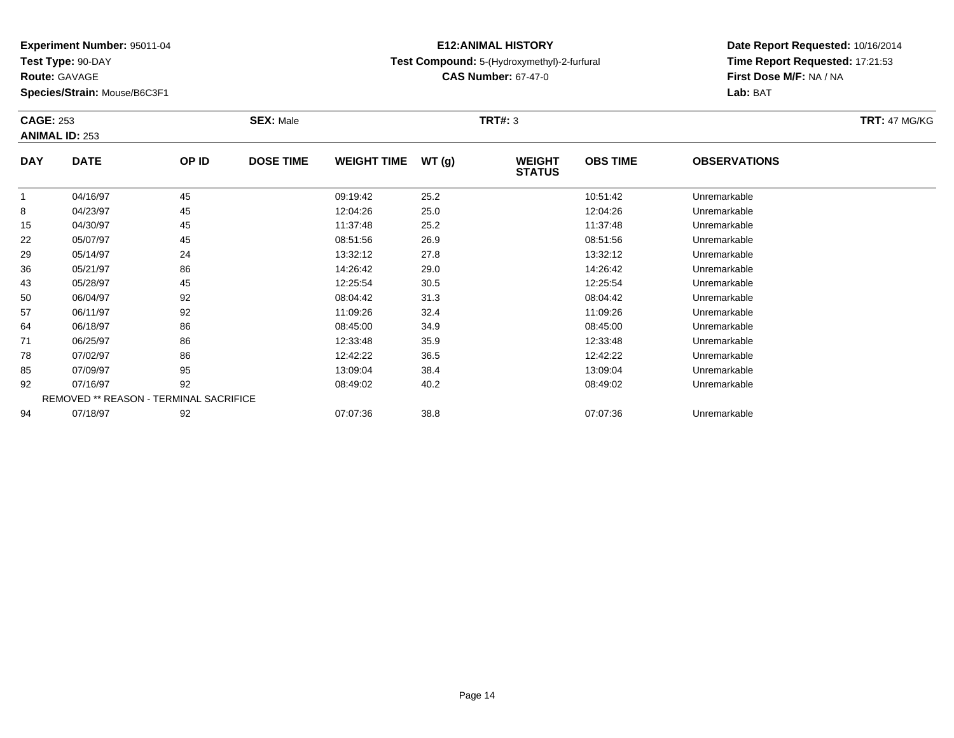**Test Type:** 90-DAY

**Route:** GAVAGE

**Species/Strain:** Mouse/B6C3F1

### **E12:ANIMAL HISTORYTest Compound:** 5-(Hydroxymethyl)-2-furfural

**CAS Number:** 67-47-0

| <b>CAGE: 253</b> | <b>ANIMAL ID: 253</b>                  |       | <b>SEX: Male</b> |                    |       | <b>TRT#: 3</b>                 |                 |                     | <b>TRT: 47 MG/KG</b> |
|------------------|----------------------------------------|-------|------------------|--------------------|-------|--------------------------------|-----------------|---------------------|----------------------|
| <b>DAY</b>       | <b>DATE</b>                            | OP ID | <b>DOSE TIME</b> | <b>WEIGHT TIME</b> | WT(g) | <b>WEIGHT</b><br><b>STATUS</b> | <b>OBS TIME</b> | <b>OBSERVATIONS</b> |                      |
| 1                | 04/16/97                               | 45    |                  | 09:19:42           | 25.2  |                                | 10:51:42        | Unremarkable        |                      |
| 8                | 04/23/97                               | 45    |                  | 12:04:26           | 25.0  |                                | 12:04:26        | Unremarkable        |                      |
| 15               | 04/30/97                               | 45    |                  | 11:37:48           | 25.2  |                                | 11:37:48        | Unremarkable        |                      |
| 22               | 05/07/97                               | 45    |                  | 08:51:56           | 26.9  |                                | 08:51:56        | Unremarkable        |                      |
| 29               | 05/14/97                               | 24    |                  | 13:32:12           | 27.8  |                                | 13:32:12        | Unremarkable        |                      |
| 36               | 05/21/97                               | 86    |                  | 14:26:42           | 29.0  |                                | 14:26:42        | Unremarkable        |                      |
| 43               | 05/28/97                               | 45    |                  | 12:25:54           | 30.5  |                                | 12:25:54        | Unremarkable        |                      |
| 50               | 06/04/97                               | 92    |                  | 08:04:42           | 31.3  |                                | 08:04:42        | Unremarkable        |                      |
| 57               | 06/11/97                               | 92    |                  | 11:09:26           | 32.4  |                                | 11:09:26        | Unremarkable        |                      |
| 64               | 06/18/97                               | 86    |                  | 08:45:00           | 34.9  |                                | 08:45:00        | Unremarkable        |                      |
| 71               | 06/25/97                               | 86    |                  | 12:33:48           | 35.9  |                                | 12:33:48        | Unremarkable        |                      |
| 78               | 07/02/97                               | 86    |                  | 12:42:22           | 36.5  |                                | 12:42:22        | Unremarkable        |                      |
| 85               | 07/09/97                               | 95    |                  | 13:09:04           | 38.4  |                                | 13:09:04        | Unremarkable        |                      |
| 92               | 07/16/97                               | 92    |                  | 08:49:02           | 40.2  |                                | 08:49:02        | Unremarkable        |                      |
|                  | REMOVED ** REASON - TERMINAL SACRIFICE |       |                  |                    |       |                                |                 |                     |                      |
| 94               | 07/18/97                               | 92    |                  | 07:07:36           | 38.8  |                                | 07:07:36        | Unremarkable        |                      |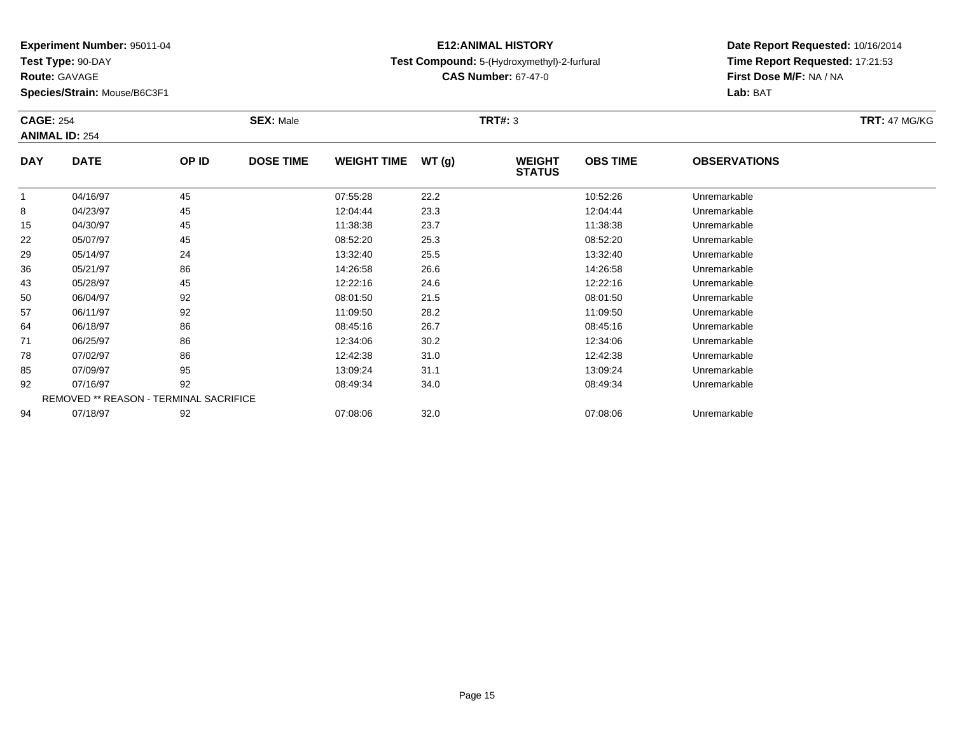**Test Type:** 90-DAY

**Route:** GAVAGE

**Species/Strain:** Mouse/B6C3F1

### **E12:ANIMAL HISTORYTest Compound:** 5-(Hydroxymethyl)-2-furfural

**CAS Number:** 67-47-0

**Date Report Requested:** 10/16/2014 **Time Report Requested:** 17:21:53**First Dose M/F:** NA / NA**Lab:** BAT

| <b>CAGE: 254</b> | <b>ANIMAL ID: 254</b>                         |       | <b>SEX: Male</b> |                    |       | <b>TRT#: 3</b>                 |                 |                     | <b>TRT: 47 MG/KG</b> |
|------------------|-----------------------------------------------|-------|------------------|--------------------|-------|--------------------------------|-----------------|---------------------|----------------------|
| <b>DAY</b>       | <b>DATE</b>                                   | OP ID | <b>DOSE TIME</b> | <b>WEIGHT TIME</b> | WT(g) | <b>WEIGHT</b><br><b>STATUS</b> | <b>OBS TIME</b> | <b>OBSERVATIONS</b> |                      |
| 1                | 04/16/97                                      | 45    |                  | 07:55:28           | 22.2  |                                | 10:52:26        | Unremarkable        |                      |
| 8                | 04/23/97                                      | 45    |                  | 12:04:44           | 23.3  |                                | 12:04:44        | Unremarkable        |                      |
| 15               | 04/30/97                                      | 45    |                  | 11:38:38           | 23.7  |                                | 11:38:38        | Unremarkable        |                      |
| 22               | 05/07/97                                      | 45    |                  | 08:52:20           | 25.3  |                                | 08:52:20        | Unremarkable        |                      |
| 29               | 05/14/97                                      | 24    |                  | 13:32:40           | 25.5  |                                | 13:32:40        | Unremarkable        |                      |
| 36               | 05/21/97                                      | 86    |                  | 14:26:58           | 26.6  |                                | 14:26:58        | Unremarkable        |                      |
| 43               | 05/28/97                                      | 45    |                  | 12:22:16           | 24.6  |                                | 12:22:16        | Unremarkable        |                      |
| 50               | 06/04/97                                      | 92    |                  | 08:01:50           | 21.5  |                                | 08:01:50        | Unremarkable        |                      |
| 57               | 06/11/97                                      | 92    |                  | 11:09:50           | 28.2  |                                | 11:09:50        | Unremarkable        |                      |
| 64               | 06/18/97                                      | 86    |                  | 08:45:16           | 26.7  |                                | 08:45:16        | Unremarkable        |                      |
| 71               | 06/25/97                                      | 86    |                  | 12:34:06           | 30.2  |                                | 12:34:06        | Unremarkable        |                      |
| 78               | 07/02/97                                      | 86    |                  | 12:42:38           | 31.0  |                                | 12:42:38        | Unremarkable        |                      |
| 85               | 07/09/97                                      | 95    |                  | 13:09:24           | 31.1  |                                | 13:09:24        | Unremarkable        |                      |
| 92               | 07/16/97                                      | 92    |                  | 08:49:34           | 34.0  |                                | 08:49:34        | Unremarkable        |                      |
|                  | <b>REMOVED ** REASON - TERMINAL SACRIFICE</b> |       |                  |                    |       |                                |                 |                     |                      |
| 94               | 07/18/97                                      | 92    |                  | 07:08:06           | 32.0  |                                | 07:08:06        | Unremarkable        |                      |

07/18/97 <sup>92</sup> 07:08:06 32.0 07:08:06 Unremarkable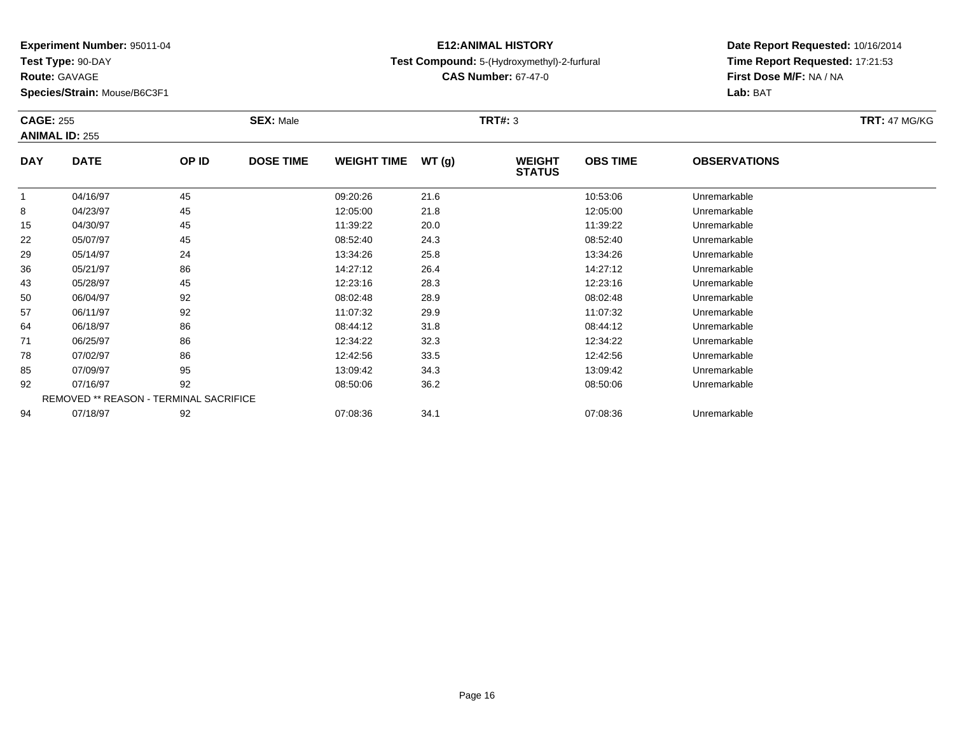**Test Type:** 90-DAY

**Route:** GAVAGE

**Species/Strain:** Mouse/B6C3F1

### **E12:ANIMAL HISTORYTest Compound:** 5-(Hydroxymethyl)-2-furfural

**CAS Number:** 67-47-0

| <b>CAGE: 255</b> | <b>ANIMAL ID: 255</b>                  |       | <b>SEX: Male</b> |                    | <b>TRT#: 3</b> |                                |                 |                     | <b>TRT: 47 MG/KG</b> |
|------------------|----------------------------------------|-------|------------------|--------------------|----------------|--------------------------------|-----------------|---------------------|----------------------|
| <b>DAY</b>       | <b>DATE</b>                            | OP ID | <b>DOSE TIME</b> | <b>WEIGHT TIME</b> | WT(g)          | <b>WEIGHT</b><br><b>STATUS</b> | <b>OBS TIME</b> | <b>OBSERVATIONS</b> |                      |
| 1                | 04/16/97                               | 45    |                  | 09:20:26           | 21.6           |                                | 10:53:06        | Unremarkable        |                      |
| 8                | 04/23/97                               | 45    |                  | 12:05:00           | 21.8           |                                | 12:05:00        | Unremarkable        |                      |
| 15               | 04/30/97                               | 45    |                  | 11:39:22           | 20.0           |                                | 11:39:22        | Unremarkable        |                      |
| 22               | 05/07/97                               | 45    |                  | 08:52:40           | 24.3           |                                | 08:52:40        | Unremarkable        |                      |
| 29               | 05/14/97                               | 24    |                  | 13:34:26           | 25.8           |                                | 13:34:26        | Unremarkable        |                      |
| 36               | 05/21/97                               | 86    |                  | 14:27:12           | 26.4           |                                | 14:27:12        | Unremarkable        |                      |
| 43               | 05/28/97                               | 45    |                  | 12:23:16           | 28.3           |                                | 12:23:16        | Unremarkable        |                      |
| 50               | 06/04/97                               | 92    |                  | 08:02:48           | 28.9           |                                | 08:02:48        | Unremarkable        |                      |
| 57               | 06/11/97                               | 92    |                  | 11:07:32           | 29.9           |                                | 11:07:32        | Unremarkable        |                      |
| 64               | 06/18/97                               | 86    |                  | 08:44:12           | 31.8           |                                | 08:44:12        | Unremarkable        |                      |
| 71               | 06/25/97                               | 86    |                  | 12:34:22           | 32.3           |                                | 12:34:22        | Unremarkable        |                      |
| 78               | 07/02/97                               | 86    |                  | 12:42:56           | 33.5           |                                | 12:42:56        | Unremarkable        |                      |
| 85               | 07/09/97                               | 95    |                  | 13:09:42           | 34.3           |                                | 13:09:42        | Unremarkable        |                      |
| 92               | 07/16/97                               | 92    |                  | 08:50:06           | 36.2           |                                | 08:50:06        | Unremarkable        |                      |
|                  | REMOVED ** REASON - TERMINAL SACRIFICE |       |                  |                    |                |                                |                 |                     |                      |
| 94               | 07/18/97                               | 92    |                  | 07:08:36           | 34.1           |                                | 07:08:36        | Unremarkable        |                      |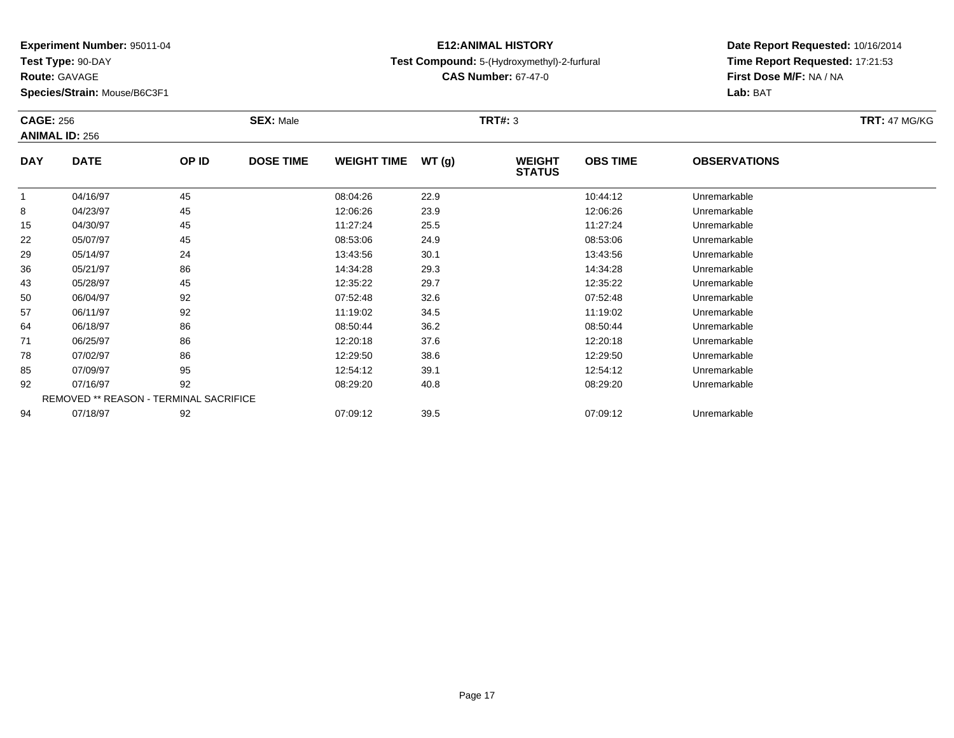**Test Type:** 90-DAY

**Route:** GAVAGE

**Species/Strain:** Mouse/B6C3F1

### **E12:ANIMAL HISTORYTest Compound:** 5-(Hydroxymethyl)-2-furfural

**CAS Number:** 67-47-0

| <b>CAGE: 256</b> | <b>ANIMAL ID: 256</b>                         |       | <b>SEX: Male</b> |                    |       | <b>TRT#: 3</b>                 |                 |                     | <b>TRT: 47 MG/KG</b> |
|------------------|-----------------------------------------------|-------|------------------|--------------------|-------|--------------------------------|-----------------|---------------------|----------------------|
| <b>DAY</b>       | <b>DATE</b>                                   | OP ID | <b>DOSE TIME</b> | <b>WEIGHT TIME</b> | WT(g) | <b>WEIGHT</b><br><b>STATUS</b> | <b>OBS TIME</b> | <b>OBSERVATIONS</b> |                      |
|                  | 04/16/97                                      | 45    |                  | 08:04:26           | 22.9  |                                | 10:44:12        | Unremarkable        |                      |
| 8                | 04/23/97                                      | 45    |                  | 12:06:26           | 23.9  |                                | 12:06:26        | Unremarkable        |                      |
| 15               | 04/30/97                                      | 45    |                  | 11:27:24           | 25.5  |                                | 11:27:24        | Unremarkable        |                      |
| 22               | 05/07/97                                      | 45    |                  | 08:53:06           | 24.9  |                                | 08:53:06        | Unremarkable        |                      |
| 29               | 05/14/97                                      | 24    |                  | 13:43:56           | 30.1  |                                | 13:43:56        | Unremarkable        |                      |
| 36               | 05/21/97                                      | 86    |                  | 14:34:28           | 29.3  |                                | 14:34:28        | Unremarkable        |                      |
| 43               | 05/28/97                                      | 45    |                  | 12:35:22           | 29.7  |                                | 12:35:22        | Unremarkable        |                      |
| 50               | 06/04/97                                      | 92    |                  | 07:52:48           | 32.6  |                                | 07:52:48        | Unremarkable        |                      |
| 57               | 06/11/97                                      | 92    |                  | 11:19:02           | 34.5  |                                | 11:19:02        | Unremarkable        |                      |
| 64               | 06/18/97                                      | 86    |                  | 08:50:44           | 36.2  |                                | 08:50:44        | Unremarkable        |                      |
| 71               | 06/25/97                                      | 86    |                  | 12:20:18           | 37.6  |                                | 12:20:18        | Unremarkable        |                      |
| 78               | 07/02/97                                      | 86    |                  | 12:29:50           | 38.6  |                                | 12:29:50        | Unremarkable        |                      |
| 85               | 07/09/97                                      | 95    |                  | 12:54:12           | 39.1  |                                | 12:54:12        | Unremarkable        |                      |
| 92               | 07/16/97                                      | 92    |                  | 08:29:20           | 40.8  |                                | 08:29:20        | Unremarkable        |                      |
|                  | <b>REMOVED ** REASON - TERMINAL SACRIFICE</b> |       |                  |                    |       |                                |                 |                     |                      |
| 94               | 07/18/97                                      | 92    |                  | 07:09:12           | 39.5  |                                | 07:09:12        | Unremarkable        |                      |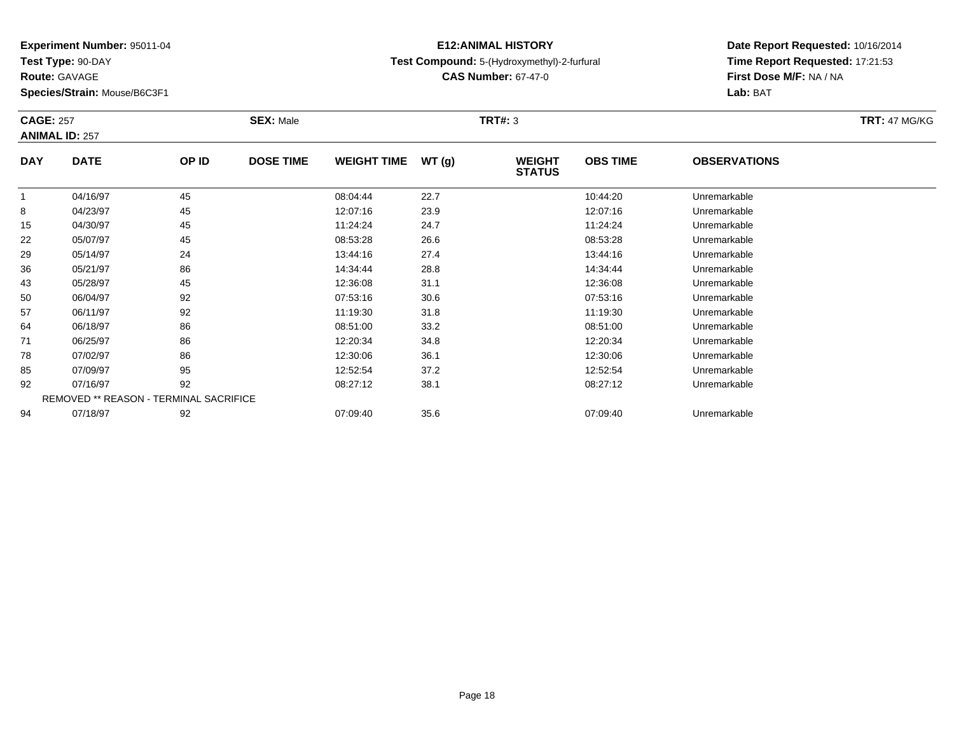**Test Type:** 90-DAY

**Route:** GAVAGE

**Species/Strain:** Mouse/B6C3F1

### **E12:ANIMAL HISTORYTest Compound:** 5-(Hydroxymethyl)-2-furfural

**CAS Number:** 67-47-0

| <b>CAGE: 257</b> |                                        |       | <b>SEX: Male</b> |                    |       | <b>TRT#: 3</b>                 |                 |                     | <b>TRT: 47 MG/KG</b> |
|------------------|----------------------------------------|-------|------------------|--------------------|-------|--------------------------------|-----------------|---------------------|----------------------|
|                  | <b>ANIMAL ID: 257</b>                  |       |                  |                    |       |                                |                 |                     |                      |
| <b>DAY</b>       | <b>DATE</b>                            | OP ID | <b>DOSE TIME</b> | <b>WEIGHT TIME</b> | WT(g) | <b>WEIGHT</b><br><b>STATUS</b> | <b>OBS TIME</b> | <b>OBSERVATIONS</b> |                      |
| 1                | 04/16/97                               | 45    |                  | 08:04:44           | 22.7  |                                | 10:44:20        | Unremarkable        |                      |
| 8                | 04/23/97                               | 45    |                  | 12:07:16           | 23.9  |                                | 12:07:16        | Unremarkable        |                      |
| 15               | 04/30/97                               | 45    |                  | 11:24:24           | 24.7  |                                | 11:24:24        | Unremarkable        |                      |
| 22               | 05/07/97                               | 45    |                  | 08:53:28           | 26.6  |                                | 08:53:28        | Unremarkable        |                      |
| 29               | 05/14/97                               | 24    |                  | 13:44:16           | 27.4  |                                | 13:44:16        | Unremarkable        |                      |
| 36               | 05/21/97                               | 86    |                  | 14:34:44           | 28.8  |                                | 14:34:44        | Unremarkable        |                      |
| 43               | 05/28/97                               | 45    |                  | 12:36:08           | 31.1  |                                | 12:36:08        | Unremarkable        |                      |
| 50               | 06/04/97                               | 92    |                  | 07:53:16           | 30.6  |                                | 07:53:16        | Unremarkable        |                      |
| 57               | 06/11/97                               | 92    |                  | 11:19:30           | 31.8  |                                | 11:19:30        | Unremarkable        |                      |
| 64               | 06/18/97                               | 86    |                  | 08:51:00           | 33.2  |                                | 08:51:00        | Unremarkable        |                      |
| 71               | 06/25/97                               | 86    |                  | 12:20:34           | 34.8  |                                | 12:20:34        | Unremarkable        |                      |
| 78               | 07/02/97                               | 86    |                  | 12:30:06           | 36.1  |                                | 12:30:06        | Unremarkable        |                      |
| 85               | 07/09/97                               | 95    |                  | 12:52:54           | 37.2  |                                | 12:52:54        | Unremarkable        |                      |
| 92               | 07/16/97                               | 92    |                  | 08:27:12           | 38.1  |                                | 08:27:12        | Unremarkable        |                      |
|                  | REMOVED ** REASON - TERMINAL SACRIFICE |       |                  |                    |       |                                |                 |                     |                      |
| 94               | 07/18/97                               | 92    |                  | 07:09:40           | 35.6  |                                | 07:09:40        | Unremarkable        |                      |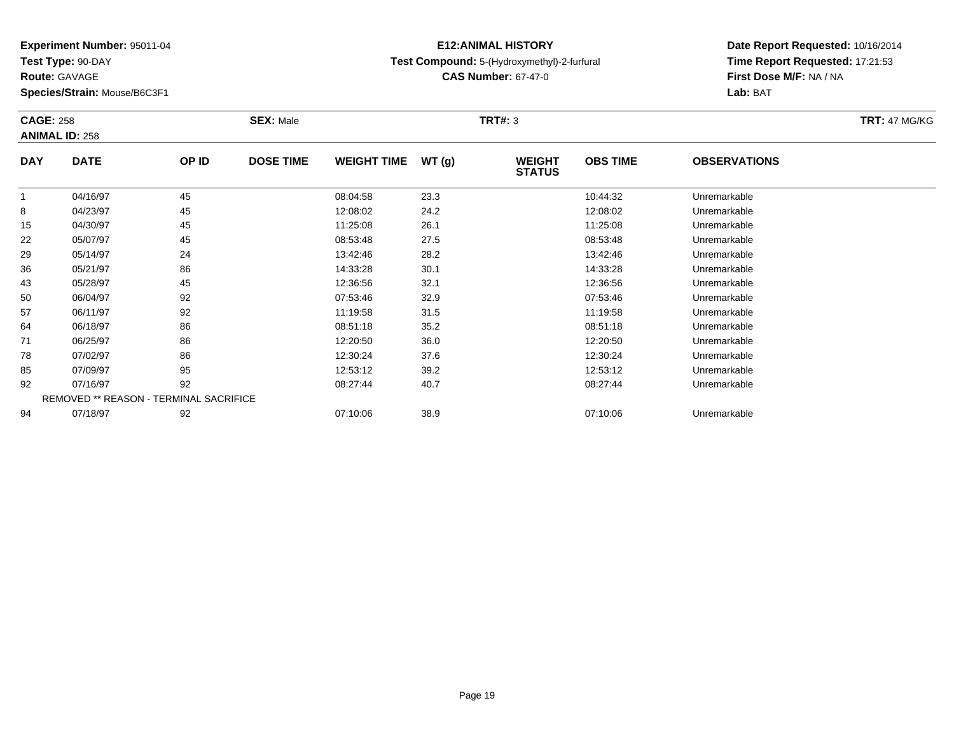**Test Type:** 90-DAY

**Route:** GAVAGE

**Species/Strain:** Mouse/B6C3F1

### **E12:ANIMAL HISTORYTest Compound:** 5-(Hydroxymethyl)-2-furfural

**CAS Number:** 67-47-0

| <b>CAGE: 258</b> | <b>ANIMAL ID: 258</b>                  |       | <b>SEX: Male</b> |                    |       | <b>TRT#: 3</b>                 |                 |                     | <b>TRT: 47 MG/KG</b> |
|------------------|----------------------------------------|-------|------------------|--------------------|-------|--------------------------------|-----------------|---------------------|----------------------|
| <b>DAY</b>       | <b>DATE</b>                            | OP ID | <b>DOSE TIME</b> | <b>WEIGHT TIME</b> | WT(g) | <b>WEIGHT</b><br><b>STATUS</b> | <b>OBS TIME</b> | <b>OBSERVATIONS</b> |                      |
|                  | 04/16/97                               | 45    |                  | 08:04:58           | 23.3  |                                | 10:44:32        | Unremarkable        |                      |
| 8                | 04/23/97                               | 45    |                  | 12:08:02           | 24.2  |                                | 12:08:02        | Unremarkable        |                      |
| 15               | 04/30/97                               | 45    |                  | 11:25:08           | 26.1  |                                | 11:25:08        | Unremarkable        |                      |
| 22               | 05/07/97                               | 45    |                  | 08:53:48           | 27.5  |                                | 08:53:48        | Unremarkable        |                      |
| 29               | 05/14/97                               | 24    |                  | 13:42:46           | 28.2  |                                | 13:42:46        | Unremarkable        |                      |
| 36               | 05/21/97                               | 86    |                  | 14:33:28           | 30.1  |                                | 14:33:28        | Unremarkable        |                      |
| 43               | 05/28/97                               | 45    |                  | 12:36:56           | 32.1  |                                | 12:36:56        | Unremarkable        |                      |
| 50               | 06/04/97                               | 92    |                  | 07:53:46           | 32.9  |                                | 07:53:46        | Unremarkable        |                      |
| 57               | 06/11/97                               | 92    |                  | 11:19:58           | 31.5  |                                | 11:19:58        | Unremarkable        |                      |
| 64               | 06/18/97                               | 86    |                  | 08:51:18           | 35.2  |                                | 08:51:18        | Unremarkable        |                      |
| 71               | 06/25/97                               | 86    |                  | 12:20:50           | 36.0  |                                | 12:20:50        | Unremarkable        |                      |
| 78               | 07/02/97                               | 86    |                  | 12:30:24           | 37.6  |                                | 12:30:24        | Unremarkable        |                      |
| 85               | 07/09/97                               | 95    |                  | 12:53:12           | 39.2  |                                | 12:53:12        | Unremarkable        |                      |
| 92               | 07/16/97                               | 92    |                  | 08:27:44           | 40.7  |                                | 08:27:44        | Unremarkable        |                      |
|                  | REMOVED ** REASON - TERMINAL SACRIFICE |       |                  |                    |       |                                |                 |                     |                      |
| 94               | 07/18/97                               | 92    |                  | 07:10:06           | 38.9  |                                | 07:10:06        | Unremarkable        |                      |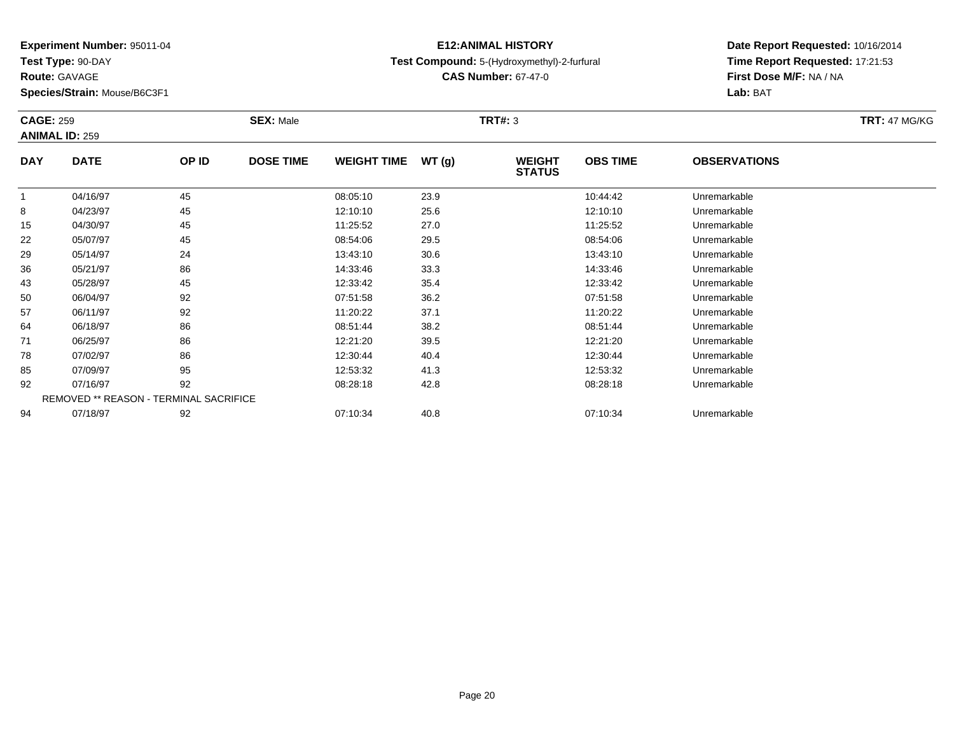**Test Type:** 90-DAY

**Route:** GAVAGE

**Species/Strain:** Mouse/B6C3F1

### **E12:ANIMAL HISTORYTest Compound:** 5-(Hydroxymethyl)-2-furfural

**CAS Number:** 67-47-0

| <b>CAGE: 259</b> |                                        |       | <b>SEX: Male</b> |                    |       | <b>TRT#: 3</b>                 |                 |                     | <b>TRT: 47 MG/KG</b> |
|------------------|----------------------------------------|-------|------------------|--------------------|-------|--------------------------------|-----------------|---------------------|----------------------|
|                  | <b>ANIMAL ID: 259</b>                  |       |                  |                    |       |                                |                 |                     |                      |
| <b>DAY</b>       | <b>DATE</b>                            | OP ID | <b>DOSE TIME</b> | <b>WEIGHT TIME</b> | WT(g) | <b>WEIGHT</b><br><b>STATUS</b> | <b>OBS TIME</b> | <b>OBSERVATIONS</b> |                      |
|                  | 04/16/97                               | 45    |                  | 08:05:10           | 23.9  |                                | 10:44:42        | Unremarkable        |                      |
| 8                | 04/23/97                               | 45    |                  | 12:10:10           | 25.6  |                                | 12:10:10        | Unremarkable        |                      |
| 15               | 04/30/97                               | 45    |                  | 11:25:52           | 27.0  |                                | 11:25:52        | Unremarkable        |                      |
| 22               | 05/07/97                               | 45    |                  | 08:54:06           | 29.5  |                                | 08:54:06        | Unremarkable        |                      |
| 29               | 05/14/97                               | 24    |                  | 13:43:10           | 30.6  |                                | 13:43:10        | Unremarkable        |                      |
| 36               | 05/21/97                               | 86    |                  | 14:33:46           | 33.3  |                                | 14:33:46        | Unremarkable        |                      |
| 43               | 05/28/97                               | 45    |                  | 12:33:42           | 35.4  |                                | 12:33:42        | Unremarkable        |                      |
| 50               | 06/04/97                               | 92    |                  | 07:51:58           | 36.2  |                                | 07:51:58        | Unremarkable        |                      |
| 57               | 06/11/97                               | 92    |                  | 11:20:22           | 37.1  |                                | 11:20:22        | Unremarkable        |                      |
| 64               | 06/18/97                               | 86    |                  | 08:51:44           | 38.2  |                                | 08:51:44        | Unremarkable        |                      |
| 71               | 06/25/97                               | 86    |                  | 12:21:20           | 39.5  |                                | 12:21:20        | Unremarkable        |                      |
| 78               | 07/02/97                               | 86    |                  | 12:30:44           | 40.4  |                                | 12:30:44        | Unremarkable        |                      |
| 85               | 07/09/97                               | 95    |                  | 12:53:32           | 41.3  |                                | 12:53:32        | Unremarkable        |                      |
| 92               | 07/16/97                               | 92    |                  | 08:28:18           | 42.8  |                                | 08:28:18        | Unremarkable        |                      |
|                  | REMOVED ** REASON - TERMINAL SACRIFICE |       |                  |                    |       |                                |                 |                     |                      |
| 94               | 07/18/97                               | 92    |                  | 07:10:34           | 40.8  |                                | 07:10:34        | Unremarkable        |                      |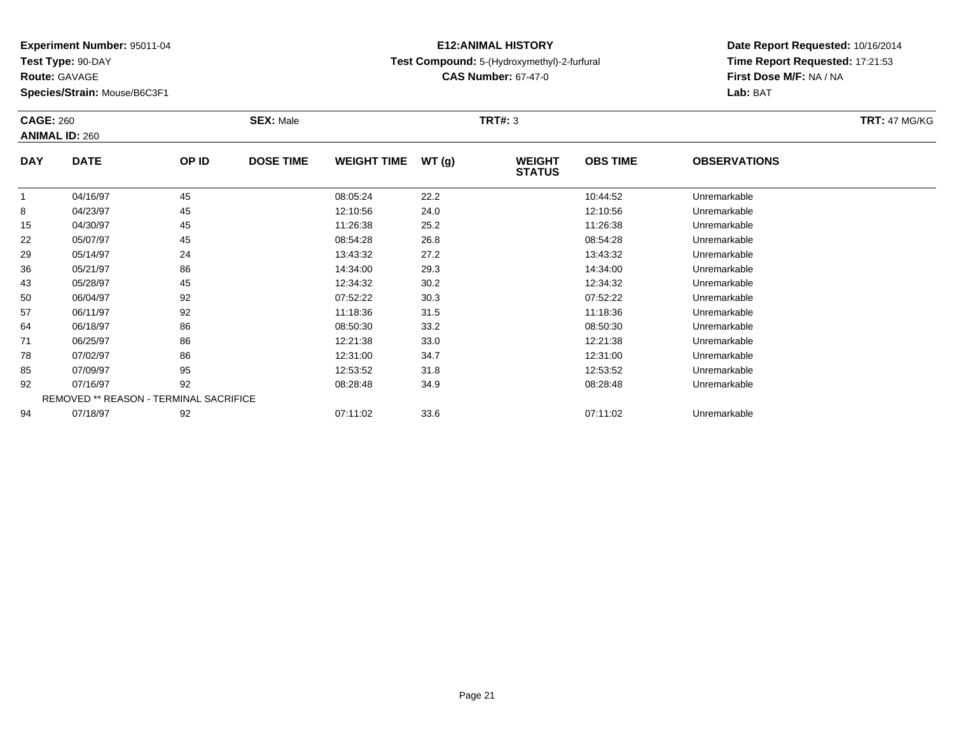**Test Type:** 90-DAY

**Route:** GAVAGE

**Species/Strain:** Mouse/B6C3F1

### **E12:ANIMAL HISTORYTest Compound:** 5-(Hydroxymethyl)-2-furfural

**CAS Number:** 67-47-0

| <b>CAGE: 260</b> | <b>ANIMAL ID: 260</b>                  |       | <b>SEX: Male</b> |                    |       | <b>TRT#: 3</b>                 |                 |                     | <b>TRT: 47 MG/KG</b> |
|------------------|----------------------------------------|-------|------------------|--------------------|-------|--------------------------------|-----------------|---------------------|----------------------|
| <b>DAY</b>       | <b>DATE</b>                            | OP ID | <b>DOSE TIME</b> | <b>WEIGHT TIME</b> | WT(g) | <b>WEIGHT</b><br><b>STATUS</b> | <b>OBS TIME</b> | <b>OBSERVATIONS</b> |                      |
|                  | 04/16/97                               | 45    |                  | 08:05:24           | 22.2  |                                | 10:44:52        | Unremarkable        |                      |
| 8                | 04/23/97                               | 45    |                  | 12:10:56           | 24.0  |                                | 12:10:56        | Unremarkable        |                      |
| 15               | 04/30/97                               | 45    |                  | 11:26:38           | 25.2  |                                | 11:26:38        | Unremarkable        |                      |
| 22               | 05/07/97                               | 45    |                  | 08:54:28           | 26.8  |                                | 08:54:28        | Unremarkable        |                      |
| 29               | 05/14/97                               | 24    |                  | 13:43:32           | 27.2  |                                | 13:43:32        | Unremarkable        |                      |
| 36               | 05/21/97                               | 86    |                  | 14:34:00           | 29.3  |                                | 14:34:00        | Unremarkable        |                      |
| 43               | 05/28/97                               | 45    |                  | 12:34:32           | 30.2  |                                | 12:34:32        | Unremarkable        |                      |
| 50               | 06/04/97                               | 92    |                  | 07:52:22           | 30.3  |                                | 07:52:22        | Unremarkable        |                      |
| 57               | 06/11/97                               | 92    |                  | 11:18:36           | 31.5  |                                | 11:18:36        | Unremarkable        |                      |
| 64               | 06/18/97                               | 86    |                  | 08:50:30           | 33.2  |                                | 08:50:30        | Unremarkable        |                      |
| 71               | 06/25/97                               | 86    |                  | 12:21:38           | 33.0  |                                | 12:21:38        | Unremarkable        |                      |
| 78               | 07/02/97                               | 86    |                  | 12:31:00           | 34.7  |                                | 12:31:00        | Unremarkable        |                      |
| 85               | 07/09/97                               | 95    |                  | 12:53:52           | 31.8  |                                | 12:53:52        | Unremarkable        |                      |
| 92               | 07/16/97                               | 92    |                  | 08:28:48           | 34.9  |                                | 08:28:48        | Unremarkable        |                      |
|                  | REMOVED ** REASON - TERMINAL SACRIFICE |       |                  |                    |       |                                |                 |                     |                      |
| 94               | 07/18/97                               | 92    |                  | 07:11:02           | 33.6  |                                | 07:11:02        | Unremarkable        |                      |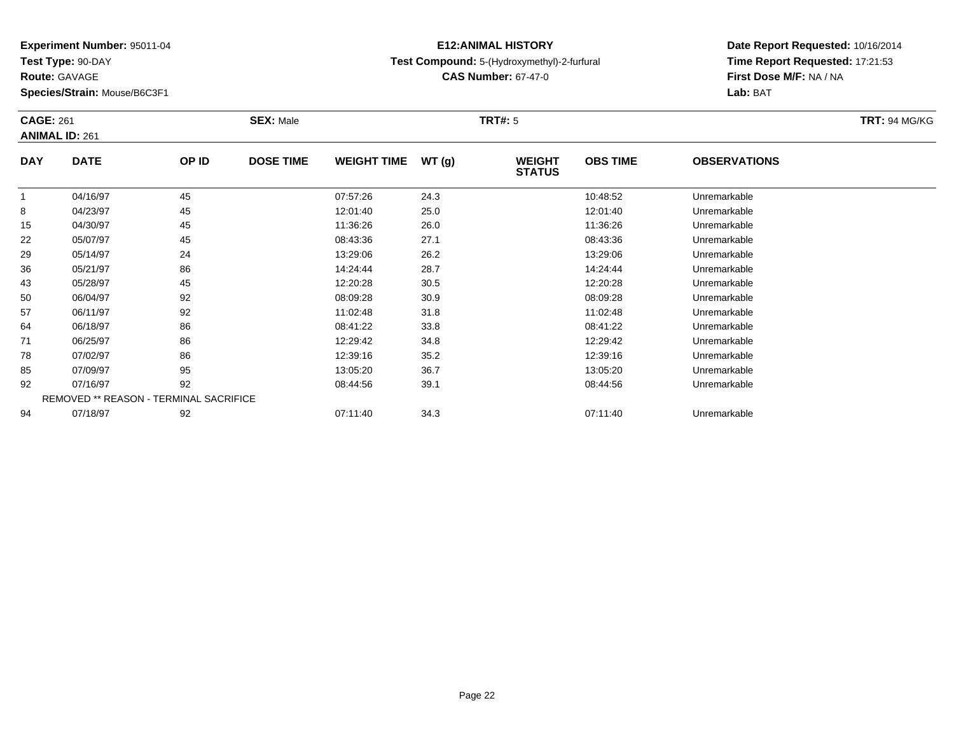**Test Type:** 90-DAY

**Route:** GAVAGE

**Species/Strain:** Mouse/B6C3F1

### **E12:ANIMAL HISTORYTest Compound:** 5-(Hydroxymethyl)-2-furfural

**CAS Number:** 67-47-0

|            | <b>CAGE: 261</b><br><b>ANIMAL ID: 261</b> |                                        | <b>SEX: Male</b> |                    |       |                                | <b>TRT#: 5</b>  |                     |  |  |
|------------|-------------------------------------------|----------------------------------------|------------------|--------------------|-------|--------------------------------|-----------------|---------------------|--|--|
| <b>DAY</b> | <b>DATE</b>                               | OP ID                                  | <b>DOSE TIME</b> | <b>WEIGHT TIME</b> | WT(g) | <b>WEIGHT</b><br><b>STATUS</b> | <b>OBS TIME</b> | <b>OBSERVATIONS</b> |  |  |
|            | 04/16/97                                  | 45                                     |                  | 07:57:26           | 24.3  |                                | 10:48:52        | Unremarkable        |  |  |
| 8          | 04/23/97                                  | 45                                     |                  | 12:01:40           | 25.0  |                                | 12:01:40        | Unremarkable        |  |  |
| 15         | 04/30/97                                  | 45                                     |                  | 11:36:26           | 26.0  |                                | 11:36:26        | Unremarkable        |  |  |
| 22         | 05/07/97                                  | 45                                     |                  | 08:43:36           | 27.1  |                                | 08:43:36        | Unremarkable        |  |  |
| 29         | 05/14/97                                  | 24                                     |                  | 13:29:06           | 26.2  |                                | 13:29:06        | Unremarkable        |  |  |
| 36         | 05/21/97                                  | 86                                     |                  | 14:24:44           | 28.7  |                                | 14:24:44        | Unremarkable        |  |  |
| 43         | 05/28/97                                  | 45                                     |                  | 12:20:28           | 30.5  |                                | 12:20:28        | Unremarkable        |  |  |
| 50         | 06/04/97                                  | 92                                     |                  | 08:09:28           | 30.9  |                                | 08:09:28        | Unremarkable        |  |  |
| 57         | 06/11/97                                  | 92                                     |                  | 11:02:48           | 31.8  |                                | 11:02:48        | Unremarkable        |  |  |
| 64         | 06/18/97                                  | 86                                     |                  | 08:41:22           | 33.8  |                                | 08:41:22        | Unremarkable        |  |  |
| 71         | 06/25/97                                  | 86                                     |                  | 12:29:42           | 34.8  |                                | 12:29:42        | Unremarkable        |  |  |
| 78         | 07/02/97                                  | 86                                     |                  | 12:39:16           | 35.2  |                                | 12:39:16        | Unremarkable        |  |  |
| 85         | 07/09/97                                  | 95                                     |                  | 13:05:20           | 36.7  |                                | 13:05:20        | Unremarkable        |  |  |
| 92         | 07/16/97                                  | 92                                     |                  | 08:44:56           | 39.1  |                                | 08:44:56        | Unremarkable        |  |  |
|            |                                           | REMOVED ** REASON - TERMINAL SACRIFICE |                  |                    |       |                                |                 |                     |  |  |
| 94         | 07/18/97                                  | 92                                     |                  | 07:11:40           | 34.3  |                                | 07:11:40        | Unremarkable        |  |  |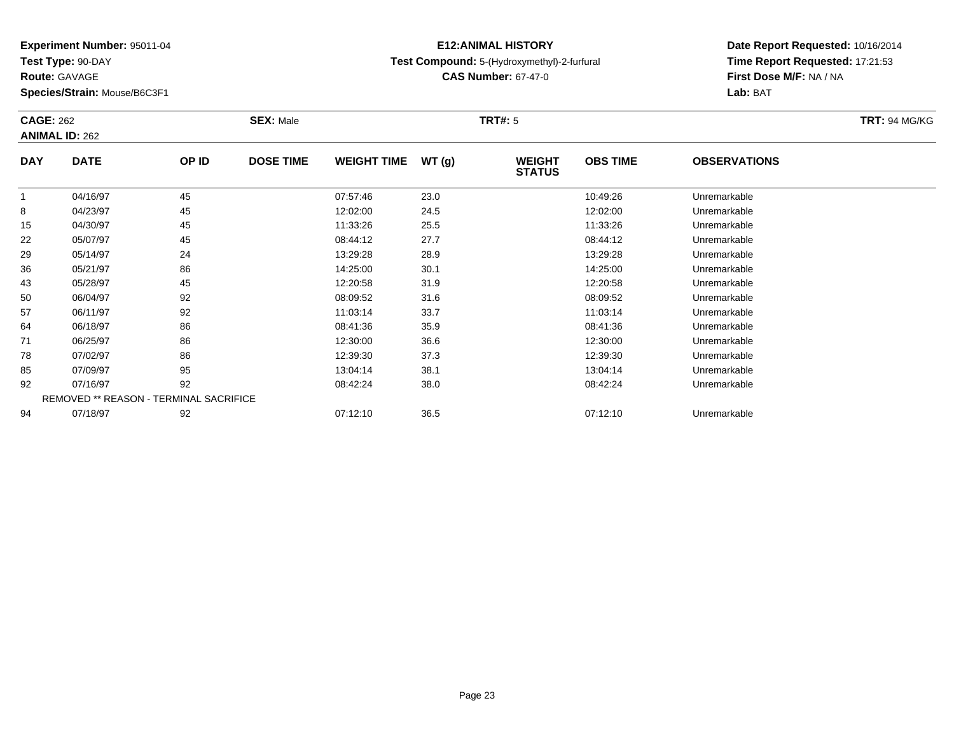**Test Type:** 90-DAY

**Route:** GAVAGE

**Species/Strain:** Mouse/B6C3F1

### **E12:ANIMAL HISTORYTest Compound:** 5-(Hydroxymethyl)-2-furfural

**CAS Number:** 67-47-0

| <b>CAGE: 262</b> | <b>ANIMAL ID: 262</b>                  |       | <b>SEX: Male</b> |                    |       | <b>TRT#: 5</b>                 |                 |                     | <b>TRT: 94 MG/KG</b> |
|------------------|----------------------------------------|-------|------------------|--------------------|-------|--------------------------------|-----------------|---------------------|----------------------|
| <b>DAY</b>       | <b>DATE</b>                            | OP ID | <b>DOSE TIME</b> | <b>WEIGHT TIME</b> | WT(g) | <b>WEIGHT</b><br><b>STATUS</b> | <b>OBS TIME</b> | <b>OBSERVATIONS</b> |                      |
|                  | 04/16/97                               | 45    |                  | 07:57:46           | 23.0  |                                | 10:49:26        | Unremarkable        |                      |
| 8                | 04/23/97                               | 45    |                  | 12:02:00           | 24.5  |                                | 12:02:00        | Unremarkable        |                      |
| 15               | 04/30/97                               | 45    |                  | 11:33:26           | 25.5  |                                | 11:33:26        | Unremarkable        |                      |
| 22               | 05/07/97                               | 45    |                  | 08:44:12           | 27.7  |                                | 08:44:12        | Unremarkable        |                      |
| 29               | 05/14/97                               | 24    |                  | 13:29:28           | 28.9  |                                | 13:29:28        | Unremarkable        |                      |
| 36               | 05/21/97                               | 86    |                  | 14:25:00           | 30.1  |                                | 14:25:00        | Unremarkable        |                      |
| 43               | 05/28/97                               | 45    |                  | 12:20:58           | 31.9  |                                | 12:20:58        | Unremarkable        |                      |
| 50               | 06/04/97                               | 92    |                  | 08:09:52           | 31.6  |                                | 08:09:52        | Unremarkable        |                      |
| 57               | 06/11/97                               | 92    |                  | 11:03:14           | 33.7  |                                | 11:03:14        | Unremarkable        |                      |
| 64               | 06/18/97                               | 86    |                  | 08:41:36           | 35.9  |                                | 08:41:36        | Unremarkable        |                      |
| 71               | 06/25/97                               | 86    |                  | 12:30:00           | 36.6  |                                | 12:30:00        | Unremarkable        |                      |
| 78               | 07/02/97                               | 86    |                  | 12:39:30           | 37.3  |                                | 12:39:30        | Unremarkable        |                      |
| 85               | 07/09/97                               | 95    |                  | 13:04:14           | 38.1  |                                | 13:04:14        | Unremarkable        |                      |
| 92               | 07/16/97                               | 92    |                  | 08:42:24           | 38.0  |                                | 08:42:24        | Unremarkable        |                      |
|                  | REMOVED ** REASON - TERMINAL SACRIFICE |       |                  |                    |       |                                |                 |                     |                      |
| 94               | 07/18/97                               | 92    |                  | 07:12:10           | 36.5  |                                | 07:12:10        | Unremarkable        |                      |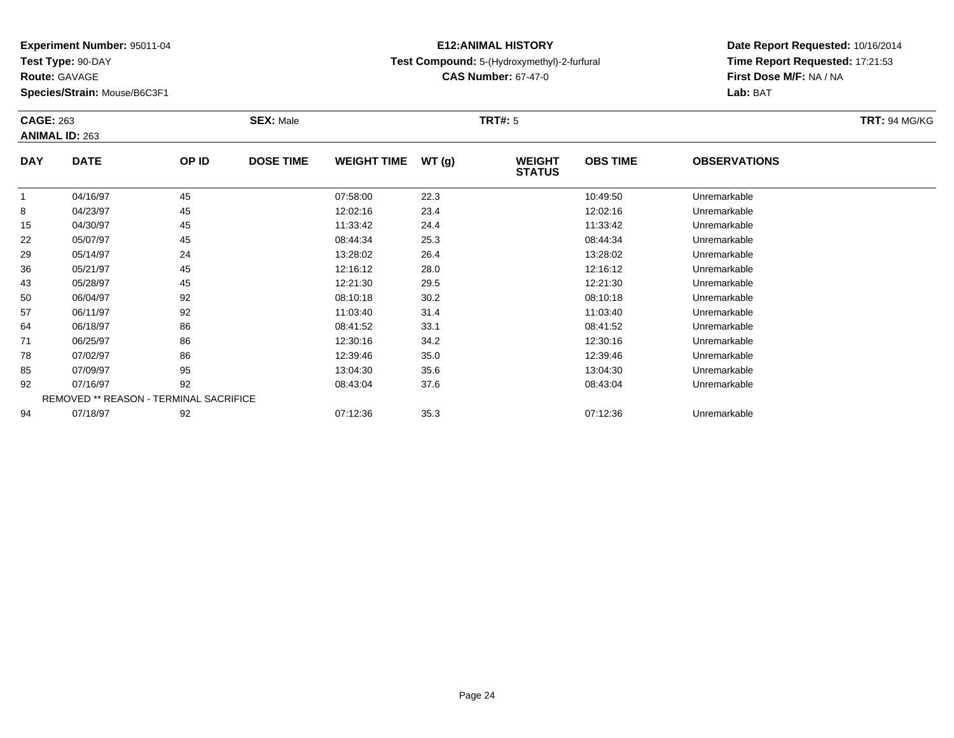**Test Type:** 90-DAY

**Route:** GAVAGE

**Species/Strain:** Mouse/B6C3F1

### **E12:ANIMAL HISTORYTest Compound:** 5-(Hydroxymethyl)-2-furfural

**CAS Number:** 67-47-0

| <b>CAGE: 263</b> | <b>ANIMAL ID: 263</b>                  |       | <b>SEX: Male</b> |                    |       | <b>TRT#: 5</b>                 |                 |                     | <b>TRT: 94 MG/KG</b> |
|------------------|----------------------------------------|-------|------------------|--------------------|-------|--------------------------------|-----------------|---------------------|----------------------|
| <b>DAY</b>       | <b>DATE</b>                            | OP ID | <b>DOSE TIME</b> | <b>WEIGHT TIME</b> | WT(g) | <b>WEIGHT</b><br><b>STATUS</b> | <b>OBS TIME</b> | <b>OBSERVATIONS</b> |                      |
|                  | 04/16/97                               | 45    |                  | 07:58:00           | 22.3  |                                | 10:49:50        | Unremarkable        |                      |
| 8                | 04/23/97                               | 45    |                  | 12:02:16           | 23.4  |                                | 12:02:16        | Unremarkable        |                      |
| 15               | 04/30/97                               | 45    |                  | 11:33:42           | 24.4  |                                | 11:33:42        | Unremarkable        |                      |
| 22               | 05/07/97                               | 45    |                  | 08:44:34           | 25.3  |                                | 08:44:34        | Unremarkable        |                      |
| 29               | 05/14/97                               | 24    |                  | 13:28:02           | 26.4  |                                | 13:28:02        | Unremarkable        |                      |
| 36               | 05/21/97                               | 45    |                  | 12:16:12           | 28.0  |                                | 12:16:12        | Unremarkable        |                      |
| 43               | 05/28/97                               | 45    |                  | 12:21:30           | 29.5  |                                | 12:21:30        | Unremarkable        |                      |
| 50               | 06/04/97                               | 92    |                  | 08:10:18           | 30.2  |                                | 08:10:18        | Unremarkable        |                      |
| 57               | 06/11/97                               | 92    |                  | 11:03:40           | 31.4  |                                | 11:03:40        | Unremarkable        |                      |
| 64               | 06/18/97                               | 86    |                  | 08:41:52           | 33.1  |                                | 08:41:52        | Unremarkable        |                      |
| 71               | 06/25/97                               | 86    |                  | 12:30:16           | 34.2  |                                | 12:30:16        | Unremarkable        |                      |
| 78               | 07/02/97                               | 86    |                  | 12:39:46           | 35.0  |                                | 12:39:46        | Unremarkable        |                      |
| 85               | 07/09/97                               | 95    |                  | 13:04:30           | 35.6  |                                | 13:04:30        | Unremarkable        |                      |
| 92               | 07/16/97                               | 92    |                  | 08:43:04           | 37.6  |                                | 08:43:04        | Unremarkable        |                      |
|                  | REMOVED ** REASON - TERMINAL SACRIFICE |       |                  |                    |       |                                |                 |                     |                      |
| 94               | 07/18/97                               | 92    |                  | 07:12:36           | 35.3  |                                | 07:12:36        | Unremarkable        |                      |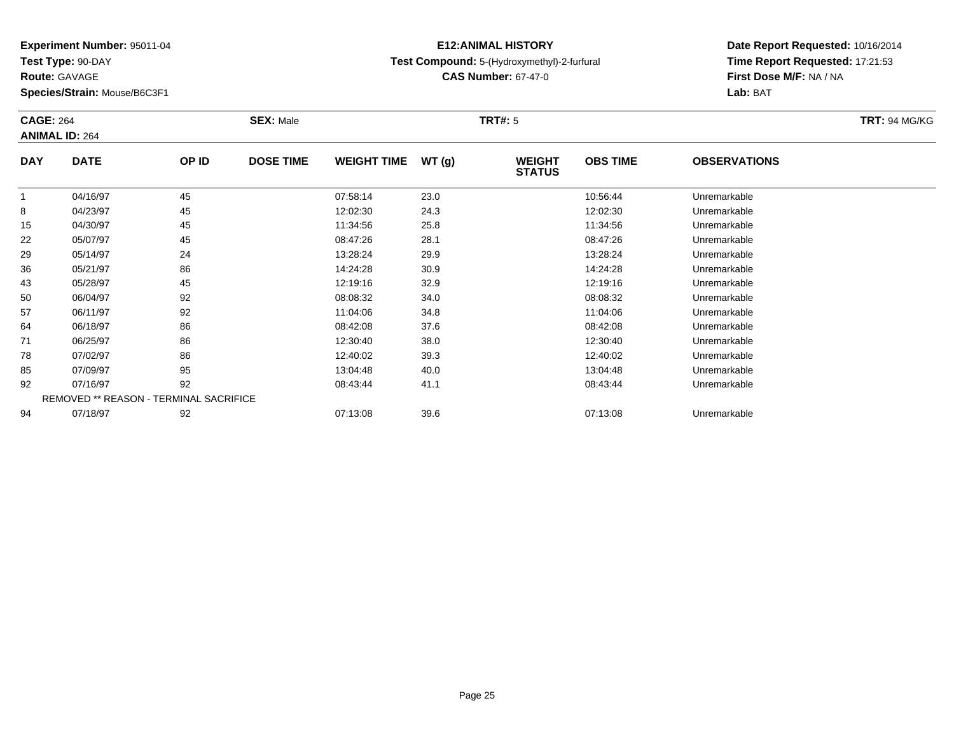**Test Type:** 90-DAY

**Route:** GAVAGE

**Species/Strain:** Mouse/B6C3F1

### **E12:ANIMAL HISTORYTest Compound:** 5-(Hydroxymethyl)-2-furfural

**CAS Number:** 67-47-0

| <b>CAGE: 264</b> | <b>ANIMAL ID: 264</b>                  |       | <b>SEX: Male</b> |                    |       | <b>TRT#:</b> 5                 |                 |                     | <b>TRT: 94 MG/KG</b> |
|------------------|----------------------------------------|-------|------------------|--------------------|-------|--------------------------------|-----------------|---------------------|----------------------|
| <b>DAY</b>       | <b>DATE</b>                            | OP ID | <b>DOSE TIME</b> | <b>WEIGHT TIME</b> | WT(g) | <b>WEIGHT</b><br><b>STATUS</b> | <b>OBS TIME</b> | <b>OBSERVATIONS</b> |                      |
| $\mathbf{1}$     | 04/16/97                               | 45    |                  | 07:58:14           | 23.0  |                                | 10:56:44        | Unremarkable        |                      |
| 8                | 04/23/97                               | 45    |                  | 12:02:30           | 24.3  |                                | 12:02:30        | Unremarkable        |                      |
| 15               | 04/30/97                               | 45    |                  | 11:34:56           | 25.8  |                                | 11:34:56        | Unremarkable        |                      |
| 22               | 05/07/97                               | 45    |                  | 08:47:26           | 28.1  |                                | 08:47:26        | Unremarkable        |                      |
| 29               | 05/14/97                               | 24    |                  | 13:28:24           | 29.9  |                                | 13:28:24        | Unremarkable        |                      |
| 36               | 05/21/97                               | 86    |                  | 14:24:28           | 30.9  |                                | 14:24:28        | Unremarkable        |                      |
| 43               | 05/28/97                               | 45    |                  | 12:19:16           | 32.9  |                                | 12:19:16        | Unremarkable        |                      |
| 50               | 06/04/97                               | 92    |                  | 08:08:32           | 34.0  |                                | 08:08:32        | Unremarkable        |                      |
| 57               | 06/11/97                               | 92    |                  | 11:04:06           | 34.8  |                                | 11:04:06        | Unremarkable        |                      |
| 64               | 06/18/97                               | 86    |                  | 08:42:08           | 37.6  |                                | 08:42:08        | Unremarkable        |                      |
| 71               | 06/25/97                               | 86    |                  | 12:30:40           | 38.0  |                                | 12:30:40        | Unremarkable        |                      |
| 78               | 07/02/97                               | 86    |                  | 12:40:02           | 39.3  |                                | 12:40:02        | Unremarkable        |                      |
| 85               | 07/09/97                               | 95    |                  | 13:04:48           | 40.0  |                                | 13:04:48        | Unremarkable        |                      |
| 92               | 07/16/97                               | 92    |                  | 08:43:44           | 41.1  |                                | 08:43:44        | Unremarkable        |                      |
|                  | REMOVED ** REASON - TERMINAL SACRIFICE |       |                  |                    |       |                                |                 |                     |                      |
| 94               | 07/18/97                               | 92    |                  | 07:13:08           | 39.6  |                                | 07:13:08        | Unremarkable        |                      |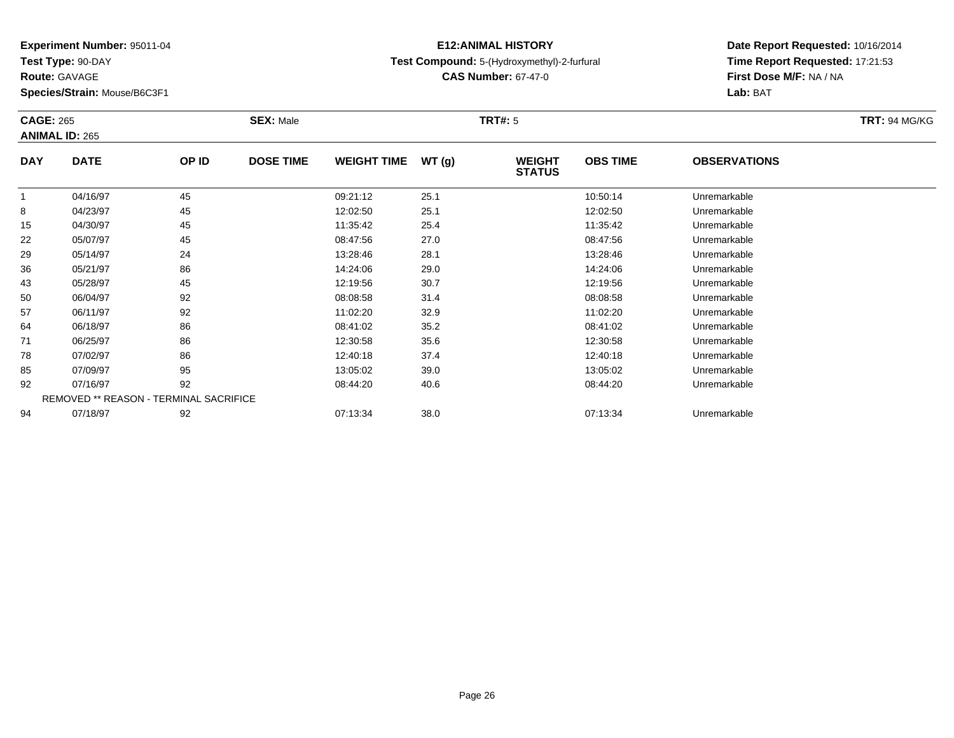**Test Type:** 90-DAY

**Route:** GAVAGE

**Species/Strain:** Mouse/B6C3F1

### **E12:ANIMAL HISTORYTest Compound:** 5-(Hydroxymethyl)-2-furfural

**CAS Number:** 67-47-0

| <b>CAGE: 265</b> | <b>ANIMAL ID: 265</b>                         |       | <b>SEX: Male</b> |                    |       | <b>TRT#: 5</b>                 |                 |                     | <b>TRT: 94 MG/KG</b> |
|------------------|-----------------------------------------------|-------|------------------|--------------------|-------|--------------------------------|-----------------|---------------------|----------------------|
| <b>DAY</b>       | <b>DATE</b>                                   | OP ID | <b>DOSE TIME</b> | <b>WEIGHT TIME</b> | WT(g) | <b>WEIGHT</b><br><b>STATUS</b> | <b>OBS TIME</b> | <b>OBSERVATIONS</b> |                      |
|                  | 04/16/97                                      | 45    |                  | 09:21:12           | 25.1  |                                | 10:50:14        | Unremarkable        |                      |
| 8                | 04/23/97                                      | 45    |                  | 12:02:50           | 25.1  |                                | 12:02:50        | Unremarkable        |                      |
| 15               | 04/30/97                                      | 45    |                  | 11:35:42           | 25.4  |                                | 11:35:42        | Unremarkable        |                      |
| 22               | 05/07/97                                      | 45    |                  | 08:47:56           | 27.0  |                                | 08:47:56        | Unremarkable        |                      |
| 29               | 05/14/97                                      | 24    |                  | 13:28:46           | 28.1  |                                | 13:28:46        | Unremarkable        |                      |
| 36               | 05/21/97                                      | 86    |                  | 14:24:06           | 29.0  |                                | 14:24:06        | Unremarkable        |                      |
| 43               | 05/28/97                                      | 45    |                  | 12:19:56           | 30.7  |                                | 12:19:56        | Unremarkable        |                      |
| 50               | 06/04/97                                      | 92    |                  | 08:08:58           | 31.4  |                                | 08:08:58        | Unremarkable        |                      |
| 57               | 06/11/97                                      | 92    |                  | 11:02:20           | 32.9  |                                | 11:02:20        | Unremarkable        |                      |
| 64               | 06/18/97                                      | 86    |                  | 08:41:02           | 35.2  |                                | 08:41:02        | Unremarkable        |                      |
| 71               | 06/25/97                                      | 86    |                  | 12:30:58           | 35.6  |                                | 12:30:58        | Unremarkable        |                      |
| 78               | 07/02/97                                      | 86    |                  | 12:40:18           | 37.4  |                                | 12:40:18        | Unremarkable        |                      |
| 85               | 07/09/97                                      | 95    |                  | 13:05:02           | 39.0  |                                | 13:05:02        | Unremarkable        |                      |
| 92               | 07/16/97                                      | 92    |                  | 08:44:20           | 40.6  |                                | 08:44:20        | Unremarkable        |                      |
|                  | <b>REMOVED ** REASON - TERMINAL SACRIFICE</b> |       |                  |                    |       |                                |                 |                     |                      |
| 94               | 07/18/97                                      | 92    |                  | 07:13:34           | 38.0  |                                | 07:13:34        | Unremarkable        |                      |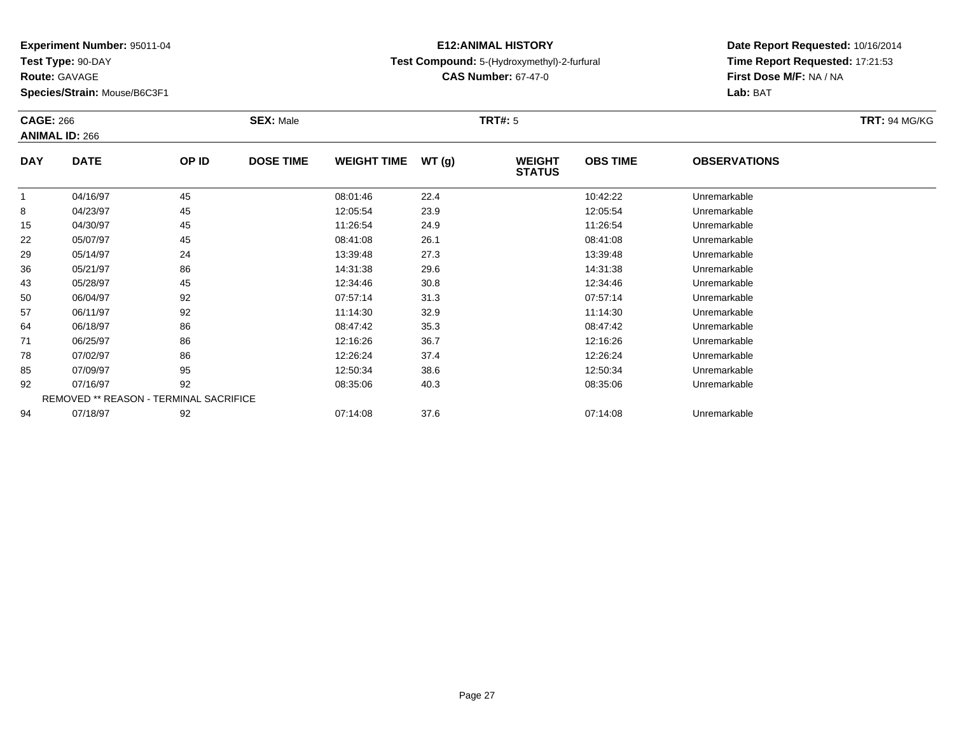**Test Type:** 90-DAY

**Route:** GAVAGE

**Species/Strain:** Mouse/B6C3F1

# **Test Compound:** 5-(Hydroxymethyl)-2-furfural

**CAS Number:** 67-47-0

**Date Report Requested:** 10/16/2014 **Time Report Requested:** 17:21:53**First Dose M/F:** NA / NA**Lab:** BAT

|            | <b>CAGE: 266</b><br><b>ANIMAL ID: 266</b> |                                        | <b>SEX: Male</b> |                    |       | <b>TRT#: 5</b>                 | <b>TRT: 94 MG/KG</b> |                     |  |
|------------|-------------------------------------------|----------------------------------------|------------------|--------------------|-------|--------------------------------|----------------------|---------------------|--|
| <b>DAY</b> | <b>DATE</b>                               | OP ID                                  | <b>DOSE TIME</b> | <b>WEIGHT TIME</b> | WT(g) | <b>WEIGHT</b><br><b>STATUS</b> | <b>OBS TIME</b>      | <b>OBSERVATIONS</b> |  |
|            | 04/16/97                                  | 45                                     |                  | 08:01:46           | 22.4  |                                | 10:42:22             | Unremarkable        |  |
| 8          | 04/23/97                                  | 45                                     |                  | 12:05:54           | 23.9  |                                | 12:05:54             | Unremarkable        |  |
| 15         | 04/30/97                                  | 45                                     |                  | 11:26:54           | 24.9  |                                | 11:26:54             | Unremarkable        |  |
| 22         | 05/07/97                                  | 45                                     |                  | 08:41:08           | 26.1  |                                | 08:41:08             | Unremarkable        |  |
| 29         | 05/14/97                                  | 24                                     |                  | 13:39:48           | 27.3  |                                | 13:39:48             | Unremarkable        |  |
| 36         | 05/21/97                                  | 86                                     |                  | 14:31:38           | 29.6  |                                | 14:31:38             | Unremarkable        |  |
| 43         | 05/28/97                                  | 45                                     |                  | 12:34:46           | 30.8  |                                | 12:34:46             | Unremarkable        |  |
| 50         | 06/04/97                                  | 92                                     |                  | 07:57:14           | 31.3  |                                | 07:57:14             | Unremarkable        |  |
| 57         | 06/11/97                                  | 92                                     |                  | 11:14:30           | 32.9  |                                | 11:14:30             | Unremarkable        |  |
| 64         | 06/18/97                                  | 86                                     |                  | 08:47:42           | 35.3  |                                | 08:47:42             | Unremarkable        |  |
| 71         | 06/25/97                                  | 86                                     |                  | 12:16:26           | 36.7  |                                | 12:16:26             | Unremarkable        |  |
| 78         | 07/02/97                                  | 86                                     |                  | 12:26:24           | 37.4  |                                | 12:26:24             | Unremarkable        |  |
| 85         | 07/09/97                                  | 95                                     |                  | 12:50:34           | 38.6  |                                | 12:50:34             | Unremarkable        |  |
| 92         | 07/16/97                                  | 92                                     |                  | 08:35:06           | 40.3  |                                | 08:35:06             | Unremarkable        |  |
|            |                                           | REMOVED ** REASON - TERMINAL SACRIFICE |                  |                    |       |                                |                      |                     |  |
| 94         | 07/18/97                                  | 92                                     |                  | 07:14:08           | 37.6  |                                | 07:14:08             | Unremarkable        |  |

## **E12:ANIMAL HISTORY**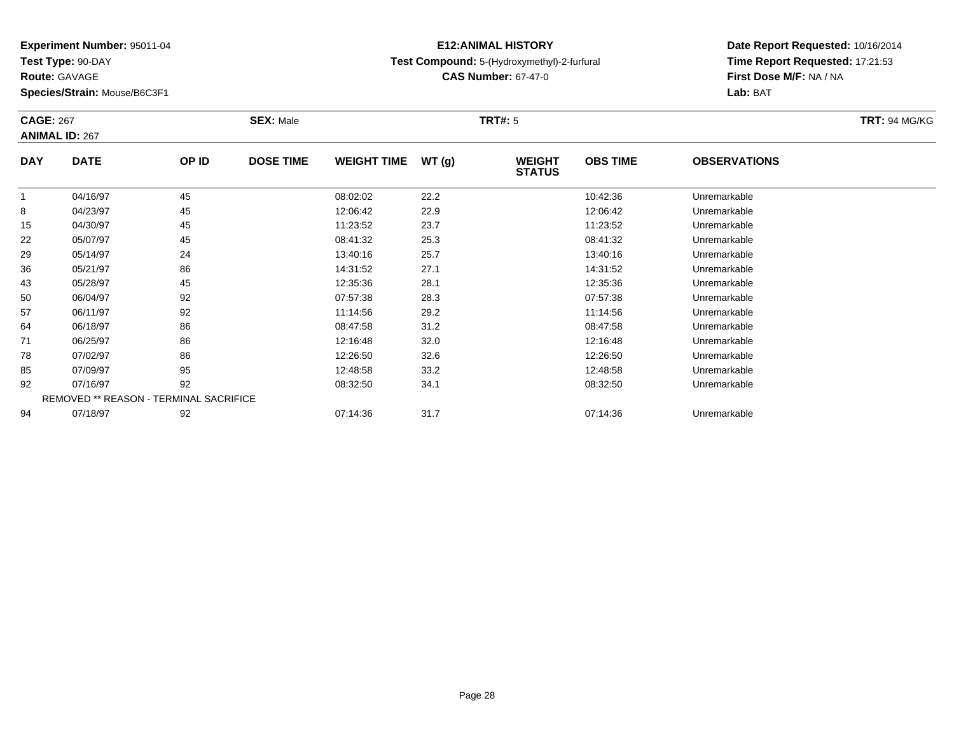**Test Type:** 90-DAY

**Route:** GAVAGE

**Species/Strain:** Mouse/B6C3F1

#### **E12:ANIMAL HISTORYTest Compound:** 5-(Hydroxymethyl)-2-furfural

**CAS Number:** 67-47-0

| <b>CAGE: 267</b> | <b>ANIMAL ID: 267</b>                  |       | <b>SEX: Male</b> |                    |       | <b>TRT#: 5</b>                 |                 |                     | <b>TRT: 94 MG/KG</b> |
|------------------|----------------------------------------|-------|------------------|--------------------|-------|--------------------------------|-----------------|---------------------|----------------------|
| <b>DAY</b>       | <b>DATE</b>                            | OP ID | <b>DOSE TIME</b> | <b>WEIGHT TIME</b> | WT(g) | <b>WEIGHT</b><br><b>STATUS</b> | <b>OBS TIME</b> | <b>OBSERVATIONS</b> |                      |
| 1                | 04/16/97                               | 45    |                  | 08:02:02           | 22.2  |                                | 10:42:36        | Unremarkable        |                      |
| 8                | 04/23/97                               | 45    |                  | 12:06:42           | 22.9  |                                | 12:06:42        | Unremarkable        |                      |
| 15               | 04/30/97                               | 45    |                  | 11:23:52           | 23.7  |                                | 11:23:52        | Unremarkable        |                      |
| 22               | 05/07/97                               | 45    |                  | 08:41:32           | 25.3  |                                | 08:41:32        | Unremarkable        |                      |
| 29               | 05/14/97                               | 24    |                  | 13:40:16           | 25.7  |                                | 13:40:16        | Unremarkable        |                      |
| 36               | 05/21/97                               | 86    |                  | 14:31:52           | 27.1  |                                | 14:31:52        | Unremarkable        |                      |
| 43               | 05/28/97                               | 45    |                  | 12:35:36           | 28.1  |                                | 12:35:36        | Unremarkable        |                      |
| 50               | 06/04/97                               | 92    |                  | 07:57:38           | 28.3  |                                | 07:57:38        | Unremarkable        |                      |
| 57               | 06/11/97                               | 92    |                  | 11:14:56           | 29.2  |                                | 11:14:56        | Unremarkable        |                      |
| 64               | 06/18/97                               | 86    |                  | 08:47:58           | 31.2  |                                | 08:47:58        | Unremarkable        |                      |
| 71               | 06/25/97                               | 86    |                  | 12:16:48           | 32.0  |                                | 12:16:48        | Unremarkable        |                      |
| 78               | 07/02/97                               | 86    |                  | 12:26:50           | 32.6  |                                | 12:26:50        | Unremarkable        |                      |
| 85               | 07/09/97                               | 95    |                  | 12:48:58           | 33.2  |                                | 12:48:58        | Unremarkable        |                      |
| 92               | 07/16/97                               | 92    |                  | 08:32:50           | 34.1  |                                | 08:32:50        | Unremarkable        |                      |
|                  | REMOVED ** REASON - TERMINAL SACRIFICE |       |                  |                    |       |                                |                 |                     |                      |
| 94               | 07/18/97                               | 92    |                  | 07:14:36           | 31.7  |                                | 07:14:36        | Unremarkable        |                      |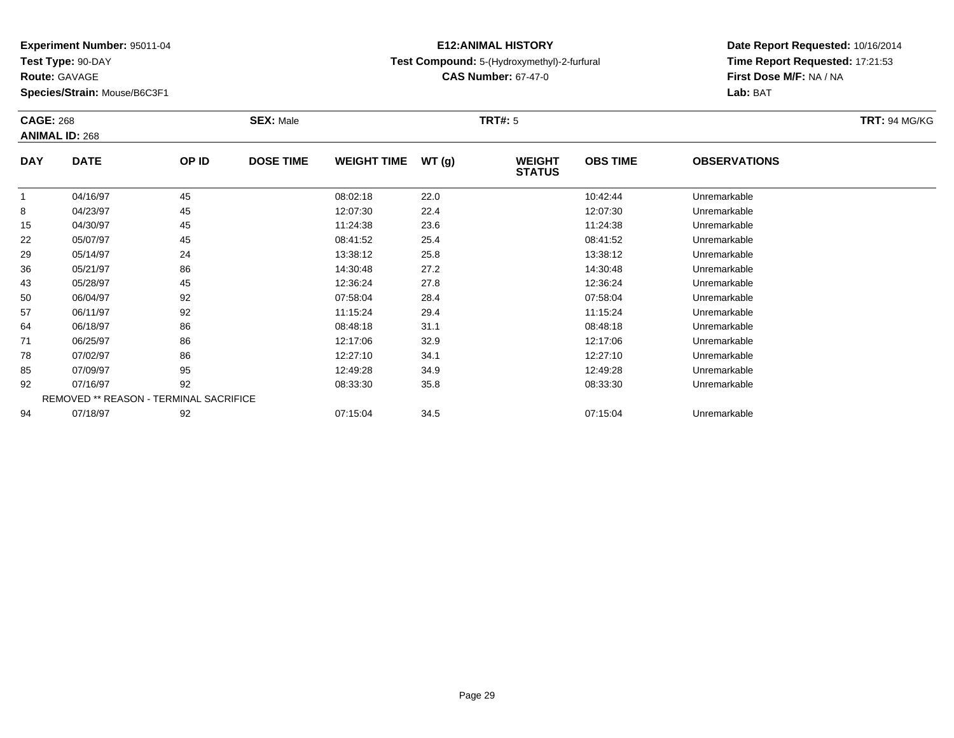**Test Type:** 90-DAY

**Route:** GAVAGE

**Species/Strain:** Mouse/B6C3F1

### **E12:ANIMAL HISTORYTest Compound:** 5-(Hydroxymethyl)-2-furfural

**CAS Number:** 67-47-0

| <b>CAGE: 268</b> | <b>ANIMAL ID: 268</b>                  |       | <b>SEX: Male</b> |                    |       | <b>TRT#: 5</b>                 |                 |                     | <b>TRT: 94 MG/KG</b> |
|------------------|----------------------------------------|-------|------------------|--------------------|-------|--------------------------------|-----------------|---------------------|----------------------|
| <b>DAY</b>       | <b>DATE</b>                            | OP ID | <b>DOSE TIME</b> | <b>WEIGHT TIME</b> | WT(g) | <b>WEIGHT</b><br><b>STATUS</b> | <b>OBS TIME</b> | <b>OBSERVATIONS</b> |                      |
|                  | 04/16/97                               | 45    |                  | 08:02:18           | 22.0  |                                | 10:42:44        | Unremarkable        |                      |
| 8                | 04/23/97                               | 45    |                  | 12:07:30           | 22.4  |                                | 12:07:30        | Unremarkable        |                      |
| 15               | 04/30/97                               | 45    |                  | 11:24:38           | 23.6  |                                | 11:24:38        | Unremarkable        |                      |
| 22               | 05/07/97                               | 45    |                  | 08:41:52           | 25.4  |                                | 08:41:52        | Unremarkable        |                      |
| 29               | 05/14/97                               | 24    |                  | 13:38:12           | 25.8  |                                | 13:38:12        | Unremarkable        |                      |
| 36               | 05/21/97                               | 86    |                  | 14:30:48           | 27.2  |                                | 14:30:48        | Unremarkable        |                      |
| 43               | 05/28/97                               | 45    |                  | 12:36:24           | 27.8  |                                | 12:36:24        | Unremarkable        |                      |
| 50               | 06/04/97                               | 92    |                  | 07:58:04           | 28.4  |                                | 07:58:04        | Unremarkable        |                      |
| 57               | 06/11/97                               | 92    |                  | 11:15:24           | 29.4  |                                | 11:15:24        | Unremarkable        |                      |
| 64               | 06/18/97                               | 86    |                  | 08:48:18           | 31.1  |                                | 08:48:18        | Unremarkable        |                      |
| 71               | 06/25/97                               | 86    |                  | 12:17:06           | 32.9  |                                | 12:17:06        | Unremarkable        |                      |
| 78               | 07/02/97                               | 86    |                  | 12:27:10           | 34.1  |                                | 12:27:10        | Unremarkable        |                      |
| 85               | 07/09/97                               | 95    |                  | 12:49:28           | 34.9  |                                | 12:49:28        | Unremarkable        |                      |
| 92               | 07/16/97                               | 92    |                  | 08:33:30           | 35.8  |                                | 08:33:30        | Unremarkable        |                      |
|                  | REMOVED ** REASON - TERMINAL SACRIFICE |       |                  |                    |       |                                |                 |                     |                      |
| 94               | 07/18/97                               | 92    |                  | 07:15:04           | 34.5  |                                | 07:15:04        | Unremarkable        |                      |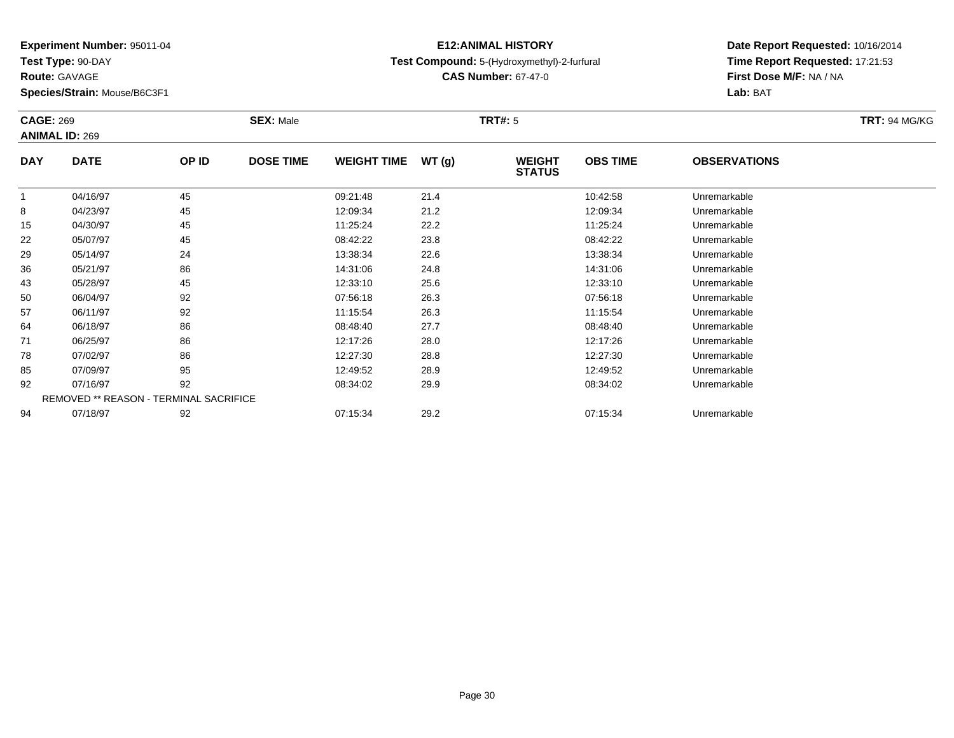**Test Type:** 90-DAY

**Route:** GAVAGE

**Species/Strain:** Mouse/B6C3F1

### **E12:ANIMAL HISTORYTest Compound:** 5-(Hydroxymethyl)-2-furfural

**CAS Number:** 67-47-0

|            | <b>CAGE: 269</b><br><b>ANIMAL ID: 269</b> |       | <b>SEX: Male</b> |                    |        | <b>TRT#: 5</b>                 | <b>TRT: 94 MG/KG</b> |                     |  |
|------------|-------------------------------------------|-------|------------------|--------------------|--------|--------------------------------|----------------------|---------------------|--|
| <b>DAY</b> | <b>DATE</b>                               | OP ID | <b>DOSE TIME</b> | <b>WEIGHT TIME</b> | WT (g) | <b>WEIGHT</b><br><b>STATUS</b> | <b>OBS TIME</b>      | <b>OBSERVATIONS</b> |  |
|            | 04/16/97                                  | 45    |                  | 09:21:48           | 21.4   |                                | 10:42:58             | Unremarkable        |  |
| 8          | 04/23/97                                  | 45    |                  | 12:09:34           | 21.2   |                                | 12:09:34             | Unremarkable        |  |
| 15         | 04/30/97                                  | 45    |                  | 11:25:24           | 22.2   |                                | 11:25:24             | Unremarkable        |  |
| 22         | 05/07/97                                  | 45    |                  | 08:42:22           | 23.8   |                                | 08:42:22             | Unremarkable        |  |
| 29         | 05/14/97                                  | 24    |                  | 13:38:34           | 22.6   |                                | 13:38:34             | Unremarkable        |  |
| 36         | 05/21/97                                  | 86    |                  | 14:31:06           | 24.8   |                                | 14:31:06             | Unremarkable        |  |
| 43         | 05/28/97                                  | 45    |                  | 12:33:10           | 25.6   |                                | 12:33:10             | Unremarkable        |  |
| 50         | 06/04/97                                  | 92    |                  | 07:56:18           | 26.3   |                                | 07:56:18             | Unremarkable        |  |
| 57         | 06/11/97                                  | 92    |                  | 11:15:54           | 26.3   |                                | 11:15:54             | Unremarkable        |  |
| 64         | 06/18/97                                  | 86    |                  | 08:48:40           | 27.7   |                                | 08:48:40             | Unremarkable        |  |
| 71         | 06/25/97                                  | 86    |                  | 12:17:26           | 28.0   |                                | 12:17:26             | Unremarkable        |  |
| 78         | 07/02/97                                  | 86    |                  | 12:27:30           | 28.8   |                                | 12:27:30             | Unremarkable        |  |
| 85         | 07/09/97                                  | 95    |                  | 12:49:52           | 28.9   |                                | 12:49:52             | Unremarkable        |  |
| 92         | 07/16/97                                  | 92    |                  | 08:34:02           | 29.9   |                                | 08:34:02             | Unremarkable        |  |
|            | REMOVED ** REASON - TERMINAL SACRIFICE    |       |                  |                    |        |                                |                      |                     |  |
| 94         | 07/18/97                                  | 92    |                  | 07:15:34           | 29.2   |                                | 07:15:34             | Unremarkable        |  |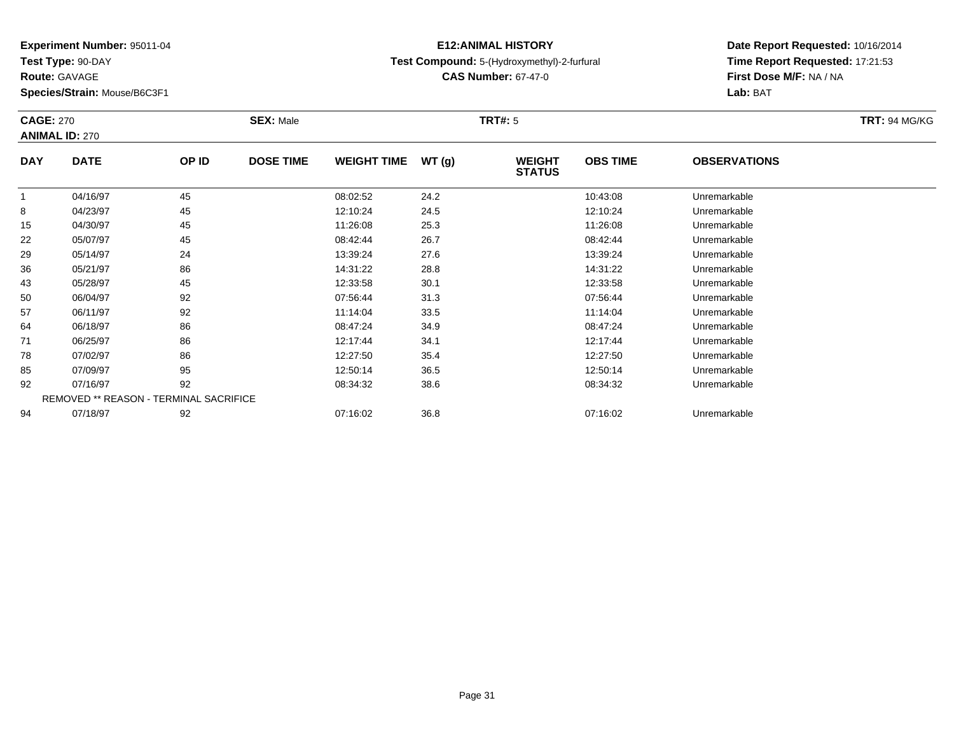**Test Type:** 90-DAY

**Route:** GAVAGE

**Species/Strain:** Mouse/B6C3F1

#### **E12:ANIMAL HISTORYTest Compound:** 5-(Hydroxymethyl)-2-furfural

**CAS Number:** 67-47-0

| <b>CAGE: 270</b> | <b>ANIMAL ID: 270</b>                  |       | <b>SEX: Male</b> |                    |       | <b>TRT#: 5</b>                 |                 |                     | <b>TRT: 94 MG/KG</b> |
|------------------|----------------------------------------|-------|------------------|--------------------|-------|--------------------------------|-----------------|---------------------|----------------------|
| <b>DAY</b>       | <b>DATE</b>                            | OP ID | <b>DOSE TIME</b> | <b>WEIGHT TIME</b> | WT(g) | <b>WEIGHT</b><br><b>STATUS</b> | <b>OBS TIME</b> | <b>OBSERVATIONS</b> |                      |
| $\mathbf{1}$     | 04/16/97                               | 45    |                  | 08:02:52           | 24.2  |                                | 10:43:08        | Unremarkable        |                      |
| 8                | 04/23/97                               | 45    |                  | 12:10:24           | 24.5  |                                | 12:10:24        | Unremarkable        |                      |
| 15               | 04/30/97                               | 45    |                  | 11:26:08           | 25.3  |                                | 11:26:08        | Unremarkable        |                      |
| 22               | 05/07/97                               | 45    |                  | 08:42:44           | 26.7  |                                | 08:42:44        | Unremarkable        |                      |
| 29               | 05/14/97                               | 24    |                  | 13:39:24           | 27.6  |                                | 13:39:24        | Unremarkable        |                      |
| 36               | 05/21/97                               | 86    |                  | 14:31:22           | 28.8  |                                | 14:31:22        | Unremarkable        |                      |
| 43               | 05/28/97                               | 45    |                  | 12:33:58           | 30.1  |                                | 12:33:58        | Unremarkable        |                      |
| 50               | 06/04/97                               | 92    |                  | 07:56:44           | 31.3  |                                | 07:56:44        | Unremarkable        |                      |
| 57               | 06/11/97                               | 92    |                  | 11:14:04           | 33.5  |                                | 11:14:04        | Unremarkable        |                      |
| 64               | 06/18/97                               | 86    |                  | 08:47:24           | 34.9  |                                | 08:47:24        | Unremarkable        |                      |
| 71               | 06/25/97                               | 86    |                  | 12:17:44           | 34.1  |                                | 12:17:44        | Unremarkable        |                      |
| 78               | 07/02/97                               | 86    |                  | 12:27:50           | 35.4  |                                | 12:27:50        | Unremarkable        |                      |
| 85               | 07/09/97                               | 95    |                  | 12:50:14           | 36.5  |                                | 12:50:14        | Unremarkable        |                      |
| 92               | 07/16/97                               | 92    |                  | 08:34:32           | 38.6  |                                | 08:34:32        | Unremarkable        |                      |
|                  | REMOVED ** REASON - TERMINAL SACRIFICE |       |                  |                    |       |                                |                 |                     |                      |
| 94               | 07/18/97                               | 92    |                  | 07:16:02           | 36.8  |                                | 07:16:02        | Unremarkable        |                      |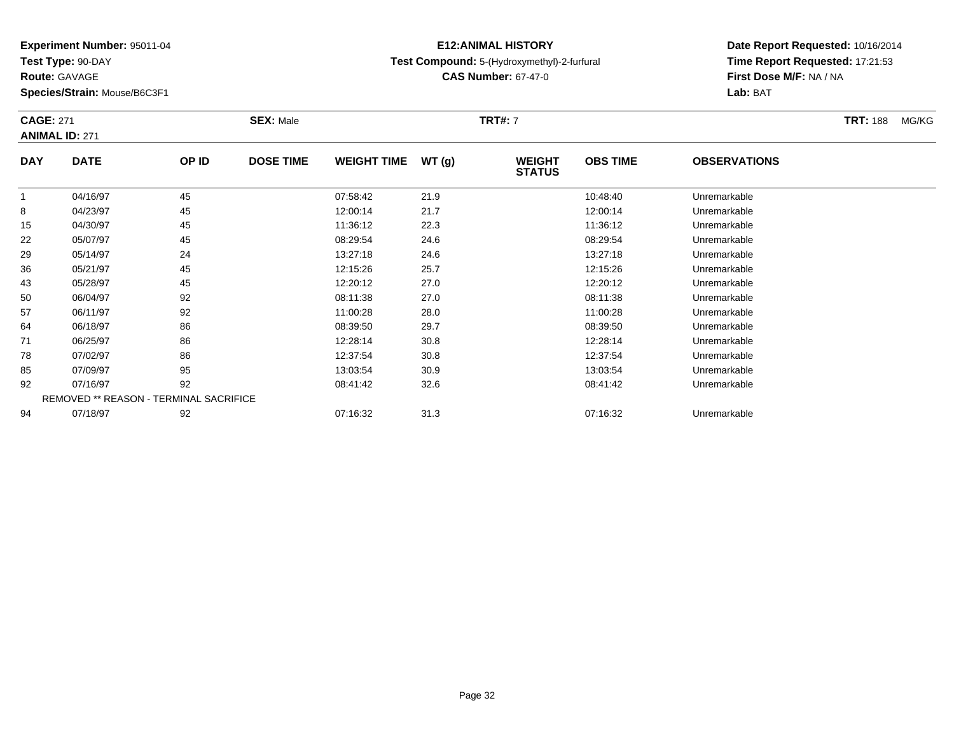**Test Type:** 90-DAY

**Route:** GAVAGE

**Species/Strain:** Mouse/B6C3F1

### **E12:ANIMAL HISTORYTest Compound:** 5-(Hydroxymethyl)-2-furfural

**CAS Number:** 67-47-0

| <b>CAGE: 271</b> | <b>ANIMAL ID: 271</b>                         |       | <b>SEX: Male</b> |                    |       | <b>TRT#: 7</b>                 |                 |                     | <b>TRT: 188</b><br>MG/KG |
|------------------|-----------------------------------------------|-------|------------------|--------------------|-------|--------------------------------|-----------------|---------------------|--------------------------|
| <b>DAY</b>       | <b>DATE</b>                                   | OP ID | <b>DOSE TIME</b> | <b>WEIGHT TIME</b> | WT(g) | <b>WEIGHT</b><br><b>STATUS</b> | <b>OBS TIME</b> | <b>OBSERVATIONS</b> |                          |
|                  | 04/16/97                                      | 45    |                  | 07:58:42           | 21.9  |                                | 10:48:40        | Unremarkable        |                          |
| 8                | 04/23/97                                      | 45    |                  | 12:00:14           | 21.7  |                                | 12:00:14        | Unremarkable        |                          |
| 15               | 04/30/97                                      | 45    |                  | 11:36:12           | 22.3  |                                | 11:36:12        | Unremarkable        |                          |
| 22               | 05/07/97                                      | 45    |                  | 08:29:54           | 24.6  |                                | 08:29:54        | Unremarkable        |                          |
| 29               | 05/14/97                                      | 24    |                  | 13:27:18           | 24.6  |                                | 13:27:18        | Unremarkable        |                          |
| 36               | 05/21/97                                      | 45    |                  | 12:15:26           | 25.7  |                                | 12:15:26        | Unremarkable        |                          |
| 43               | 05/28/97                                      | 45    |                  | 12:20:12           | 27.0  |                                | 12:20:12        | Unremarkable        |                          |
| 50               | 06/04/97                                      | 92    |                  | 08:11:38           | 27.0  |                                | 08:11:38        | Unremarkable        |                          |
| 57               | 06/11/97                                      | 92    |                  | 11:00:28           | 28.0  |                                | 11:00:28        | Unremarkable        |                          |
| 64               | 06/18/97                                      | 86    |                  | 08:39:50           | 29.7  |                                | 08:39:50        | Unremarkable        |                          |
| 71               | 06/25/97                                      | 86    |                  | 12:28:14           | 30.8  |                                | 12:28:14        | Unremarkable        |                          |
| 78               | 07/02/97                                      | 86    |                  | 12:37:54           | 30.8  |                                | 12:37:54        | Unremarkable        |                          |
| 85               | 07/09/97                                      | 95    |                  | 13:03:54           | 30.9  |                                | 13:03:54        | Unremarkable        |                          |
| 92               | 07/16/97                                      | 92    |                  | 08:41:42           | 32.6  |                                | 08:41:42        | Unremarkable        |                          |
|                  | <b>REMOVED ** REASON - TERMINAL SACRIFICE</b> |       |                  |                    |       |                                |                 |                     |                          |
| 94               | 07/18/97                                      | 92    |                  | 07:16:32           | 31.3  |                                | 07:16:32        | Unremarkable        |                          |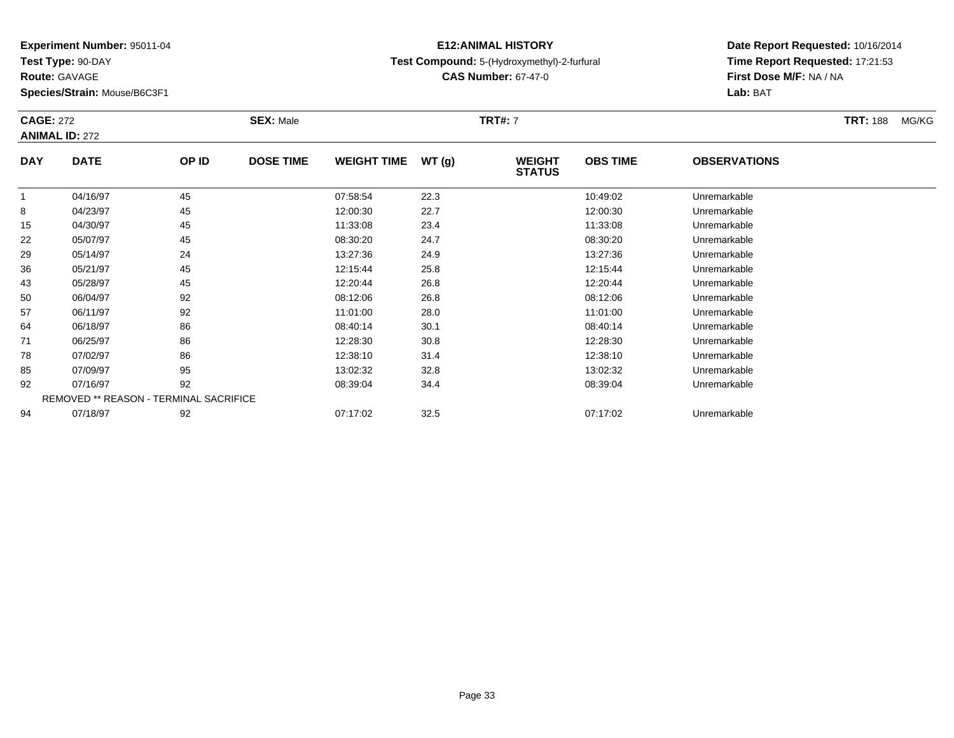**Test Type:** 90-DAY

**Route:** GAVAGE

94

**Species/Strain:** Mouse/B6C3F1

### **E12:ANIMAL HISTORYTest Compound:** 5-(Hydroxymethyl)-2-furfural

**CAS Number:** 67-47-0

**Date Report Requested:** 10/16/2014**Time Report Requested:** 17:21:53**Lab:** BAT

| <b>CAGE: 272</b> | <b>ANIMAL ID: 272</b> |                                               | <b>SEX: Male</b> |                    |       | <b>TRT#: 7</b>                 |                 |                     | <b>TRT: 188</b> | MG/KG |
|------------------|-----------------------|-----------------------------------------------|------------------|--------------------|-------|--------------------------------|-----------------|---------------------|-----------------|-------|
| <b>DAY</b>       | <b>DATE</b>           | OP ID                                         | <b>DOSE TIME</b> | <b>WEIGHT TIME</b> | WT(g) | <b>WEIGHT</b><br><b>STATUS</b> | <b>OBS TIME</b> | <b>OBSERVATIONS</b> |                 |       |
| 1                | 04/16/97              | 45                                            |                  | 07:58:54           | 22.3  |                                | 10:49:02        | Unremarkable        |                 |       |
| 8                | 04/23/97              | 45                                            |                  | 12:00:30           | 22.7  |                                | 12:00:30        | Unremarkable        |                 |       |
| 15               | 04/30/97              | 45                                            |                  | 11:33:08           | 23.4  |                                | 11:33:08        | Unremarkable        |                 |       |
| 22               | 05/07/97              | 45                                            |                  | 08:30:20           | 24.7  |                                | 08:30:20        | Unremarkable        |                 |       |
| 29               | 05/14/97              | 24                                            |                  | 13:27:36           | 24.9  |                                | 13:27:36        | Unremarkable        |                 |       |
| 36               | 05/21/97              | 45                                            |                  | 12:15:44           | 25.8  |                                | 12:15:44        | Unremarkable        |                 |       |
| 43               | 05/28/97              | 45                                            |                  | 12:20:44           | 26.8  |                                | 12:20:44        | Unremarkable        |                 |       |
| 50               | 06/04/97              | 92                                            |                  | 08:12:06           | 26.8  |                                | 08:12:06        | Unremarkable        |                 |       |
| 57               | 06/11/97              | 92                                            |                  | 11:01:00           | 28.0  |                                | 11:01:00        | Unremarkable        |                 |       |
| 64               | 06/18/97              | 86                                            |                  | 08:40:14           | 30.1  |                                | 08:40:14        | Unremarkable        |                 |       |
| 71               | 06/25/97              | 86                                            |                  | 12:28:30           | 30.8  |                                | 12:28:30        | Unremarkable        |                 |       |
| 78               | 07/02/97              | 86                                            |                  | 12:38:10           | 31.4  |                                | 12:38:10        | Unremarkable        |                 |       |
| 85               | 07/09/97              | 95                                            |                  | 13:02:32           | 32.8  |                                | 13:02:32        | Unremarkable        |                 |       |
| 92               | 07/16/97              | 92                                            |                  | 08:39:04           | 34.4  |                                | 08:39:04        | Unremarkable        |                 |       |
|                  |                       | <b>REMOVED ** REASON - TERMINAL SACRIFICE</b> |                  |                    |       |                                |                 |                     |                 |       |

07/18/97 <sup>92</sup> 07:17:02 32.5 07:17:02 Unremarkable

**First Dose M/F:** NA / NA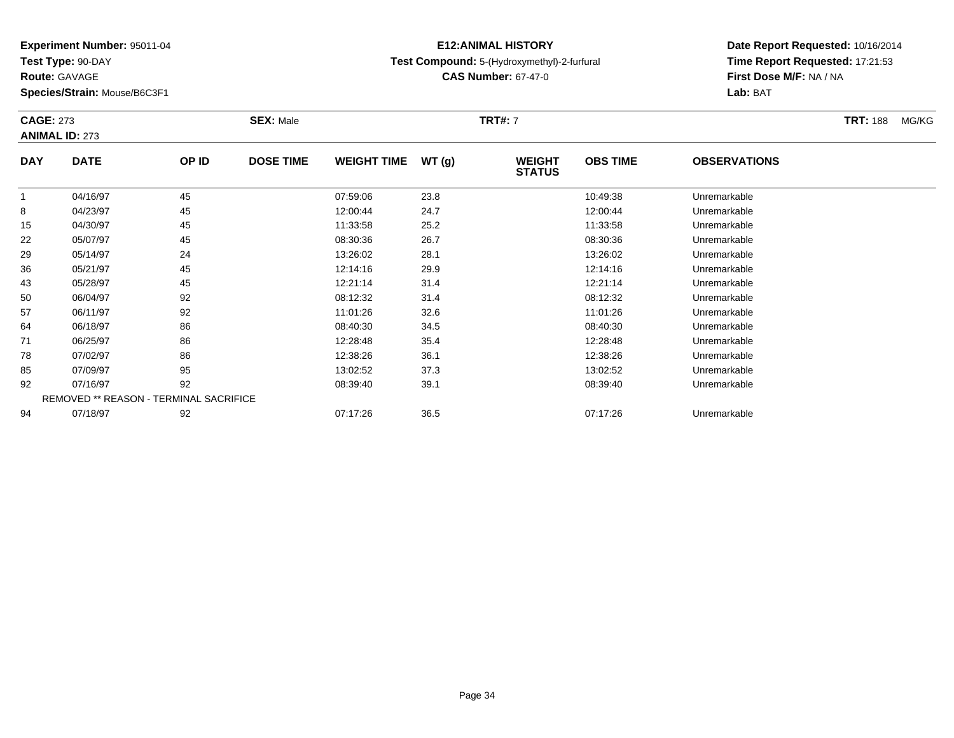**Test Type:** 90-DAY

**Route:** GAVAGE

**Species/Strain:** Mouse/B6C3F1

### **E12:ANIMAL HISTORYTest Compound:** 5-(Hydroxymethyl)-2-furfural

**CAS Number:** 67-47-0

| <b>CAGE: 273</b> | <b>ANIMAL ID: 273</b>                         |       | <b>SEX: Male</b> |                    |       | <b>TRT#: 7</b>                 |                 |                     | <b>TRT: 188</b> | MG/KG |
|------------------|-----------------------------------------------|-------|------------------|--------------------|-------|--------------------------------|-----------------|---------------------|-----------------|-------|
| <b>DAY</b>       | <b>DATE</b>                                   | OP ID | <b>DOSE TIME</b> | <b>WEIGHT TIME</b> | WT(g) | <b>WEIGHT</b><br><b>STATUS</b> | <b>OBS TIME</b> | <b>OBSERVATIONS</b> |                 |       |
|                  | 04/16/97                                      | 45    |                  | 07:59:06           | 23.8  |                                | 10:49:38        | Unremarkable        |                 |       |
| 8                | 04/23/97                                      | 45    |                  | 12:00:44           | 24.7  |                                | 12:00:44        | Unremarkable        |                 |       |
| 15               | 04/30/97                                      | 45    |                  | 11:33:58           | 25.2  |                                | 11:33:58        | Unremarkable        |                 |       |
| 22               | 05/07/97                                      | 45    |                  | 08:30:36           | 26.7  |                                | 08:30:36        | Unremarkable        |                 |       |
| 29               | 05/14/97                                      | 24    |                  | 13:26:02           | 28.1  |                                | 13:26:02        | Unremarkable        |                 |       |
| 36               | 05/21/97                                      | 45    |                  | 12:14:16           | 29.9  |                                | 12:14:16        | Unremarkable        |                 |       |
| 43               | 05/28/97                                      | 45    |                  | 12:21:14           | 31.4  |                                | 12:21:14        | Unremarkable        |                 |       |
| 50               | 06/04/97                                      | 92    |                  | 08:12:32           | 31.4  |                                | 08:12:32        | Unremarkable        |                 |       |
| 57               | 06/11/97                                      | 92    |                  | 11:01:26           | 32.6  |                                | 11:01:26        | Unremarkable        |                 |       |
| 64               | 06/18/97                                      | 86    |                  | 08:40:30           | 34.5  |                                | 08:40:30        | Unremarkable        |                 |       |
| 71               | 06/25/97                                      | 86    |                  | 12:28:48           | 35.4  |                                | 12:28:48        | Unremarkable        |                 |       |
| 78               | 07/02/97                                      | 86    |                  | 12:38:26           | 36.1  |                                | 12:38:26        | Unremarkable        |                 |       |
| 85               | 07/09/97                                      | 95    |                  | 13:02:52           | 37.3  |                                | 13:02:52        | Unremarkable        |                 |       |
| 92               | 07/16/97                                      | 92    |                  | 08:39:40           | 39.1  |                                | 08:39:40        | Unremarkable        |                 |       |
|                  | <b>REMOVED ** REASON - TERMINAL SACRIFICE</b> |       |                  |                    |       |                                |                 |                     |                 |       |
| 94               | 07/18/97                                      | 92    |                  | 07:17:26           | 36.5  |                                | 07:17:26        | Unremarkable        |                 |       |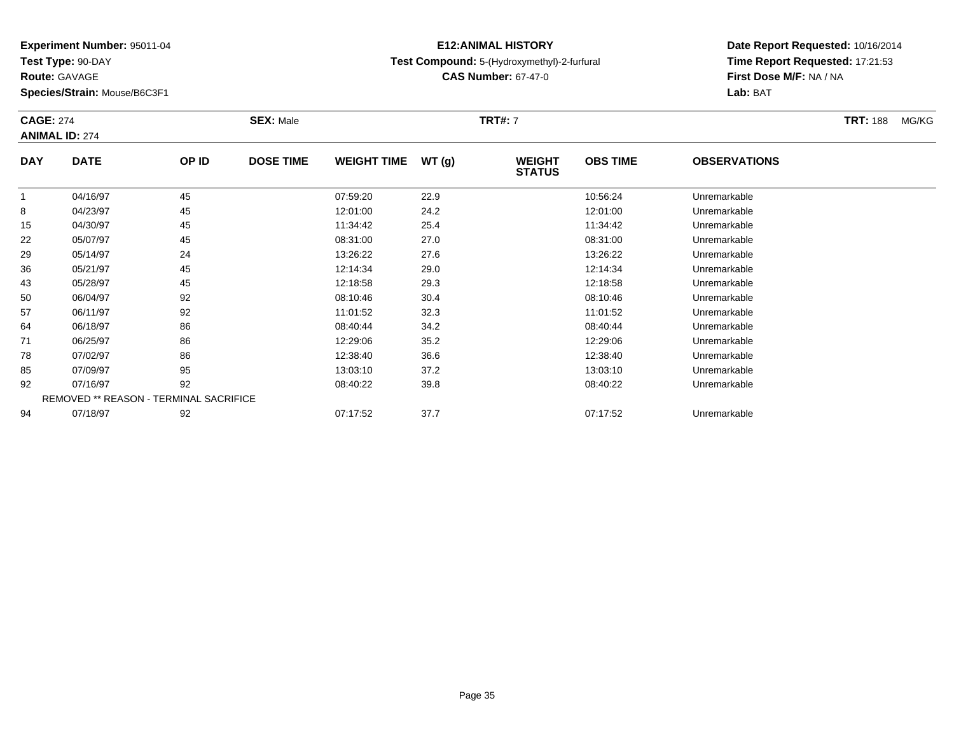**Test Type:** 90-DAY

**Route:** GAVAGE

**Species/Strain:** Mouse/B6C3F1

### **E12:ANIMAL HISTORYTest Compound:** 5-(Hydroxymethyl)-2-furfural

**CAS Number:** 67-47-0

|            | <b>CAGE: 274</b><br><b>ANIMAL ID: 274</b>     |       | <b>SEX: Male</b> |                    |       | <b>TRT#: 7</b>                 |                 |                     | <b>TRT: 188</b> | MG/KG |
|------------|-----------------------------------------------|-------|------------------|--------------------|-------|--------------------------------|-----------------|---------------------|-----------------|-------|
| <b>DAY</b> | <b>DATE</b>                                   | OP ID | <b>DOSE TIME</b> | <b>WEIGHT TIME</b> | WT(g) | <b>WEIGHT</b><br><b>STATUS</b> | <b>OBS TIME</b> | <b>OBSERVATIONS</b> |                 |       |
|            | 04/16/97                                      | 45    |                  | 07:59:20           | 22.9  |                                | 10:56:24        | Unremarkable        |                 |       |
| 8          | 04/23/97                                      | 45    |                  | 12:01:00           | 24.2  |                                | 12:01:00        | Unremarkable        |                 |       |
| 15         | 04/30/97                                      | 45    |                  | 11:34:42           | 25.4  |                                | 11:34:42        | Unremarkable        |                 |       |
| 22         | 05/07/97                                      | 45    |                  | 08:31:00           | 27.0  |                                | 08:31:00        | Unremarkable        |                 |       |
| 29         | 05/14/97                                      | 24    |                  | 13:26:22           | 27.6  |                                | 13:26:22        | Unremarkable        |                 |       |
| 36         | 05/21/97                                      | 45    |                  | 12:14:34           | 29.0  |                                | 12:14:34        | Unremarkable        |                 |       |
| 43         | 05/28/97                                      | 45    |                  | 12:18:58           | 29.3  |                                | 12:18:58        | Unremarkable        |                 |       |
| 50         | 06/04/97                                      | 92    |                  | 08:10:46           | 30.4  |                                | 08:10:46        | Unremarkable        |                 |       |
| 57         | 06/11/97                                      | 92    |                  | 11:01:52           | 32.3  |                                | 11:01:52        | Unremarkable        |                 |       |
| 64         | 06/18/97                                      | 86    |                  | 08:40:44           | 34.2  |                                | 08:40:44        | Unremarkable        |                 |       |
| 71         | 06/25/97                                      | 86    |                  | 12:29:06           | 35.2  |                                | 12:29:06        | Unremarkable        |                 |       |
| 78         | 07/02/97                                      | 86    |                  | 12:38:40           | 36.6  |                                | 12:38:40        | Unremarkable        |                 |       |
| 85         | 07/09/97                                      | 95    |                  | 13:03:10           | 37.2  |                                | 13:03:10        | Unremarkable        |                 |       |
| 92         | 07/16/97                                      | 92    |                  | 08:40:22           | 39.8  |                                | 08:40:22        | Unremarkable        |                 |       |
|            | <b>REMOVED ** REASON - TERMINAL SACRIFICE</b> |       |                  |                    |       |                                |                 |                     |                 |       |
| 94         | 07/18/97                                      | 92    |                  | 07:17:52           | 37.7  |                                | 07:17:52        | Unremarkable        |                 |       |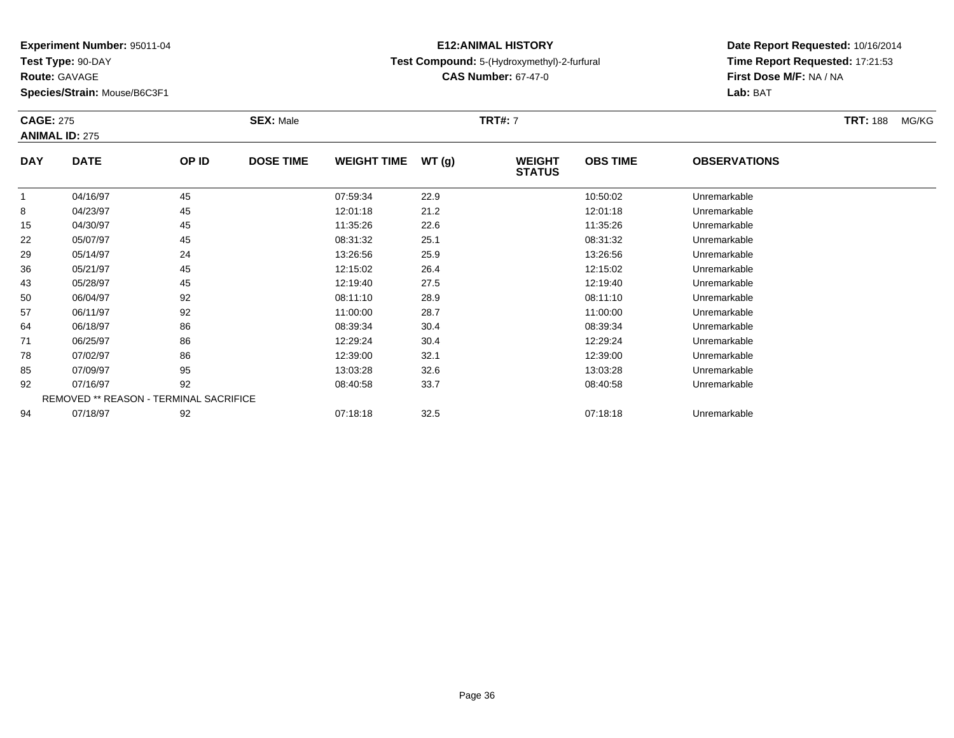**Test Type:** 90-DAY

**Route:** GAVAGE

**Species/Strain:** Mouse/B6C3F1

### **E12:ANIMAL HISTORYTest Compound:** 5-(Hydroxymethyl)-2-furfural

**CAS Number:** 67-47-0

**Date Report Requested:** 10/16/2014**Time Report Requested:** 17:21:53**First Dose M/F:** NA / NA**Lab:** BAT

| <b>CAGE: 275</b> | <b>ANIMAL ID: 275</b>                         |       | <b>SEX: Male</b> |                    |       | <b>TRT#: 7</b>                 |                 |                     | <b>TRT: 188</b> | MG/KG |
|------------------|-----------------------------------------------|-------|------------------|--------------------|-------|--------------------------------|-----------------|---------------------|-----------------|-------|
| <b>DAY</b>       | <b>DATE</b>                                   | OP ID | <b>DOSE TIME</b> | <b>WEIGHT TIME</b> | WT(g) | <b>WEIGHT</b><br><b>STATUS</b> | <b>OBS TIME</b> | <b>OBSERVATIONS</b> |                 |       |
|                  | 04/16/97                                      | 45    |                  | 07:59:34           | 22.9  |                                | 10:50:02        | Unremarkable        |                 |       |
| 8                | 04/23/97                                      | 45    |                  | 12:01:18           | 21.2  |                                | 12:01:18        | Unremarkable        |                 |       |
| 15               | 04/30/97                                      | 45    |                  | 11:35:26           | 22.6  |                                | 11:35:26        | Unremarkable        |                 |       |
| 22               | 05/07/97                                      | 45    |                  | 08:31:32           | 25.1  |                                | 08:31:32        | Unremarkable        |                 |       |
| 29               | 05/14/97                                      | 24    |                  | 13:26:56           | 25.9  |                                | 13:26:56        | Unremarkable        |                 |       |
| 36               | 05/21/97                                      | 45    |                  | 12:15:02           | 26.4  |                                | 12:15:02        | Unremarkable        |                 |       |
| 43               | 05/28/97                                      | 45    |                  | 12:19:40           | 27.5  |                                | 12:19:40        | Unremarkable        |                 |       |
| 50               | 06/04/97                                      | 92    |                  | 08:11:10           | 28.9  |                                | 08:11:10        | Unremarkable        |                 |       |
| 57               | 06/11/97                                      | 92    |                  | 11:00:00           | 28.7  |                                | 11:00:00        | Unremarkable        |                 |       |
| 64               | 06/18/97                                      | 86    |                  | 08:39:34           | 30.4  |                                | 08:39:34        | Unremarkable        |                 |       |
| 71               | 06/25/97                                      | 86    |                  | 12:29:24           | 30.4  |                                | 12:29:24        | Unremarkable        |                 |       |
| 78               | 07/02/97                                      | 86    |                  | 12:39:00           | 32.1  |                                | 12:39:00        | Unremarkable        |                 |       |
| 85               | 07/09/97                                      | 95    |                  | 13:03:28           | 32.6  |                                | 13:03:28        | Unremarkable        |                 |       |
| 92               | 07/16/97                                      | 92    |                  | 08:40:58           | 33.7  |                                | 08:40:58        | Unremarkable        |                 |       |
|                  | <b>REMOVED ** REASON - TERMINAL SACRIFICE</b> |       |                  |                    |       |                                |                 |                     |                 |       |
| 94               | 07/18/97                                      | 92    |                  | 07:18:18           | 32.5  |                                | 07:18:18        | Unremarkable        |                 |       |

07/18/97 <sup>92</sup> 07:18:18 32.5 07:18:18 Unremarkable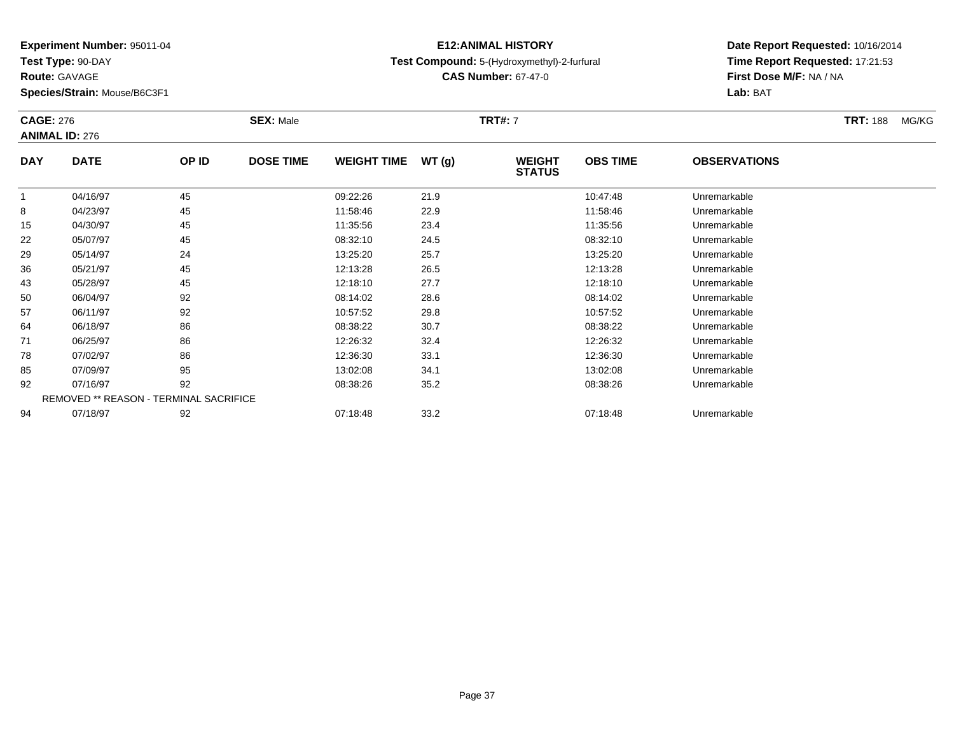**Test Type:** 90-DAY

**Route:** GAVAGE

**Species/Strain:** Mouse/B6C3F1

## **E12:ANIMAL HISTORYTest Compound:** 5-(Hydroxymethyl)-2-furfural

**CAS Number:** 67-47-0

|            | <b>CAGE: 276</b><br><b>ANIMAL ID: 276</b>     |       | <b>SEX: Male</b> | <b>TRT#: 7</b>     |        |                                |                 |                     | <b>TRT: 188</b> | MG/KG |
|------------|-----------------------------------------------|-------|------------------|--------------------|--------|--------------------------------|-----------------|---------------------|-----------------|-------|
| <b>DAY</b> | <b>DATE</b>                                   | OP ID | <b>DOSE TIME</b> | <b>WEIGHT TIME</b> | WT (g) | <b>WEIGHT</b><br><b>STATUS</b> | <b>OBS TIME</b> | <b>OBSERVATIONS</b> |                 |       |
|            | 04/16/97                                      | 45    |                  | 09:22:26           | 21.9   |                                | 10:47:48        | Unremarkable        |                 |       |
| 8          | 04/23/97                                      | 45    |                  | 11:58:46           | 22.9   |                                | 11:58:46        | Unremarkable        |                 |       |
| 15         | 04/30/97                                      | 45    |                  | 11:35:56           | 23.4   |                                | 11:35:56        | Unremarkable        |                 |       |
| 22         | 05/07/97                                      | 45    |                  | 08:32:10           | 24.5   |                                | 08:32:10        | Unremarkable        |                 |       |
| 29         | 05/14/97                                      | 24    |                  | 13:25:20           | 25.7   |                                | 13:25:20        | Unremarkable        |                 |       |
| 36         | 05/21/97                                      | 45    |                  | 12:13:28           | 26.5   |                                | 12:13:28        | Unremarkable        |                 |       |
| 43         | 05/28/97                                      | 45    |                  | 12:18:10           | 27.7   |                                | 12:18:10        | Unremarkable        |                 |       |
| 50         | 06/04/97                                      | 92    |                  | 08:14:02           | 28.6   |                                | 08:14:02        | Unremarkable        |                 |       |
| 57         | 06/11/97                                      | 92    |                  | 10:57:52           | 29.8   |                                | 10:57:52        | Unremarkable        |                 |       |
| 64         | 06/18/97                                      | 86    |                  | 08:38:22           | 30.7   |                                | 08:38:22        | Unremarkable        |                 |       |
| 71         | 06/25/97                                      | 86    |                  | 12:26:32           | 32.4   |                                | 12:26:32        | Unremarkable        |                 |       |
| 78         | 07/02/97                                      | 86    |                  | 12:36:30           | 33.1   |                                | 12:36:30        | Unremarkable        |                 |       |
| 85         | 07/09/97                                      | 95    |                  | 13:02:08           | 34.1   |                                | 13:02:08        | Unremarkable        |                 |       |
| 92         | 07/16/97                                      | 92    |                  | 08:38:26           | 35.2   |                                | 08:38:26        | Unremarkable        |                 |       |
|            | <b>REMOVED ** REASON - TERMINAL SACRIFICE</b> |       |                  |                    |        |                                |                 |                     |                 |       |
| 94         | 07/18/97                                      | 92    |                  | 07:18:48           | 33.2   |                                | 07:18:48        | Unremarkable        |                 |       |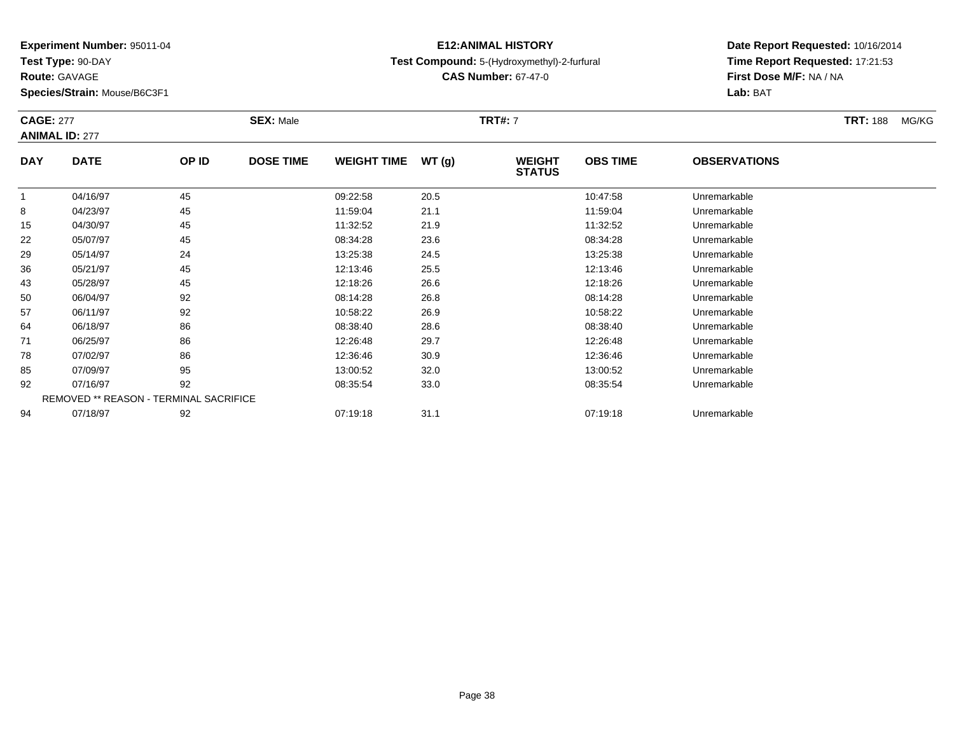**Test Type:** 90-DAY

**Route:** GAVAGE

94

**Species/Strain:** Mouse/B6C3F1

## **E12:ANIMAL HISTORYTest Compound:** 5-(Hydroxymethyl)-2-furfural

**CAS Number:** 67-47-0

**Date Report Requested:** 10/16/2014**Time Report Requested:** 17:21:53**First Dose M/F:** NA / NA**Lab:** BAT

| <b>CAGE: 277</b> | <b>ANIMAL ID: 277</b>                         |       | <b>SEX: Male</b> |                    |       | <b>TRT#: 7</b>                 |                 |                     | <b>TRT: 188</b> | MG/KG |
|------------------|-----------------------------------------------|-------|------------------|--------------------|-------|--------------------------------|-----------------|---------------------|-----------------|-------|
| <b>DAY</b>       | <b>DATE</b>                                   | OP ID | <b>DOSE TIME</b> | <b>WEIGHT TIME</b> | WT(g) | <b>WEIGHT</b><br><b>STATUS</b> | <b>OBS TIME</b> | <b>OBSERVATIONS</b> |                 |       |
|                  | 04/16/97                                      | 45    |                  | 09:22:58           | 20.5  |                                | 10:47:58        | Unremarkable        |                 |       |
| 8                | 04/23/97                                      | 45    |                  | 11:59:04           | 21.1  |                                | 11:59:04        | Unremarkable        |                 |       |
| 15               | 04/30/97                                      | 45    |                  | 11:32:52           | 21.9  |                                | 11:32:52        | Unremarkable        |                 |       |
| 22               | 05/07/97                                      | 45    |                  | 08:34:28           | 23.6  |                                | 08:34:28        | Unremarkable        |                 |       |
| 29               | 05/14/97                                      | 24    |                  | 13:25:38           | 24.5  |                                | 13:25:38        | Unremarkable        |                 |       |
| 36               | 05/21/97                                      | 45    |                  | 12:13:46           | 25.5  |                                | 12:13:46        | Unremarkable        |                 |       |
| 43               | 05/28/97                                      | 45    |                  | 12:18:26           | 26.6  |                                | 12:18:26        | Unremarkable        |                 |       |
| 50               | 06/04/97                                      | 92    |                  | 08:14:28           | 26.8  |                                | 08:14:28        | Unremarkable        |                 |       |
| 57               | 06/11/97                                      | 92    |                  | 10:58:22           | 26.9  |                                | 10:58:22        | Unremarkable        |                 |       |
| 64               | 06/18/97                                      | 86    |                  | 08:38:40           | 28.6  |                                | 08:38:40        | Unremarkable        |                 |       |
| 71               | 06/25/97                                      | 86    |                  | 12:26:48           | 29.7  |                                | 12:26:48        | Unremarkable        |                 |       |
| 78               | 07/02/97                                      | 86    |                  | 12:36:46           | 30.9  |                                | 12:36:46        | Unremarkable        |                 |       |
| 85               | 07/09/97                                      | 95    |                  | 13:00:52           | 32.0  |                                | 13:00:52        | Unremarkable        |                 |       |
| 92               | 07/16/97                                      | 92    |                  | 08:35:54           | 33.0  |                                | 08:35:54        | Unremarkable        |                 |       |
|                  | <b>REMOVED ** REASON - TERMINAL SACRIFICE</b> |       |                  |                    |       |                                |                 |                     |                 |       |

07/18/97 <sup>92</sup> 07:19:18 31.1 07:19:18 Unremarkable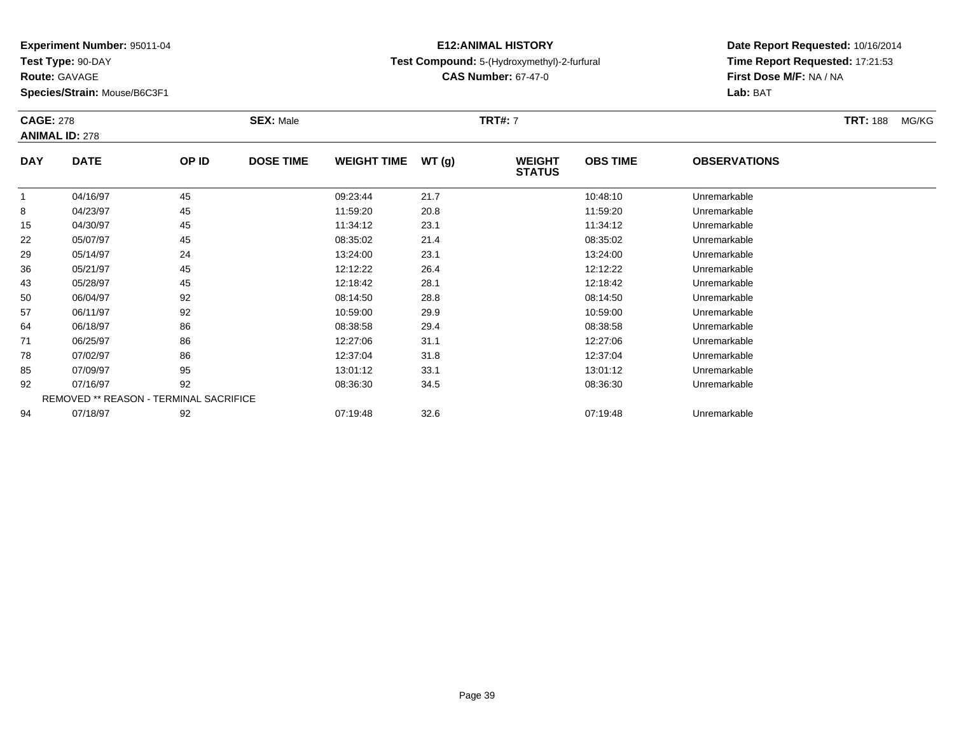**Test Type:** 90-DAY

**Route:** GAVAGE

**Species/Strain:** Mouse/B6C3F1

## **E12:ANIMAL HISTORYTest Compound:** 5-(Hydroxymethyl)-2-furfural

**CAS Number:** 67-47-0

| <b>CAGE: 278</b> | <b>ANIMAL ID: 278</b>                         |       | <b>SEX: Male</b> |                    |       | <b>TRT#: 7</b>                 |                 |                     | <b>TRT: 188</b> | MG/KG |
|------------------|-----------------------------------------------|-------|------------------|--------------------|-------|--------------------------------|-----------------|---------------------|-----------------|-------|
| <b>DAY</b>       | <b>DATE</b>                                   | OP ID | <b>DOSE TIME</b> | <b>WEIGHT TIME</b> | WT(g) | <b>WEIGHT</b><br><b>STATUS</b> | <b>OBS TIME</b> | <b>OBSERVATIONS</b> |                 |       |
|                  | 04/16/97                                      | 45    |                  | 09:23:44           | 21.7  |                                | 10:48:10        | Unremarkable        |                 |       |
| 8                | 04/23/97                                      | 45    |                  | 11:59:20           | 20.8  |                                | 11:59:20        | Unremarkable        |                 |       |
| 15               | 04/30/97                                      | 45    |                  | 11:34:12           | 23.1  |                                | 11:34:12        | Unremarkable        |                 |       |
| 22               | 05/07/97                                      | 45    |                  | 08:35:02           | 21.4  |                                | 08:35:02        | Unremarkable        |                 |       |
| 29               | 05/14/97                                      | 24    |                  | 13:24:00           | 23.1  |                                | 13:24:00        | Unremarkable        |                 |       |
| 36               | 05/21/97                                      | 45    |                  | 12:12:22           | 26.4  |                                | 12:12:22        | Unremarkable        |                 |       |
| 43               | 05/28/97                                      | 45    |                  | 12:18:42           | 28.1  |                                | 12:18:42        | Unremarkable        |                 |       |
| 50               | 06/04/97                                      | 92    |                  | 08:14:50           | 28.8  |                                | 08:14:50        | Unremarkable        |                 |       |
| 57               | 06/11/97                                      | 92    |                  | 10:59:00           | 29.9  |                                | 10:59:00        | Unremarkable        |                 |       |
| 64               | 06/18/97                                      | 86    |                  | 08:38:58           | 29.4  |                                | 08:38:58        | Unremarkable        |                 |       |
| 71               | 06/25/97                                      | 86    |                  | 12:27:06           | 31.1  |                                | 12:27:06        | Unremarkable        |                 |       |
| 78               | 07/02/97                                      | 86    |                  | 12:37:04           | 31.8  |                                | 12:37:04        | Unremarkable        |                 |       |
| 85               | 07/09/97                                      | 95    |                  | 13:01:12           | 33.1  |                                | 13:01:12        | Unremarkable        |                 |       |
| 92               | 07/16/97                                      | 92    |                  | 08:36:30           | 34.5  |                                | 08:36:30        | Unremarkable        |                 |       |
|                  | <b>REMOVED ** REASON - TERMINAL SACRIFICE</b> |       |                  |                    |       |                                |                 |                     |                 |       |
| 94               | 07/18/97                                      | 92    |                  | 07:19:48           | 32.6  |                                | 07:19:48        | Unremarkable        |                 |       |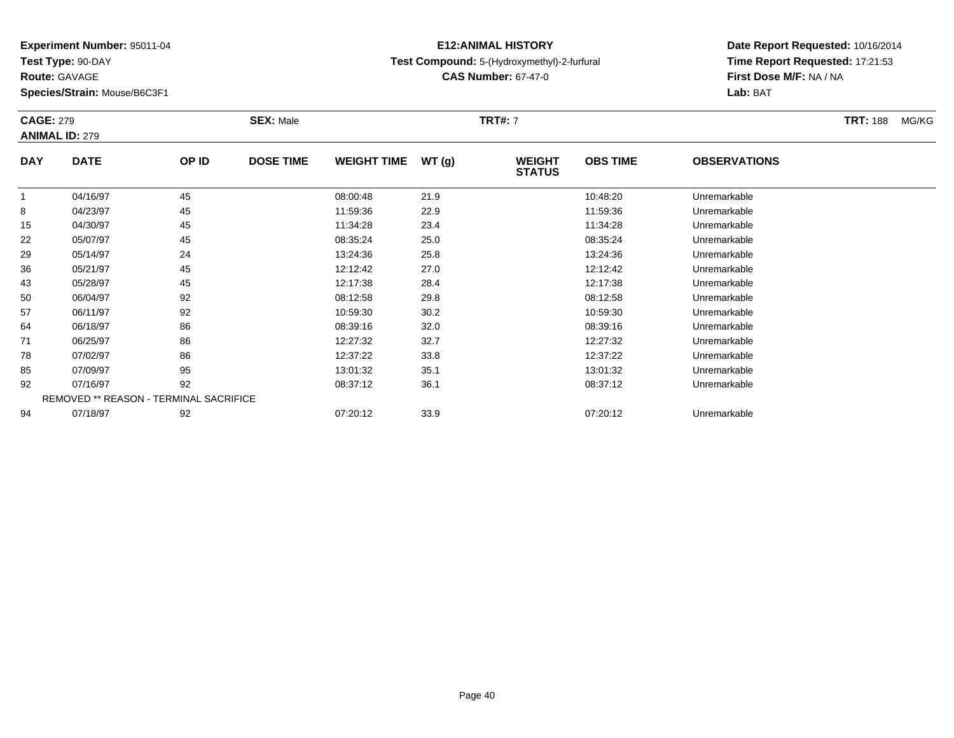**Test Type:** 90-DAY

**Route:** GAVAGE

**Species/Strain:** Mouse/B6C3F1

## **E12:ANIMAL HISTORYTest Compound:** 5-(Hydroxymethyl)-2-furfural

**CAS Number:** 67-47-0

|            | <b>CAGE: 279</b><br><b>ANIMAL ID: 279</b>     |       | <b>SEX: Male</b> |                    | <b>TRT#: 7</b> |                                | <b>TRT: 188</b> | MG/KG               |  |  |
|------------|-----------------------------------------------|-------|------------------|--------------------|----------------|--------------------------------|-----------------|---------------------|--|--|
| <b>DAY</b> | <b>DATE</b>                                   | OP ID | <b>DOSE TIME</b> | <b>WEIGHT TIME</b> | WT(g)          | <b>WEIGHT</b><br><b>STATUS</b> | <b>OBS TIME</b> | <b>OBSERVATIONS</b> |  |  |
|            | 04/16/97                                      | 45    |                  | 08:00:48           | 21.9           |                                | 10:48:20        | Unremarkable        |  |  |
| 8          | 04/23/97                                      | 45    |                  | 11:59:36           | 22.9           |                                | 11:59:36        | Unremarkable        |  |  |
| 15         | 04/30/97                                      | 45    |                  | 11:34:28           | 23.4           |                                | 11:34:28        | Unremarkable        |  |  |
| 22         | 05/07/97                                      | 45    |                  | 08:35:24           | 25.0           |                                | 08:35:24        | Unremarkable        |  |  |
| 29         | 05/14/97                                      | 24    |                  | 13:24:36           | 25.8           |                                | 13:24:36        | Unremarkable        |  |  |
| 36         | 05/21/97                                      | 45    |                  | 12:12:42           | 27.0           |                                | 12:12:42        | Unremarkable        |  |  |
| 43         | 05/28/97                                      | 45    |                  | 12:17:38           | 28.4           |                                | 12:17:38        | Unremarkable        |  |  |
| 50         | 06/04/97                                      | 92    |                  | 08:12:58           | 29.8           |                                | 08:12:58        | Unremarkable        |  |  |
| 57         | 06/11/97                                      | 92    |                  | 10:59:30           | 30.2           |                                | 10:59:30        | Unremarkable        |  |  |
| 64         | 06/18/97                                      | 86    |                  | 08:39:16           | 32.0           |                                | 08:39:16        | Unremarkable        |  |  |
| 71         | 06/25/97                                      | 86    |                  | 12:27:32           | 32.7           |                                | 12:27:32        | Unremarkable        |  |  |
| 78         | 07/02/97                                      | 86    |                  | 12:37:22           | 33.8           |                                | 12:37:22        | Unremarkable        |  |  |
| 85         | 07/09/97                                      | 95    |                  | 13:01:32           | 35.1           |                                | 13:01:32        | Unremarkable        |  |  |
| 92         | 07/16/97                                      | 92    |                  | 08:37:12           | 36.1           |                                | 08:37:12        | Unremarkable        |  |  |
|            | <b>REMOVED ** REASON - TERMINAL SACRIFICE</b> |       |                  |                    |                |                                |                 |                     |  |  |
| 94         | 07/18/97                                      | 92    |                  | 07:20:12           | 33.9           |                                | 07:20:12        | Unremarkable        |  |  |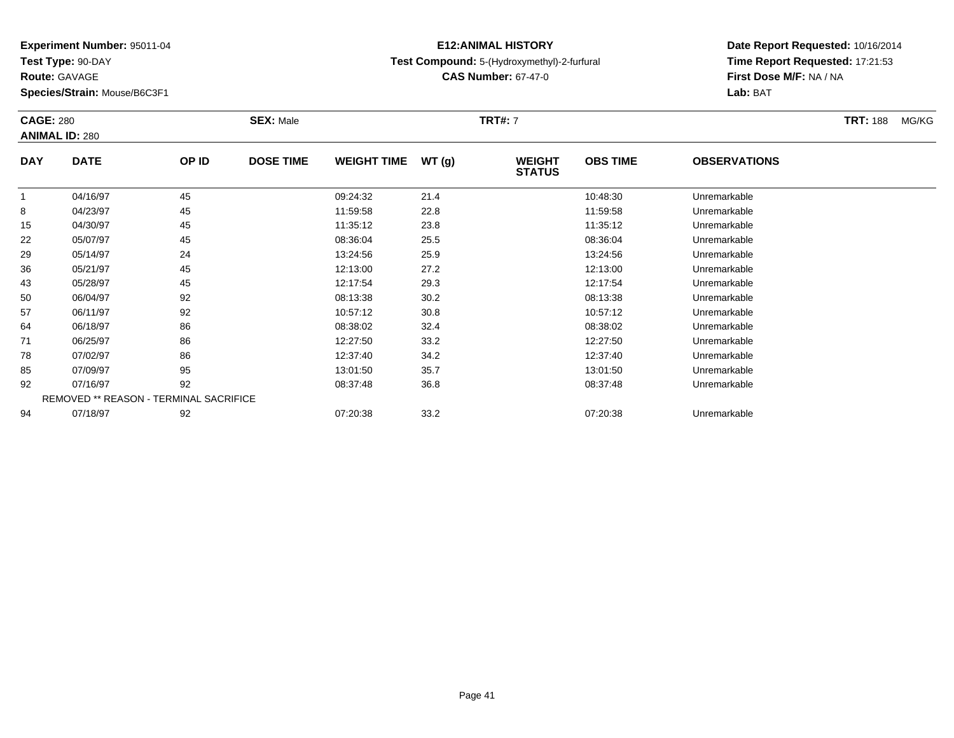**Test Type:** 90-DAY

**Route:** GAVAGE

**Species/Strain:** Mouse/B6C3F1

## **E12:ANIMAL HISTORYTest Compound:** 5-(Hydroxymethyl)-2-furfural

**CAS Number:** 67-47-0

| <b>CAGE: 280</b> | <b>ANIMAL ID: 280</b>                  | <b>SEX: Male</b> |                  |                    | <b>TRT#: 7</b> |                                |                 |                     | <b>TRT: 188</b> | MG/KG |
|------------------|----------------------------------------|------------------|------------------|--------------------|----------------|--------------------------------|-----------------|---------------------|-----------------|-------|
| <b>DAY</b>       | <b>DATE</b>                            | OP ID            | <b>DOSE TIME</b> | <b>WEIGHT TIME</b> | WT(g)          | <b>WEIGHT</b><br><b>STATUS</b> | <b>OBS TIME</b> | <b>OBSERVATIONS</b> |                 |       |
|                  | 04/16/97                               | 45               |                  | 09:24:32           | 21.4           |                                | 10:48:30        | Unremarkable        |                 |       |
| 8                | 04/23/97                               | 45               |                  | 11:59:58           | 22.8           |                                | 11:59:58        | Unremarkable        |                 |       |
| 15               | 04/30/97                               | 45               |                  | 11:35:12           | 23.8           |                                | 11:35:12        | Unremarkable        |                 |       |
| 22               | 05/07/97                               | 45               |                  | 08:36:04           | 25.5           |                                | 08:36:04        | Unremarkable        |                 |       |
| 29               | 05/14/97                               | 24               |                  | 13:24:56           | 25.9           |                                | 13:24:56        | Unremarkable        |                 |       |
| 36               | 05/21/97                               | 45               |                  | 12:13:00           | 27.2           |                                | 12:13:00        | Unremarkable        |                 |       |
| 43               | 05/28/97                               | 45               |                  | 12:17:54           | 29.3           |                                | 12:17:54        | Unremarkable        |                 |       |
| 50               | 06/04/97                               | 92               |                  | 08:13:38           | 30.2           |                                | 08:13:38        | Unremarkable        |                 |       |
| 57               | 06/11/97                               | 92               |                  | 10:57:12           | 30.8           |                                | 10:57:12        | Unremarkable        |                 |       |
| 64               | 06/18/97                               | 86               |                  | 08:38:02           | 32.4           |                                | 08:38:02        | Unremarkable        |                 |       |
| 71               | 06/25/97                               | 86               |                  | 12:27:50           | 33.2           |                                | 12:27:50        | Unremarkable        |                 |       |
| 78               | 07/02/97                               | 86               |                  | 12:37:40           | 34.2           |                                | 12:37:40        | Unremarkable        |                 |       |
| 85               | 07/09/97                               | 95               |                  | 13:01:50           | 35.7           |                                | 13:01:50        | Unremarkable        |                 |       |
| 92               | 07/16/97                               | 92               |                  | 08:37:48           | 36.8           |                                | 08:37:48        | Unremarkable        |                 |       |
|                  | REMOVED ** REASON - TERMINAL SACRIFICE |                  |                  |                    |                |                                |                 |                     |                 |       |
| 94               | 07/18/97                               | 92               |                  | 07:20:38           | 33.2           |                                | 07:20:38        | Unremarkable        |                 |       |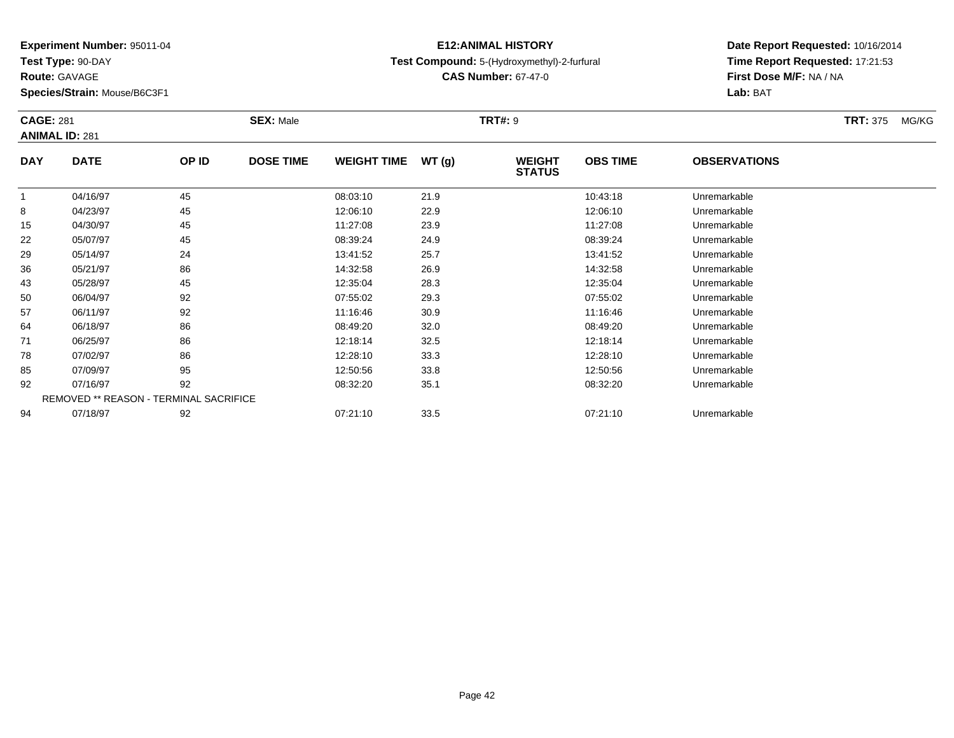**Test Type:** 90-DAY

**Route:** GAVAGE

**Species/Strain:** Mouse/B6C3F1

## **E12:ANIMAL HISTORYTest Compound:** 5-(Hydroxymethyl)-2-furfural

**CAS Number:** 67-47-0

|            | <b>CAGE: 281</b><br><b>ANIMAL ID: 281</b> |                                        | <b>SEX: Male</b> |                    | <b>TRT#: 9</b> |                                |                 |                     | <b>TRT: 375</b> | MG/KG |
|------------|-------------------------------------------|----------------------------------------|------------------|--------------------|----------------|--------------------------------|-----------------|---------------------|-----------------|-------|
| <b>DAY</b> | <b>DATE</b>                               | OP ID                                  | <b>DOSE TIME</b> | <b>WEIGHT TIME</b> | WT(g)          | <b>WEIGHT</b><br><b>STATUS</b> | <b>OBS TIME</b> | <b>OBSERVATIONS</b> |                 |       |
|            | 04/16/97                                  | 45                                     |                  | 08:03:10           | 21.9           |                                | 10:43:18        | Unremarkable        |                 |       |
| 8          | 04/23/97                                  | 45                                     |                  | 12:06:10           | 22.9           |                                | 12:06:10        | Unremarkable        |                 |       |
| 15         | 04/30/97                                  | 45                                     |                  | 11:27:08           | 23.9           |                                | 11:27:08        | Unremarkable        |                 |       |
| 22         | 05/07/97                                  | 45                                     |                  | 08:39:24           | 24.9           |                                | 08:39:24        | Unremarkable        |                 |       |
| 29         | 05/14/97                                  | 24                                     |                  | 13:41:52           | 25.7           |                                | 13:41:52        | Unremarkable        |                 |       |
| 36         | 05/21/97                                  | 86                                     |                  | 14:32:58           | 26.9           |                                | 14:32:58        | Unremarkable        |                 |       |
| 43         | 05/28/97                                  | 45                                     |                  | 12:35:04           | 28.3           |                                | 12:35:04        | Unremarkable        |                 |       |
| 50         | 06/04/97                                  | 92                                     |                  | 07:55:02           | 29.3           |                                | 07:55:02        | Unremarkable        |                 |       |
| 57         | 06/11/97                                  | 92                                     |                  | 11:16:46           | 30.9           |                                | 11:16:46        | Unremarkable        |                 |       |
| 64         | 06/18/97                                  | 86                                     |                  | 08:49:20           | 32.0           |                                | 08:49:20        | Unremarkable        |                 |       |
| 71         | 06/25/97                                  | 86                                     |                  | 12:18:14           | 32.5           |                                | 12:18:14        | Unremarkable        |                 |       |
| 78         | 07/02/97                                  | 86                                     |                  | 12:28:10           | 33.3           |                                | 12:28:10        | Unremarkable        |                 |       |
| 85         | 07/09/97                                  | 95                                     |                  | 12:50:56           | 33.8           |                                | 12:50:56        | Unremarkable        |                 |       |
| 92         | 07/16/97                                  | 92                                     |                  | 08:32:20           | 35.1           |                                | 08:32:20        | Unremarkable        |                 |       |
|            |                                           | REMOVED ** REASON - TERMINAL SACRIFICE |                  |                    |                |                                |                 |                     |                 |       |
| 94         | 07/18/97                                  | 92                                     |                  | 07:21:10           | 33.5           |                                | 07:21:10        | Unremarkable        |                 |       |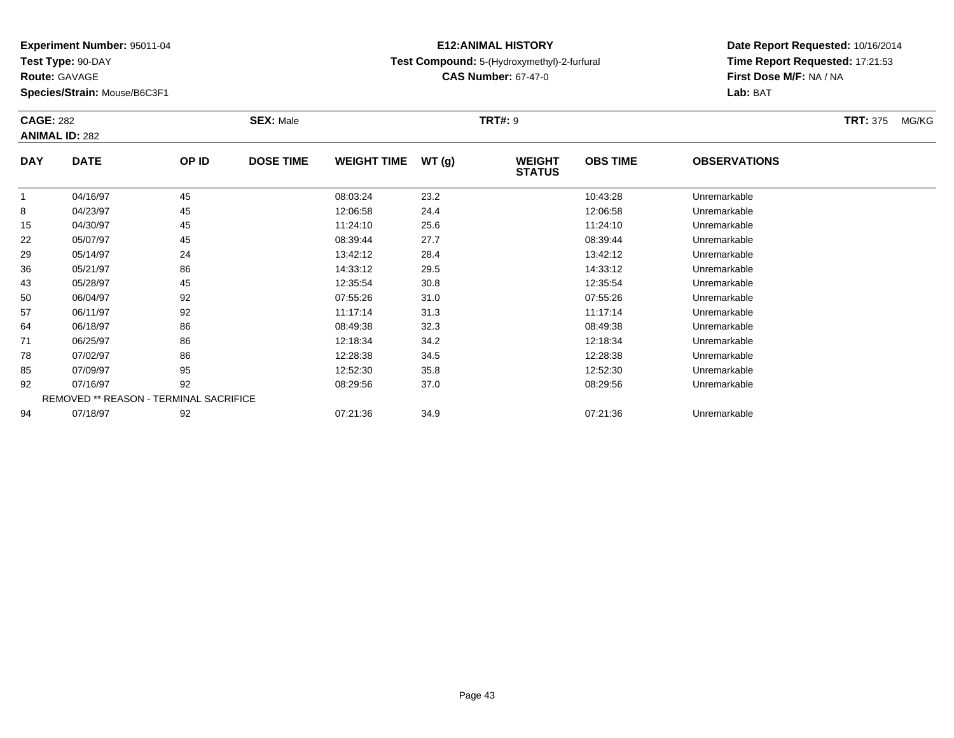**Test Type:** 90-DAY

**Route:** GAVAGE

**Species/Strain:** Mouse/B6C3F1

## **E12:ANIMAL HISTORYTest Compound:** 5-(Hydroxymethyl)-2-furfural

**CAS Number:** 67-47-0

| <b>CAGE: 282</b> | <b>ANIMAL ID: 282</b>                  |       | <b>SEX: Male</b> |                    | <b>TRT#: 9</b> |                                |                 |                     | <b>TRT: 375</b> | MG/KG |
|------------------|----------------------------------------|-------|------------------|--------------------|----------------|--------------------------------|-----------------|---------------------|-----------------|-------|
| <b>DAY</b>       | <b>DATE</b>                            | OP ID | <b>DOSE TIME</b> | <b>WEIGHT TIME</b> | WT(g)          | <b>WEIGHT</b><br><b>STATUS</b> | <b>OBS TIME</b> | <b>OBSERVATIONS</b> |                 |       |
|                  | 04/16/97                               | 45    |                  | 08:03:24           | 23.2           |                                | 10:43:28        | Unremarkable        |                 |       |
| 8                | 04/23/97                               | 45    |                  | 12:06:58           | 24.4           |                                | 12:06:58        | Unremarkable        |                 |       |
| 15               | 04/30/97                               | 45    |                  | 11:24:10           | 25.6           |                                | 11:24:10        | Unremarkable        |                 |       |
| 22               | 05/07/97                               | 45    |                  | 08:39:44           | 27.7           |                                | 08:39:44        | Unremarkable        |                 |       |
| 29               | 05/14/97                               | 24    |                  | 13:42:12           | 28.4           |                                | 13:42:12        | Unremarkable        |                 |       |
| 36               | 05/21/97                               | 86    |                  | 14:33:12           | 29.5           |                                | 14:33:12        | Unremarkable        |                 |       |
| 43               | 05/28/97                               | 45    |                  | 12:35:54           | 30.8           |                                | 12:35:54        | Unremarkable        |                 |       |
| 50               | 06/04/97                               | 92    |                  | 07:55:26           | 31.0           |                                | 07:55:26        | Unremarkable        |                 |       |
| 57               | 06/11/97                               | 92    |                  | 11:17:14           | 31.3           |                                | 11:17:14        | Unremarkable        |                 |       |
| 64               | 06/18/97                               | 86    |                  | 08:49:38           | 32.3           |                                | 08:49:38        | Unremarkable        |                 |       |
| 71               | 06/25/97                               | 86    |                  | 12:18:34           | 34.2           |                                | 12:18:34        | Unremarkable        |                 |       |
| 78               | 07/02/97                               | 86    |                  | 12:28:38           | 34.5           |                                | 12:28:38        | Unremarkable        |                 |       |
| 85               | 07/09/97                               | 95    |                  | 12:52:30           | 35.8           |                                | 12:52:30        | Unremarkable        |                 |       |
| 92               | 07/16/97                               | 92    |                  | 08:29:56           | 37.0           |                                | 08:29:56        | Unremarkable        |                 |       |
|                  | REMOVED ** REASON - TERMINAL SACRIFICE |       |                  |                    |                |                                |                 |                     |                 |       |
| 94               | 07/18/97                               | 92    |                  | 07:21:36           | 34.9           |                                | 07:21:36        | Unremarkable        |                 |       |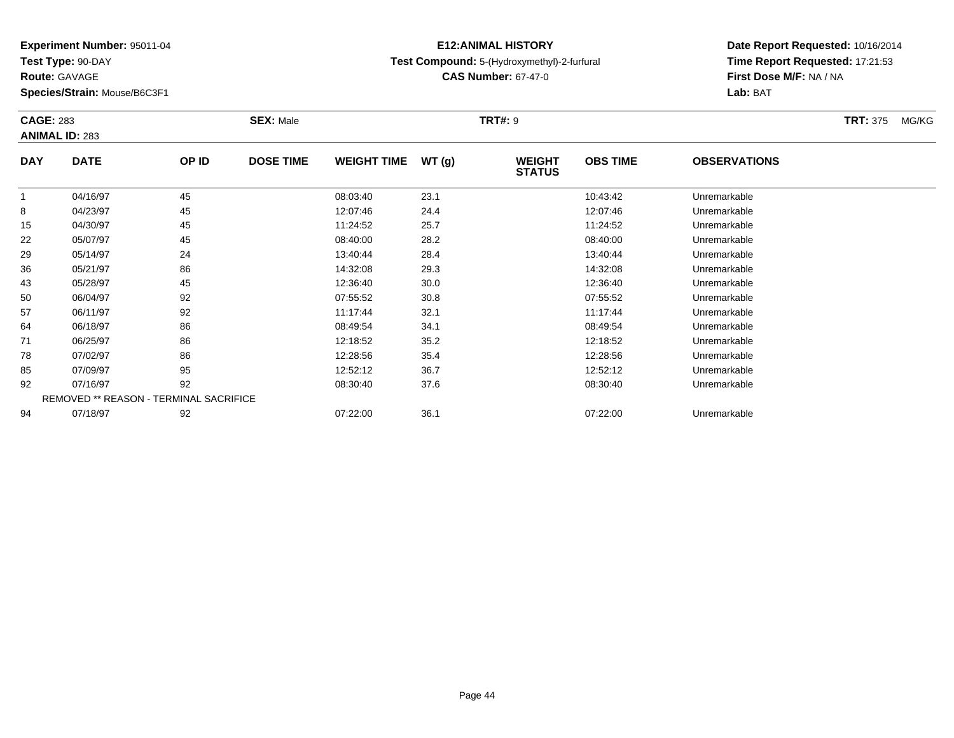**Test Type:** 90-DAY

**Route:** GAVAGE

**Species/Strain:** Mouse/B6C3F1

#### **E12:ANIMAL HISTORYTest Compound:** 5-(Hydroxymethyl)-2-furfural

**CAS Number:** 67-47-0

| <b>CAGE: 283</b> | <b>ANIMAL ID: 283</b>                  |       | <b>SEX: Male</b> |                    |       | <b>TRT#: 9</b>                 |                 |                     | <b>TRT: 375</b> | MG/KG |
|------------------|----------------------------------------|-------|------------------|--------------------|-------|--------------------------------|-----------------|---------------------|-----------------|-------|
| <b>DAY</b>       | <b>DATE</b>                            | OP ID | <b>DOSE TIME</b> | <b>WEIGHT TIME</b> | WT(g) | <b>WEIGHT</b><br><b>STATUS</b> | <b>OBS TIME</b> | <b>OBSERVATIONS</b> |                 |       |
|                  | 04/16/97                               | 45    |                  | 08:03:40           | 23.1  |                                | 10:43:42        | Unremarkable        |                 |       |
| 8                | 04/23/97                               | 45    |                  | 12:07:46           | 24.4  |                                | 12:07:46        | Unremarkable        |                 |       |
| 15               | 04/30/97                               | 45    |                  | 11:24:52           | 25.7  |                                | 11:24:52        | Unremarkable        |                 |       |
| 22               | 05/07/97                               | 45    |                  | 08:40:00           | 28.2  |                                | 08:40:00        | Unremarkable        |                 |       |
| 29               | 05/14/97                               | 24    |                  | 13:40:44           | 28.4  |                                | 13:40:44        | Unremarkable        |                 |       |
| 36               | 05/21/97                               | 86    |                  | 14:32:08           | 29.3  |                                | 14:32:08        | Unremarkable        |                 |       |
| 43               | 05/28/97                               | 45    |                  | 12:36:40           | 30.0  |                                | 12:36:40        | Unremarkable        |                 |       |
| 50               | 06/04/97                               | 92    |                  | 07:55:52           | 30.8  |                                | 07:55:52        | Unremarkable        |                 |       |
| 57               | 06/11/97                               | 92    |                  | 11:17:44           | 32.1  |                                | 11:17:44        | Unremarkable        |                 |       |
| 64               | 06/18/97                               | 86    |                  | 08:49:54           | 34.1  |                                | 08:49:54        | Unremarkable        |                 |       |
| 71               | 06/25/97                               | 86    |                  | 12:18:52           | 35.2  |                                | 12:18:52        | Unremarkable        |                 |       |
| 78               | 07/02/97                               | 86    |                  | 12:28:56           | 35.4  |                                | 12:28:56        | Unremarkable        |                 |       |
| 85               | 07/09/97                               | 95    |                  | 12:52:12           | 36.7  |                                | 12:52:12        | Unremarkable        |                 |       |
| 92               | 07/16/97                               | 92    |                  | 08:30:40           | 37.6  |                                | 08:30:40        | Unremarkable        |                 |       |
|                  | REMOVED ** REASON - TERMINAL SACRIFICE |       |                  |                    |       |                                |                 |                     |                 |       |
| 94               | 07/18/97                               | 92    |                  | 07:22:00           | 36.1  |                                | 07:22:00        | Unremarkable        |                 |       |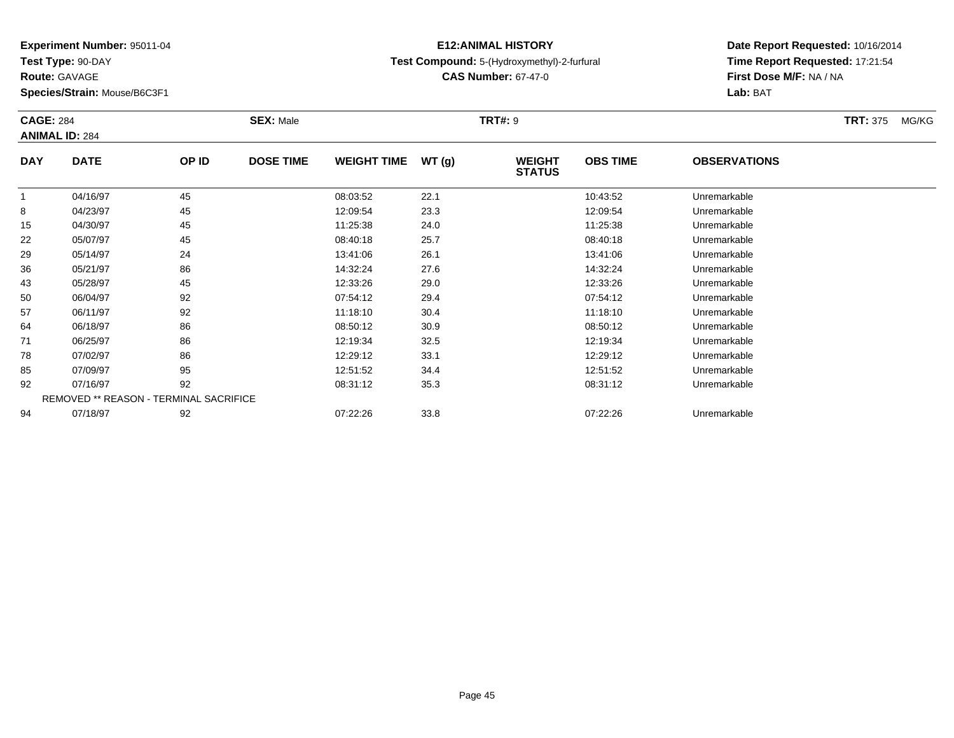**Test Type:** 90-DAY

**Route:** GAVAGE

**Species/Strain:** Mouse/B6C3F1

# **E12:ANIMAL HISTORY**

**CAS Number:** 67-47-0

**Date Report Requested:** 10/16/2014 **Time Report Requested:** 17:21:54**First Dose M/F:** NA / NA**Lab:** BAT

| <b>CAGE: 284</b> |                                        |       | <b>SEX: Male</b> |                    |       | <b>TRT#: 9</b>                 |                 |                     | <b>TRT: 375</b> | MG/KG |
|------------------|----------------------------------------|-------|------------------|--------------------|-------|--------------------------------|-----------------|---------------------|-----------------|-------|
|                  | <b>ANIMAL ID: 284</b>                  |       |                  |                    |       |                                |                 |                     |                 |       |
| <b>DAY</b>       | <b>DATE</b>                            | OP ID | <b>DOSE TIME</b> | <b>WEIGHT TIME</b> | WT(g) | <b>WEIGHT</b><br><b>STATUS</b> | <b>OBS TIME</b> | <b>OBSERVATIONS</b> |                 |       |
|                  | 04/16/97                               | 45    |                  | 08:03:52           | 22.1  |                                | 10:43:52        | Unremarkable        |                 |       |
| 8                | 04/23/97                               | 45    |                  | 12:09:54           | 23.3  |                                | 12:09:54        | Unremarkable        |                 |       |
| 15               | 04/30/97                               | 45    |                  | 11:25:38           | 24.0  |                                | 11:25:38        | Unremarkable        |                 |       |
| 22               | 05/07/97                               | 45    |                  | 08:40:18           | 25.7  |                                | 08:40:18        | Unremarkable        |                 |       |
| 29               | 05/14/97                               | 24    |                  | 13:41:06           | 26.1  |                                | 13:41:06        | Unremarkable        |                 |       |
| 36               | 05/21/97                               | 86    |                  | 14:32:24           | 27.6  |                                | 14:32:24        | Unremarkable        |                 |       |
| 43               | 05/28/97                               | 45    |                  | 12:33:26           | 29.0  |                                | 12:33:26        | Unremarkable        |                 |       |
| 50               | 06/04/97                               | 92    |                  | 07:54:12           | 29.4  |                                | 07:54:12        | Unremarkable        |                 |       |
| 57               | 06/11/97                               | 92    |                  | 11:18:10           | 30.4  |                                | 11:18:10        | Unremarkable        |                 |       |
| 64               | 06/18/97                               | 86    |                  | 08:50:12           | 30.9  |                                | 08:50:12        | Unremarkable        |                 |       |
| 71               | 06/25/97                               | 86    |                  | 12:19:34           | 32.5  |                                | 12:19:34        | Unremarkable        |                 |       |
| 78               | 07/02/97                               | 86    |                  | 12:29:12           | 33.1  |                                | 12:29:12        | Unremarkable        |                 |       |
| 85               | 07/09/97                               | 95    |                  | 12:51:52           | 34.4  |                                | 12:51:52        | Unremarkable        |                 |       |
| 92               | 07/16/97                               | 92    |                  | 08:31:12           | 35.3  |                                | 08:31:12        | Unremarkable        |                 |       |
|                  | REMOVED ** REASON - TERMINAL SACRIFICE |       |                  |                    |       |                                |                 |                     |                 |       |
| 94               | 07/18/97                               | 92    |                  | 07:22:26           | 33.8  |                                | 07:22:26        | Unremarkable        |                 |       |

**Test Compound:** 5-(Hydroxymethyl)-2-furfural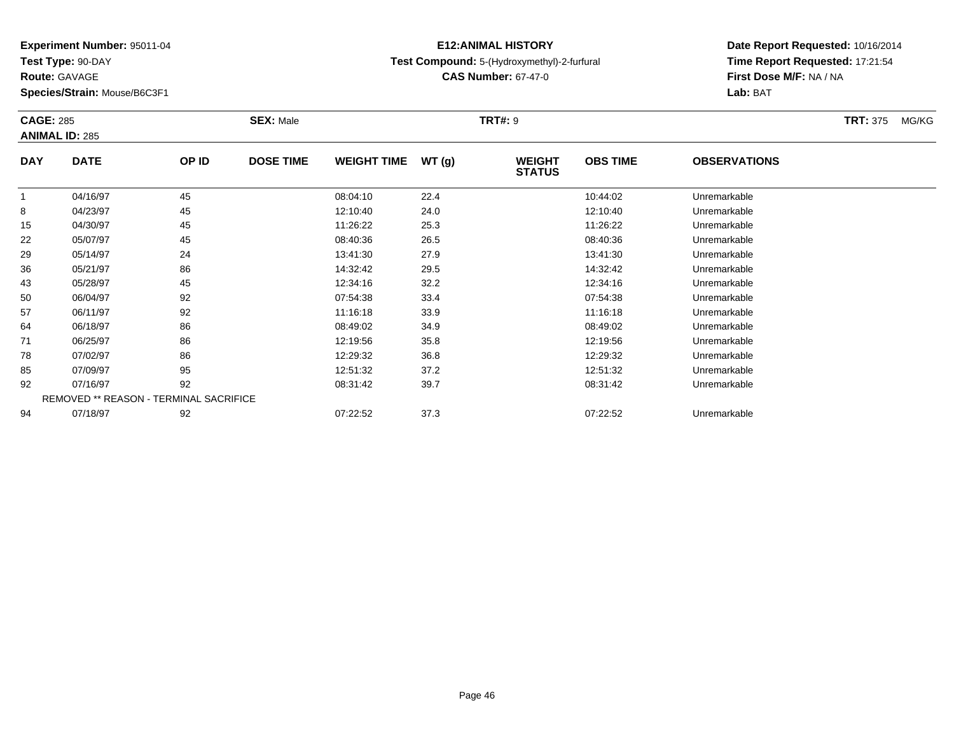**Test Type:** 90-DAY

**Route:** GAVAGE

**Species/Strain:** Mouse/B6C3F1

## **E12:ANIMAL HISTORYTest Compound:** 5-(Hydroxymethyl)-2-furfural

**CAS Number:** 67-47-0

| <b>CAGE: 285</b> | <b>ANIMAL ID: 285</b>                  |       | <b>SEX: Male</b> |                    | <b>TRT#: 9</b> |                                |                 |                     | <b>TRT: 375</b> | MG/KG |
|------------------|----------------------------------------|-------|------------------|--------------------|----------------|--------------------------------|-----------------|---------------------|-----------------|-------|
| <b>DAY</b>       | <b>DATE</b>                            | OP ID | <b>DOSE TIME</b> | <b>WEIGHT TIME</b> | WT(g)          | <b>WEIGHT</b><br><b>STATUS</b> | <b>OBS TIME</b> | <b>OBSERVATIONS</b> |                 |       |
|                  | 04/16/97                               | 45    |                  | 08:04:10           | 22.4           |                                | 10:44:02        | Unremarkable        |                 |       |
| 8                | 04/23/97                               | 45    |                  | 12:10:40           | 24.0           |                                | 12:10:40        | Unremarkable        |                 |       |
| 15               | 04/30/97                               | 45    |                  | 11:26:22           | 25.3           |                                | 11:26:22        | Unremarkable        |                 |       |
| 22               | 05/07/97                               | 45    |                  | 08:40:36           | 26.5           |                                | 08:40:36        | Unremarkable        |                 |       |
| 29               | 05/14/97                               | 24    |                  | 13:41:30           | 27.9           |                                | 13:41:30        | Unremarkable        |                 |       |
| 36               | 05/21/97                               | 86    |                  | 14:32:42           | 29.5           |                                | 14:32:42        | Unremarkable        |                 |       |
| 43               | 05/28/97                               | 45    |                  | 12:34:16           | 32.2           |                                | 12:34:16        | Unremarkable        |                 |       |
| 50               | 06/04/97                               | 92    |                  | 07:54:38           | 33.4           |                                | 07:54:38        | Unremarkable        |                 |       |
| 57               | 06/11/97                               | 92    |                  | 11:16:18           | 33.9           |                                | 11:16:18        | Unremarkable        |                 |       |
| 64               | 06/18/97                               | 86    |                  | 08:49:02           | 34.9           |                                | 08:49:02        | Unremarkable        |                 |       |
| 71               | 06/25/97                               | 86    |                  | 12:19:56           | 35.8           |                                | 12:19:56        | Unremarkable        |                 |       |
| 78               | 07/02/97                               | 86    |                  | 12:29:32           | 36.8           |                                | 12:29:32        | Unremarkable        |                 |       |
| 85               | 07/09/97                               | 95    |                  | 12:51:32           | 37.2           |                                | 12:51:32        | Unremarkable        |                 |       |
| 92               | 07/16/97                               | 92    |                  | 08:31:42           | 39.7           |                                | 08:31:42        | Unremarkable        |                 |       |
|                  | REMOVED ** REASON - TERMINAL SACRIFICE |       |                  |                    |                |                                |                 |                     |                 |       |
| 94               | 07/18/97                               | 92    |                  | 07:22:52           | 37.3           |                                | 07:22:52        | Unremarkable        |                 |       |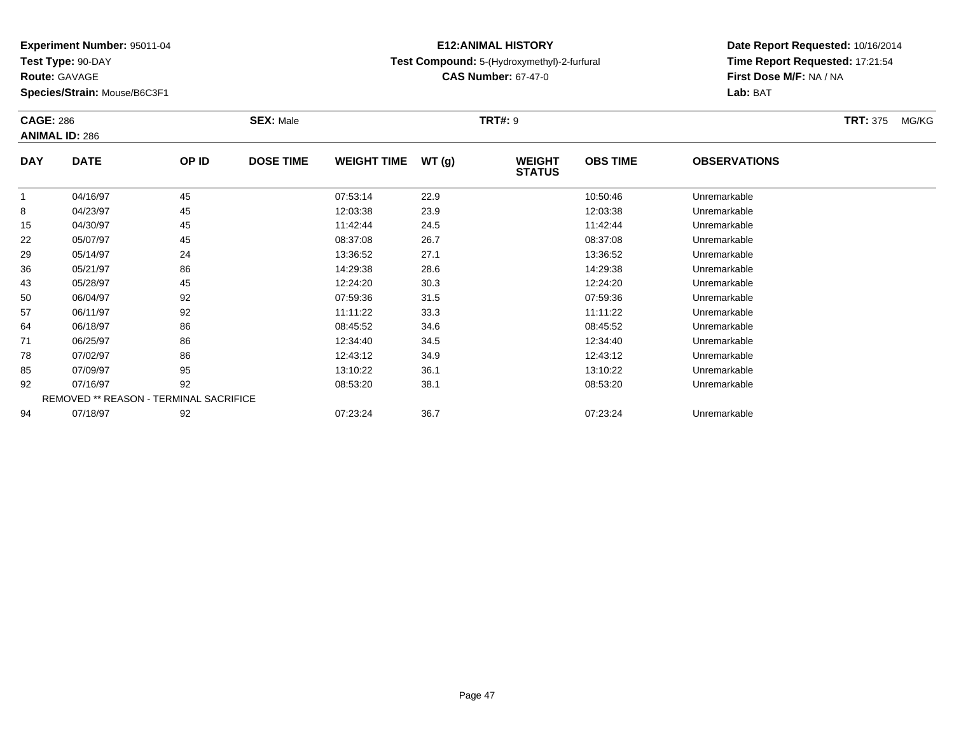**Test Type:** 90-DAY

**Route:** GAVAGE

**Species/Strain:** Mouse/B6C3F1

## **E12:ANIMAL HISTORYTest Compound:** 5-(Hydroxymethyl)-2-furfural

**CAS Number:** 67-47-0

| <b>CAGE: 286</b> |                                        |       | <b>SEX: Male</b> |                    |       | <b>TRT#: 9</b>                 |                 |                     | <b>TRT: 375</b> | MG/KG |
|------------------|----------------------------------------|-------|------------------|--------------------|-------|--------------------------------|-----------------|---------------------|-----------------|-------|
|                  | <b>ANIMAL ID: 286</b>                  |       |                  |                    |       |                                |                 |                     |                 |       |
| <b>DAY</b>       | <b>DATE</b>                            | OP ID | <b>DOSE TIME</b> | <b>WEIGHT TIME</b> | WT(g) | <b>WEIGHT</b><br><b>STATUS</b> | <b>OBS TIME</b> | <b>OBSERVATIONS</b> |                 |       |
|                  | 04/16/97                               | 45    |                  | 07:53:14           | 22.9  |                                | 10:50:46        | Unremarkable        |                 |       |
| 8                | 04/23/97                               | 45    |                  | 12:03:38           | 23.9  |                                | 12:03:38        | Unremarkable        |                 |       |
| 15               | 04/30/97                               | 45    |                  | 11:42:44           | 24.5  |                                | 11:42:44        | Unremarkable        |                 |       |
| 22               | 05/07/97                               | 45    |                  | 08:37:08           | 26.7  |                                | 08:37:08        | Unremarkable        |                 |       |
| 29               | 05/14/97                               | 24    |                  | 13:36:52           | 27.1  |                                | 13:36:52        | Unremarkable        |                 |       |
| 36               | 05/21/97                               | 86    |                  | 14:29:38           | 28.6  |                                | 14:29:38        | Unremarkable        |                 |       |
| 43               | 05/28/97                               | 45    |                  | 12:24:20           | 30.3  |                                | 12:24:20        | Unremarkable        |                 |       |
| 50               | 06/04/97                               | 92    |                  | 07:59:36           | 31.5  |                                | 07:59:36        | Unremarkable        |                 |       |
| 57               | 06/11/97                               | 92    |                  | 11:11:22           | 33.3  |                                | 11:11:22        | Unremarkable        |                 |       |
| 64               | 06/18/97                               | 86    |                  | 08:45:52           | 34.6  |                                | 08:45:52        | Unremarkable        |                 |       |
| 71               | 06/25/97                               | 86    |                  | 12:34:40           | 34.5  |                                | 12:34:40        | Unremarkable        |                 |       |
| 78               | 07/02/97                               | 86    |                  | 12:43:12           | 34.9  |                                | 12:43:12        | Unremarkable        |                 |       |
| 85               | 07/09/97                               | 95    |                  | 13:10:22           | 36.1  |                                | 13:10:22        | Unremarkable        |                 |       |
| 92               | 07/16/97                               | 92    |                  | 08:53:20           | 38.1  |                                | 08:53:20        | Unremarkable        |                 |       |
|                  | REMOVED ** REASON - TERMINAL SACRIFICE |       |                  |                    |       |                                |                 |                     |                 |       |
| 94               | 07/18/97                               | 92    |                  | 07:23:24           | 36.7  |                                | 07:23:24        | Unremarkable        |                 |       |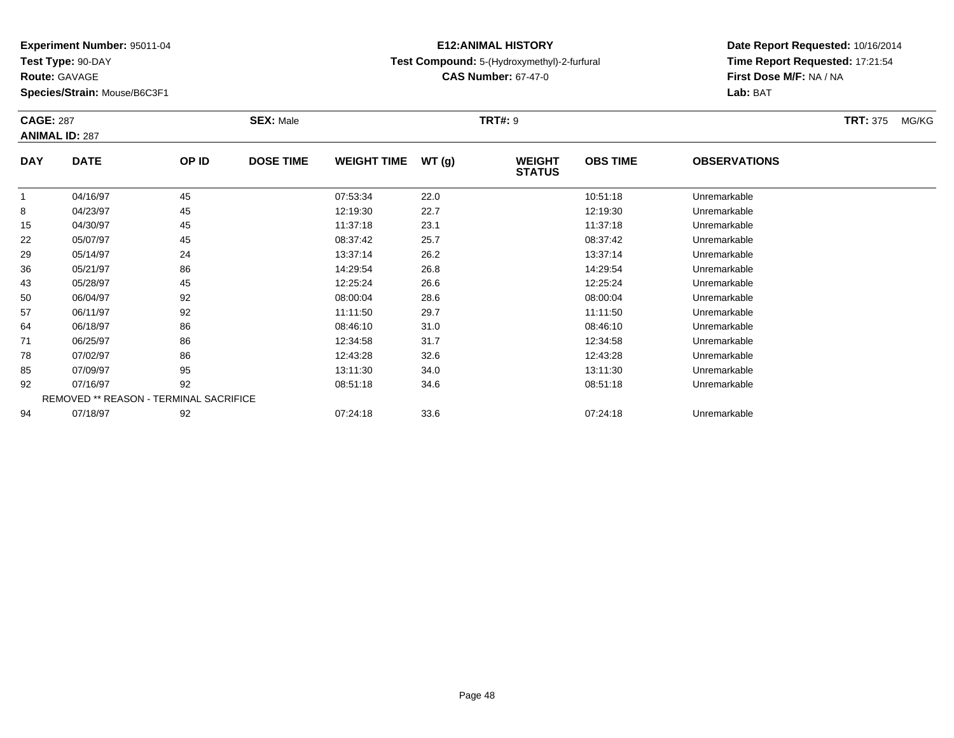**Test Type:** 90-DAY

**Route:** GAVAGE

**Species/Strain:** Mouse/B6C3F1

## **E12:ANIMAL HISTORYTest Compound:** 5-(Hydroxymethyl)-2-furfural

**CAS Number:** 67-47-0

| <b>CAGE: 287</b> | <b>ANIMAL ID: 287</b>                  |    | <b>SEX: Male</b><br>OP ID |                    | <b>TRT#: 9</b> |                                |                 |                     | <b>TRT: 375</b> | MG/KG |
|------------------|----------------------------------------|----|---------------------------|--------------------|----------------|--------------------------------|-----------------|---------------------|-----------------|-------|
| <b>DAY</b>       | <b>DATE</b>                            |    | <b>DOSE TIME</b>          | <b>WEIGHT TIME</b> | WT(g)          | <b>WEIGHT</b><br><b>STATUS</b> | <b>OBS TIME</b> | <b>OBSERVATIONS</b> |                 |       |
|                  | 04/16/97                               | 45 |                           | 07:53:34           | 22.0           |                                | 10:51:18        | Unremarkable        |                 |       |
| 8                | 04/23/97                               | 45 |                           | 12:19:30           | 22.7           |                                | 12:19:30        | Unremarkable        |                 |       |
| 15               | 04/30/97                               | 45 |                           | 11:37:18           | 23.1           |                                | 11:37:18        | Unremarkable        |                 |       |
| 22               | 05/07/97                               | 45 |                           | 08:37:42           | 25.7           |                                | 08:37:42        | Unremarkable        |                 |       |
| 29               | 05/14/97                               | 24 |                           | 13:37:14           | 26.2           |                                | 13:37:14        | Unremarkable        |                 |       |
| 36               | 05/21/97                               | 86 |                           | 14:29:54           | 26.8           |                                | 14:29:54        | Unremarkable        |                 |       |
| 43               | 05/28/97                               | 45 |                           | 12:25:24           | 26.6           |                                | 12:25:24        | Unremarkable        |                 |       |
| 50               | 06/04/97                               | 92 |                           | 08:00:04           | 28.6           |                                | 08:00:04        | Unremarkable        |                 |       |
| 57               | 06/11/97                               | 92 |                           | 11:11:50           | 29.7           |                                | 11:11:50        | Unremarkable        |                 |       |
| 64               | 06/18/97                               | 86 |                           | 08:46:10           | 31.0           |                                | 08:46:10        | Unremarkable        |                 |       |
| 71               | 06/25/97                               | 86 |                           | 12:34:58           | 31.7           |                                | 12:34:58        | Unremarkable        |                 |       |
| 78               | 07/02/97                               | 86 |                           | 12:43:28           | 32.6           |                                | 12:43:28        | Unremarkable        |                 |       |
| 85               | 07/09/97                               | 95 |                           | 13:11:30           | 34.0           |                                | 13:11:30        | Unremarkable        |                 |       |
| 92               | 07/16/97                               | 92 |                           | 08:51:18           | 34.6           |                                | 08:51:18        | Unremarkable        |                 |       |
|                  | REMOVED ** REASON - TERMINAL SACRIFICE |    |                           |                    |                |                                |                 |                     |                 |       |
| 94               | 07/18/97                               | 92 |                           | 07:24:18           | 33.6           |                                | 07:24:18        | Unremarkable        |                 |       |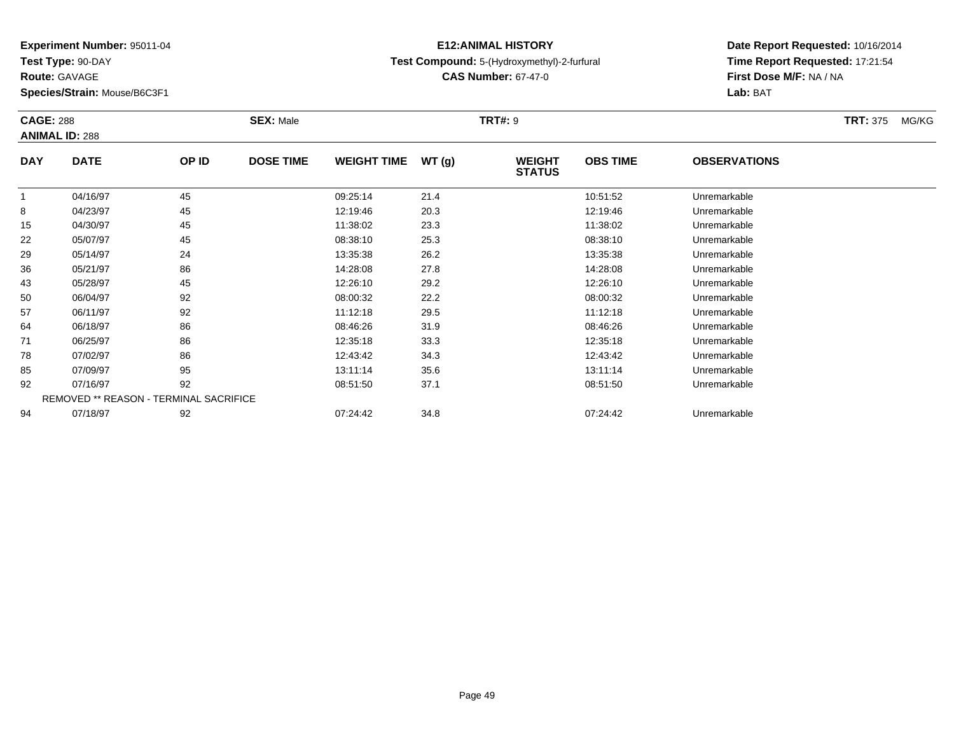**Test Type:** 90-DAY

**Route:** GAVAGE

**Species/Strain:** Mouse/B6C3F1

## **E12:ANIMAL HISTORYTest Compound:** 5-(Hydroxymethyl)-2-furfural

**CAS Number:** 67-47-0

| <b>CAGE: 288</b> | <b>ANIMAL ID: 288</b>                  |       | <b>SEX: Male</b> |                    |       | <b>TRT#: 9</b>                 |                 |                     | <b>TRT: 375</b> | MG/KG |
|------------------|----------------------------------------|-------|------------------|--------------------|-------|--------------------------------|-----------------|---------------------|-----------------|-------|
| <b>DAY</b>       | <b>DATE</b>                            | OP ID | <b>DOSE TIME</b> | <b>WEIGHT TIME</b> | WT(g) | <b>WEIGHT</b><br><b>STATUS</b> | <b>OBS TIME</b> | <b>OBSERVATIONS</b> |                 |       |
|                  | 04/16/97                               | 45    |                  | 09:25:14           | 21.4  |                                | 10:51:52        | Unremarkable        |                 |       |
| 8                | 04/23/97                               | 45    |                  | 12:19:46           | 20.3  |                                | 12:19:46        | Unremarkable        |                 |       |
| 15               | 04/30/97                               | 45    |                  | 11:38:02           | 23.3  |                                | 11:38:02        | Unremarkable        |                 |       |
| 22               | 05/07/97                               | 45    |                  | 08:38:10           | 25.3  |                                | 08:38:10        | Unremarkable        |                 |       |
| 29               | 05/14/97                               | 24    |                  | 13:35:38           | 26.2  |                                | 13:35:38        | Unremarkable        |                 |       |
| 36               | 05/21/97                               | 86    |                  | 14:28:08           | 27.8  |                                | 14:28:08        | Unremarkable        |                 |       |
| 43               | 05/28/97                               | 45    |                  | 12:26:10           | 29.2  |                                | 12:26:10        | Unremarkable        |                 |       |
| 50               | 06/04/97                               | 92    |                  | 08:00:32           | 22.2  |                                | 08:00:32        | Unremarkable        |                 |       |
| 57               | 06/11/97                               | 92    |                  | 11:12:18           | 29.5  |                                | 11:12:18        | Unremarkable        |                 |       |
| 64               | 06/18/97                               | 86    |                  | 08:46:26           | 31.9  |                                | 08:46:26        | Unremarkable        |                 |       |
| 71               | 06/25/97                               | 86    |                  | 12:35:18           | 33.3  |                                | 12:35:18        | Unremarkable        |                 |       |
| 78               | 07/02/97                               | 86    |                  | 12:43:42           | 34.3  |                                | 12:43:42        | Unremarkable        |                 |       |
| 85               | 07/09/97                               | 95    |                  | 13:11:14           | 35.6  |                                | 13:11:14        | Unremarkable        |                 |       |
| 92               | 07/16/97                               | 92    |                  | 08:51:50           | 37.1  |                                | 08:51:50        | Unremarkable        |                 |       |
|                  | REMOVED ** REASON - TERMINAL SACRIFICE |       |                  |                    |       |                                |                 |                     |                 |       |
| 94               | 07/18/97                               | 92    |                  | 07:24:42           | 34.8  |                                | 07:24:42        | Unremarkable        |                 |       |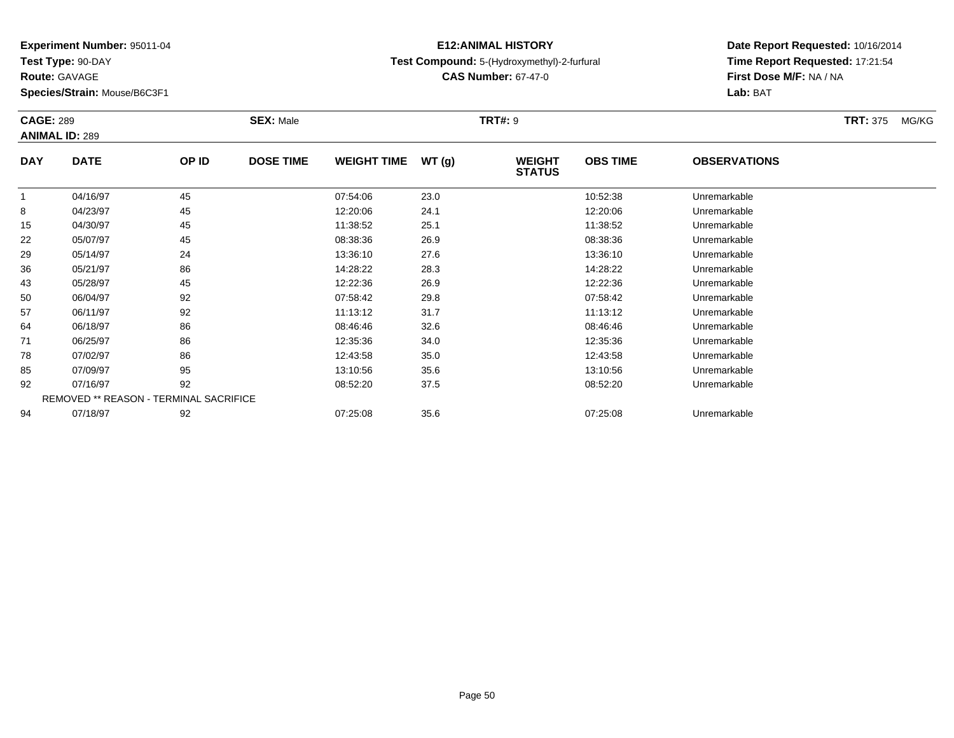**Test Type:** 90-DAY

**Route:** GAVAGE

**Species/Strain:** Mouse/B6C3F1

## **E12:ANIMAL HISTORYTest Compound:** 5-(Hydroxymethyl)-2-furfural

**Date Report Requested:** 10/16/2014 **Time Report Requested:** 17:21:54**First Dose M/F:** NA / NA**Lab:** BAT

| <b>CAGE: 289</b> |                                        |       | <b>SEX: Male</b> |                    |       | TRT#: 9                        |                 |                     | <b>TRT: 375</b><br>MG/KG |
|------------------|----------------------------------------|-------|------------------|--------------------|-------|--------------------------------|-----------------|---------------------|--------------------------|
|                  | <b>ANIMAL ID: 289</b>                  |       |                  |                    |       |                                |                 |                     |                          |
| <b>DAY</b>       | <b>DATE</b>                            | OP ID | <b>DOSE TIME</b> | <b>WEIGHT TIME</b> | WT(g) | <b>WEIGHT</b><br><b>STATUS</b> | <b>OBS TIME</b> | <b>OBSERVATIONS</b> |                          |
|                  | 04/16/97                               | 45    |                  | 07:54:06           | 23.0  |                                | 10:52:38        | Unremarkable        |                          |
| 8                | 04/23/97                               | 45    |                  | 12:20:06           | 24.1  |                                | 12:20:06        | Unremarkable        |                          |
| 15               | 04/30/97                               | 45    |                  | 11:38:52           | 25.1  |                                | 11:38:52        | Unremarkable        |                          |
| 22               | 05/07/97                               | 45    |                  | 08:38:36           | 26.9  |                                | 08:38:36        | Unremarkable        |                          |
| 29               | 05/14/97                               | 24    |                  | 13:36:10           | 27.6  |                                | 13:36:10        | Unremarkable        |                          |
| 36               | 05/21/97                               | 86    |                  | 14:28:22           | 28.3  |                                | 14:28:22        | Unremarkable        |                          |
| 43               | 05/28/97                               | 45    |                  | 12:22:36           | 26.9  |                                | 12:22:36        | Unremarkable        |                          |
| 50               | 06/04/97                               | 92    |                  | 07:58:42           | 29.8  |                                | 07:58:42        | Unremarkable        |                          |
| 57               | 06/11/97                               | 92    |                  | 11:13:12           | 31.7  |                                | 11:13:12        | Unremarkable        |                          |
| 64               | 06/18/97                               | 86    |                  | 08:46:46           | 32.6  |                                | 08:46:46        | Unremarkable        |                          |
| 71               | 06/25/97                               | 86    |                  | 12:35:36           | 34.0  |                                | 12:35:36        | Unremarkable        |                          |
| 78               | 07/02/97                               | 86    |                  | 12:43:58           | 35.0  |                                | 12:43:58        | Unremarkable        |                          |
| 85               | 07/09/97                               | 95    |                  | 13:10:56           | 35.6  |                                | 13:10:56        | Unremarkable        |                          |
| 92               | 07/16/97                               | 92    |                  | 08:52:20           | 37.5  |                                | 08:52:20        | Unremarkable        |                          |
|                  | REMOVED ** REASON - TERMINAL SACRIFICE |       |                  |                    |       |                                |                 |                     |                          |
| 94               | 07/18/97                               | 92    |                  | 07:25:08           | 35.6  |                                | 07:25:08        | Unremarkable        |                          |

**CAS Number:** 67-47-0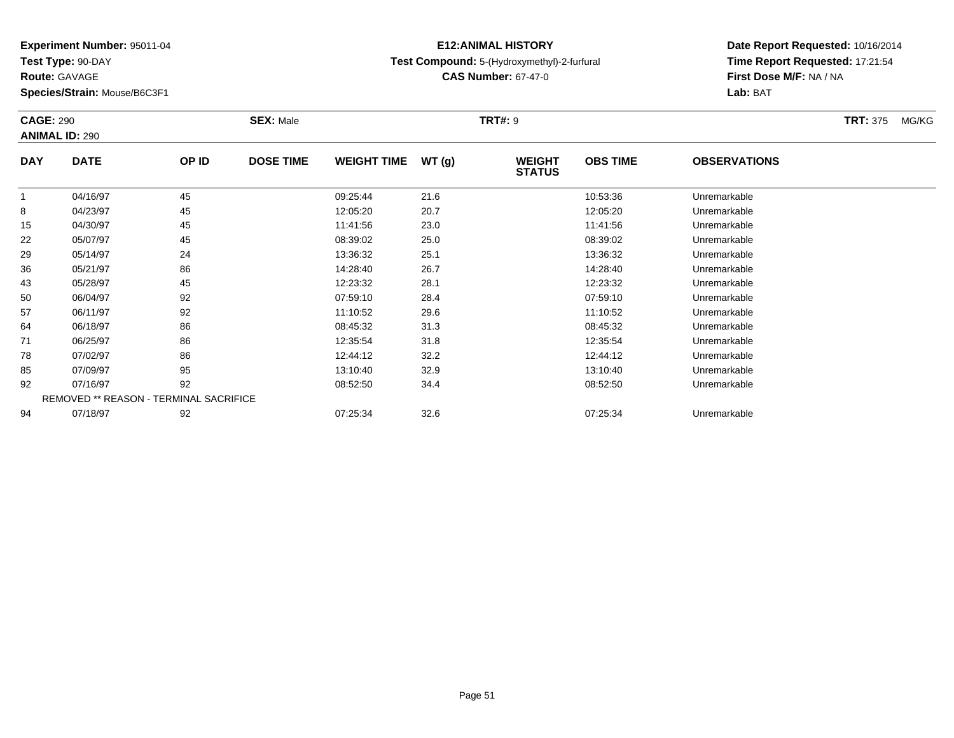**Test Type:** 90-DAY

**Route:** GAVAGE

**Species/Strain:** Mouse/B6C3F1

## **E12:ANIMAL HISTORYTest Compound:** 5-(Hydroxymethyl)-2-furfural

**CAS Number:** 67-47-0

| <b>CAGE: 290</b> | <b>ANIMAL ID: 290</b>                  |       | <b>SEX: Male</b> |                    |       | <b>TRT#: 9</b>                 |                 |                     | <b>TRT: 375</b><br>MG/KG |
|------------------|----------------------------------------|-------|------------------|--------------------|-------|--------------------------------|-----------------|---------------------|--------------------------|
| <b>DAY</b>       | <b>DATE</b>                            | OP ID | <b>DOSE TIME</b> | <b>WEIGHT TIME</b> | WT(g) | <b>WEIGHT</b><br><b>STATUS</b> | <b>OBS TIME</b> | <b>OBSERVATIONS</b> |                          |
| $\mathbf 1$      | 04/16/97                               | 45    |                  | 09:25:44           | 21.6  |                                | 10:53:36        | Unremarkable        |                          |
| 8                | 04/23/97                               | 45    |                  | 12:05:20           | 20.7  |                                | 12:05:20        | Unremarkable        |                          |
| 15               | 04/30/97                               | 45    |                  | 11:41:56           | 23.0  |                                | 11:41:56        | Unremarkable        |                          |
| 22               | 05/07/97                               | 45    |                  | 08:39:02           | 25.0  |                                | 08:39:02        | Unremarkable        |                          |
| 29               | 05/14/97                               | 24    |                  | 13:36:32           | 25.1  |                                | 13:36:32        | Unremarkable        |                          |
| 36               | 05/21/97                               | 86    |                  | 14:28:40           | 26.7  |                                | 14:28:40        | Unremarkable        |                          |
| 43               | 05/28/97                               | 45    |                  | 12:23:32           | 28.1  |                                | 12:23:32        | Unremarkable        |                          |
| 50               | 06/04/97                               | 92    |                  | 07:59:10           | 28.4  |                                | 07:59:10        | Unremarkable        |                          |
| 57               | 06/11/97                               | 92    |                  | 11:10:52           | 29.6  |                                | 11:10:52        | Unremarkable        |                          |
| 64               | 06/18/97                               | 86    |                  | 08:45:32           | 31.3  |                                | 08:45:32        | Unremarkable        |                          |
| 71               | 06/25/97                               | 86    |                  | 12:35:54           | 31.8  |                                | 12:35:54        | Unremarkable        |                          |
| 78               | 07/02/97                               | 86    |                  | 12:44:12           | 32.2  |                                | 12:44:12        | Unremarkable        |                          |
| 85               | 07/09/97                               | 95    |                  | 13:10:40           | 32.9  |                                | 13:10:40        | Unremarkable        |                          |
| 92               | 07/16/97                               | 92    |                  | 08:52:50           | 34.4  |                                | 08:52:50        | Unremarkable        |                          |
|                  | REMOVED ** REASON - TERMINAL SACRIFICE |       |                  |                    |       |                                |                 |                     |                          |
| 94               | 07/18/97                               | 92    |                  | 07:25:34           | 32.6  |                                | 07:25:34        | Unremarkable        |                          |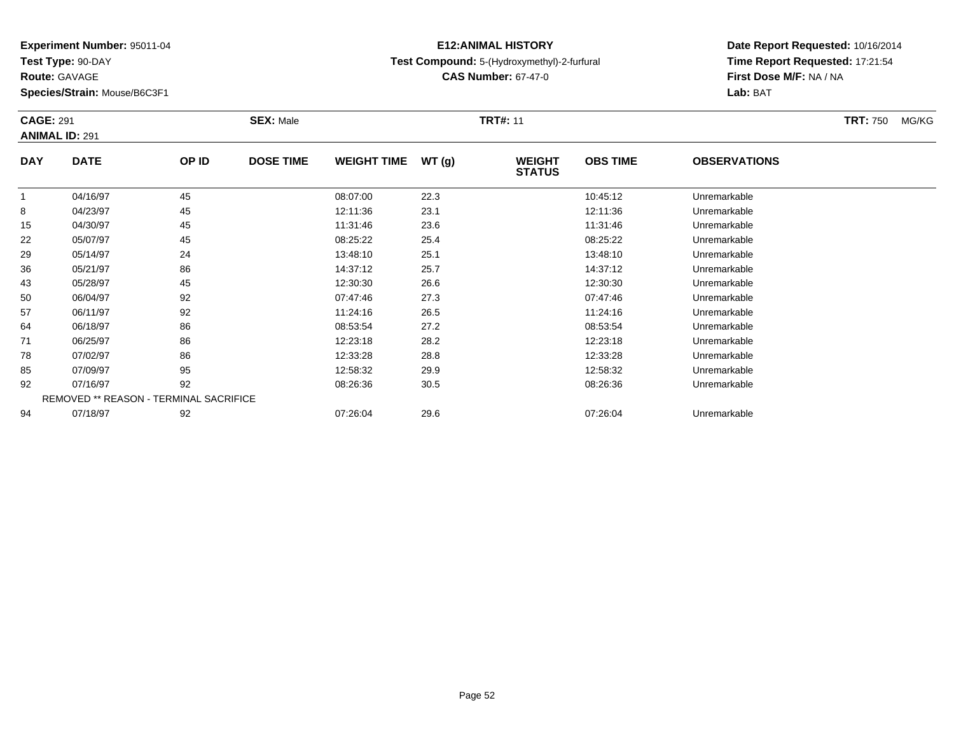**Test Type:** 90-DAY

**Route:** GAVAGE

**Species/Strain:** Mouse/B6C3F1

## **E12:ANIMAL HISTORYTest Compound:** 5-(Hydroxymethyl)-2-furfural

**CAS Number:** 67-47-0

| <b>CAGE: 291</b> | <b>ANIMAL ID: 291</b>                         |       | <b>SEX: Male</b> |                    |       | <b>TRT#: 11</b>                |                 |                     | <b>TRT: 750</b> | MG/KG |
|------------------|-----------------------------------------------|-------|------------------|--------------------|-------|--------------------------------|-----------------|---------------------|-----------------|-------|
| <b>DAY</b>       | <b>DATE</b>                                   | OP ID | <b>DOSE TIME</b> | <b>WEIGHT TIME</b> | WT(g) | <b>WEIGHT</b><br><b>STATUS</b> | <b>OBS TIME</b> | <b>OBSERVATIONS</b> |                 |       |
|                  | 04/16/97                                      | 45    |                  | 08:07:00           | 22.3  |                                | 10:45:12        | Unremarkable        |                 |       |
| 8                | 04/23/97                                      | 45    |                  | 12:11:36           | 23.1  |                                | 12:11:36        | Unremarkable        |                 |       |
| 15               | 04/30/97                                      | 45    |                  | 11:31:46           | 23.6  |                                | 11:31:46        | Unremarkable        |                 |       |
| 22               | 05/07/97                                      | 45    |                  | 08:25:22           | 25.4  |                                | 08:25:22        | Unremarkable        |                 |       |
| 29               | 05/14/97                                      | 24    |                  | 13:48:10           | 25.1  |                                | 13:48:10        | Unremarkable        |                 |       |
| 36               | 05/21/97                                      | 86    |                  | 14:37:12           | 25.7  |                                | 14:37:12        | Unremarkable        |                 |       |
| 43               | 05/28/97                                      | 45    |                  | 12:30:30           | 26.6  |                                | 12:30:30        | Unremarkable        |                 |       |
| 50               | 06/04/97                                      | 92    |                  | 07:47:46           | 27.3  |                                | 07:47:46        | Unremarkable        |                 |       |
| 57               | 06/11/97                                      | 92    |                  | 11:24:16           | 26.5  |                                | 11:24:16        | Unremarkable        |                 |       |
| 64               | 06/18/97                                      | 86    |                  | 08:53:54           | 27.2  |                                | 08:53:54        | Unremarkable        |                 |       |
| 71               | 06/25/97                                      | 86    |                  | 12:23:18           | 28.2  |                                | 12:23:18        | Unremarkable        |                 |       |
| 78               | 07/02/97                                      | 86    |                  | 12:33:28           | 28.8  |                                | 12:33:28        | Unremarkable        |                 |       |
| 85               | 07/09/97                                      | 95    |                  | 12:58:32           | 29.9  |                                | 12:58:32        | Unremarkable        |                 |       |
| 92               | 07/16/97                                      | 92    |                  | 08:26:36           | 30.5  |                                | 08:26:36        | Unremarkable        |                 |       |
|                  | <b>REMOVED ** REASON - TERMINAL SACRIFICE</b> |       |                  |                    |       |                                |                 |                     |                 |       |
| 94               | 07/18/97                                      | 92    |                  | 07:26:04           | 29.6  |                                | 07:26:04        | Unremarkable        |                 |       |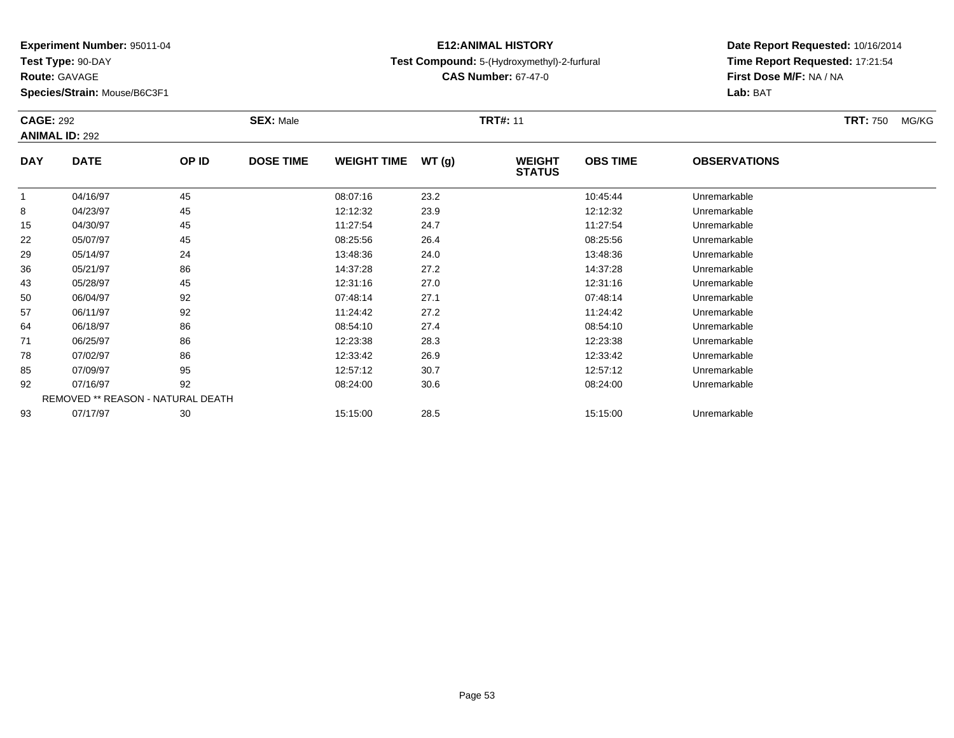**Test Type:** 90-DAY

**Route:** GAVAGE

**Species/Strain:** Mouse/B6C3F1

## **E12:ANIMAL HISTORYTest Compound:** 5-(Hydroxymethyl)-2-furfural

**CAS Number:** 67-47-0

| <b>CAGE: 292</b> | <b>ANIMAL ID: 292</b>             |       | <b>SEX: Male</b> |                    |       | <b>TRT#: 11</b>                |                 |                     | <b>TRT: 750</b> | MG/KG |
|------------------|-----------------------------------|-------|------------------|--------------------|-------|--------------------------------|-----------------|---------------------|-----------------|-------|
| <b>DAY</b>       | <b>DATE</b>                       | OP ID | <b>DOSE TIME</b> | <b>WEIGHT TIME</b> | WT(g) | <b>WEIGHT</b><br><b>STATUS</b> | <b>OBS TIME</b> | <b>OBSERVATIONS</b> |                 |       |
|                  | 04/16/97                          | 45    |                  | 08:07:16           | 23.2  |                                | 10:45:44        | Unremarkable        |                 |       |
| 8                | 04/23/97                          | 45    |                  | 12:12:32           | 23.9  |                                | 12:12:32        | Unremarkable        |                 |       |
| 15               | 04/30/97                          | 45    |                  | 11:27:54           | 24.7  |                                | 11:27:54        | Unremarkable        |                 |       |
| 22               | 05/07/97                          | 45    |                  | 08:25:56           | 26.4  |                                | 08:25:56        | Unremarkable        |                 |       |
| 29               | 05/14/97                          | 24    |                  | 13:48:36           | 24.0  |                                | 13:48:36        | Unremarkable        |                 |       |
| 36               | 05/21/97                          | 86    |                  | 14:37:28           | 27.2  |                                | 14:37:28        | Unremarkable        |                 |       |
| 43               | 05/28/97                          | 45    |                  | 12:31:16           | 27.0  |                                | 12:31:16        | Unremarkable        |                 |       |
| 50               | 06/04/97                          | 92    |                  | 07:48:14           | 27.1  |                                | 07:48:14        | Unremarkable        |                 |       |
| 57               | 06/11/97                          | 92    |                  | 11:24:42           | 27.2  |                                | 11:24:42        | Unremarkable        |                 |       |
| 64               | 06/18/97                          | 86    |                  | 08:54:10           | 27.4  |                                | 08:54:10        | Unremarkable        |                 |       |
| 71               | 06/25/97                          | 86    |                  | 12:23:38           | 28.3  |                                | 12:23:38        | Unremarkable        |                 |       |
| 78               | 07/02/97                          | 86    |                  | 12:33:42           | 26.9  |                                | 12:33:42        | Unremarkable        |                 |       |
| 85               | 07/09/97                          | 95    |                  | 12:57:12           | 30.7  |                                | 12:57:12        | Unremarkable        |                 |       |
| 92               | 07/16/97                          | 92    |                  | 08:24:00           | 30.6  |                                | 08:24:00        | Unremarkable        |                 |       |
|                  | REMOVED ** REASON - NATURAL DEATH |       |                  |                    |       |                                |                 |                     |                 |       |
| 93               | 07/17/97                          | 30    |                  | 15:15:00           | 28.5  |                                | 15:15:00        | Unremarkable        |                 |       |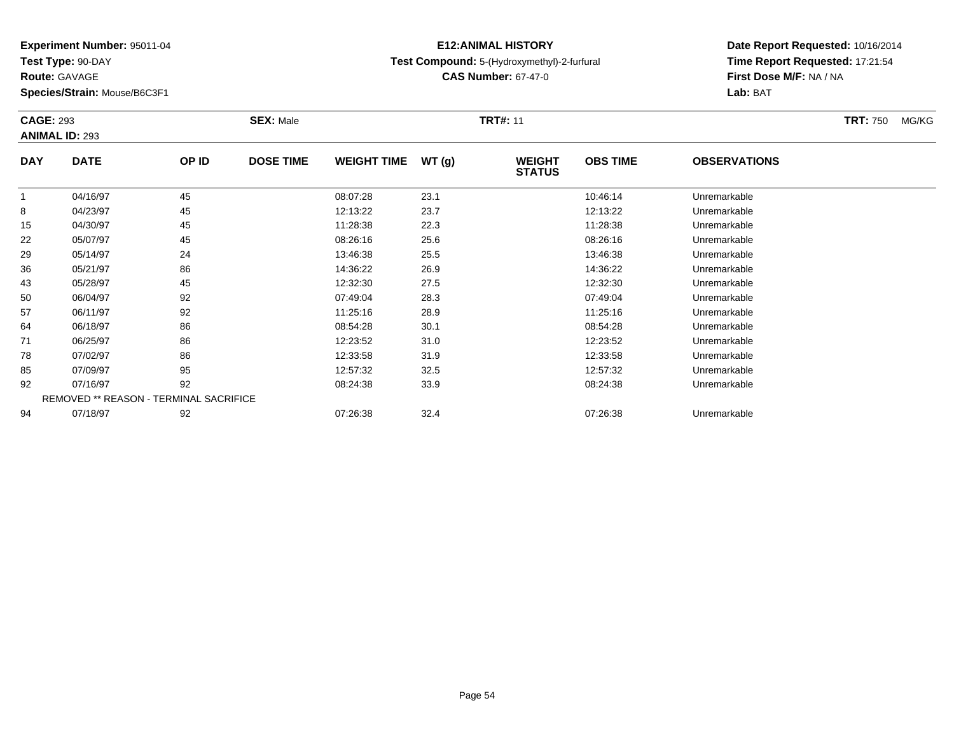**Test Type:** 90-DAY

**Route:** GAVAGE

**Species/Strain:** Mouse/B6C3F1

## **E12:ANIMAL HISTORYTest Compound:** 5-(Hydroxymethyl)-2-furfural

**CAS Number:** 67-47-0

| <b>CAGE: 293</b> | <b>ANIMAL ID: 293</b>                         |       | <b>SEX: Male</b> |                    |       | <b>TRT#: 11</b>                |                 |                     | <b>TRT: 750</b> | MG/KG |
|------------------|-----------------------------------------------|-------|------------------|--------------------|-------|--------------------------------|-----------------|---------------------|-----------------|-------|
| <b>DAY</b>       | <b>DATE</b>                                   | OP ID | <b>DOSE TIME</b> | <b>WEIGHT TIME</b> | WT(g) | <b>WEIGHT</b><br><b>STATUS</b> | <b>OBS TIME</b> | <b>OBSERVATIONS</b> |                 |       |
|                  | 04/16/97                                      | 45    |                  | 08:07:28           | 23.1  |                                | 10:46:14        | Unremarkable        |                 |       |
| 8                | 04/23/97                                      | 45    |                  | 12:13:22           | 23.7  |                                | 12:13:22        | Unremarkable        |                 |       |
| 15               | 04/30/97                                      | 45    |                  | 11:28:38           | 22.3  |                                | 11:28:38        | Unremarkable        |                 |       |
| 22               | 05/07/97                                      | 45    |                  | 08:26:16           | 25.6  |                                | 08:26:16        | Unremarkable        |                 |       |
| 29               | 05/14/97                                      | 24    |                  | 13:46:38           | 25.5  |                                | 13:46:38        | Unremarkable        |                 |       |
| 36               | 05/21/97                                      | 86    |                  | 14:36:22           | 26.9  |                                | 14:36:22        | Unremarkable        |                 |       |
| 43               | 05/28/97                                      | 45    |                  | 12:32:30           | 27.5  |                                | 12:32:30        | Unremarkable        |                 |       |
| 50               | 06/04/97                                      | 92    |                  | 07:49:04           | 28.3  |                                | 07:49:04        | Unremarkable        |                 |       |
| 57               | 06/11/97                                      | 92    |                  | 11:25:16           | 28.9  |                                | 11:25:16        | Unremarkable        |                 |       |
| 64               | 06/18/97                                      | 86    |                  | 08:54:28           | 30.1  |                                | 08:54:28        | Unremarkable        |                 |       |
| 71               | 06/25/97                                      | 86    |                  | 12:23:52           | 31.0  |                                | 12:23:52        | Unremarkable        |                 |       |
| 78               | 07/02/97                                      | 86    |                  | 12:33:58           | 31.9  |                                | 12:33:58        | Unremarkable        |                 |       |
| 85               | 07/09/97                                      | 95    |                  | 12:57:32           | 32.5  |                                | 12:57:32        | Unremarkable        |                 |       |
| 92               | 07/16/97                                      | 92    |                  | 08:24:38           | 33.9  |                                | 08:24:38        | Unremarkable        |                 |       |
|                  | <b>REMOVED ** REASON - TERMINAL SACRIFICE</b> |       |                  |                    |       |                                |                 |                     |                 |       |
| 94               | 07/18/97                                      | 92    |                  | 07:26:38           | 32.4  |                                | 07:26:38        | Unremarkable        |                 |       |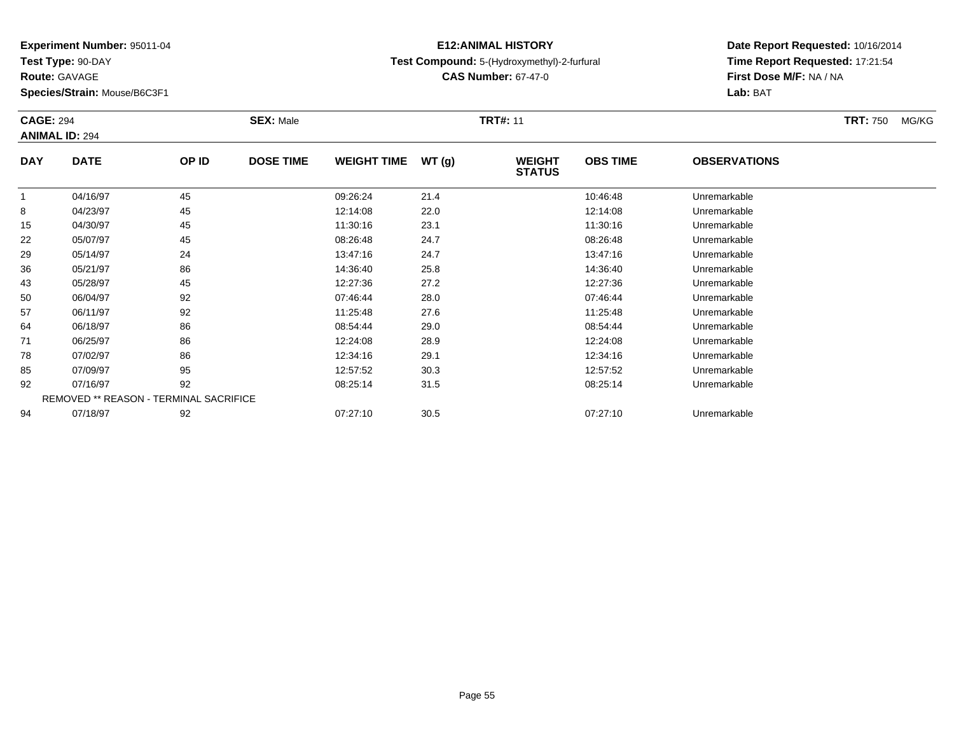**Test Type:** 90-DAY

**Route:** GAVAGE

**Species/Strain:** Mouse/B6C3F1

## **E12:ANIMAL HISTORYTest Compound:** 5-(Hydroxymethyl)-2-furfural

**CAS Number:** 67-47-0

| <b>CAGE: 294</b> | <b>ANIMAL ID: 294</b> |                                        | <b>SEX: Male</b> |                    |       | <b>TRT#: 11</b>                |                 |                     | <b>TRT: 750</b> | MG/KG |
|------------------|-----------------------|----------------------------------------|------------------|--------------------|-------|--------------------------------|-----------------|---------------------|-----------------|-------|
| <b>DAY</b>       | <b>DATE</b>           | OP ID                                  | <b>DOSE TIME</b> | <b>WEIGHT TIME</b> | WT(g) | <b>WEIGHT</b><br><b>STATUS</b> | <b>OBS TIME</b> | <b>OBSERVATIONS</b> |                 |       |
| 1                | 04/16/97              | 45                                     |                  | 09:26:24           | 21.4  |                                | 10:46:48        | Unremarkable        |                 |       |
| 8                | 04/23/97              | 45                                     |                  | 12:14:08           | 22.0  |                                | 12:14:08        | Unremarkable        |                 |       |
| 15               | 04/30/97              | 45                                     |                  | 11:30:16           | 23.1  |                                | 11:30:16        | Unremarkable        |                 |       |
| 22               | 05/07/97              | 45                                     |                  | 08:26:48           | 24.7  |                                | 08:26:48        | Unremarkable        |                 |       |
| 29               | 05/14/97              | 24                                     |                  | 13:47:16           | 24.7  |                                | 13:47:16        | Unremarkable        |                 |       |
| 36               | 05/21/97              | 86                                     |                  | 14:36:40           | 25.8  |                                | 14:36:40        | Unremarkable        |                 |       |
| 43               | 05/28/97              | 45                                     |                  | 12:27:36           | 27.2  |                                | 12:27:36        | Unremarkable        |                 |       |
| 50               | 06/04/97              | 92                                     |                  | 07:46:44           | 28.0  |                                | 07:46:44        | Unremarkable        |                 |       |
| 57               | 06/11/97              | 92                                     |                  | 11:25:48           | 27.6  |                                | 11:25:48        | Unremarkable        |                 |       |
| 64               | 06/18/97              | 86                                     |                  | 08:54:44           | 29.0  |                                | 08:54:44        | Unremarkable        |                 |       |
| 71               | 06/25/97              | 86                                     |                  | 12:24:08           | 28.9  |                                | 12:24:08        | Unremarkable        |                 |       |
| 78               | 07/02/97              | 86                                     |                  | 12:34:16           | 29.1  |                                | 12:34:16        | Unremarkable        |                 |       |
| 85               | 07/09/97              | 95                                     |                  | 12:57:52           | 30.3  |                                | 12:57:52        | Unremarkable        |                 |       |
| 92               | 07/16/97              | 92                                     |                  | 08:25:14           | 31.5  |                                | 08:25:14        | Unremarkable        |                 |       |
|                  |                       | REMOVED ** REASON - TERMINAL SACRIFICE |                  |                    |       |                                |                 |                     |                 |       |
| 94               | 07/18/97              | 92                                     |                  | 07:27:10           | 30.5  |                                | 07:27:10        | Unremarkable        |                 |       |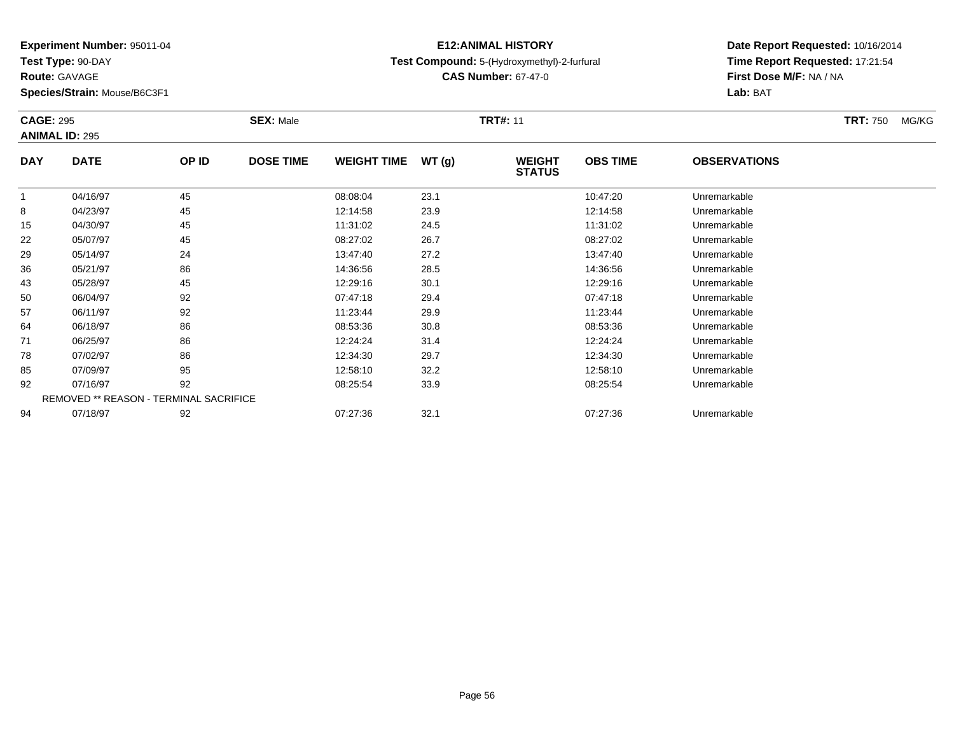**Test Type:** 90-DAY

**Route:** GAVAGE

**Species/Strain:** Mouse/B6C3F1

## **E12:ANIMAL HISTORYTest Compound:** 5-(Hydroxymethyl)-2-furfural

**CAS Number:** 67-47-0

| <b>CAGE: 295</b> | <b>ANIMAL ID: 295</b>                  |       | <b>SEX: Male</b> |                    |       | <b>TRT#: 11</b>                |                 |                     | <b>TRT: 750</b> | MG/KG |
|------------------|----------------------------------------|-------|------------------|--------------------|-------|--------------------------------|-----------------|---------------------|-----------------|-------|
| <b>DAY</b>       | <b>DATE</b>                            | OP ID | <b>DOSE TIME</b> | <b>WEIGHT TIME</b> | WT(g) | <b>WEIGHT</b><br><b>STATUS</b> | <b>OBS TIME</b> | <b>OBSERVATIONS</b> |                 |       |
|                  | 04/16/97                               | 45    |                  | 08:08:04           | 23.1  |                                | 10:47:20        | Unremarkable        |                 |       |
| 8                | 04/23/97                               | 45    |                  | 12:14:58           | 23.9  |                                | 12:14:58        | Unremarkable        |                 |       |
| 15               | 04/30/97                               | 45    |                  | 11:31:02           | 24.5  |                                | 11:31:02        | Unremarkable        |                 |       |
| 22               | 05/07/97                               | 45    |                  | 08:27:02           | 26.7  |                                | 08:27:02        | Unremarkable        |                 |       |
| 29               | 05/14/97                               | 24    |                  | 13:47:40           | 27.2  |                                | 13:47:40        | Unremarkable        |                 |       |
| 36               | 05/21/97                               | 86    |                  | 14:36:56           | 28.5  |                                | 14:36:56        | Unremarkable        |                 |       |
| 43               | 05/28/97                               | 45    |                  | 12:29:16           | 30.1  |                                | 12:29:16        | Unremarkable        |                 |       |
| 50               | 06/04/97                               | 92    |                  | 07:47:18           | 29.4  |                                | 07:47:18        | Unremarkable        |                 |       |
| 57               | 06/11/97                               | 92    |                  | 11:23:44           | 29.9  |                                | 11:23:44        | Unremarkable        |                 |       |
| 64               | 06/18/97                               | 86    |                  | 08:53:36           | 30.8  |                                | 08:53:36        | Unremarkable        |                 |       |
| 71               | 06/25/97                               | 86    |                  | 12:24:24           | 31.4  |                                | 12:24:24        | Unremarkable        |                 |       |
| 78               | 07/02/97                               | 86    |                  | 12:34:30           | 29.7  |                                | 12:34:30        | Unremarkable        |                 |       |
| 85               | 07/09/97                               | 95    |                  | 12:58:10           | 32.2  |                                | 12:58:10        | Unremarkable        |                 |       |
| 92               | 07/16/97                               | 92    |                  | 08:25:54           | 33.9  |                                | 08:25:54        | Unremarkable        |                 |       |
|                  | REMOVED ** REASON - TERMINAL SACRIFICE |       |                  |                    |       |                                |                 |                     |                 |       |
| 94               | 07/18/97                               | 92    |                  | 07:27:36           | 32.1  |                                | 07:27:36        | Unremarkable        |                 |       |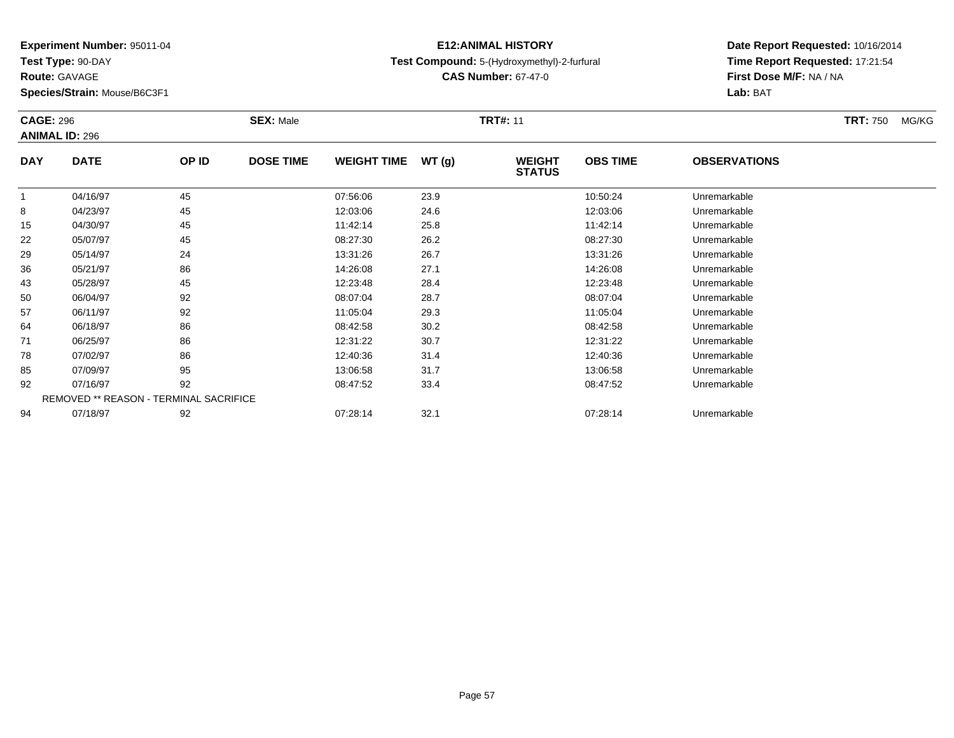**Test Type:** 90-DAY

**Route:** GAVAGE

**Species/Strain:** Mouse/B6C3F1

## **E12:ANIMAL HISTORYTest Compound:** 5-(Hydroxymethyl)-2-furfural

**CAS Number:** 67-47-0

| <b>CAGE: 296</b> | <b>ANIMAL ID: 296</b>                  |       | <b>SEX: Male</b> |                    |       | <b>TRT#: 11</b>                |                 |                     | <b>TRT: 750</b> | MG/KG |
|------------------|----------------------------------------|-------|------------------|--------------------|-------|--------------------------------|-----------------|---------------------|-----------------|-------|
| <b>DAY</b>       | <b>DATE</b>                            | OP ID | <b>DOSE TIME</b> | <b>WEIGHT TIME</b> | WT(g) | <b>WEIGHT</b><br><b>STATUS</b> | <b>OBS TIME</b> | <b>OBSERVATIONS</b> |                 |       |
|                  | 04/16/97                               | 45    |                  | 07:56:06           | 23.9  |                                | 10:50:24        | Unremarkable        |                 |       |
| 8                | 04/23/97                               | 45    |                  | 12:03:06           | 24.6  |                                | 12:03:06        | Unremarkable        |                 |       |
| 15               | 04/30/97                               | 45    |                  | 11:42:14           | 25.8  |                                | 11:42:14        | Unremarkable        |                 |       |
| 22               | 05/07/97                               | 45    |                  | 08:27:30           | 26.2  |                                | 08:27:30        | Unremarkable        |                 |       |
| 29               | 05/14/97                               | 24    |                  | 13:31:26           | 26.7  |                                | 13:31:26        | Unremarkable        |                 |       |
| 36               | 05/21/97                               | 86    |                  | 14:26:08           | 27.1  |                                | 14:26:08        | Unremarkable        |                 |       |
| 43               | 05/28/97                               | 45    |                  | 12:23:48           | 28.4  |                                | 12:23:48        | Unremarkable        |                 |       |
| 50               | 06/04/97                               | 92    |                  | 08:07:04           | 28.7  |                                | 08:07:04        | Unremarkable        |                 |       |
| 57               | 06/11/97                               | 92    |                  | 11:05:04           | 29.3  |                                | 11:05:04        | Unremarkable        |                 |       |
| 64               | 06/18/97                               | 86    |                  | 08:42:58           | 30.2  |                                | 08:42:58        | Unremarkable        |                 |       |
| 71               | 06/25/97                               | 86    |                  | 12:31:22           | 30.7  |                                | 12:31:22        | Unremarkable        |                 |       |
| 78               | 07/02/97                               | 86    |                  | 12:40:36           | 31.4  |                                | 12:40:36        | Unremarkable        |                 |       |
| 85               | 07/09/97                               | 95    |                  | 13:06:58           | 31.7  |                                | 13:06:58        | Unremarkable        |                 |       |
| 92               | 07/16/97                               | 92    |                  | 08:47:52           | 33.4  |                                | 08:47:52        | Unremarkable        |                 |       |
|                  | REMOVED ** REASON - TERMINAL SACRIFICE |       |                  |                    |       |                                |                 |                     |                 |       |
| 94               | 07/18/97                               | 92    |                  | 07:28:14           | 32.1  |                                | 07:28:14        | Unremarkable        |                 |       |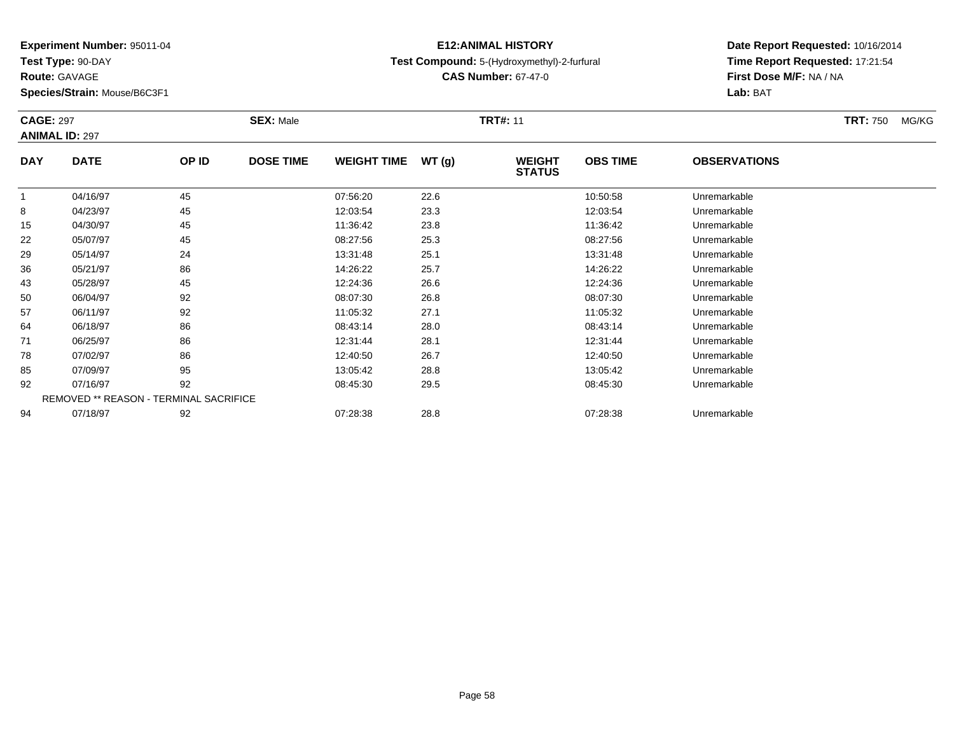**Test Type:** 90-DAY

**Route:** GAVAGE

**Species/Strain:** Mouse/B6C3F1

## **E12:ANIMAL HISTORYTest Compound:** 5-(Hydroxymethyl)-2-furfural

**CAS Number:** 67-47-0

| <b>CAGE: 297</b> | <b>ANIMAL ID: 297</b>                  |       | <b>SEX: Male</b> |                    |       | <b>TRT#: 11</b>                |                 |                     | <b>TRT: 750</b> | MG/KG |
|------------------|----------------------------------------|-------|------------------|--------------------|-------|--------------------------------|-----------------|---------------------|-----------------|-------|
| <b>DAY</b>       | <b>DATE</b>                            | OP ID | <b>DOSE TIME</b> | <b>WEIGHT TIME</b> | WT(g) | <b>WEIGHT</b><br><b>STATUS</b> | <b>OBS TIME</b> | <b>OBSERVATIONS</b> |                 |       |
|                  | 04/16/97                               | 45    |                  | 07:56:20           | 22.6  |                                | 10:50:58        | Unremarkable        |                 |       |
| 8                | 04/23/97                               | 45    |                  | 12:03:54           | 23.3  |                                | 12:03:54        | Unremarkable        |                 |       |
| 15               | 04/30/97                               | 45    |                  | 11:36:42           | 23.8  |                                | 11:36:42        | Unremarkable        |                 |       |
| 22               | 05/07/97                               | 45    |                  | 08:27:56           | 25.3  |                                | 08:27:56        | Unremarkable        |                 |       |
| 29               | 05/14/97                               | 24    |                  | 13:31:48           | 25.1  |                                | 13:31:48        | Unremarkable        |                 |       |
| 36               | 05/21/97                               | 86    |                  | 14:26:22           | 25.7  |                                | 14:26:22        | Unremarkable        |                 |       |
| 43               | 05/28/97                               | 45    |                  | 12:24:36           | 26.6  |                                | 12:24:36        | Unremarkable        |                 |       |
| 50               | 06/04/97                               | 92    |                  | 08:07:30           | 26.8  |                                | 08:07:30        | Unremarkable        |                 |       |
| 57               | 06/11/97                               | 92    |                  | 11:05:32           | 27.1  |                                | 11:05:32        | Unremarkable        |                 |       |
| 64               | 06/18/97                               | 86    |                  | 08:43:14           | 28.0  |                                | 08:43:14        | Unremarkable        |                 |       |
| 71               | 06/25/97                               | 86    |                  | 12:31:44           | 28.1  |                                | 12:31:44        | Unremarkable        |                 |       |
| 78               | 07/02/97                               | 86    |                  | 12:40:50           | 26.7  |                                | 12:40:50        | Unremarkable        |                 |       |
| 85               | 07/09/97                               | 95    |                  | 13:05:42           | 28.8  |                                | 13:05:42        | Unremarkable        |                 |       |
| 92               | 07/16/97                               | 92    |                  | 08:45:30           | 29.5  |                                | 08:45:30        | Unremarkable        |                 |       |
|                  | REMOVED ** REASON - TERMINAL SACRIFICE |       |                  |                    |       |                                |                 |                     |                 |       |
| 94               | 07/18/97                               | 92    |                  | 07:28:38           | 28.8  |                                | 07:28:38        | Unremarkable        |                 |       |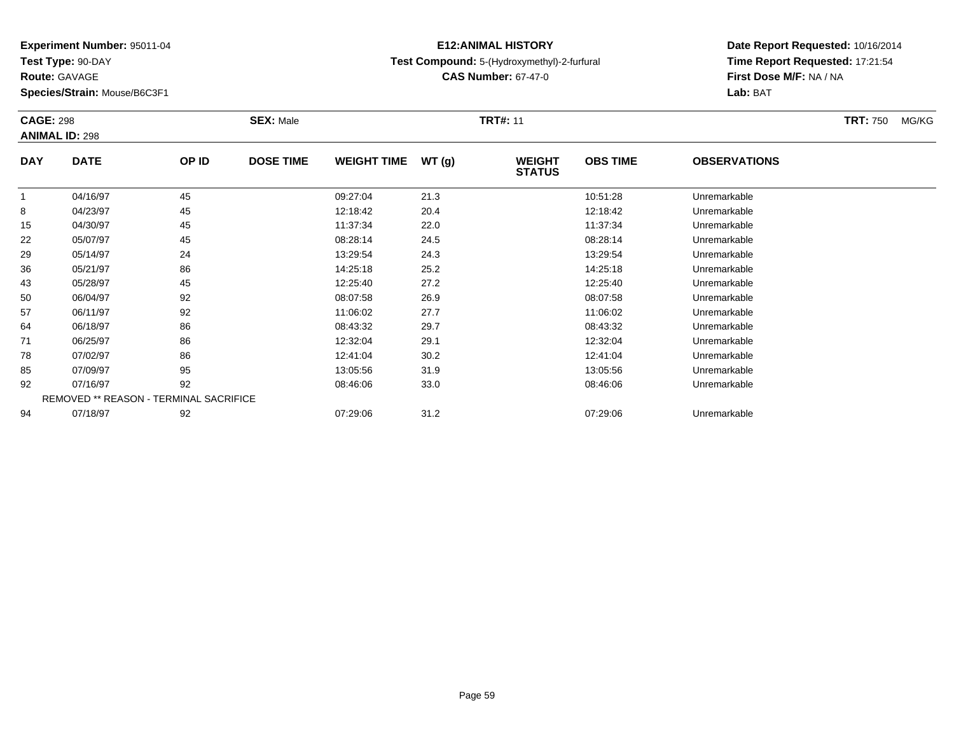**Test Type:** 90-DAY

**Route:** GAVAGE

**Species/Strain:** Mouse/B6C3F1

## **E12:ANIMAL HISTORYTest Compound:** 5-(Hydroxymethyl)-2-furfural

**CAS Number:** 67-47-0

| <b>CAGE: 298</b> |                                        |       | <b>SEX: Male</b> |                    |       | <b>TRT#: 11</b>                |                 |                     | <b>TRT: 750</b><br>MG/KG |
|------------------|----------------------------------------|-------|------------------|--------------------|-------|--------------------------------|-----------------|---------------------|--------------------------|
|                  | <b>ANIMAL ID: 298</b>                  |       |                  |                    |       |                                |                 |                     |                          |
| <b>DAY</b>       | <b>DATE</b>                            | OP ID | <b>DOSE TIME</b> | <b>WEIGHT TIME</b> | WT(g) | <b>WEIGHT</b><br><b>STATUS</b> | <b>OBS TIME</b> | <b>OBSERVATIONS</b> |                          |
|                  | 04/16/97                               | 45    |                  | 09:27:04           | 21.3  |                                | 10:51:28        | Unremarkable        |                          |
| 8                | 04/23/97                               | 45    |                  | 12:18:42           | 20.4  |                                | 12:18:42        | Unremarkable        |                          |
| 15               | 04/30/97                               | 45    |                  | 11:37:34           | 22.0  |                                | 11:37:34        | Unremarkable        |                          |
| 22               | 05/07/97                               | 45    |                  | 08:28:14           | 24.5  |                                | 08:28:14        | Unremarkable        |                          |
| 29               | 05/14/97                               | 24    |                  | 13:29:54           | 24.3  |                                | 13:29:54        | Unremarkable        |                          |
| 36               | 05/21/97                               | 86    |                  | 14:25:18           | 25.2  |                                | 14:25:18        | Unremarkable        |                          |
| 43               | 05/28/97                               | 45    |                  | 12:25:40           | 27.2  |                                | 12:25:40        | Unremarkable        |                          |
| 50               | 06/04/97                               | 92    |                  | 08:07:58           | 26.9  |                                | 08:07:58        | Unremarkable        |                          |
| 57               | 06/11/97                               | 92    |                  | 11:06:02           | 27.7  |                                | 11:06:02        | Unremarkable        |                          |
| 64               | 06/18/97                               | 86    |                  | 08:43:32           | 29.7  |                                | 08:43:32        | Unremarkable        |                          |
| 71               | 06/25/97                               | 86    |                  | 12:32:04           | 29.1  |                                | 12:32:04        | Unremarkable        |                          |
| 78               | 07/02/97                               | 86    |                  | 12:41:04           | 30.2  |                                | 12:41:04        | Unremarkable        |                          |
| 85               | 07/09/97                               | 95    |                  | 13:05:56           | 31.9  |                                | 13:05:56        | Unremarkable        |                          |
| 92               | 07/16/97                               | 92    |                  | 08:46:06           | 33.0  |                                | 08:46:06        | Unremarkable        |                          |
|                  | REMOVED ** REASON - TERMINAL SACRIFICE |       |                  |                    |       |                                |                 |                     |                          |
| 94               | 07/18/97                               | 92    |                  | 07:29:06           | 31.2  |                                | 07:29:06        | Unremarkable        |                          |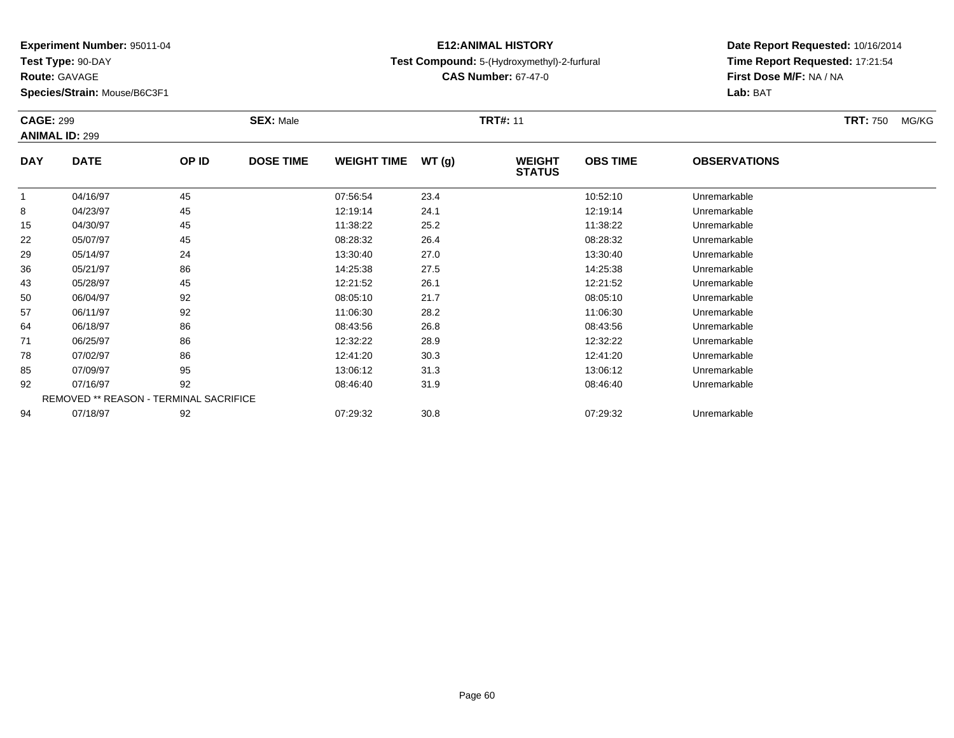**Test Type:** 90-DAY

**Route:** GAVAGE

**Species/Strain:** Mouse/B6C3F1

## **E12:ANIMAL HISTORYTest Compound:** 5-(Hydroxymethyl)-2-furfural

**CAS Number:** 67-47-0

| <b>CAGE: 299</b> | <b>ANIMAL ID: 299</b>                  |       | <b>SEX: Male</b> |                    |       | <b>TRT#: 11</b>                |                 |                     | <b>TRT: 750</b> | MG/KG |
|------------------|----------------------------------------|-------|------------------|--------------------|-------|--------------------------------|-----------------|---------------------|-----------------|-------|
| <b>DAY</b>       | <b>DATE</b>                            | OP ID | <b>DOSE TIME</b> | <b>WEIGHT TIME</b> | WT(g) | <b>WEIGHT</b><br><b>STATUS</b> | <b>OBS TIME</b> | <b>OBSERVATIONS</b> |                 |       |
|                  | 04/16/97                               | 45    |                  | 07:56:54           | 23.4  |                                | 10:52:10        | Unremarkable        |                 |       |
| 8                | 04/23/97                               | 45    |                  | 12:19:14           | 24.1  |                                | 12:19:14        | Unremarkable        |                 |       |
| 15               | 04/30/97                               | 45    |                  | 11:38:22           | 25.2  |                                | 11:38:22        | Unremarkable        |                 |       |
| 22               | 05/07/97                               | 45    |                  | 08:28:32           | 26.4  |                                | 08:28:32        | Unremarkable        |                 |       |
| 29               | 05/14/97                               | 24    |                  | 13:30:40           | 27.0  |                                | 13:30:40        | Unremarkable        |                 |       |
| 36               | 05/21/97                               | 86    |                  | 14:25:38           | 27.5  |                                | 14:25:38        | Unremarkable        |                 |       |
| 43               | 05/28/97                               | 45    |                  | 12:21:52           | 26.1  |                                | 12:21:52        | Unremarkable        |                 |       |
| 50               | 06/04/97                               | 92    |                  | 08:05:10           | 21.7  |                                | 08:05:10        | Unremarkable        |                 |       |
| 57               | 06/11/97                               | 92    |                  | 11:06:30           | 28.2  |                                | 11:06:30        | Unremarkable        |                 |       |
| 64               | 06/18/97                               | 86    |                  | 08:43:56           | 26.8  |                                | 08:43:56        | Unremarkable        |                 |       |
| 71               | 06/25/97                               | 86    |                  | 12:32:22           | 28.9  |                                | 12:32:22        | Unremarkable        |                 |       |
| 78               | 07/02/97                               | 86    |                  | 12:41:20           | 30.3  |                                | 12:41:20        | Unremarkable        |                 |       |
| 85               | 07/09/97                               | 95    |                  | 13:06:12           | 31.3  |                                | 13:06:12        | Unremarkable        |                 |       |
| 92               | 07/16/97                               | 92    |                  | 08:46:40           | 31.9  |                                | 08:46:40        | Unremarkable        |                 |       |
|                  | REMOVED ** REASON - TERMINAL SACRIFICE |       |                  |                    |       |                                |                 |                     |                 |       |
| 94               | 07/18/97                               | 92    |                  | 07:29:32           | 30.8  |                                | 07:29:32        | Unremarkable        |                 |       |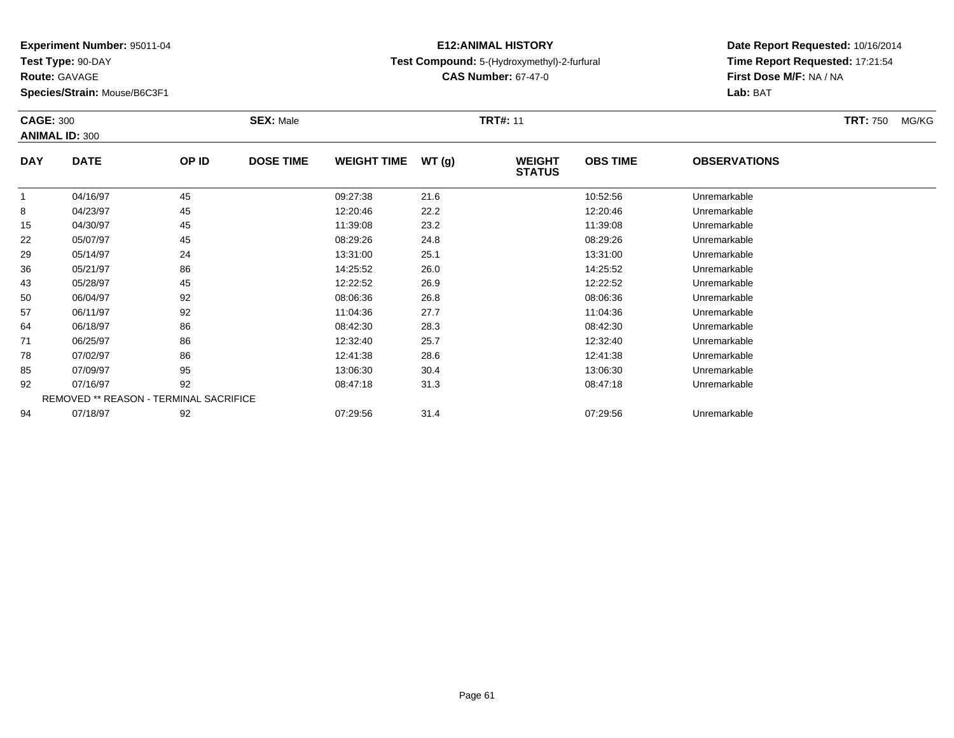**Test Type:** 90-DAY

**Route:** GAVAGE

**Species/Strain:** Mouse/B6C3F1

## **E12:ANIMAL HISTORYTest Compound:** 5-(Hydroxymethyl)-2-furfural

**CAS Number:** 67-47-0

| <b>CAGE: 300</b> | <b>ANIMAL ID: 300</b>                  |       | <b>SEX: Male</b> |                    |       | <b>TRT#: 11</b>                |                 |                     | <b>TRT: 750</b> | MG/KG |
|------------------|----------------------------------------|-------|------------------|--------------------|-------|--------------------------------|-----------------|---------------------|-----------------|-------|
| <b>DAY</b>       | <b>DATE</b>                            | OP ID | <b>DOSE TIME</b> | <b>WEIGHT TIME</b> | WT(g) | <b>WEIGHT</b><br><b>STATUS</b> | <b>OBS TIME</b> | <b>OBSERVATIONS</b> |                 |       |
| 1                | 04/16/97                               | 45    |                  | 09:27:38           | 21.6  |                                | 10:52:56        | Unremarkable        |                 |       |
| 8                | 04/23/97                               | 45    |                  | 12:20:46           | 22.2  |                                | 12:20:46        | Unremarkable        |                 |       |
| 15               | 04/30/97                               | 45    |                  | 11:39:08           | 23.2  |                                | 11:39:08        | Unremarkable        |                 |       |
| 22               | 05/07/97                               | 45    |                  | 08:29:26           | 24.8  |                                | 08:29:26        | Unremarkable        |                 |       |
| 29               | 05/14/97                               | 24    |                  | 13:31:00           | 25.1  |                                | 13:31:00        | Unremarkable        |                 |       |
| 36               | 05/21/97                               | 86    |                  | 14:25:52           | 26.0  |                                | 14:25:52        | Unremarkable        |                 |       |
| 43               | 05/28/97                               | 45    |                  | 12:22:52           | 26.9  |                                | 12:22:52        | Unremarkable        |                 |       |
| 50               | 06/04/97                               | 92    |                  | 08:06:36           | 26.8  |                                | 08:06:36        | Unremarkable        |                 |       |
| 57               | 06/11/97                               | 92    |                  | 11:04:36           | 27.7  |                                | 11:04:36        | Unremarkable        |                 |       |
| 64               | 06/18/97                               | 86    |                  | 08:42:30           | 28.3  |                                | 08:42:30        | Unremarkable        |                 |       |
| 71               | 06/25/97                               | 86    |                  | 12:32:40           | 25.7  |                                | 12:32:40        | Unremarkable        |                 |       |
| 78               | 07/02/97                               | 86    |                  | 12:41:38           | 28.6  |                                | 12:41:38        | Unremarkable        |                 |       |
| 85               | 07/09/97                               | 95    |                  | 13:06:30           | 30.4  |                                | 13:06:30        | Unremarkable        |                 |       |
| 92               | 07/16/97                               | 92    |                  | 08:47:18           | 31.3  |                                | 08:47:18        | Unremarkable        |                 |       |
|                  | REMOVED ** REASON - TERMINAL SACRIFICE |       |                  |                    |       |                                |                 |                     |                 |       |
| 94               | 07/18/97                               | 92    |                  | 07:29:56           | 31.4  |                                | 07:29:56        | Unremarkable        |                 |       |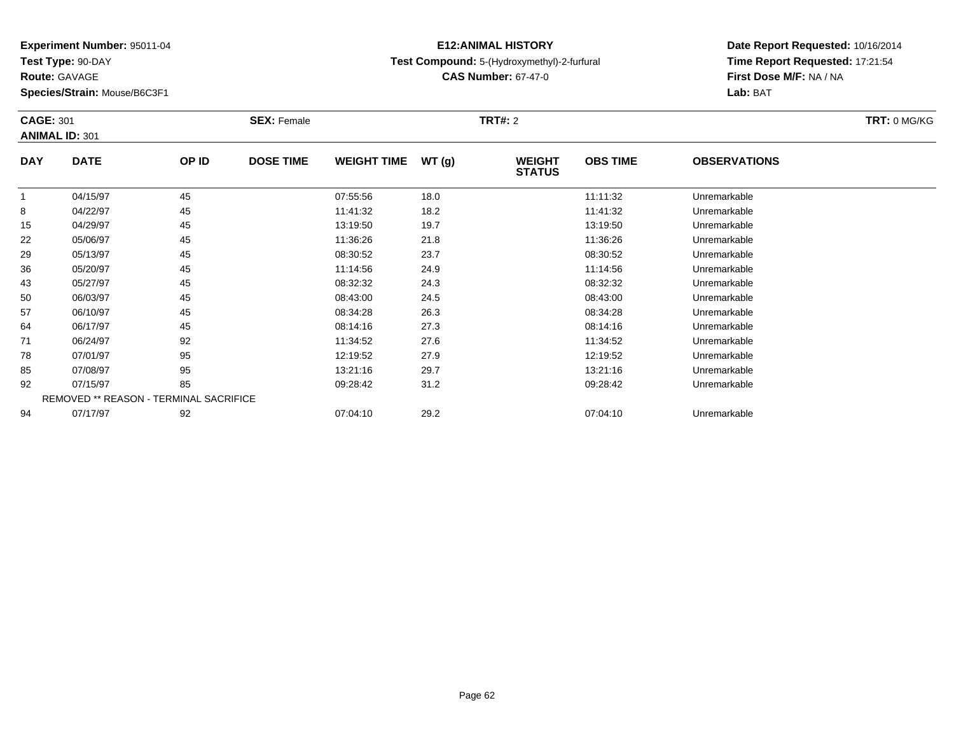**Test Type:** 90-DAY

**Route:** GAVAGE

**Species/Strain:** Mouse/B6C3F1

## **E12:ANIMAL HISTORYTest Compound:** 5-(Hydroxymethyl)-2-furfural

**CAS Number:** 67-47-0

| <b>CAGE: 301</b> | <b>ANIMAL ID: 301</b>                  |       | <b>SEX: Female</b> |                    |       | <b>TRT#: 2</b>                 |                 |                     | TRT: 0 MG/KG |
|------------------|----------------------------------------|-------|--------------------|--------------------|-------|--------------------------------|-----------------|---------------------|--------------|
| <b>DAY</b>       | <b>DATE</b>                            | OP ID | <b>DOSE TIME</b>   | <b>WEIGHT TIME</b> | WT(g) | <b>WEIGHT</b><br><b>STATUS</b> | <b>OBS TIME</b> | <b>OBSERVATIONS</b> |              |
|                  | 04/15/97                               | 45    |                    | 07:55:56           | 18.0  |                                | 11:11:32        | Unremarkable        |              |
| 8                | 04/22/97                               | 45    |                    | 11:41:32           | 18.2  |                                | 11:41:32        | Unremarkable        |              |
| 15               | 04/29/97                               | 45    |                    | 13:19:50           | 19.7  |                                | 13:19:50        | Unremarkable        |              |
| 22               | 05/06/97                               | 45    |                    | 11:36:26           | 21.8  |                                | 11:36:26        | Unremarkable        |              |
| 29               | 05/13/97                               | 45    |                    | 08:30:52           | 23.7  |                                | 08:30:52        | Unremarkable        |              |
| 36               | 05/20/97                               | 45    |                    | 11:14:56           | 24.9  |                                | 11:14:56        | Unremarkable        |              |
| 43               | 05/27/97                               | 45    |                    | 08:32:32           | 24.3  |                                | 08:32:32        | Unremarkable        |              |
| 50               | 06/03/97                               | 45    |                    | 08:43:00           | 24.5  |                                | 08:43:00        | Unremarkable        |              |
| 57               | 06/10/97                               | 45    |                    | 08:34:28           | 26.3  |                                | 08:34:28        | Unremarkable        |              |
| 64               | 06/17/97                               | 45    |                    | 08:14:16           | 27.3  |                                | 08:14:16        | Unremarkable        |              |
| 71               | 06/24/97                               | 92    |                    | 11:34:52           | 27.6  |                                | 11:34:52        | Unremarkable        |              |
| 78               | 07/01/97                               | 95    |                    | 12:19:52           | 27.9  |                                | 12:19:52        | Unremarkable        |              |
| 85               | 07/08/97                               | 95    |                    | 13:21:16           | 29.7  |                                | 13:21:16        | Unremarkable        |              |
| 92               | 07/15/97                               | 85    |                    | 09:28:42           | 31.2  |                                | 09:28:42        | Unremarkable        |              |
|                  | REMOVED ** REASON - TERMINAL SACRIFICE |       |                    |                    |       |                                |                 |                     |              |
| 94               | 07/17/97                               | 92    |                    | 07:04:10           | 29.2  |                                | 07:04:10        | Unremarkable        |              |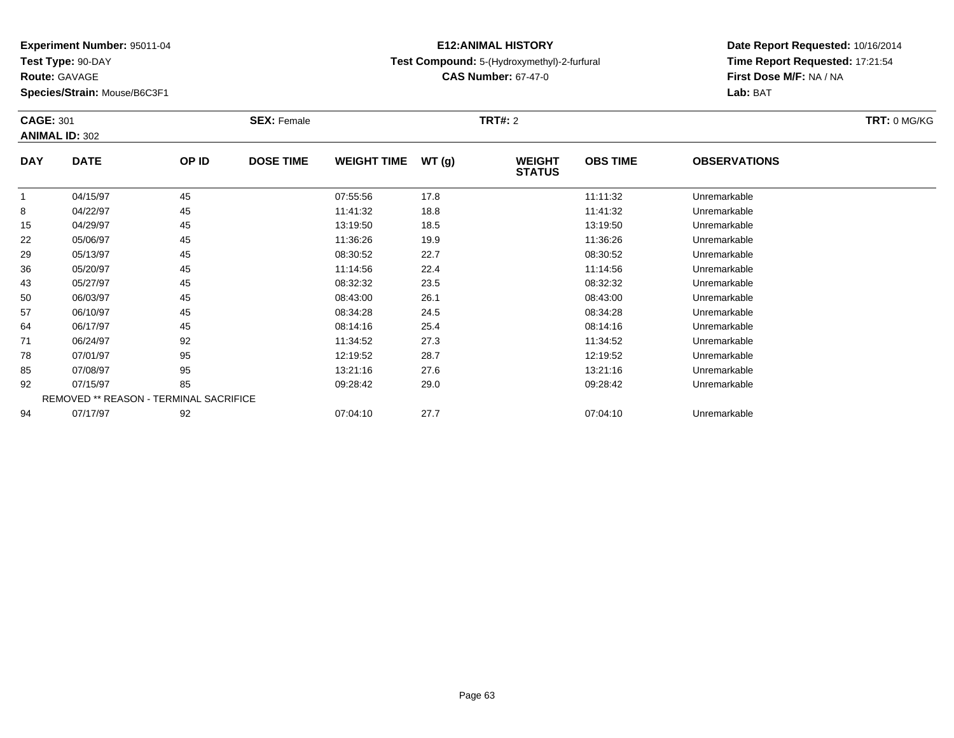**Test Type:** 90-DAY

**Route:** GAVAGE

**Species/Strain:** Mouse/B6C3F1

## **E12:ANIMAL HISTORYTest Compound:** 5-(Hydroxymethyl)-2-furfural

**CAS Number:** 67-47-0

|             |                                           | <b>SEX: Female</b> |                                        |       |                                |                 |                     | TRT: 0 MG/KG |
|-------------|-------------------------------------------|--------------------|----------------------------------------|-------|--------------------------------|-----------------|---------------------|--------------|
|             |                                           |                    |                                        |       |                                |                 |                     |              |
| <b>DATE</b> | OP ID                                     | <b>DOSE TIME</b>   | <b>WEIGHT TIME</b>                     | WT(g) | <b>WEIGHT</b><br><b>STATUS</b> | <b>OBS TIME</b> | <b>OBSERVATIONS</b> |              |
| 04/15/97    | 45                                        |                    | 07:55:56                               | 17.8  |                                | 11:11:32        | Unremarkable        |              |
| 04/22/97    | 45                                        |                    | 11:41:32                               | 18.8  |                                | 11:41:32        | Unremarkable        |              |
| 04/29/97    | 45                                        |                    | 13:19:50                               | 18.5  |                                | 13:19:50        | Unremarkable        |              |
| 05/06/97    | 45                                        |                    | 11:36:26                               | 19.9  |                                | 11:36:26        | Unremarkable        |              |
| 05/13/97    | 45                                        |                    | 08:30:52                               | 22.7  |                                | 08:30:52        | Unremarkable        |              |
| 05/20/97    | 45                                        |                    | 11:14:56                               | 22.4  |                                | 11:14:56        | Unremarkable        |              |
| 05/27/97    | 45                                        |                    | 08:32:32                               | 23.5  |                                | 08:32:32        | Unremarkable        |              |
| 06/03/97    | 45                                        |                    | 08:43:00                               | 26.1  |                                | 08:43:00        | Unremarkable        |              |
| 06/10/97    | 45                                        |                    | 08:34:28                               | 24.5  |                                | 08:34:28        | Unremarkable        |              |
| 06/17/97    | 45                                        |                    | 08:14:16                               | 25.4  |                                | 08:14:16        | Unremarkable        |              |
| 06/24/97    | 92                                        |                    | 11:34:52                               | 27.3  |                                | 11:34:52        | Unremarkable        |              |
| 07/01/97    | 95                                        |                    | 12:19:52                               | 28.7  |                                | 12:19:52        | Unremarkable        |              |
| 07/08/97    | 95                                        |                    | 13:21:16                               | 27.6  |                                | 13:21:16        | Unremarkable        |              |
| 07/15/97    | 85                                        |                    | 09:28:42                               | 29.0  |                                | 09:28:42        | Unremarkable        |              |
|             |                                           |                    |                                        |       |                                |                 |                     |              |
| 07/17/97    | 92                                        |                    | 07:04:10                               | 27.7  |                                | 07:04:10        | Unremarkable        |              |
|             | <b>CAGE: 301</b><br><b>ANIMAL ID: 302</b> |                    | REMOVED ** REASON - TERMINAL SACRIFICE |       |                                | <b>TRT#: 2</b>  |                     |              |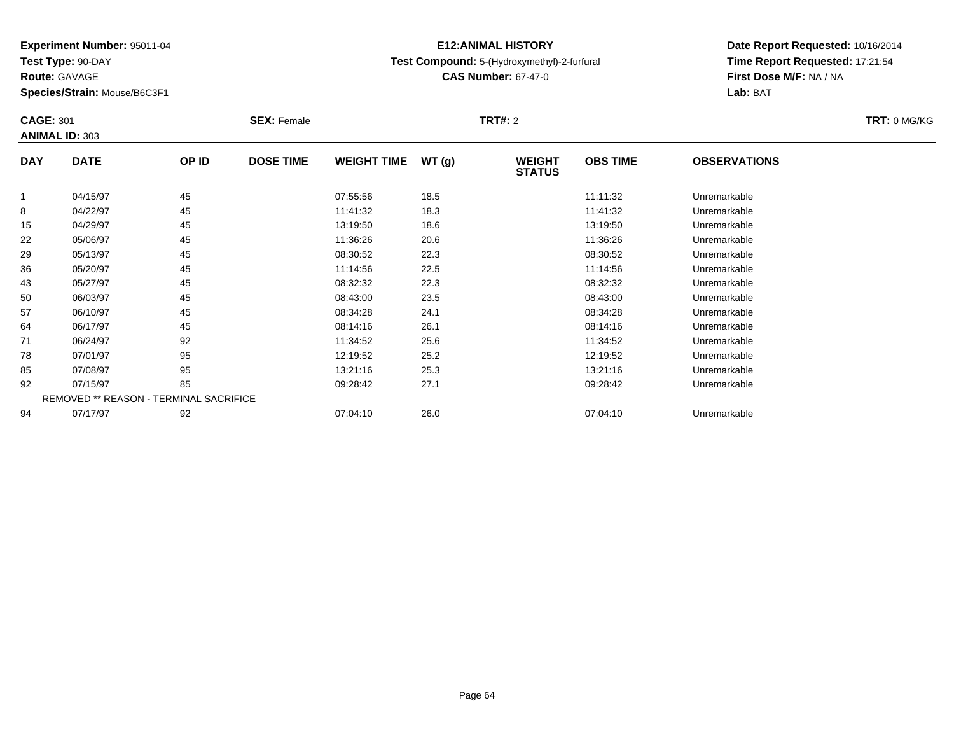**Test Type:** 90-DAY

**Route:** GAVAGE

**Species/Strain:** Mouse/B6C3F1

## **E12:ANIMAL HISTORYTest Compound:** 5-(Hydroxymethyl)-2-furfural

**CAS Number:** 67-47-0

| <b>CAGE: 301</b> |                                        |       | <b>SEX: Female</b> |                    |       | <b>TRT#:</b> 2                 |                 |                     | TRT: 0 MG/KG |
|------------------|----------------------------------------|-------|--------------------|--------------------|-------|--------------------------------|-----------------|---------------------|--------------|
|                  | <b>ANIMAL ID: 303</b>                  |       |                    |                    |       |                                |                 |                     |              |
| <b>DAY</b>       | <b>DATE</b>                            | OP ID | <b>DOSE TIME</b>   | <b>WEIGHT TIME</b> | WT(g) | <b>WEIGHT</b><br><b>STATUS</b> | <b>OBS TIME</b> | <b>OBSERVATIONS</b> |              |
| 1                | 04/15/97                               | 45    |                    | 07:55:56           | 18.5  |                                | 11:11:32        | Unremarkable        |              |
| 8                | 04/22/97                               | 45    |                    | 11:41:32           | 18.3  |                                | 11:41:32        | Unremarkable        |              |
| 15               | 04/29/97                               | 45    |                    | 13:19:50           | 18.6  |                                | 13:19:50        | Unremarkable        |              |
| 22               | 05/06/97                               | 45    |                    | 11:36:26           | 20.6  |                                | 11:36:26        | Unremarkable        |              |
| 29               | 05/13/97                               | 45    |                    | 08:30:52           | 22.3  |                                | 08:30:52        | Unremarkable        |              |
| 36               | 05/20/97                               | 45    |                    | 11:14:56           | 22.5  |                                | 11:14:56        | Unremarkable        |              |
| 43               | 05/27/97                               | 45    |                    | 08:32:32           | 22.3  |                                | 08:32:32        | Unremarkable        |              |
| 50               | 06/03/97                               | 45    |                    | 08:43:00           | 23.5  |                                | 08:43:00        | Unremarkable        |              |
| 57               | 06/10/97                               | 45    |                    | 08:34:28           | 24.1  |                                | 08:34:28        | Unremarkable        |              |
| 64               | 06/17/97                               | 45    |                    | 08:14:16           | 26.1  |                                | 08:14:16        | Unremarkable        |              |
| 71               | 06/24/97                               | 92    |                    | 11:34:52           | 25.6  |                                | 11:34:52        | Unremarkable        |              |
| 78               | 07/01/97                               | 95    |                    | 12:19:52           | 25.2  |                                | 12:19:52        | Unremarkable        |              |
| 85               | 07/08/97                               | 95    |                    | 13:21:16           | 25.3  |                                | 13:21:16        | Unremarkable        |              |
| 92               | 07/15/97                               | 85    |                    | 09:28:42           | 27.1  |                                | 09:28:42        | Unremarkable        |              |
|                  | REMOVED ** REASON - TERMINAL SACRIFICE |       |                    |                    |       |                                |                 |                     |              |
| 94               | 07/17/97                               | 92    |                    | 07:04:10           | 26.0  |                                | 07:04:10        | Unremarkable        |              |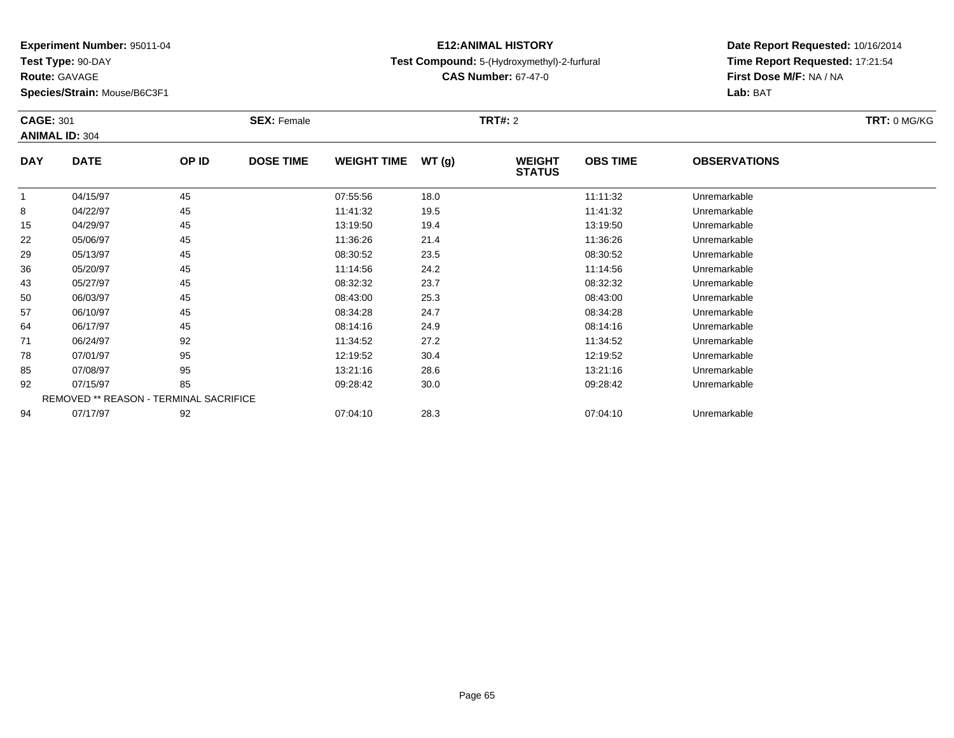**Test Type:** 90-DAY

**Route:** GAVAGE

**Species/Strain:** Mouse/B6C3F1

## **E12:ANIMAL HISTORYTest Compound:** 5-(Hydroxymethyl)-2-furfural

**CAS Number:** 67-47-0

| <b>CAGE: 301</b> |                                        |       | <b>SEX: Female</b> |                    |       | <b>TRT#:</b> 2                 |                 |                     | <b>TRT: 0 MG/KG</b> |
|------------------|----------------------------------------|-------|--------------------|--------------------|-------|--------------------------------|-----------------|---------------------|---------------------|
|                  | <b>ANIMAL ID: 304</b>                  |       |                    |                    |       |                                |                 |                     |                     |
| <b>DAY</b>       | <b>DATE</b>                            | OP ID | <b>DOSE TIME</b>   | <b>WEIGHT TIME</b> | WT(g) | <b>WEIGHT</b><br><b>STATUS</b> | <b>OBS TIME</b> | <b>OBSERVATIONS</b> |                     |
|                  | 04/15/97                               | 45    |                    | 07:55:56           | 18.0  |                                | 11:11:32        | Unremarkable        |                     |
| 8                | 04/22/97                               | 45    |                    | 11:41:32           | 19.5  |                                | 11:41:32        | Unremarkable        |                     |
| 15               | 04/29/97                               | 45    |                    | 13:19:50           | 19.4  |                                | 13:19:50        | Unremarkable        |                     |
| 22               | 05/06/97                               | 45    |                    | 11:36:26           | 21.4  |                                | 11:36:26        | Unremarkable        |                     |
| 29               | 05/13/97                               | 45    |                    | 08:30:52           | 23.5  |                                | 08:30:52        | Unremarkable        |                     |
| 36               | 05/20/97                               | 45    |                    | 11:14:56           | 24.2  |                                | 11:14:56        | Unremarkable        |                     |
| 43               | 05/27/97                               | 45    |                    | 08:32:32           | 23.7  |                                | 08:32:32        | Unremarkable        |                     |
| 50               | 06/03/97                               | 45    |                    | 08:43:00           | 25.3  |                                | 08:43:00        | Unremarkable        |                     |
| 57               | 06/10/97                               | 45    |                    | 08:34:28           | 24.7  |                                | 08:34:28        | Unremarkable        |                     |
| 64               | 06/17/97                               | 45    |                    | 08:14:16           | 24.9  |                                | 08:14:16        | Unremarkable        |                     |
| 71               | 06/24/97                               | 92    |                    | 11:34:52           | 27.2  |                                | 11:34:52        | Unremarkable        |                     |
| 78               | 07/01/97                               | 95    |                    | 12:19:52           | 30.4  |                                | 12:19:52        | Unremarkable        |                     |
| 85               | 07/08/97                               | 95    |                    | 13:21:16           | 28.6  |                                | 13:21:16        | Unremarkable        |                     |
| 92               | 07/15/97                               | 85    |                    | 09:28:42           | 30.0  |                                | 09:28:42        | Unremarkable        |                     |
|                  | REMOVED ** REASON - TERMINAL SACRIFICE |       |                    |                    |       |                                |                 |                     |                     |
| 94               | 07/17/97                               | 92    |                    | 07:04:10           | 28.3  |                                | 07:04:10        | Unremarkable        |                     |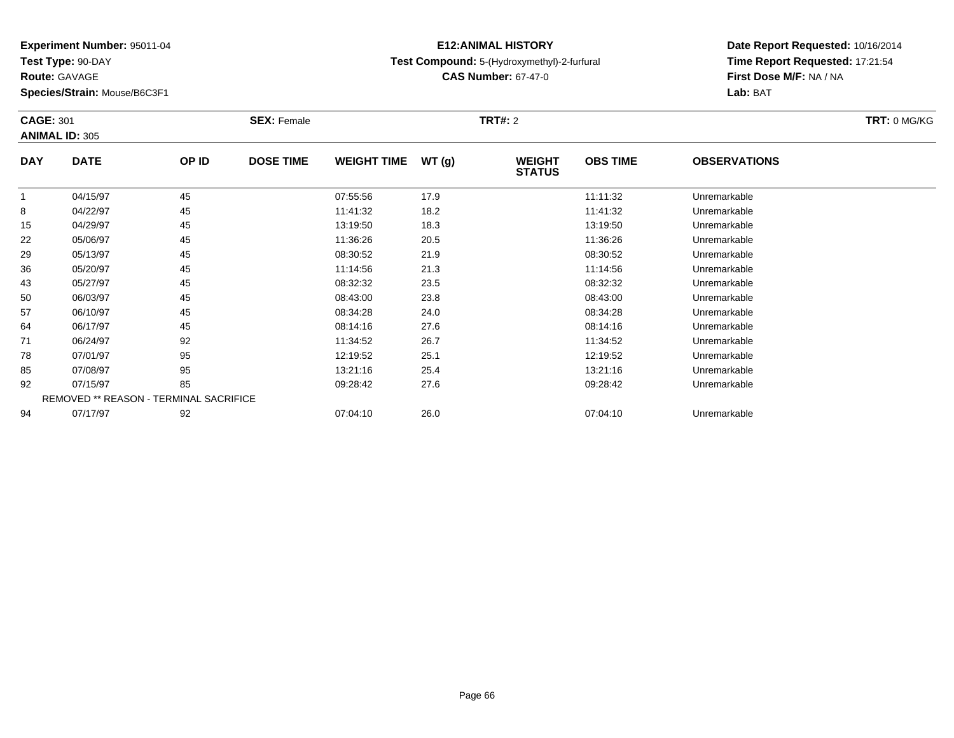**Test Type:** 90-DAY

**Route:** GAVAGE

**Species/Strain:** Mouse/B6C3F1

## **E12:ANIMAL HISTORYTest Compound:** 5-(Hydroxymethyl)-2-furfural

**CAS Number:** 67-47-0

| <b>CAGE: 301</b> | <b>ANIMAL ID: 305</b>                  |       | <b>SEX: Female</b> |                    |       | <b>TRT#: 2</b>                 |                 |                     | TRT: 0 MG/KG |
|------------------|----------------------------------------|-------|--------------------|--------------------|-------|--------------------------------|-----------------|---------------------|--------------|
| <b>DAY</b>       | <b>DATE</b>                            | OP ID | <b>DOSE TIME</b>   | <b>WEIGHT TIME</b> | WT(g) | <b>WEIGHT</b><br><b>STATUS</b> | <b>OBS TIME</b> | <b>OBSERVATIONS</b> |              |
|                  | 04/15/97                               | 45    |                    | 07:55:56           | 17.9  |                                | 11:11:32        | Unremarkable        |              |
| 8                | 04/22/97                               | 45    |                    | 11:41:32           | 18.2  |                                | 11:41:32        | Unremarkable        |              |
| 15               | 04/29/97                               | 45    |                    | 13:19:50           | 18.3  |                                | 13:19:50        | Unremarkable        |              |
| 22               | 05/06/97                               | 45    |                    | 11:36:26           | 20.5  |                                | 11:36:26        | Unremarkable        |              |
| 29               | 05/13/97                               | 45    |                    | 08:30:52           | 21.9  |                                | 08:30:52        | Unremarkable        |              |
| 36               | 05/20/97                               | 45    |                    | 11:14:56           | 21.3  |                                | 11:14:56        | Unremarkable        |              |
| 43               | 05/27/97                               | 45    |                    | 08:32:32           | 23.5  |                                | 08:32:32        | Unremarkable        |              |
| 50               | 06/03/97                               | 45    |                    | 08:43:00           | 23.8  |                                | 08:43:00        | Unremarkable        |              |
| 57               | 06/10/97                               | 45    |                    | 08:34:28           | 24.0  |                                | 08:34:28        | Unremarkable        |              |
| 64               | 06/17/97                               | 45    |                    | 08:14:16           | 27.6  |                                | 08:14:16        | Unremarkable        |              |
| 71               | 06/24/97                               | 92    |                    | 11:34:52           | 26.7  |                                | 11:34:52        | Unremarkable        |              |
| 78               | 07/01/97                               | 95    |                    | 12:19:52           | 25.1  |                                | 12:19:52        | Unremarkable        |              |
| 85               | 07/08/97                               | 95    |                    | 13:21:16           | 25.4  |                                | 13:21:16        | Unremarkable        |              |
| 92               | 07/15/97                               | 85    |                    | 09:28:42           | 27.6  |                                | 09:28:42        | Unremarkable        |              |
|                  | REMOVED ** REASON - TERMINAL SACRIFICE |       |                    |                    |       |                                |                 |                     |              |
| 94               | 07/17/97                               | 92    |                    | 07:04:10           | 26.0  |                                | 07:04:10        | Unremarkable        |              |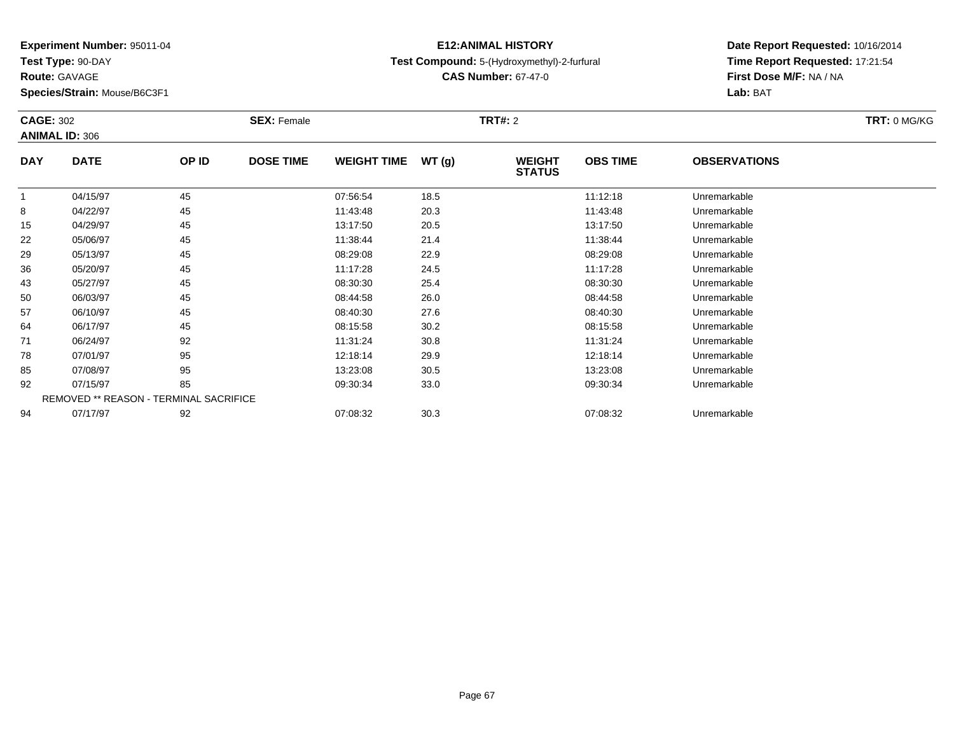**Test Type:** 90-DAY

**Route:** GAVAGE

**Species/Strain:** Mouse/B6C3F1

## **E12:ANIMAL HISTORYTest Compound:** 5-(Hydroxymethyl)-2-furfural

**CAS Number:** 67-47-0

| <b>CAGE: 302</b> |                                        |       | <b>SEX: Female</b> |                    |       | <b>TRT#:</b> 2                 |                 |                     | <b>TRT: 0 MG/KG</b> |
|------------------|----------------------------------------|-------|--------------------|--------------------|-------|--------------------------------|-----------------|---------------------|---------------------|
|                  | <b>ANIMAL ID: 306</b>                  |       |                    |                    |       |                                |                 |                     |                     |
| <b>DAY</b>       | <b>DATE</b>                            | OP ID | <b>DOSE TIME</b>   | <b>WEIGHT TIME</b> | WT(g) | <b>WEIGHT</b><br><b>STATUS</b> | <b>OBS TIME</b> | <b>OBSERVATIONS</b> |                     |
|                  | 04/15/97                               | 45    |                    | 07:56:54           | 18.5  |                                | 11:12:18        | Unremarkable        |                     |
| 8                | 04/22/97                               | 45    |                    | 11:43:48           | 20.3  |                                | 11:43:48        | Unremarkable        |                     |
| 15               | 04/29/97                               | 45    |                    | 13:17:50           | 20.5  |                                | 13:17:50        | Unremarkable        |                     |
| 22               | 05/06/97                               | 45    |                    | 11:38:44           | 21.4  |                                | 11:38:44        | Unremarkable        |                     |
| 29               | 05/13/97                               | 45    |                    | 08:29:08           | 22.9  |                                | 08:29:08        | Unremarkable        |                     |
| 36               | 05/20/97                               | 45    |                    | 11:17:28           | 24.5  |                                | 11:17:28        | Unremarkable        |                     |
| 43               | 05/27/97                               | 45    |                    | 08:30:30           | 25.4  |                                | 08:30:30        | Unremarkable        |                     |
| 50               | 06/03/97                               | 45    |                    | 08:44:58           | 26.0  |                                | 08:44:58        | Unremarkable        |                     |
| 57               | 06/10/97                               | 45    |                    | 08:40:30           | 27.6  |                                | 08:40:30        | Unremarkable        |                     |
| 64               | 06/17/97                               | 45    |                    | 08:15:58           | 30.2  |                                | 08:15:58        | Unremarkable        |                     |
| 71               | 06/24/97                               | 92    |                    | 11:31:24           | 30.8  |                                | 11:31:24        | Unremarkable        |                     |
| 78               | 07/01/97                               | 95    |                    | 12:18:14           | 29.9  |                                | 12:18:14        | Unremarkable        |                     |
| 85               | 07/08/97                               | 95    |                    | 13:23:08           | 30.5  |                                | 13:23:08        | Unremarkable        |                     |
| 92               | 07/15/97                               | 85    |                    | 09:30:34           | 33.0  |                                | 09:30:34        | Unremarkable        |                     |
|                  | REMOVED ** REASON - TERMINAL SACRIFICE |       |                    |                    |       |                                |                 |                     |                     |
| 94               | 07/17/97                               | 92    |                    | 07:08:32           | 30.3  |                                | 07:08:32        | Unremarkable        |                     |
|                  |                                        |       |                    |                    |       |                                |                 |                     |                     |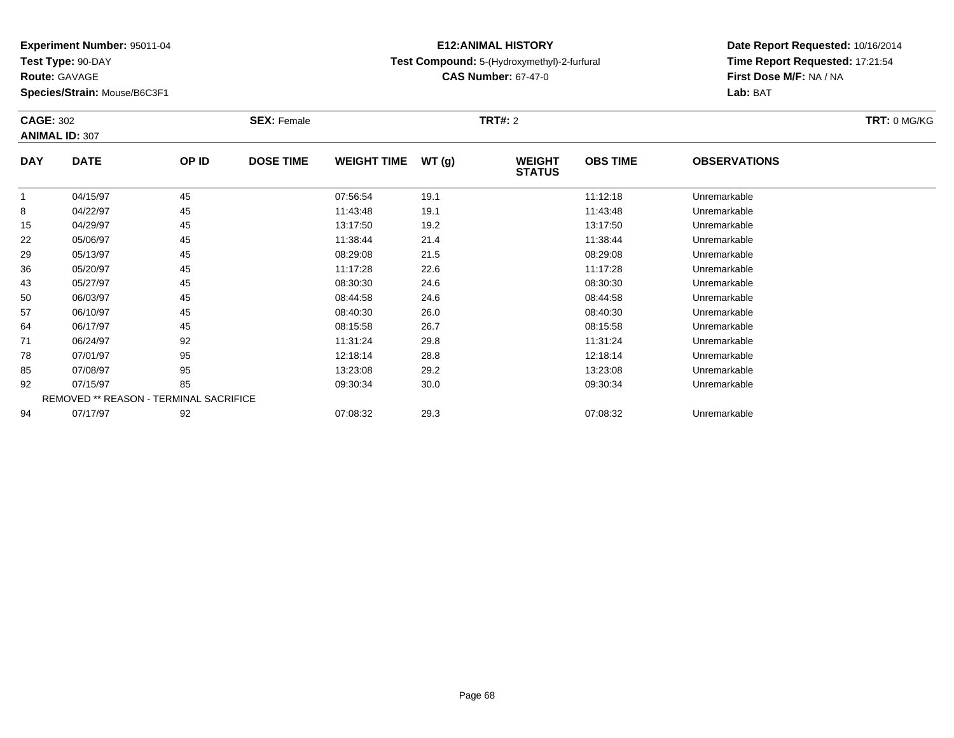**Test Type:** 90-DAY

**Route:** GAVAGE

**Species/Strain:** Mouse/B6C3F1

## **E12:ANIMAL HISTORYTest Compound:** 5-(Hydroxymethyl)-2-furfural

**CAS Number:** 67-47-0

| <b>CAGE: 302</b> | <b>ANIMAL ID: 307</b>                  |       | <b>SEX: Female</b> |                    |       | <b>TRT#: 2</b>                 |                 |                     | TRT: 0 MG/KG |
|------------------|----------------------------------------|-------|--------------------|--------------------|-------|--------------------------------|-----------------|---------------------|--------------|
| <b>DAY</b>       | <b>DATE</b>                            | OP ID | <b>DOSE TIME</b>   | <b>WEIGHT TIME</b> | WT(g) | <b>WEIGHT</b><br><b>STATUS</b> | <b>OBS TIME</b> | <b>OBSERVATIONS</b> |              |
|                  | 04/15/97                               | 45    |                    | 07:56:54           | 19.1  |                                | 11:12:18        | Unremarkable        |              |
| 8                | 04/22/97                               | 45    |                    | 11:43:48           | 19.1  |                                | 11:43:48        | Unremarkable        |              |
| 15               | 04/29/97                               | 45    |                    | 13:17:50           | 19.2  |                                | 13:17:50        | Unremarkable        |              |
| 22               | 05/06/97                               | 45    |                    | 11:38:44           | 21.4  |                                | 11:38:44        | Unremarkable        |              |
| 29               | 05/13/97                               | 45    |                    | 08:29:08           | 21.5  |                                | 08:29:08        | Unremarkable        |              |
| 36               | 05/20/97                               | 45    |                    | 11:17:28           | 22.6  |                                | 11:17:28        | Unremarkable        |              |
| 43               | 05/27/97                               | 45    |                    | 08:30:30           | 24.6  |                                | 08:30:30        | Unremarkable        |              |
| 50               | 06/03/97                               | 45    |                    | 08:44:58           | 24.6  |                                | 08:44:58        | Unremarkable        |              |
| 57               | 06/10/97                               | 45    |                    | 08:40:30           | 26.0  |                                | 08:40:30        | Unremarkable        |              |
| 64               | 06/17/97                               | 45    |                    | 08:15:58           | 26.7  |                                | 08:15:58        | Unremarkable        |              |
| 71               | 06/24/97                               | 92    |                    | 11:31:24           | 29.8  |                                | 11:31:24        | Unremarkable        |              |
| 78               | 07/01/97                               | 95    |                    | 12:18:14           | 28.8  |                                | 12:18:14        | Unremarkable        |              |
| 85               | 07/08/97                               | 95    |                    | 13:23:08           | 29.2  |                                | 13:23:08        | Unremarkable        |              |
| 92               | 07/15/97                               | 85    |                    | 09:30:34           | 30.0  |                                | 09:30:34        | Unremarkable        |              |
|                  | REMOVED ** REASON - TERMINAL SACRIFICE |       |                    |                    |       |                                |                 |                     |              |
| 94               | 07/17/97                               | 92    |                    | 07:08:32           | 29.3  |                                | 07:08:32        | Unremarkable        |              |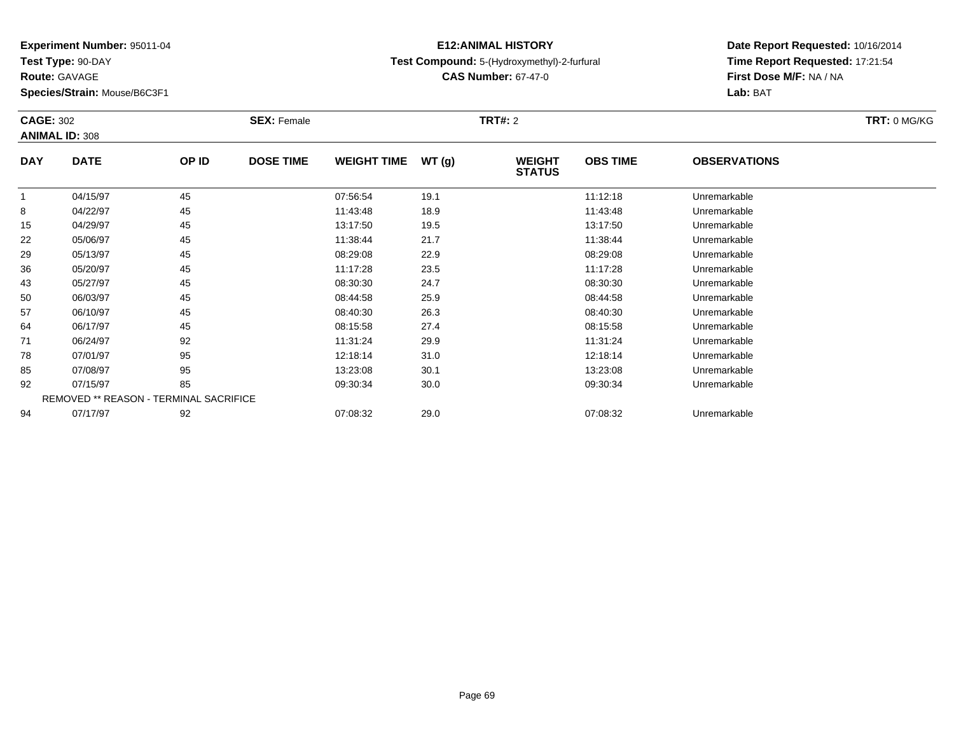**Test Type:** 90-DAY

**Route:** GAVAGE

**Species/Strain:** Mouse/B6C3F1

## **E12:ANIMAL HISTORYTest Compound:** 5-(Hydroxymethyl)-2-furfural

**CAS Number:** 67-47-0

| <b>CAGE: 302</b> |                                        |       | <b>SEX: Female</b> |                    |       | <b>TRT#:</b> 2                 |                 |                     | <b>TRT: 0 MG/KG</b> |
|------------------|----------------------------------------|-------|--------------------|--------------------|-------|--------------------------------|-----------------|---------------------|---------------------|
|                  | <b>ANIMAL ID: 308</b>                  |       |                    |                    |       |                                |                 |                     |                     |
| <b>DAY</b>       | <b>DATE</b>                            | OP ID | <b>DOSE TIME</b>   | <b>WEIGHT TIME</b> | WT(g) | <b>WEIGHT</b><br><b>STATUS</b> | <b>OBS TIME</b> | <b>OBSERVATIONS</b> |                     |
|                  | 04/15/97                               | 45    |                    | 07:56:54           | 19.1  |                                | 11:12:18        | Unremarkable        |                     |
| 8                | 04/22/97                               | 45    |                    | 11:43:48           | 18.9  |                                | 11:43:48        | Unremarkable        |                     |
| 15               | 04/29/97                               | 45    |                    | 13:17:50           | 19.5  |                                | 13:17:50        | Unremarkable        |                     |
| 22               | 05/06/97                               | 45    |                    | 11:38:44           | 21.7  |                                | 11:38:44        | Unremarkable        |                     |
| 29               | 05/13/97                               | 45    |                    | 08:29:08           | 22.9  |                                | 08:29:08        | Unremarkable        |                     |
| 36               | 05/20/97                               | 45    |                    | 11:17:28           | 23.5  |                                | 11:17:28        | Unremarkable        |                     |
| 43               | 05/27/97                               | 45    |                    | 08:30:30           | 24.7  |                                | 08:30:30        | Unremarkable        |                     |
| 50               | 06/03/97                               | 45    |                    | 08:44:58           | 25.9  |                                | 08:44:58        | Unremarkable        |                     |
| 57               | 06/10/97                               | 45    |                    | 08:40:30           | 26.3  |                                | 08:40:30        | Unremarkable        |                     |
| 64               | 06/17/97                               | 45    |                    | 08:15:58           | 27.4  |                                | 08:15:58        | Unremarkable        |                     |
| 71               | 06/24/97                               | 92    |                    | 11:31:24           | 29.9  |                                | 11:31:24        | Unremarkable        |                     |
| 78               | 07/01/97                               | 95    |                    | 12:18:14           | 31.0  |                                | 12:18:14        | Unremarkable        |                     |
| 85               | 07/08/97                               | 95    |                    | 13:23:08           | 30.1  |                                | 13:23:08        | Unremarkable        |                     |
| 92               | 07/15/97                               | 85    |                    | 09:30:34           | 30.0  |                                | 09:30:34        | Unremarkable        |                     |
|                  | REMOVED ** REASON - TERMINAL SACRIFICE |       |                    |                    |       |                                |                 |                     |                     |
| 94               | 07/17/97                               | 92    |                    | 07:08:32           | 29.0  |                                | 07:08:32        | Unremarkable        |                     |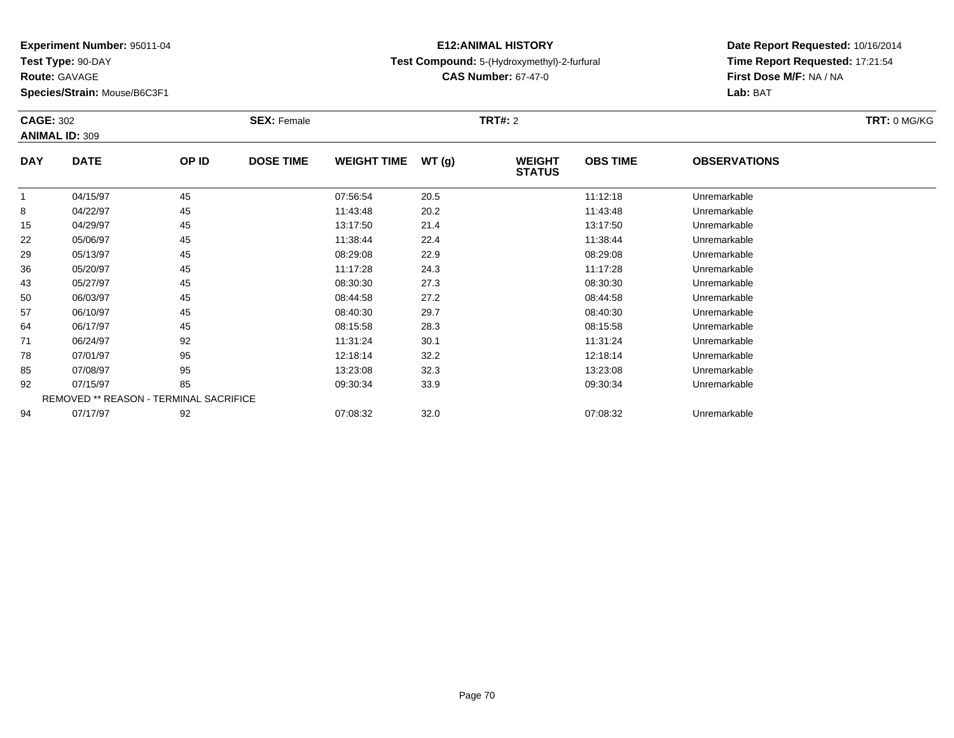**Test Type:** 90-DAY

**Route:** GAVAGE

**Species/Strain:** Mouse/B6C3F1

## **E12:ANIMAL HISTORYTest Compound:** 5-(Hydroxymethyl)-2-furfural

**CAS Number:** 67-47-0

| <b>CAGE: 302</b> | <b>ANIMAL ID: 309</b>                         |       | <b>SEX: Female</b> |                    |       | <b>TRT#: 2</b>                 |                 |                     | TRT: 0 MG/KG |
|------------------|-----------------------------------------------|-------|--------------------|--------------------|-------|--------------------------------|-----------------|---------------------|--------------|
| <b>DAY</b>       | <b>DATE</b>                                   | OP ID | <b>DOSE TIME</b>   | <b>WEIGHT TIME</b> | WT(g) | <b>WEIGHT</b><br><b>STATUS</b> | <b>OBS TIME</b> | <b>OBSERVATIONS</b> |              |
| 1                | 04/15/97                                      | 45    |                    | 07:56:54           | 20.5  |                                | 11:12:18        | Unremarkable        |              |
| 8                | 04/22/97                                      | 45    |                    | 11:43:48           | 20.2  |                                | 11:43:48        | Unremarkable        |              |
| 15               | 04/29/97                                      | 45    |                    | 13:17:50           | 21.4  |                                | 13:17:50        | Unremarkable        |              |
| 22               | 05/06/97                                      | 45    |                    | 11:38:44           | 22.4  |                                | 11:38:44        | Unremarkable        |              |
| 29               | 05/13/97                                      | 45    |                    | 08:29:08           | 22.9  |                                | 08:29:08        | Unremarkable        |              |
| 36               | 05/20/97                                      | 45    |                    | 11:17:28           | 24.3  |                                | 11:17:28        | Unremarkable        |              |
| 43               | 05/27/97                                      | 45    |                    | 08:30:30           | 27.3  |                                | 08:30:30        | Unremarkable        |              |
| 50               | 06/03/97                                      | 45    |                    | 08:44:58           | 27.2  |                                | 08:44:58        | Unremarkable        |              |
| 57               | 06/10/97                                      | 45    |                    | 08:40:30           | 29.7  |                                | 08:40:30        | Unremarkable        |              |
| 64               | 06/17/97                                      | 45    |                    | 08:15:58           | 28.3  |                                | 08:15:58        | Unremarkable        |              |
| 71               | 06/24/97                                      | 92    |                    | 11:31:24           | 30.1  |                                | 11:31:24        | Unremarkable        |              |
| 78               | 07/01/97                                      | 95    |                    | 12:18:14           | 32.2  |                                | 12:18:14        | Unremarkable        |              |
| 85               | 07/08/97                                      | 95    |                    | 13:23:08           | 32.3  |                                | 13:23:08        | Unremarkable        |              |
| 92               | 07/15/97                                      | 85    |                    | 09:30:34           | 33.9  |                                | 09:30:34        | Unremarkable        |              |
|                  | <b>REMOVED ** REASON - TERMINAL SACRIFICE</b> |       |                    |                    |       |                                |                 |                     |              |
| 94               | 07/17/97                                      | 92    |                    | 07:08:32           | 32.0  |                                | 07:08:32        | Unremarkable        |              |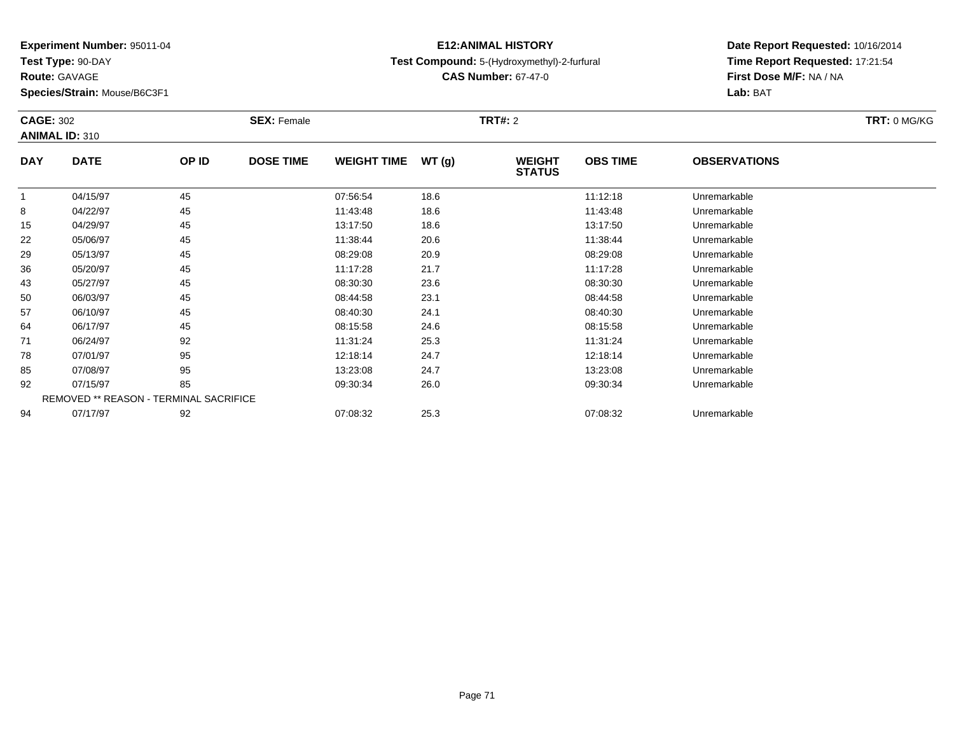**Test Type:** 90-DAY

**Route:** GAVAGE

**Species/Strain:** Mouse/B6C3F1

## **E12:ANIMAL HISTORYTest Compound:** 5-(Hydroxymethyl)-2-furfural

**CAS Number:** 67-47-0

| <b>CAGE: 302</b> |                                        |       | <b>SEX: Female</b> |                    |       | <b>TRT#:</b> 2                 |                 |                     | <b>TRT: 0 MG/KG</b> |
|------------------|----------------------------------------|-------|--------------------|--------------------|-------|--------------------------------|-----------------|---------------------|---------------------|
|                  | <b>ANIMAL ID: 310</b>                  |       |                    |                    |       |                                |                 |                     |                     |
| <b>DAY</b>       | <b>DATE</b>                            | OP ID | <b>DOSE TIME</b>   | <b>WEIGHT TIME</b> | WT(g) | <b>WEIGHT</b><br><b>STATUS</b> | <b>OBS TIME</b> | <b>OBSERVATIONS</b> |                     |
|                  | 04/15/97                               | 45    |                    | 07:56:54           | 18.6  |                                | 11:12:18        | Unremarkable        |                     |
| 8                | 04/22/97                               | 45    |                    | 11:43:48           | 18.6  |                                | 11:43:48        | Unremarkable        |                     |
| 15               | 04/29/97                               | 45    |                    | 13:17:50           | 18.6  |                                | 13:17:50        | Unremarkable        |                     |
| 22               | 05/06/97                               | 45    |                    | 11:38:44           | 20.6  |                                | 11:38:44        | Unremarkable        |                     |
| 29               | 05/13/97                               | 45    |                    | 08:29:08           | 20.9  |                                | 08:29:08        | Unremarkable        |                     |
| 36               | 05/20/97                               | 45    |                    | 11:17:28           | 21.7  |                                | 11:17:28        | Unremarkable        |                     |
| 43               | 05/27/97                               | 45    |                    | 08:30:30           | 23.6  |                                | 08:30:30        | Unremarkable        |                     |
| 50               | 06/03/97                               | 45    |                    | 08:44:58           | 23.1  |                                | 08:44:58        | Unremarkable        |                     |
| 57               | 06/10/97                               | 45    |                    | 08:40:30           | 24.1  |                                | 08:40:30        | Unremarkable        |                     |
| 64               | 06/17/97                               | 45    |                    | 08:15:58           | 24.6  |                                | 08:15:58        | Unremarkable        |                     |
| 71               | 06/24/97                               | 92    |                    | 11:31:24           | 25.3  |                                | 11:31:24        | Unremarkable        |                     |
| 78               | 07/01/97                               | 95    |                    | 12:18:14           | 24.7  |                                | 12:18:14        | Unremarkable        |                     |
| 85               | 07/08/97                               | 95    |                    | 13:23:08           | 24.7  |                                | 13:23:08        | Unremarkable        |                     |
| 92               | 07/15/97                               | 85    |                    | 09:30:34           | 26.0  |                                | 09:30:34        | Unremarkable        |                     |
|                  | REMOVED ** REASON - TERMINAL SACRIFICE |       |                    |                    |       |                                |                 |                     |                     |
| 94               | 07/17/97                               | 92    |                    | 07:08:32           | 25.3  |                                | 07:08:32        | Unremarkable        |                     |
|                  |                                        |       |                    |                    |       |                                |                 |                     |                     |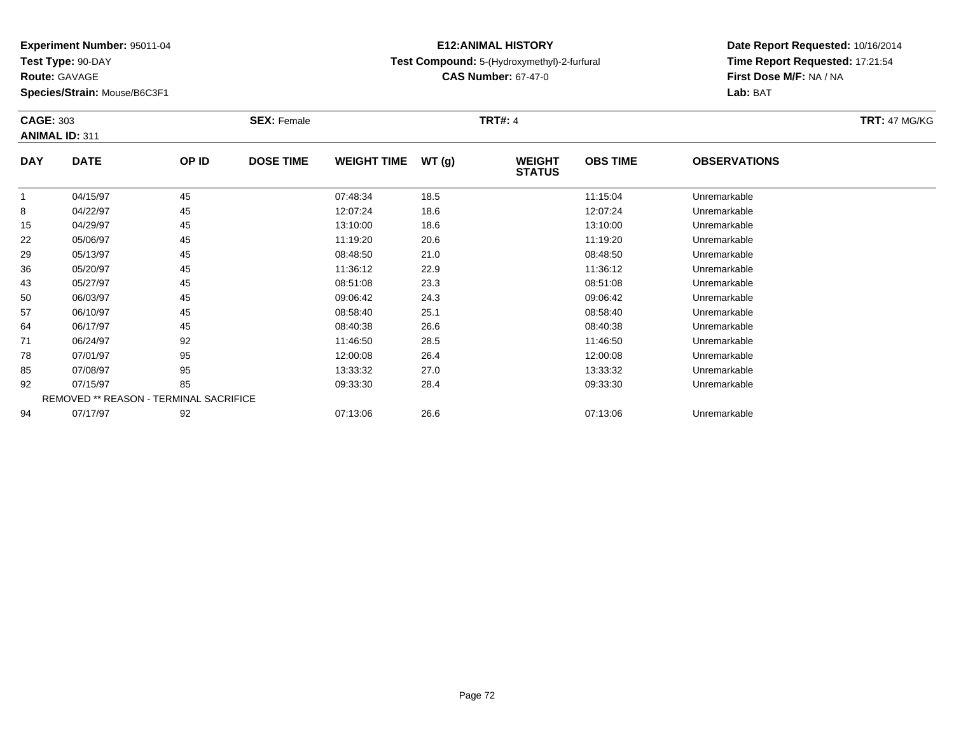**Test Type:** 90-DAY

**Route:** GAVAGE

**Species/Strain:** Mouse/B6C3F1

## **E12:ANIMAL HISTORYTest Compound:** 5-(Hydroxymethyl)-2-furfural

**CAS Number:** 67-47-0

| <b>CAGE: 303</b> |                                        |       | <b>SEX: Female</b> |                    |       | <b>TRT#: 4</b>                 |                 |                     | <b>TRT: 47 MG/KG</b> |
|------------------|----------------------------------------|-------|--------------------|--------------------|-------|--------------------------------|-----------------|---------------------|----------------------|
|                  | <b>ANIMAL ID: 311</b>                  |       |                    |                    |       |                                |                 |                     |                      |
| <b>DAY</b>       | <b>DATE</b>                            | OP ID | <b>DOSE TIME</b>   | <b>WEIGHT TIME</b> | WT(g) | <b>WEIGHT</b><br><b>STATUS</b> | <b>OBS TIME</b> | <b>OBSERVATIONS</b> |                      |
|                  | 04/15/97                               | 45    |                    | 07:48:34           | 18.5  |                                | 11:15:04        | Unremarkable        |                      |
| 8                | 04/22/97                               | 45    |                    | 12:07:24           | 18.6  |                                | 12:07:24        | Unremarkable        |                      |
| 15               | 04/29/97                               | 45    |                    | 13:10:00           | 18.6  |                                | 13:10:00        | Unremarkable        |                      |
| 22               | 05/06/97                               | 45    |                    | 11:19:20           | 20.6  |                                | 11:19:20        | Unremarkable        |                      |
| 29               | 05/13/97                               | 45    |                    | 08:48:50           | 21.0  |                                | 08:48:50        | Unremarkable        |                      |
| 36               | 05/20/97                               | 45    |                    | 11:36:12           | 22.9  |                                | 11:36:12        | Unremarkable        |                      |
| 43               | 05/27/97                               | 45    |                    | 08:51:08           | 23.3  |                                | 08:51:08        | Unremarkable        |                      |
| 50               | 06/03/97                               | 45    |                    | 09:06:42           | 24.3  |                                | 09:06:42        | Unremarkable        |                      |
| 57               | 06/10/97                               | 45    |                    | 08:58:40           | 25.1  |                                | 08:58:40        | Unremarkable        |                      |
| 64               | 06/17/97                               | 45    |                    | 08:40:38           | 26.6  |                                | 08:40:38        | Unremarkable        |                      |
| 71               | 06/24/97                               | 92    |                    | 11:46:50           | 28.5  |                                | 11:46:50        | Unremarkable        |                      |
| 78               | 07/01/97                               | 95    |                    | 12:00:08           | 26.4  |                                | 12:00:08        | Unremarkable        |                      |
| 85               | 07/08/97                               | 95    |                    | 13:33:32           | 27.0  |                                | 13:33:32        | Unremarkable        |                      |
| 92               | 07/15/97                               | 85    |                    | 09:33:30           | 28.4  |                                | 09:33:30        | Unremarkable        |                      |
|                  | REMOVED ** REASON - TERMINAL SACRIFICE |       |                    |                    |       |                                |                 |                     |                      |
| 94               | 07/17/97                               | 92    |                    | 07:13:06           | 26.6  |                                | 07:13:06        | Unremarkable        |                      |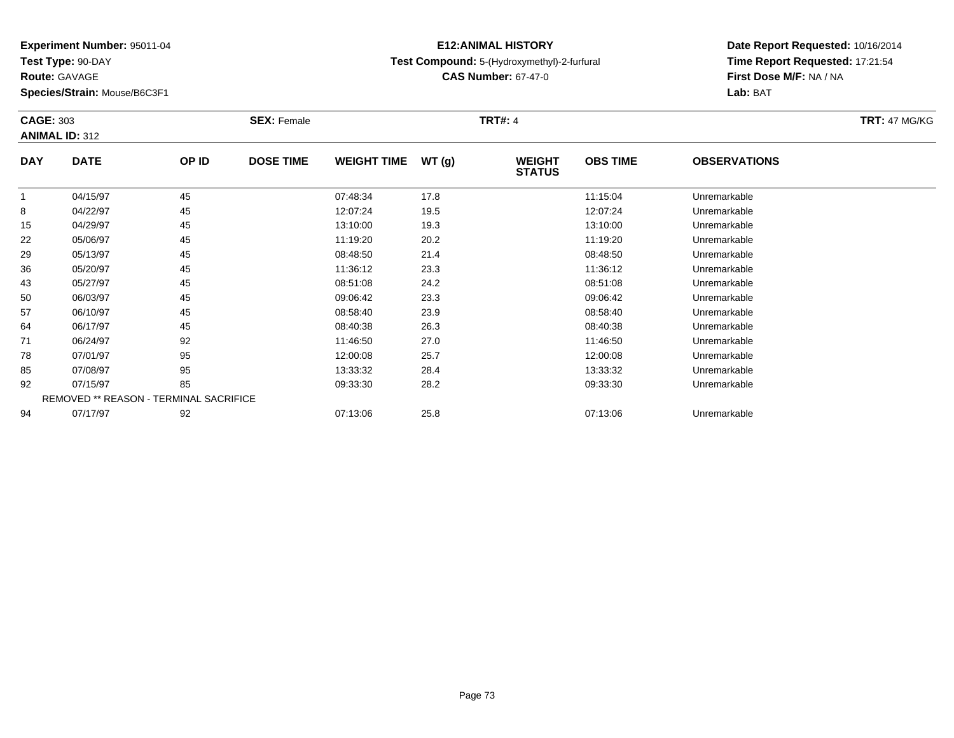**Test Type:** 90-DAY

**Route:** GAVAGE

**Species/Strain:** Mouse/B6C3F1

# **Test Compound:** 5-(Hydroxymethyl)-2-furfural

**CAS Number:** 67-47-0

**Date Report Requested:** 10/16/2014 **Time Report Requested:** 17:21:54**First Dose M/F:** NA / NA**Lab:** BAT

| <b>CAGE: 303</b> |                                        |       | <b>SEX: Female</b> |                    |       | <b>TRT#: 4</b>                 |                 |                     | <b>TRT: 47 MG/KG</b> |
|------------------|----------------------------------------|-------|--------------------|--------------------|-------|--------------------------------|-----------------|---------------------|----------------------|
|                  | <b>ANIMAL ID: 312</b>                  |       |                    |                    |       |                                |                 |                     |                      |
| <b>DAY</b>       | <b>DATE</b>                            | OP ID | <b>DOSE TIME</b>   | <b>WEIGHT TIME</b> | WT(g) | <b>WEIGHT</b><br><b>STATUS</b> | <b>OBS TIME</b> | <b>OBSERVATIONS</b> |                      |
|                  | 04/15/97                               | 45    |                    | 07:48:34           | 17.8  |                                | 11:15:04        | Unremarkable        |                      |
| 8                | 04/22/97                               | 45    |                    | 12:07:24           | 19.5  |                                | 12:07:24        | Unremarkable        |                      |
| 15               | 04/29/97                               | 45    |                    | 13:10:00           | 19.3  |                                | 13:10:00        | Unremarkable        |                      |
| 22               | 05/06/97                               | 45    |                    | 11:19:20           | 20.2  |                                | 11:19:20        | Unremarkable        |                      |
| 29               | 05/13/97                               | 45    |                    | 08:48:50           | 21.4  |                                | 08:48:50        | Unremarkable        |                      |
| 36               | 05/20/97                               | 45    |                    | 11:36:12           | 23.3  |                                | 11:36:12        | Unremarkable        |                      |
| 43               | 05/27/97                               | 45    |                    | 08:51:08           | 24.2  |                                | 08:51:08        | Unremarkable        |                      |
| 50               | 06/03/97                               | 45    |                    | 09:06:42           | 23.3  |                                | 09:06:42        | Unremarkable        |                      |
| 57               | 06/10/97                               | 45    |                    | 08:58:40           | 23.9  |                                | 08:58:40        | Unremarkable        |                      |
| 64               | 06/17/97                               | 45    |                    | 08:40:38           | 26.3  |                                | 08:40:38        | Unremarkable        |                      |
| 71               | 06/24/97                               | 92    |                    | 11:46:50           | 27.0  |                                | 11:46:50        | Unremarkable        |                      |
| 78               | 07/01/97                               | 95    |                    | 12:00:08           | 25.7  |                                | 12:00:08        | Unremarkable        |                      |
| 85               | 07/08/97                               | 95    |                    | 13:33:32           | 28.4  |                                | 13:33:32        | Unremarkable        |                      |
| 92               | 07/15/97                               | 85    |                    | 09:33:30           | 28.2  |                                | 09:33:30        | Unremarkable        |                      |
|                  | REMOVED ** REASON - TERMINAL SACRIFICE |       |                    |                    |       |                                |                 |                     |                      |
| 94               | 07/17/97                               | 92    |                    | 07:13:06           | 25.8  |                                | 07:13:06        | Unremarkable        |                      |

**E12:ANIMAL HISTORY**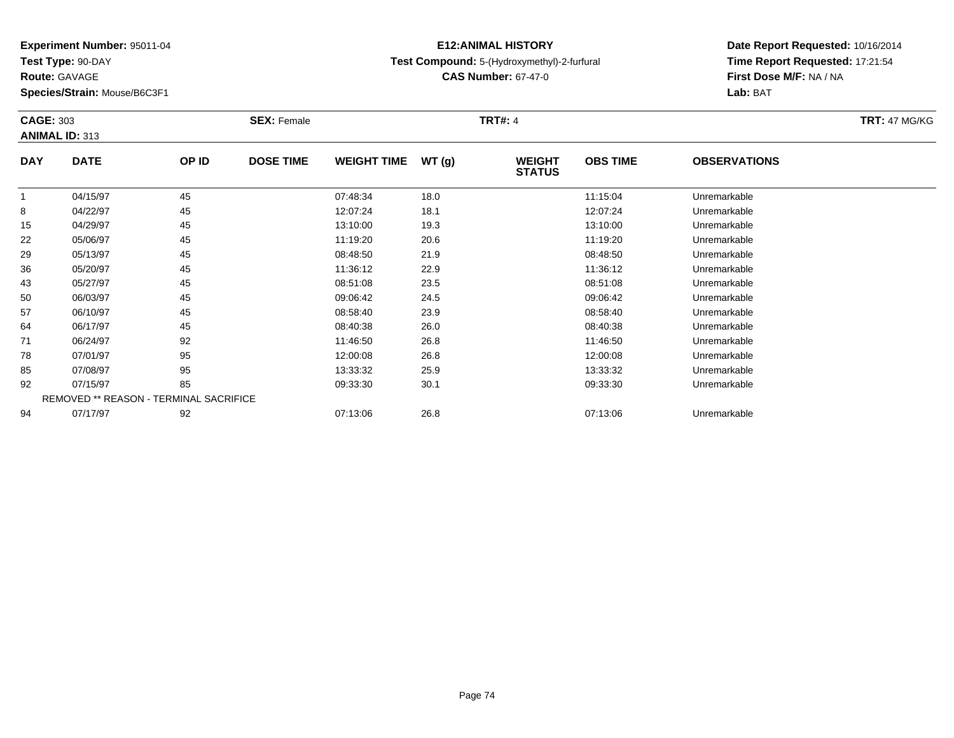**Test Type:** 90-DAY

**Route:** GAVAGE

**Species/Strain:** Mouse/B6C3F1

### **E12:ANIMAL HISTORYTest Compound:** 5-(Hydroxymethyl)-2-furfural

**CAS Number:** 67-47-0

| <b>CAGE: 303</b> |                       |                                        | <b>SEX: Female</b> |                    |       | <b>TRT#: 4</b>                 |                 |                     | <b>TRT: 47 MG/KG</b> |
|------------------|-----------------------|----------------------------------------|--------------------|--------------------|-------|--------------------------------|-----------------|---------------------|----------------------|
|                  | <b>ANIMAL ID: 313</b> |                                        |                    |                    |       |                                |                 |                     |                      |
| <b>DAY</b>       | <b>DATE</b>           | OP ID                                  | <b>DOSE TIME</b>   | <b>WEIGHT TIME</b> | WT(g) | <b>WEIGHT</b><br><b>STATUS</b> | <b>OBS TIME</b> | <b>OBSERVATIONS</b> |                      |
| $\mathbf{1}$     | 04/15/97              | 45                                     |                    | 07:48:34           | 18.0  |                                | 11:15:04        | Unremarkable        |                      |
| 8                | 04/22/97              | 45                                     |                    | 12:07:24           | 18.1  |                                | 12:07:24        | Unremarkable        |                      |
| 15               | 04/29/97              | 45                                     |                    | 13:10:00           | 19.3  |                                | 13:10:00        | Unremarkable        |                      |
| 22               | 05/06/97              | 45                                     |                    | 11:19:20           | 20.6  |                                | 11:19:20        | Unremarkable        |                      |
| 29               | 05/13/97              | 45                                     |                    | 08:48:50           | 21.9  |                                | 08:48:50        | Unremarkable        |                      |
| 36               | 05/20/97              | 45                                     |                    | 11:36:12           | 22.9  |                                | 11:36:12        | Unremarkable        |                      |
| 43               | 05/27/97              | 45                                     |                    | 08:51:08           | 23.5  |                                | 08:51:08        | Unremarkable        |                      |
| 50               | 06/03/97              | 45                                     |                    | 09:06:42           | 24.5  |                                | 09:06:42        | Unremarkable        |                      |
| 57               | 06/10/97              | 45                                     |                    | 08:58:40           | 23.9  |                                | 08:58:40        | Unremarkable        |                      |
| 64               | 06/17/97              | 45                                     |                    | 08:40:38           | 26.0  |                                | 08:40:38        | Unremarkable        |                      |
| 71               | 06/24/97              | 92                                     |                    | 11:46:50           | 26.8  |                                | 11:46:50        | Unremarkable        |                      |
| 78               | 07/01/97              | 95                                     |                    | 12:00:08           | 26.8  |                                | 12:00:08        | Unremarkable        |                      |
| 85               | 07/08/97              | 95                                     |                    | 13:33:32           | 25.9  |                                | 13:33:32        | Unremarkable        |                      |
| 92               | 07/15/97              | 85                                     |                    | 09:33:30           | 30.1  |                                | 09:33:30        | Unremarkable        |                      |
|                  |                       | REMOVED ** REASON - TERMINAL SACRIFICE |                    |                    |       |                                |                 |                     |                      |
| 94               | 07/17/97              | 92                                     |                    | 07:13:06           | 26.8  |                                | 07:13:06        | Unremarkable        |                      |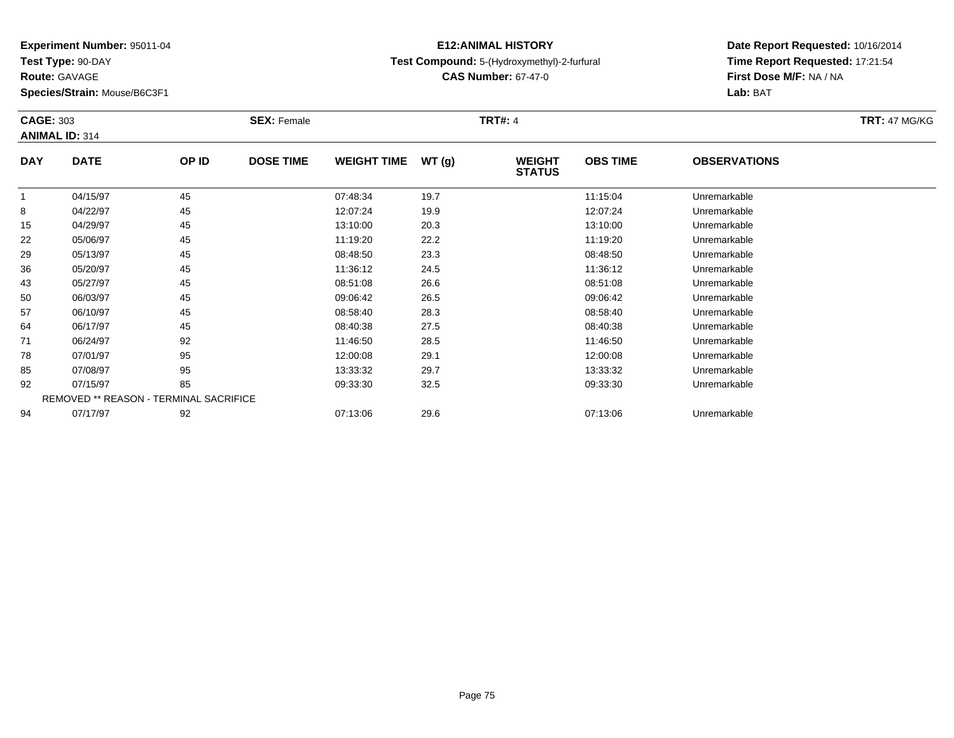**Test Type:** 90-DAY

**Route:** GAVAGE

**Species/Strain:** Mouse/B6C3F1

### **E12:ANIMAL HISTORYTest Compound:** 5-(Hydroxymethyl)-2-furfural

**CAS Number:** 67-47-0

| <b>CAGE: 303</b> |                                        |       | <b>SEX: Female</b> |                    |       | <b>TRT#:</b> 4                 |                 |                     | <b>TRT: 47 MG/KG</b> |
|------------------|----------------------------------------|-------|--------------------|--------------------|-------|--------------------------------|-----------------|---------------------|----------------------|
|                  | <b>ANIMAL ID: 314</b>                  |       |                    |                    |       |                                |                 |                     |                      |
| <b>DAY</b>       | <b>DATE</b>                            | OP ID | <b>DOSE TIME</b>   | <b>WEIGHT TIME</b> | WT(g) | <b>WEIGHT</b><br><b>STATUS</b> | <b>OBS TIME</b> | <b>OBSERVATIONS</b> |                      |
| 1                | 04/15/97                               | 45    |                    | 07:48:34           | 19.7  |                                | 11:15:04        | Unremarkable        |                      |
| 8                | 04/22/97                               | 45    |                    | 12:07:24           | 19.9  |                                | 12:07:24        | Unremarkable        |                      |
| 15               | 04/29/97                               | 45    |                    | 13:10:00           | 20.3  |                                | 13:10:00        | Unremarkable        |                      |
| 22               | 05/06/97                               | 45    |                    | 11:19:20           | 22.2  |                                | 11:19:20        | Unremarkable        |                      |
| 29               | 05/13/97                               | 45    |                    | 08:48:50           | 23.3  |                                | 08:48:50        | Unremarkable        |                      |
| 36               | 05/20/97                               | 45    |                    | 11:36:12           | 24.5  |                                | 11:36:12        | Unremarkable        |                      |
| 43               | 05/27/97                               | 45    |                    | 08:51:08           | 26.6  |                                | 08:51:08        | Unremarkable        |                      |
| 50               | 06/03/97                               | 45    |                    | 09:06:42           | 26.5  |                                | 09:06:42        | Unremarkable        |                      |
| 57               | 06/10/97                               | 45    |                    | 08:58:40           | 28.3  |                                | 08:58:40        | Unremarkable        |                      |
| 64               | 06/17/97                               | 45    |                    | 08:40:38           | 27.5  |                                | 08:40:38        | Unremarkable        |                      |
| 71               | 06/24/97                               | 92    |                    | 11:46:50           | 28.5  |                                | 11:46:50        | Unremarkable        |                      |
| 78               | 07/01/97                               | 95    |                    | 12:00:08           | 29.1  |                                | 12:00:08        | Unremarkable        |                      |
| 85               | 07/08/97                               | 95    |                    | 13:33:32           | 29.7  |                                | 13:33:32        | Unremarkable        |                      |
| 92               | 07/15/97                               | 85    |                    | 09:33:30           | 32.5  |                                | 09:33:30        | Unremarkable        |                      |
|                  | REMOVED ** REASON - TERMINAL SACRIFICE |       |                    |                    |       |                                |                 |                     |                      |
| 94               | 07/17/97                               | 92    |                    | 07:13:06           | 29.6  |                                | 07:13:06        | Unremarkable        |                      |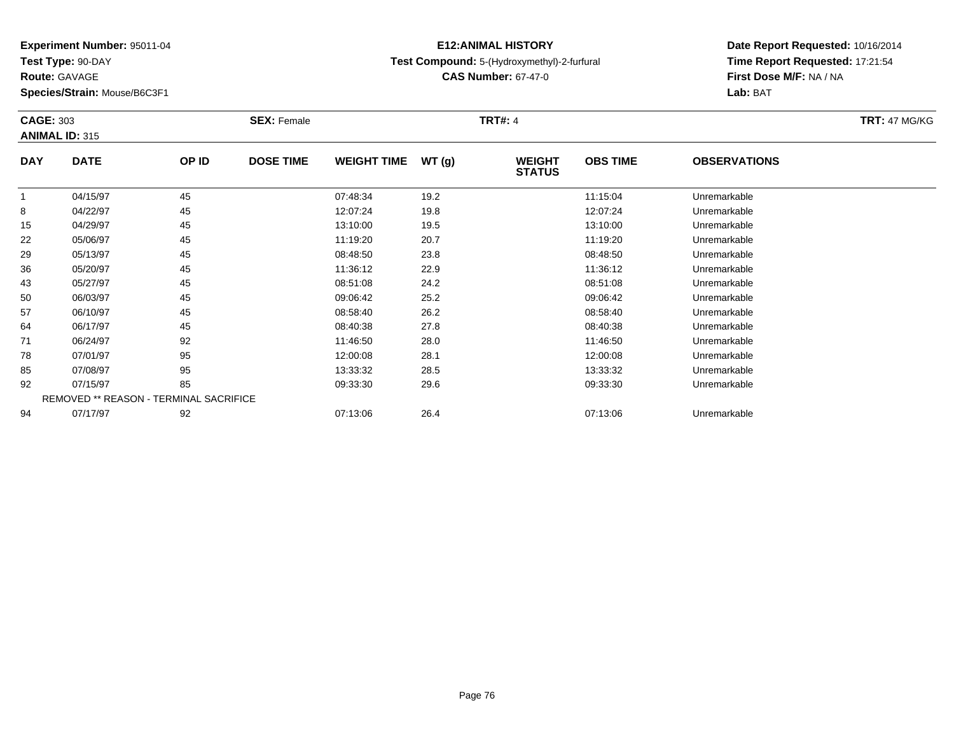**Test Type:** 90-DAY

**Route:** GAVAGE

**Species/Strain:** Mouse/B6C3F1

### **E12:ANIMAL HISTORYTest Compound:** 5-(Hydroxymethyl)-2-furfural

**CAS Number:** 67-47-0

| <b>CAGE: 303</b> | <b>ANIMAL ID: 315</b>                  |       | <b>SEX: Female</b> |                    |       | <b>TRT#:</b> 4                 |                 |                     | <b>TRT: 47 MG/KG</b> |
|------------------|----------------------------------------|-------|--------------------|--------------------|-------|--------------------------------|-----------------|---------------------|----------------------|
| <b>DAY</b>       | <b>DATE</b>                            | OP ID | <b>DOSE TIME</b>   | <b>WEIGHT TIME</b> | WT(g) | <b>WEIGHT</b><br><b>STATUS</b> | <b>OBS TIME</b> | <b>OBSERVATIONS</b> |                      |
|                  | 04/15/97                               | 45    |                    | 07:48:34           | 19.2  |                                | 11:15:04        | Unremarkable        |                      |
| 8                | 04/22/97                               | 45    |                    | 12:07:24           | 19.8  |                                | 12:07:24        | Unremarkable        |                      |
| 15               | 04/29/97                               | 45    |                    | 13:10:00           | 19.5  |                                | 13:10:00        | Unremarkable        |                      |
| 22               | 05/06/97                               | 45    |                    | 11:19:20           | 20.7  |                                | 11:19:20        | Unremarkable        |                      |
| 29               | 05/13/97                               | 45    |                    | 08:48:50           | 23.8  |                                | 08:48:50        | Unremarkable        |                      |
| 36               | 05/20/97                               | 45    |                    | 11:36:12           | 22.9  |                                | 11:36:12        | Unremarkable        |                      |
| 43               | 05/27/97                               | 45    |                    | 08:51:08           | 24.2  |                                | 08:51:08        | Unremarkable        |                      |
| 50               | 06/03/97                               | 45    |                    | 09:06:42           | 25.2  |                                | 09:06:42        | Unremarkable        |                      |
| 57               | 06/10/97                               | 45    |                    | 08:58:40           | 26.2  |                                | 08:58:40        | Unremarkable        |                      |
| 64               | 06/17/97                               | 45    |                    | 08:40:38           | 27.8  |                                | 08:40:38        | Unremarkable        |                      |
| 71               | 06/24/97                               | 92    |                    | 11:46:50           | 28.0  |                                | 11:46:50        | Unremarkable        |                      |
| 78               | 07/01/97                               | 95    |                    | 12:00:08           | 28.1  |                                | 12:00:08        | Unremarkable        |                      |
| 85               | 07/08/97                               | 95    |                    | 13:33:32           | 28.5  |                                | 13:33:32        | Unremarkable        |                      |
| 92               | 07/15/97                               | 85    |                    | 09:33:30           | 29.6  |                                | 09:33:30        | Unremarkable        |                      |
|                  | REMOVED ** REASON - TERMINAL SACRIFICE |       |                    |                    |       |                                |                 |                     |                      |
| 94               | 07/17/97                               | 92    |                    | 07:13:06           | 26.4  |                                | 07:13:06        | Unremarkable        |                      |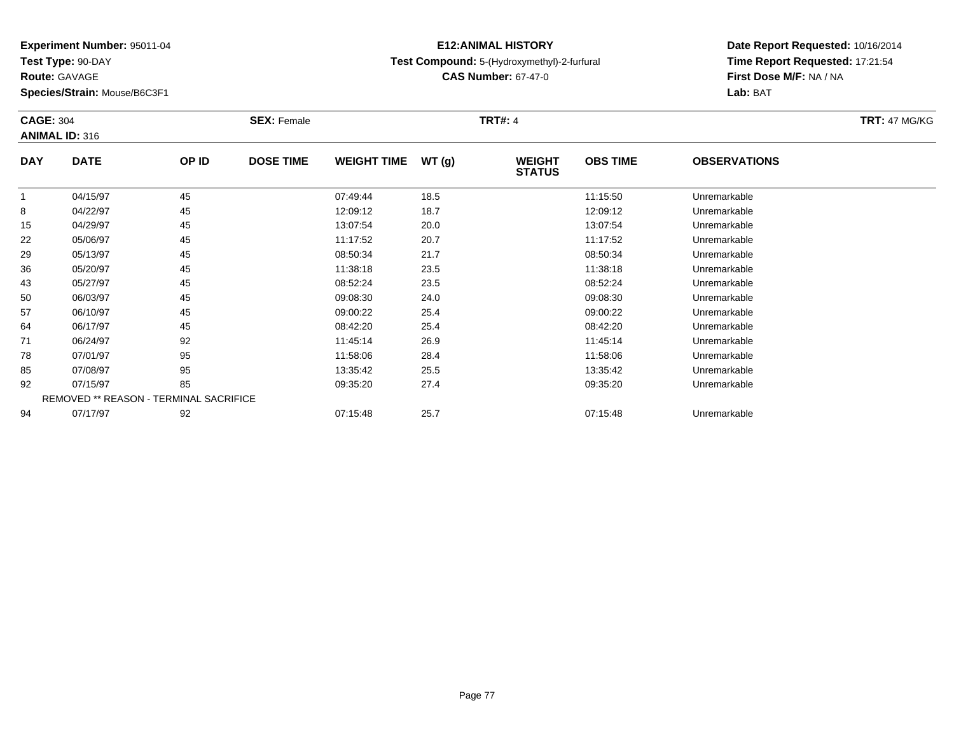**Test Type:** 90-DAY

**Route:** GAVAGE

**Species/Strain:** Mouse/B6C3F1

### **E12:ANIMAL HISTORYTest Compound:** 5-(Hydroxymethyl)-2-furfural

**CAS Number:** 67-47-0

| <b>CAGE: 304</b> |                                        |       | <b>SEX: Female</b> |                    |       | <b>TRT#:</b> 4                 |                 |                     | <b>TRT: 47 MG/KG</b> |
|------------------|----------------------------------------|-------|--------------------|--------------------|-------|--------------------------------|-----------------|---------------------|----------------------|
|                  | <b>ANIMAL ID: 316</b>                  |       |                    |                    |       |                                |                 |                     |                      |
| <b>DAY</b>       | <b>DATE</b>                            | OP ID | <b>DOSE TIME</b>   | <b>WEIGHT TIME</b> | WT(g) | <b>WEIGHT</b><br><b>STATUS</b> | <b>OBS TIME</b> | <b>OBSERVATIONS</b> |                      |
|                  | 04/15/97                               | 45    |                    | 07:49:44           | 18.5  |                                | 11:15:50        | Unremarkable        |                      |
| 8                | 04/22/97                               | 45    |                    | 12:09:12           | 18.7  |                                | 12:09:12        | Unremarkable        |                      |
| 15               | 04/29/97                               | 45    |                    | 13:07:54           | 20.0  |                                | 13:07:54        | Unremarkable        |                      |
| 22               | 05/06/97                               | 45    |                    | 11:17:52           | 20.7  |                                | 11:17:52        | Unremarkable        |                      |
| 29               | 05/13/97                               | 45    |                    | 08:50:34           | 21.7  |                                | 08:50:34        | Unremarkable        |                      |
| 36               | 05/20/97                               | 45    |                    | 11:38:18           | 23.5  |                                | 11:38:18        | Unremarkable        |                      |
| 43               | 05/27/97                               | 45    |                    | 08:52:24           | 23.5  |                                | 08:52:24        | Unremarkable        |                      |
| 50               | 06/03/97                               | 45    |                    | 09:08:30           | 24.0  |                                | 09:08:30        | Unremarkable        |                      |
| 57               | 06/10/97                               | 45    |                    | 09:00:22           | 25.4  |                                | 09:00:22        | Unremarkable        |                      |
| 64               | 06/17/97                               | 45    |                    | 08:42:20           | 25.4  |                                | 08:42:20        | Unremarkable        |                      |
| 71               | 06/24/97                               | 92    |                    | 11:45:14           | 26.9  |                                | 11:45:14        | Unremarkable        |                      |
| 78               | 07/01/97                               | 95    |                    | 11:58:06           | 28.4  |                                | 11:58:06        | Unremarkable        |                      |
| 85               | 07/08/97                               | 95    |                    | 13:35:42           | 25.5  |                                | 13:35:42        | Unremarkable        |                      |
| 92               | 07/15/97                               | 85    |                    | 09:35:20           | 27.4  |                                | 09:35:20        | Unremarkable        |                      |
|                  | REMOVED ** REASON - TERMINAL SACRIFICE |       |                    |                    |       |                                |                 |                     |                      |
| 94               | 07/17/97                               | 92    |                    | 07:15:48           | 25.7  |                                | 07:15:48        | Unremarkable        |                      |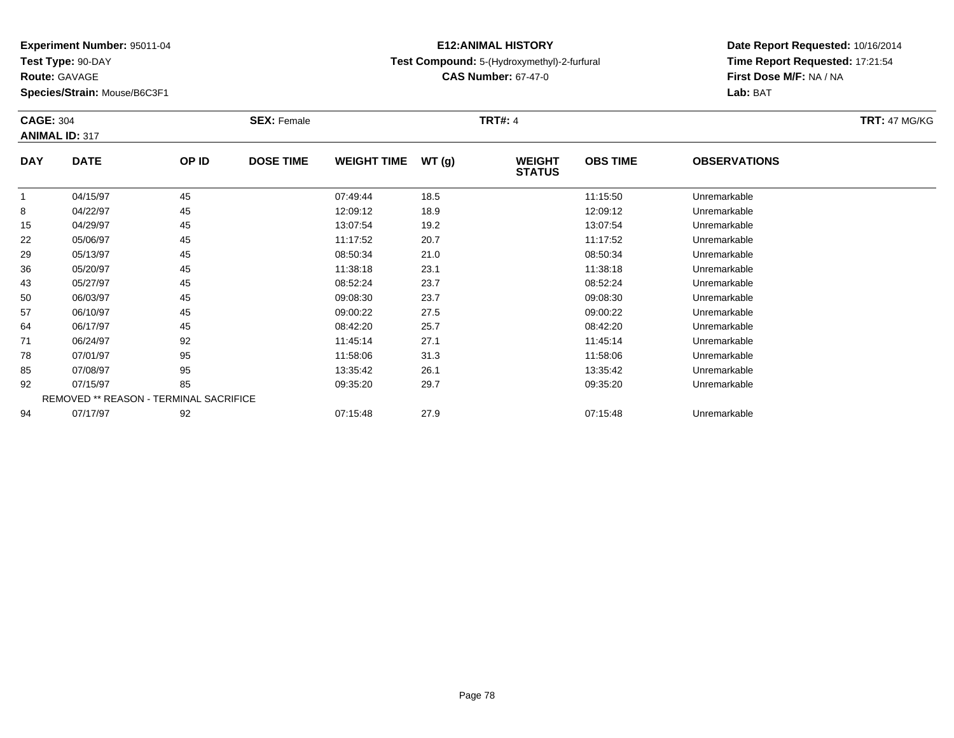**Test Type:** 90-DAY

**Route:** GAVAGE

**Species/Strain:** Mouse/B6C3F1

### **E12:ANIMAL HISTORYTest Compound:** 5-(Hydroxymethyl)-2-furfural

**CAS Number:** 67-47-0

| <b>CAGE: 304</b> |                       |                                        | <b>SEX: Female</b> |                    |       | <b>TRT#: 4</b>                 |                 |                     | <b>TRT: 47 MG/KG</b> |
|------------------|-----------------------|----------------------------------------|--------------------|--------------------|-------|--------------------------------|-----------------|---------------------|----------------------|
|                  | <b>ANIMAL ID: 317</b> |                                        |                    |                    |       |                                |                 |                     |                      |
| <b>DAY</b>       | <b>DATE</b>           | OP ID                                  | <b>DOSE TIME</b>   | <b>WEIGHT TIME</b> | WT(g) | <b>WEIGHT</b><br><b>STATUS</b> | <b>OBS TIME</b> | <b>OBSERVATIONS</b> |                      |
|                  | 04/15/97              | 45                                     |                    | 07:49:44           | 18.5  |                                | 11:15:50        | Unremarkable        |                      |
| 8                | 04/22/97              | 45                                     |                    | 12:09:12           | 18.9  |                                | 12:09:12        | Unremarkable        |                      |
| 15               | 04/29/97              | 45                                     |                    | 13:07:54           | 19.2  |                                | 13:07:54        | Unremarkable        |                      |
| 22               | 05/06/97              | 45                                     |                    | 11:17:52           | 20.7  |                                | 11:17:52        | Unremarkable        |                      |
| 29               | 05/13/97              | 45                                     |                    | 08:50:34           | 21.0  |                                | 08:50:34        | Unremarkable        |                      |
| 36               | 05/20/97              | 45                                     |                    | 11:38:18           | 23.1  |                                | 11:38:18        | Unremarkable        |                      |
| 43               | 05/27/97              | 45                                     |                    | 08:52:24           | 23.7  |                                | 08:52:24        | Unremarkable        |                      |
| 50               | 06/03/97              | 45                                     |                    | 09:08:30           | 23.7  |                                | 09:08:30        | Unremarkable        |                      |
| 57               | 06/10/97              | 45                                     |                    | 09:00:22           | 27.5  |                                | 09:00:22        | Unremarkable        |                      |
| 64               | 06/17/97              | 45                                     |                    | 08:42:20           | 25.7  |                                | 08:42:20        | Unremarkable        |                      |
| 71               | 06/24/97              | 92                                     |                    | 11:45:14           | 27.1  |                                | 11:45:14        | Unremarkable        |                      |
| 78               | 07/01/97              | 95                                     |                    | 11:58:06           | 31.3  |                                | 11:58:06        | Unremarkable        |                      |
| 85               | 07/08/97              | 95                                     |                    | 13:35:42           | 26.1  |                                | 13:35:42        | Unremarkable        |                      |
| 92               | 07/15/97              | 85                                     |                    | 09:35:20           | 29.7  |                                | 09:35:20        | Unremarkable        |                      |
|                  |                       | REMOVED ** REASON - TERMINAL SACRIFICE |                    |                    |       |                                |                 |                     |                      |
| 94               | 07/17/97              | 92                                     |                    | 07:15:48           | 27.9  |                                | 07:15:48        | Unremarkable        |                      |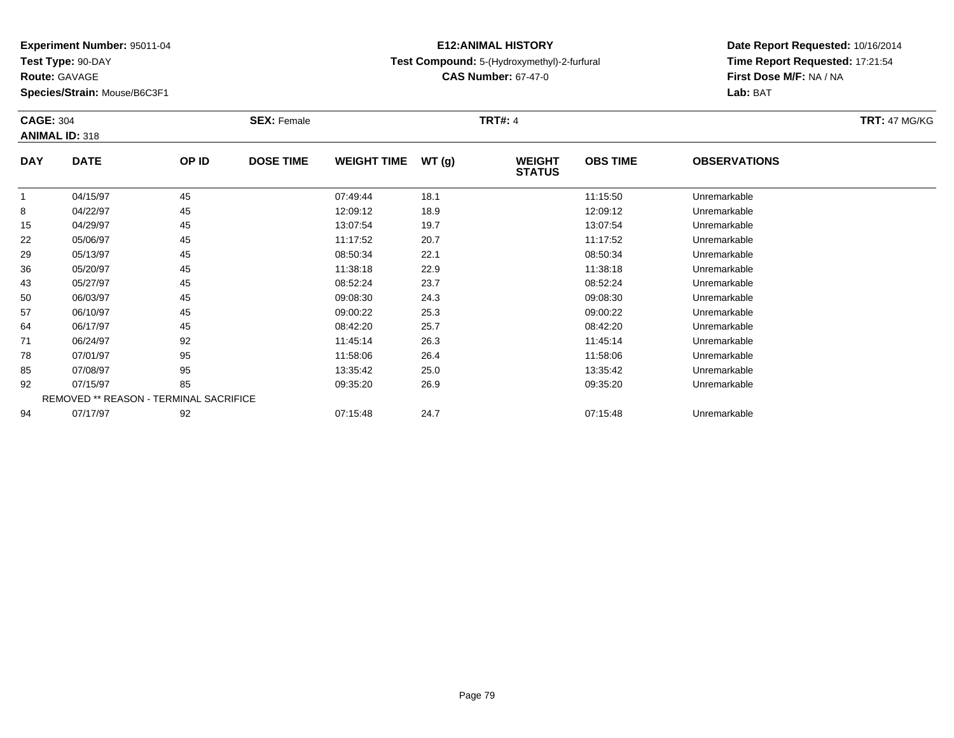**Test Type:** 90-DAY

**Route:** GAVAGE

**Species/Strain:** Mouse/B6C3F1

### **E12:ANIMAL HISTORYTest Compound:** 5-(Hydroxymethyl)-2-furfural

**CAS Number:** 67-47-0

| <b>CAGE: 304</b> |                       |                                        | <b>SEX: Female</b> |                    |       | <b>TRT#: 4</b>                 |                 |                     | <b>TRT: 47 MG/KG</b> |
|------------------|-----------------------|----------------------------------------|--------------------|--------------------|-------|--------------------------------|-----------------|---------------------|----------------------|
|                  | <b>ANIMAL ID: 318</b> |                                        |                    |                    |       |                                |                 |                     |                      |
| <b>DAY</b>       | <b>DATE</b>           | OP ID                                  | <b>DOSE TIME</b>   | <b>WEIGHT TIME</b> | WT(g) | <b>WEIGHT</b><br><b>STATUS</b> | <b>OBS TIME</b> | <b>OBSERVATIONS</b> |                      |
|                  | 04/15/97              | 45                                     |                    | 07:49:44           | 18.1  |                                | 11:15:50        | Unremarkable        |                      |
| 8                | 04/22/97              | 45                                     |                    | 12:09:12           | 18.9  |                                | 12:09:12        | Unremarkable        |                      |
| 15               | 04/29/97              | 45                                     |                    | 13:07:54           | 19.7  |                                | 13:07:54        | Unremarkable        |                      |
| 22               | 05/06/97              | 45                                     |                    | 11:17:52           | 20.7  |                                | 11:17:52        | Unremarkable        |                      |
| 29               | 05/13/97              | 45                                     |                    | 08:50:34           | 22.1  |                                | 08:50:34        | Unremarkable        |                      |
| 36               | 05/20/97              | 45                                     |                    | 11:38:18           | 22.9  |                                | 11:38:18        | Unremarkable        |                      |
| 43               | 05/27/97              | 45                                     |                    | 08:52:24           | 23.7  |                                | 08:52:24        | Unremarkable        |                      |
| 50               | 06/03/97              | 45                                     |                    | 09:08:30           | 24.3  |                                | 09:08:30        | Unremarkable        |                      |
| 57               | 06/10/97              | 45                                     |                    | 09:00:22           | 25.3  |                                | 09:00:22        | Unremarkable        |                      |
| 64               | 06/17/97              | 45                                     |                    | 08:42:20           | 25.7  |                                | 08:42:20        | Unremarkable        |                      |
| 71               | 06/24/97              | 92                                     |                    | 11:45:14           | 26.3  |                                | 11:45:14        | Unremarkable        |                      |
| 78               | 07/01/97              | 95                                     |                    | 11:58:06           | 26.4  |                                | 11:58:06        | Unremarkable        |                      |
| 85               | 07/08/97              | 95                                     |                    | 13:35:42           | 25.0  |                                | 13:35:42        | Unremarkable        |                      |
| 92               | 07/15/97              | 85                                     |                    | 09:35:20           | 26.9  |                                | 09:35:20        | Unremarkable        |                      |
|                  |                       | REMOVED ** REASON - TERMINAL SACRIFICE |                    |                    |       |                                |                 |                     |                      |
| 94               | 07/17/97              | 92                                     |                    | 07:15:48           | 24.7  |                                | 07:15:48        | Unremarkable        |                      |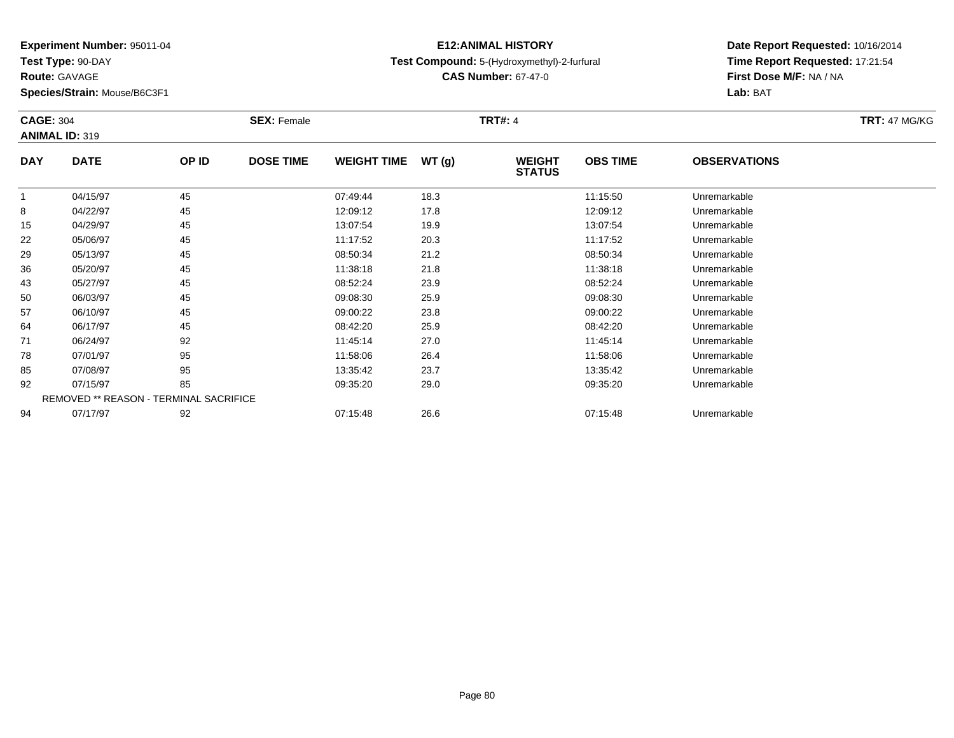**Test Type:** 90-DAY

**Route:** GAVAGE

**Species/Strain:** Mouse/B6C3F1

### **E12:ANIMAL HISTORYTest Compound:** 5-(Hydroxymethyl)-2-furfural

**CAS Number:** 67-47-0

| <b>CAGE: 304</b> |                                        |       | <b>SEX: Female</b> |                    |       | <b>TRT#:</b> 4                 |                 |                     | <b>TRT: 47 MG/KG</b> |
|------------------|----------------------------------------|-------|--------------------|--------------------|-------|--------------------------------|-----------------|---------------------|----------------------|
|                  | <b>ANIMAL ID: 319</b>                  |       |                    |                    |       |                                |                 |                     |                      |
| <b>DAY</b>       | <b>DATE</b>                            | OP ID | <b>DOSE TIME</b>   | <b>WEIGHT TIME</b> | WT(g) | <b>WEIGHT</b><br><b>STATUS</b> | <b>OBS TIME</b> | <b>OBSERVATIONS</b> |                      |
|                  | 04/15/97                               | 45    |                    | 07:49:44           | 18.3  |                                | 11:15:50        | Unremarkable        |                      |
| 8                | 04/22/97                               | 45    |                    | 12:09:12           | 17.8  |                                | 12:09:12        | Unremarkable        |                      |
| 15               | 04/29/97                               | 45    |                    | 13:07:54           | 19.9  |                                | 13:07:54        | Unremarkable        |                      |
| 22               | 05/06/97                               | 45    |                    | 11:17:52           | 20.3  |                                | 11:17:52        | Unremarkable        |                      |
| 29               | 05/13/97                               | 45    |                    | 08:50:34           | 21.2  |                                | 08:50:34        | Unremarkable        |                      |
| 36               | 05/20/97                               | 45    |                    | 11:38:18           | 21.8  |                                | 11:38:18        | Unremarkable        |                      |
| 43               | 05/27/97                               | 45    |                    | 08:52:24           | 23.9  |                                | 08:52:24        | Unremarkable        |                      |
| 50               | 06/03/97                               | 45    |                    | 09:08:30           | 25.9  |                                | 09:08:30        | Unremarkable        |                      |
| 57               | 06/10/97                               | 45    |                    | 09:00:22           | 23.8  |                                | 09:00:22        | Unremarkable        |                      |
| 64               | 06/17/97                               | 45    |                    | 08:42:20           | 25.9  |                                | 08:42:20        | Unremarkable        |                      |
| 71               | 06/24/97                               | 92    |                    | 11:45:14           | 27.0  |                                | 11:45:14        | Unremarkable        |                      |
| 78               | 07/01/97                               | 95    |                    | 11:58:06           | 26.4  |                                | 11:58:06        | Unremarkable        |                      |
| 85               | 07/08/97                               | 95    |                    | 13:35:42           | 23.7  |                                | 13:35:42        | Unremarkable        |                      |
| 92               | 07/15/97                               | 85    |                    | 09:35:20           | 29.0  |                                | 09:35:20        | Unremarkable        |                      |
|                  | REMOVED ** REASON - TERMINAL SACRIFICE |       |                    |                    |       |                                |                 |                     |                      |
| 94               | 07/17/97                               | 92    |                    | 07:15:48           | 26.6  |                                | 07:15:48        | Unremarkable        |                      |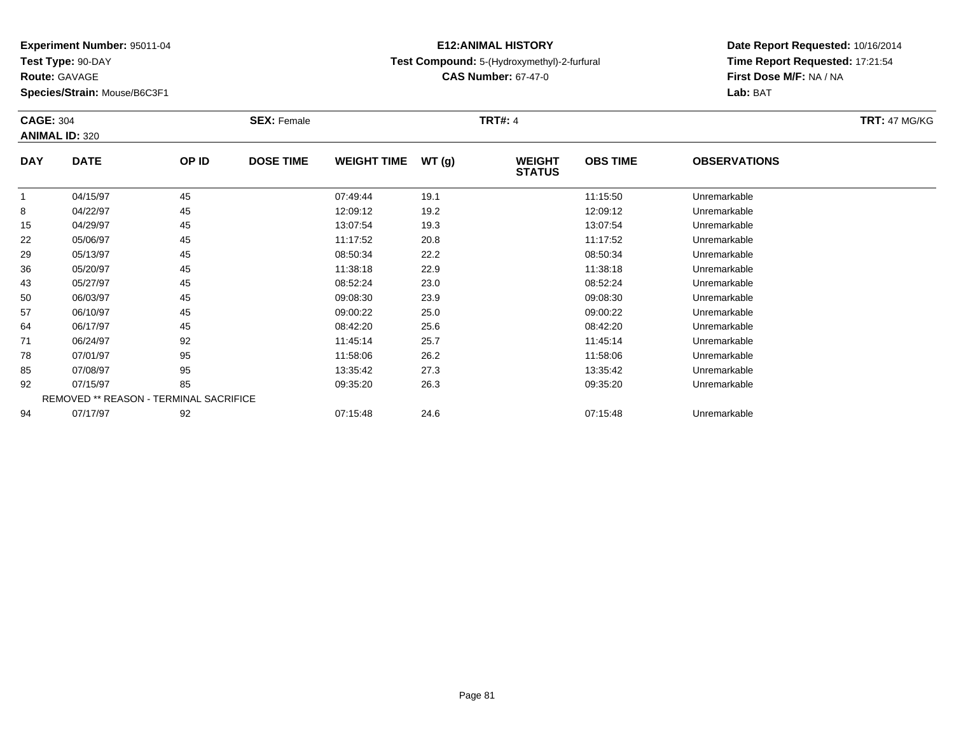**Test Type:** 90-DAY

**Route:** GAVAGE

**Species/Strain:** Mouse/B6C3F1

### **E12:ANIMAL HISTORYTest Compound:** 5-(Hydroxymethyl)-2-furfural

**CAS Number:** 67-47-0

| <b>CAGE: 304</b> |                                        |       | <b>SEX: Female</b> |                    |       | <b>TRT#:</b> 4                 |                 |                     | <b>TRT: 47 MG/KG</b> |
|------------------|----------------------------------------|-------|--------------------|--------------------|-------|--------------------------------|-----------------|---------------------|----------------------|
|                  | <b>ANIMAL ID: 320</b>                  |       |                    |                    |       |                                |                 |                     |                      |
| <b>DAY</b>       | <b>DATE</b>                            | OP ID | <b>DOSE TIME</b>   | <b>WEIGHT TIME</b> | WT(g) | <b>WEIGHT</b><br><b>STATUS</b> | <b>OBS TIME</b> | <b>OBSERVATIONS</b> |                      |
|                  | 04/15/97                               | 45    |                    | 07:49:44           | 19.1  |                                | 11:15:50        | Unremarkable        |                      |
| 8                | 04/22/97                               | 45    |                    | 12:09:12           | 19.2  |                                | 12:09:12        | Unremarkable        |                      |
| 15               | 04/29/97                               | 45    |                    | 13:07:54           | 19.3  |                                | 13:07:54        | Unremarkable        |                      |
| 22               | 05/06/97                               | 45    |                    | 11:17:52           | 20.8  |                                | 11:17:52        | Unremarkable        |                      |
| 29               | 05/13/97                               | 45    |                    | 08:50:34           | 22.2  |                                | 08:50:34        | Unremarkable        |                      |
| 36               | 05/20/97                               | 45    |                    | 11:38:18           | 22.9  |                                | 11:38:18        | Unremarkable        |                      |
| 43               | 05/27/97                               | 45    |                    | 08:52:24           | 23.0  |                                | 08:52:24        | Unremarkable        |                      |
| 50               | 06/03/97                               | 45    |                    | 09:08:30           | 23.9  |                                | 09:08:30        | Unremarkable        |                      |
| 57               | 06/10/97                               | 45    |                    | 09:00:22           | 25.0  |                                | 09:00:22        | Unremarkable        |                      |
| 64               | 06/17/97                               | 45    |                    | 08:42:20           | 25.6  |                                | 08:42:20        | Unremarkable        |                      |
| 71               | 06/24/97                               | 92    |                    | 11:45:14           | 25.7  |                                | 11:45:14        | Unremarkable        |                      |
| 78               | 07/01/97                               | 95    |                    | 11:58:06           | 26.2  |                                | 11:58:06        | Unremarkable        |                      |
| 85               | 07/08/97                               | 95    |                    | 13:35:42           | 27.3  |                                | 13:35:42        | Unremarkable        |                      |
| 92               | 07/15/97                               | 85    |                    | 09:35:20           | 26.3  |                                | 09:35:20        | Unremarkable        |                      |
|                  | REMOVED ** REASON - TERMINAL SACRIFICE |       |                    |                    |       |                                |                 |                     |                      |
| 94               | 07/17/97                               | 92    |                    | 07:15:48           | 24.6  |                                | 07:15:48        | Unremarkable        |                      |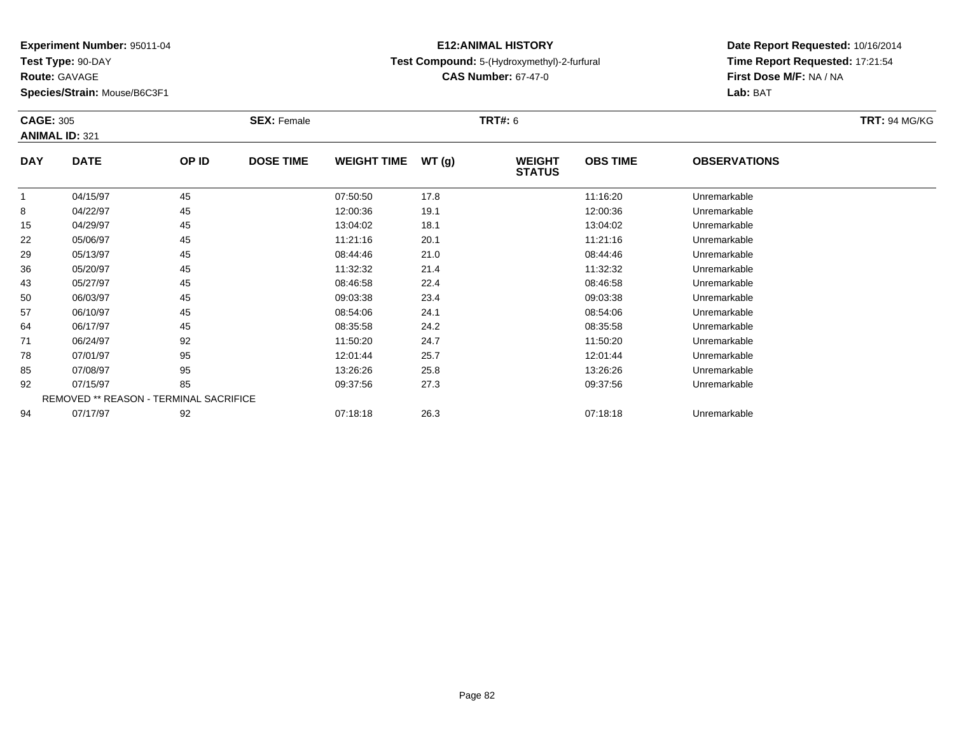**Test Type:** 90-DAY

**Route:** GAVAGE

**Species/Strain:** Mouse/B6C3F1

### **E12:ANIMAL HISTORYTest Compound:** 5-(Hydroxymethyl)-2-furfural

**CAS Number:** 67-47-0

| <b>CAGE: 305</b> | <b>ANIMAL ID: 321</b> |                                        | <b>SEX: Female</b> |                    |       | <b>TRT#: 6</b>                 |                 |                     | <b>TRT: 94 MG/KG</b> |
|------------------|-----------------------|----------------------------------------|--------------------|--------------------|-------|--------------------------------|-----------------|---------------------|----------------------|
| <b>DAY</b>       | <b>DATE</b>           | OP ID                                  | <b>DOSE TIME</b>   | <b>WEIGHT TIME</b> | WT(g) | <b>WEIGHT</b><br><b>STATUS</b> | <b>OBS TIME</b> | <b>OBSERVATIONS</b> |                      |
|                  | 04/15/97              | 45                                     |                    | 07:50:50           | 17.8  |                                | 11:16:20        | Unremarkable        |                      |
| 8                | 04/22/97              | 45                                     |                    | 12:00:36           | 19.1  |                                | 12:00:36        | Unremarkable        |                      |
| 15               | 04/29/97              | 45                                     |                    | 13:04:02           | 18.1  |                                | 13:04:02        | Unremarkable        |                      |
| 22               | 05/06/97              | 45                                     |                    | 11:21:16           | 20.1  |                                | 11:21:16        | Unremarkable        |                      |
| 29               | 05/13/97              | 45                                     |                    | 08:44:46           | 21.0  |                                | 08:44:46        | Unremarkable        |                      |
| 36               | 05/20/97              | 45                                     |                    | 11:32:32           | 21.4  |                                | 11:32:32        | Unremarkable        |                      |
| 43               | 05/27/97              | 45                                     |                    | 08:46:58           | 22.4  |                                | 08:46:58        | Unremarkable        |                      |
| 50               | 06/03/97              | 45                                     |                    | 09:03:38           | 23.4  |                                | 09:03:38        | Unremarkable        |                      |
| 57               | 06/10/97              | 45                                     |                    | 08:54:06           | 24.1  |                                | 08:54:06        | Unremarkable        |                      |
| 64               | 06/17/97              | 45                                     |                    | 08:35:58           | 24.2  |                                | 08:35:58        | Unremarkable        |                      |
| 71               | 06/24/97              | 92                                     |                    | 11:50:20           | 24.7  |                                | 11:50:20        | Unremarkable        |                      |
| 78               | 07/01/97              | 95                                     |                    | 12:01:44           | 25.7  |                                | 12:01:44        | Unremarkable        |                      |
| 85               | 07/08/97              | 95                                     |                    | 13:26:26           | 25.8  |                                | 13:26:26        | Unremarkable        |                      |
| 92               | 07/15/97              | 85                                     |                    | 09:37:56           | 27.3  |                                | 09:37:56        | Unremarkable        |                      |
|                  |                       | REMOVED ** REASON - TERMINAL SACRIFICE |                    |                    |       |                                |                 |                     |                      |
| 94               | 07/17/97              | 92                                     |                    | 07:18:18           | 26.3  |                                | 07:18:18        | Unremarkable        |                      |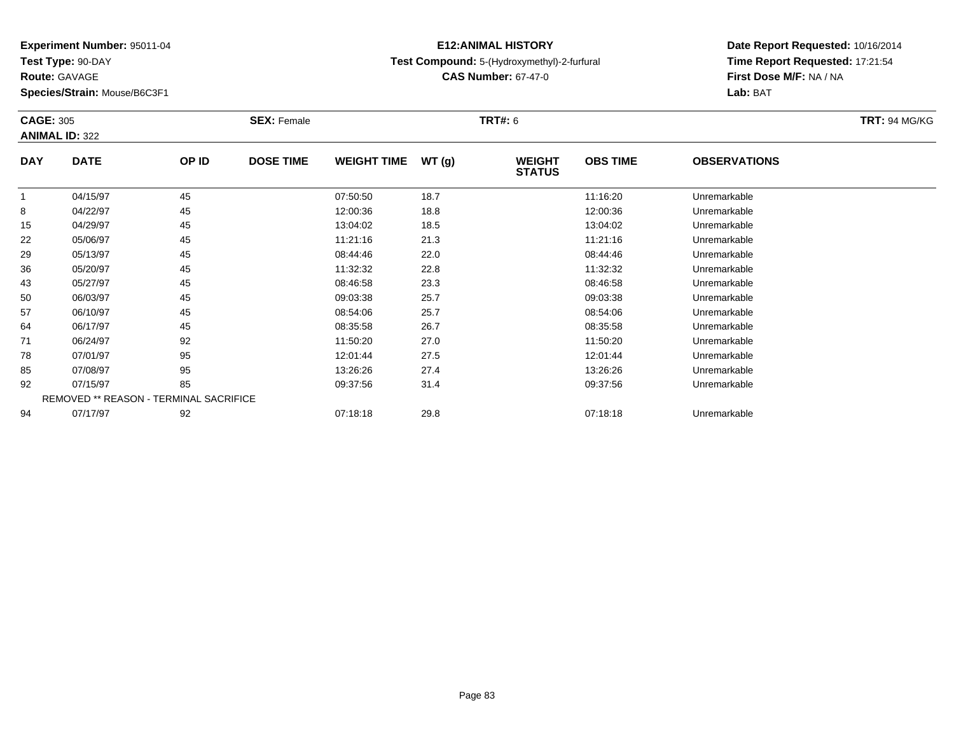**Test Type:** 90-DAY

**Route:** GAVAGE

**Species/Strain:** Mouse/B6C3F1

### **E12:ANIMAL HISTORYTest Compound:** 5-(Hydroxymethyl)-2-furfural

**CAS Number:** 67-47-0

| <b>CAGE: 305</b> | <b>ANIMAL ID: 322</b> |                                        | <b>SEX: Female</b> |                    |       | <b>TRT#: 6</b>                 |                 |                     | <b>TRT: 94 MG/KG</b> |
|------------------|-----------------------|----------------------------------------|--------------------|--------------------|-------|--------------------------------|-----------------|---------------------|----------------------|
| <b>DAY</b>       | <b>DATE</b>           | OP ID                                  | <b>DOSE TIME</b>   | <b>WEIGHT TIME</b> | WT(g) | <b>WEIGHT</b><br><b>STATUS</b> | <b>OBS TIME</b> | <b>OBSERVATIONS</b> |                      |
|                  | 04/15/97              | 45                                     |                    | 07:50:50           | 18.7  |                                | 11:16:20        | Unremarkable        |                      |
| 8                | 04/22/97              | 45                                     |                    | 12:00:36           | 18.8  |                                | 12:00:36        | Unremarkable        |                      |
| 15               | 04/29/97              | 45                                     |                    | 13:04:02           | 18.5  |                                | 13:04:02        | Unremarkable        |                      |
| 22               | 05/06/97              | 45                                     |                    | 11:21:16           | 21.3  |                                | 11:21:16        | Unremarkable        |                      |
| 29               | 05/13/97              | 45                                     |                    | 08:44:46           | 22.0  |                                | 08:44:46        | Unremarkable        |                      |
| 36               | 05/20/97              | 45                                     |                    | 11:32:32           | 22.8  |                                | 11:32:32        | Unremarkable        |                      |
| 43               | 05/27/97              | 45                                     |                    | 08:46:58           | 23.3  |                                | 08:46:58        | Unremarkable        |                      |
| 50               | 06/03/97              | 45                                     |                    | 09:03:38           | 25.7  |                                | 09:03:38        | Unremarkable        |                      |
| 57               | 06/10/97              | 45                                     |                    | 08:54:06           | 25.7  |                                | 08:54:06        | Unremarkable        |                      |
| 64               | 06/17/97              | 45                                     |                    | 08:35:58           | 26.7  |                                | 08:35:58        | Unremarkable        |                      |
| 71               | 06/24/97              | 92                                     |                    | 11:50:20           | 27.0  |                                | 11:50:20        | Unremarkable        |                      |
| 78               | 07/01/97              | 95                                     |                    | 12:01:44           | 27.5  |                                | 12:01:44        | Unremarkable        |                      |
| 85               | 07/08/97              | 95                                     |                    | 13:26:26           | 27.4  |                                | 13:26:26        | Unremarkable        |                      |
| 92               | 07/15/97              | 85                                     |                    | 09:37:56           | 31.4  |                                | 09:37:56        | Unremarkable        |                      |
|                  |                       | REMOVED ** REASON - TERMINAL SACRIFICE |                    |                    |       |                                |                 |                     |                      |
| 94               | 07/17/97              | 92                                     |                    | 07:18:18           | 29.8  |                                | 07:18:18        | Unremarkable        |                      |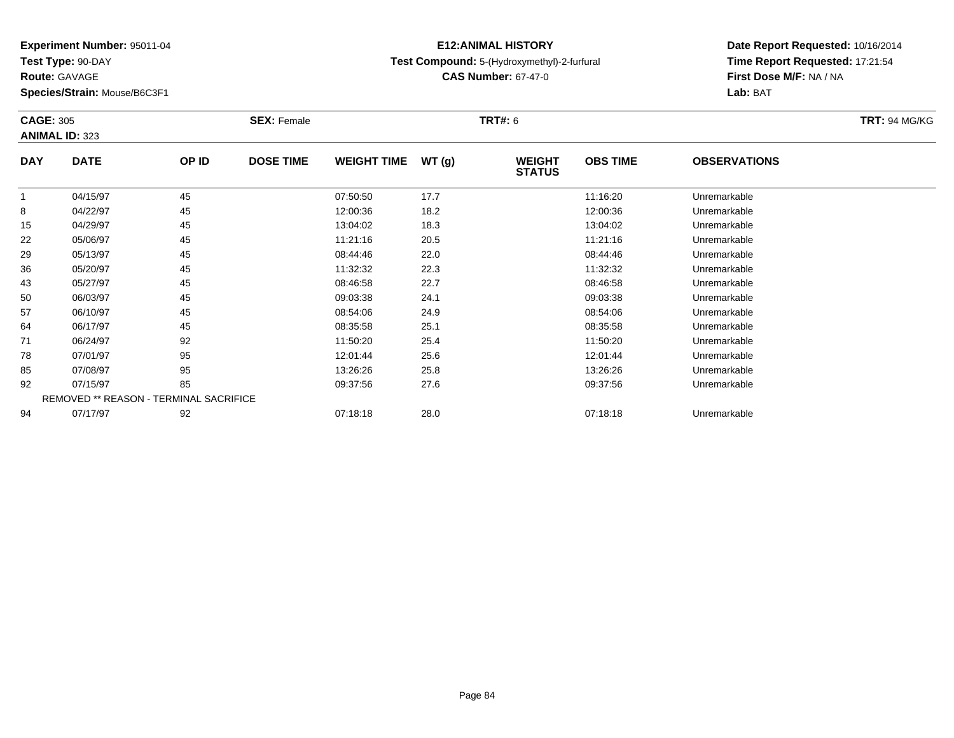**Test Type:** 90-DAY

**Route:** GAVAGE

**Species/Strain:** Mouse/B6C3F1

### **E12:ANIMAL HISTORYTest Compound:** 5-(Hydroxymethyl)-2-furfural

**CAS Number:** 67-47-0

| <b>CAGE: 305</b> | <b>ANIMAL ID: 323</b> |                                        | <b>SEX: Female</b> |                    |       | <b>TRT#: 6</b>                 |                 |                     | <b>TRT: 94 MG/KG</b> |
|------------------|-----------------------|----------------------------------------|--------------------|--------------------|-------|--------------------------------|-----------------|---------------------|----------------------|
| <b>DAY</b>       | <b>DATE</b>           | OP ID                                  | <b>DOSE TIME</b>   | <b>WEIGHT TIME</b> | WT(g) | <b>WEIGHT</b><br><b>STATUS</b> | <b>OBS TIME</b> | <b>OBSERVATIONS</b> |                      |
| 1                | 04/15/97              | 45                                     |                    | 07:50:50           | 17.7  |                                | 11:16:20        | Unremarkable        |                      |
| 8                | 04/22/97              | 45                                     |                    | 12:00:36           | 18.2  |                                | 12:00:36        | Unremarkable        |                      |
| 15               | 04/29/97              | 45                                     |                    | 13:04:02           | 18.3  |                                | 13:04:02        | Unremarkable        |                      |
| 22               | 05/06/97              | 45                                     |                    | 11:21:16           | 20.5  |                                | 11:21:16        | Unremarkable        |                      |
| 29               | 05/13/97              | 45                                     |                    | 08:44:46           | 22.0  |                                | 08:44:46        | Unremarkable        |                      |
| 36               | 05/20/97              | 45                                     |                    | 11:32:32           | 22.3  |                                | 11:32:32        | Unremarkable        |                      |
| 43               | 05/27/97              | 45                                     |                    | 08:46:58           | 22.7  |                                | 08:46:58        | Unremarkable        |                      |
| 50               | 06/03/97              | 45                                     |                    | 09:03:38           | 24.1  |                                | 09:03:38        | Unremarkable        |                      |
| 57               | 06/10/97              | 45                                     |                    | 08:54:06           | 24.9  |                                | 08:54:06        | Unremarkable        |                      |
| 64               | 06/17/97              | 45                                     |                    | 08:35:58           | 25.1  |                                | 08:35:58        | Unremarkable        |                      |
| 71               | 06/24/97              | 92                                     |                    | 11:50:20           | 25.4  |                                | 11:50:20        | Unremarkable        |                      |
| 78               | 07/01/97              | 95                                     |                    | 12:01:44           | 25.6  |                                | 12:01:44        | Unremarkable        |                      |
| 85               | 07/08/97              | 95                                     |                    | 13:26:26           | 25.8  |                                | 13:26:26        | Unremarkable        |                      |
| 92               | 07/15/97              | 85                                     |                    | 09:37:56           | 27.6  |                                | 09:37:56        | Unremarkable        |                      |
|                  |                       | REMOVED ** REASON - TERMINAL SACRIFICE |                    |                    |       |                                |                 |                     |                      |
| 94               | 07/17/97              | 92                                     |                    | 07:18:18           | 28.0  |                                | 07:18:18        | Unremarkable        |                      |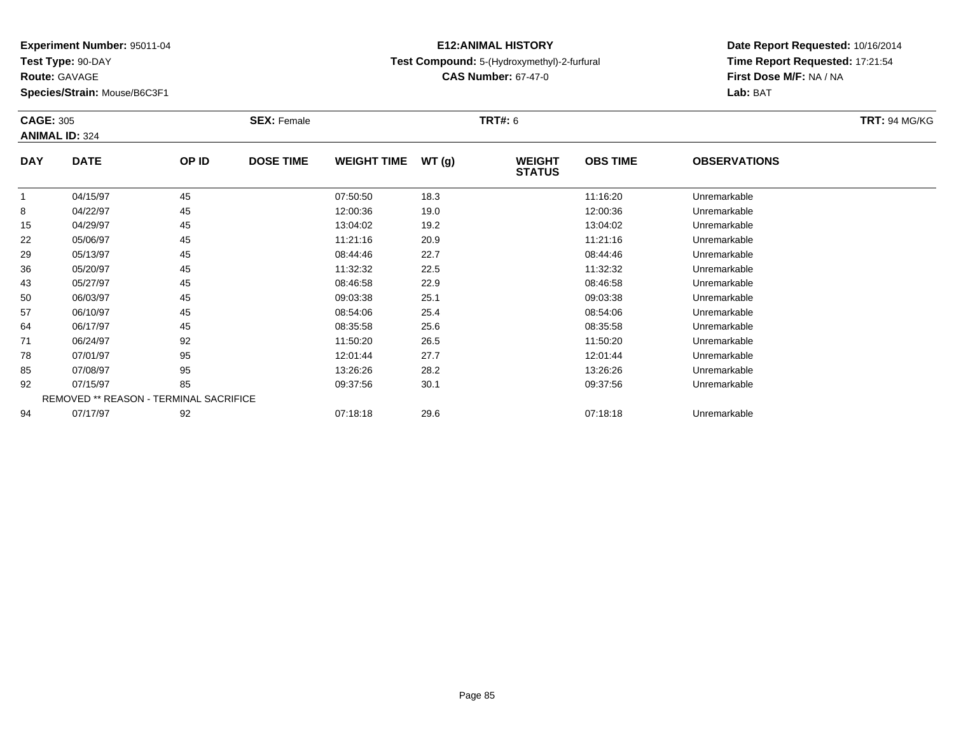**Test Type:** 90-DAY

**Route:** GAVAGE

**Species/Strain:** Mouse/B6C3F1

### **E12:ANIMAL HISTORYTest Compound:** 5-(Hydroxymethyl)-2-furfural

**CAS Number:** 67-47-0

|              | <b>CAGE: 305</b><br><b>ANIMAL ID: 324</b> |                                        | <b>SEX: Female</b> |                    |       |                                | <b>TRT#: 6</b>  |                     |  |  |
|--------------|-------------------------------------------|----------------------------------------|--------------------|--------------------|-------|--------------------------------|-----------------|---------------------|--|--|
| <b>DAY</b>   | <b>DATE</b>                               | OP ID                                  | <b>DOSE TIME</b>   | <b>WEIGHT TIME</b> | WT(g) | <b>WEIGHT</b><br><b>STATUS</b> | <b>OBS TIME</b> | <b>OBSERVATIONS</b> |  |  |
| $\mathbf{1}$ | 04/15/97                                  | 45                                     |                    | 07:50:50           | 18.3  |                                | 11:16:20        | Unremarkable        |  |  |
| 8            | 04/22/97                                  | 45                                     |                    | 12:00:36           | 19.0  |                                | 12:00:36        | Unremarkable        |  |  |
| 15           | 04/29/97                                  | 45                                     |                    | 13:04:02           | 19.2  |                                | 13:04:02        | Unremarkable        |  |  |
| 22           | 05/06/97                                  | 45                                     |                    | 11:21:16           | 20.9  |                                | 11:21:16        | Unremarkable        |  |  |
| 29           | 05/13/97                                  | 45                                     |                    | 08:44:46           | 22.7  |                                | 08:44:46        | Unremarkable        |  |  |
| 36           | 05/20/97                                  | 45                                     |                    | 11:32:32           | 22.5  |                                | 11:32:32        | Unremarkable        |  |  |
| 43           | 05/27/97                                  | 45                                     |                    | 08:46:58           | 22.9  |                                | 08:46:58        | Unremarkable        |  |  |
| 50           | 06/03/97                                  | 45                                     |                    | 09:03:38           | 25.1  |                                | 09:03:38        | Unremarkable        |  |  |
| 57           | 06/10/97                                  | 45                                     |                    | 08:54:06           | 25.4  |                                | 08:54:06        | Unremarkable        |  |  |
| 64           | 06/17/97                                  | 45                                     |                    | 08:35:58           | 25.6  |                                | 08:35:58        | Unremarkable        |  |  |
| 71           | 06/24/97                                  | 92                                     |                    | 11:50:20           | 26.5  |                                | 11:50:20        | Unremarkable        |  |  |
| 78           | 07/01/97                                  | 95                                     |                    | 12:01:44           | 27.7  |                                | 12:01:44        | Unremarkable        |  |  |
| 85           | 07/08/97                                  | 95                                     |                    | 13:26:26           | 28.2  |                                | 13:26:26        | Unremarkable        |  |  |
| 92           | 07/15/97                                  | 85                                     |                    | 09:37:56           | 30.1  |                                | 09:37:56        | Unremarkable        |  |  |
|              |                                           | REMOVED ** REASON - TERMINAL SACRIFICE |                    |                    |       |                                |                 |                     |  |  |
| 94           | 07/17/97                                  | 92                                     |                    | 07:18:18           | 29.6  |                                | 07:18:18        | Unremarkable        |  |  |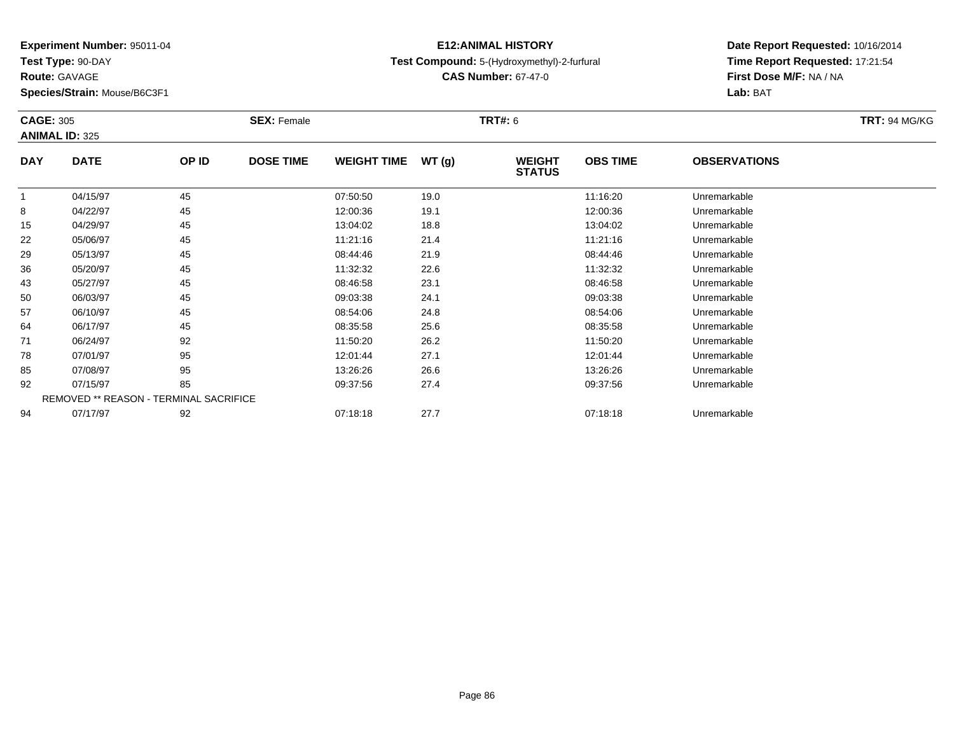**Test Type:** 90-DAY

**Route:** GAVAGE

**Species/Strain:** Mouse/B6C3F1

### **E12:ANIMAL HISTORYTest Compound:** 5-(Hydroxymethyl)-2-furfural

**CAS Number:** 67-47-0

| <b>ANIMAL ID: 325</b><br><b>DATE</b> |    |                  |                                        |       |                                |                 |                     |  |
|--------------------------------------|----|------------------|----------------------------------------|-------|--------------------------------|-----------------|---------------------|--|
|                                      |    |                  |                                        |       |                                |                 |                     |  |
|                                      |    | <b>DOSE TIME</b> | <b>WEIGHT TIME</b>                     | WT(g) | <b>WEIGHT</b><br><b>STATUS</b> | <b>OBS TIME</b> | <b>OBSERVATIONS</b> |  |
| 04/15/97                             | 45 |                  | 07:50:50                               | 19.0  |                                | 11:16:20        | Unremarkable        |  |
| 04/22/97                             | 45 |                  | 12:00:36                               | 19.1  |                                | 12:00:36        | Unremarkable        |  |
| 04/29/97                             | 45 |                  | 13:04:02                               | 18.8  |                                | 13:04:02        | Unremarkable        |  |
| 05/06/97                             | 45 |                  | 11:21:16                               | 21.4  |                                | 11:21:16        | Unremarkable        |  |
| 05/13/97                             | 45 |                  | 08:44:46                               | 21.9  |                                | 08:44:46        | Unremarkable        |  |
| 05/20/97                             | 45 |                  | 11:32:32                               | 22.6  |                                | 11:32:32        | Unremarkable        |  |
| 05/27/97                             | 45 |                  | 08:46:58                               | 23.1  |                                | 08:46:58        | Unremarkable        |  |
| 06/03/97                             | 45 |                  | 09:03:38                               | 24.1  |                                | 09:03:38        | Unremarkable        |  |
| 06/10/97                             | 45 |                  | 08:54:06                               | 24.8  |                                | 08:54:06        | Unremarkable        |  |
| 06/17/97                             | 45 |                  | 08:35:58                               | 25.6  |                                | 08:35:58        | Unremarkable        |  |
| 06/24/97                             | 92 |                  | 11:50:20                               | 26.2  |                                | 11:50:20        | Unremarkable        |  |
| 07/01/97                             | 95 |                  | 12:01:44                               | 27.1  |                                | 12:01:44        | Unremarkable        |  |
| 07/08/97                             | 95 |                  | 13:26:26                               | 26.6  |                                | 13:26:26        | Unremarkable        |  |
| 07/15/97                             | 85 |                  | 09:37:56                               | 27.4  |                                | 09:37:56        | Unremarkable        |  |
|                                      |    |                  |                                        |       |                                |                 |                     |  |
| 07/17/97                             | 92 |                  | 07:18:18                               | 27.7  |                                | 07:18:18        | Unremarkable        |  |
|                                      |    | OP ID            | REMOVED ** REASON - TERMINAL SACRIFICE |       |                                |                 |                     |  |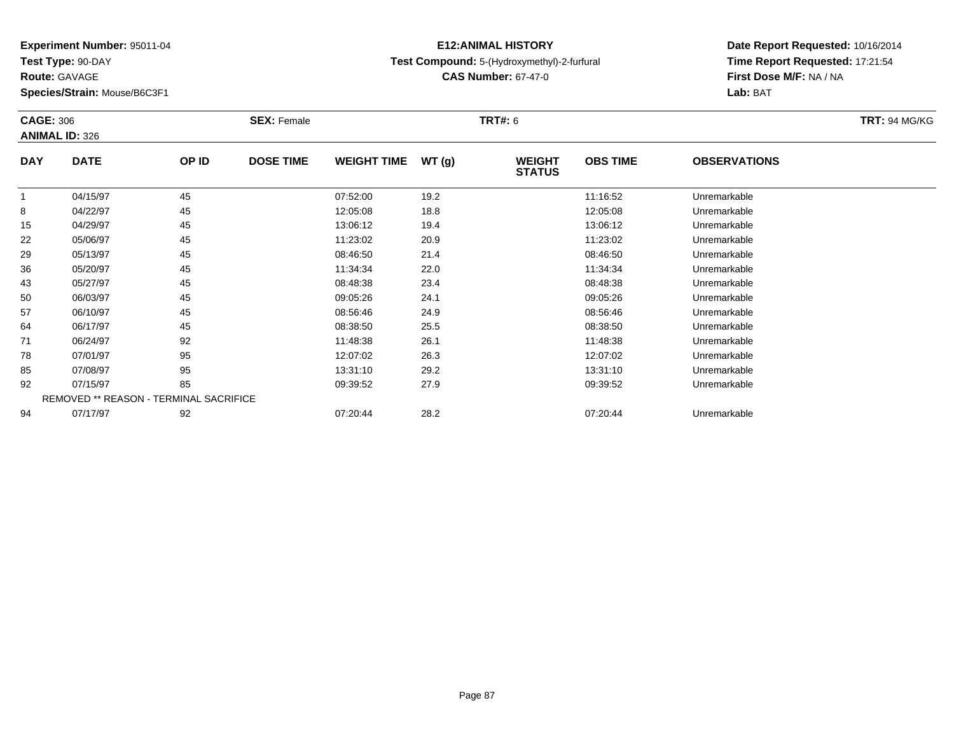**Test Type:** 90-DAY

**Route:** GAVAGE

**Species/Strain:** Mouse/B6C3F1

### **E12:ANIMAL HISTORYTest Compound:** 5-(Hydroxymethyl)-2-furfural

**CAS Number:** 67-47-0

| <b>CAGE: 306</b> |                                        |       | <b>SEX: Female</b> |                    |       | <b>TRT#: 6</b>                 |                 |                     | <b>TRT: 94 MG/KG</b> |
|------------------|----------------------------------------|-------|--------------------|--------------------|-------|--------------------------------|-----------------|---------------------|----------------------|
|                  | <b>ANIMAL ID: 326</b>                  |       |                    |                    |       |                                |                 |                     |                      |
| <b>DAY</b>       | <b>DATE</b>                            | OP ID | <b>DOSE TIME</b>   | <b>WEIGHT TIME</b> | WT(g) | <b>WEIGHT</b><br><b>STATUS</b> | <b>OBS TIME</b> | <b>OBSERVATIONS</b> |                      |
| 1                | 04/15/97                               | 45    |                    | 07:52:00           | 19.2  |                                | 11:16:52        | Unremarkable        |                      |
| 8                | 04/22/97                               | 45    |                    | 12:05:08           | 18.8  |                                | 12:05:08        | Unremarkable        |                      |
| 15               | 04/29/97                               | 45    |                    | 13:06:12           | 19.4  |                                | 13:06:12        | Unremarkable        |                      |
| 22               | 05/06/97                               | 45    |                    | 11:23:02           | 20.9  |                                | 11:23:02        | Unremarkable        |                      |
| 29               | 05/13/97                               | 45    |                    | 08:46:50           | 21.4  |                                | 08:46:50        | Unremarkable        |                      |
| 36               | 05/20/97                               | 45    |                    | 11:34:34           | 22.0  |                                | 11:34:34        | Unremarkable        |                      |
| 43               | 05/27/97                               | 45    |                    | 08:48:38           | 23.4  |                                | 08:48:38        | Unremarkable        |                      |
| 50               | 06/03/97                               | 45    |                    | 09:05:26           | 24.1  |                                | 09:05:26        | Unremarkable        |                      |
| 57               | 06/10/97                               | 45    |                    | 08:56:46           | 24.9  |                                | 08:56:46        | Unremarkable        |                      |
| 64               | 06/17/97                               | 45    |                    | 08:38:50           | 25.5  |                                | 08:38:50        | Unremarkable        |                      |
| 71               | 06/24/97                               | 92    |                    | 11:48:38           | 26.1  |                                | 11:48:38        | Unremarkable        |                      |
| 78               | 07/01/97                               | 95    |                    | 12:07:02           | 26.3  |                                | 12:07:02        | Unremarkable        |                      |
| 85               | 07/08/97                               | 95    |                    | 13:31:10           | 29.2  |                                | 13:31:10        | Unremarkable        |                      |
| 92               | 07/15/97                               | 85    |                    | 09:39:52           | 27.9  |                                | 09:39:52        | Unremarkable        |                      |
|                  | REMOVED ** REASON - TERMINAL SACRIFICE |       |                    |                    |       |                                |                 |                     |                      |
| 94               | 07/17/97                               | 92    |                    | 07:20:44           | 28.2  |                                | 07:20:44        | Unremarkable        |                      |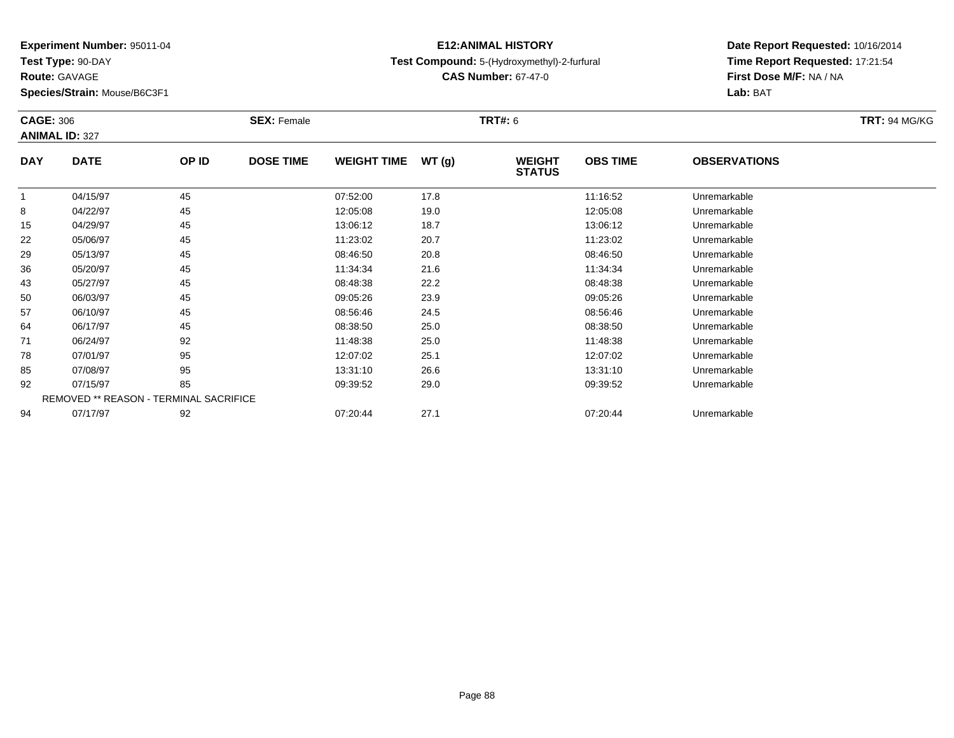**Test Type:** 90-DAY

**Route:** GAVAGE

**Species/Strain:** Mouse/B6C3F1

### **E12:ANIMAL HISTORYTest Compound:** 5-(Hydroxymethyl)-2-furfural

**CAS Number:** 67-47-0

| <b>CAGE: 306</b> | <b>ANIMAL ID: 327</b> |                                        | <b>SEX: Female</b> |                    |       | <b>TRT#: 6</b>                 |                 |                     | <b>TRT: 94 MG/KG</b> |
|------------------|-----------------------|----------------------------------------|--------------------|--------------------|-------|--------------------------------|-----------------|---------------------|----------------------|
| <b>DAY</b>       | <b>DATE</b>           | OP ID                                  | <b>DOSE TIME</b>   | <b>WEIGHT TIME</b> | WT(g) | <b>WEIGHT</b><br><b>STATUS</b> | <b>OBS TIME</b> | <b>OBSERVATIONS</b> |                      |
| -1               | 04/15/97              | 45                                     |                    | 07:52:00           | 17.8  |                                | 11:16:52        | Unremarkable        |                      |
| 8                | 04/22/97              | 45                                     |                    | 12:05:08           | 19.0  |                                | 12:05:08        | Unremarkable        |                      |
| 15               | 04/29/97              | 45                                     |                    | 13:06:12           | 18.7  |                                | 13:06:12        | Unremarkable        |                      |
| 22               | 05/06/97              | 45                                     |                    | 11:23:02           | 20.7  |                                | 11:23:02        | Unremarkable        |                      |
| 29               | 05/13/97              | 45                                     |                    | 08:46:50           | 20.8  |                                | 08:46:50        | Unremarkable        |                      |
| 36               | 05/20/97              | 45                                     |                    | 11:34:34           | 21.6  |                                | 11:34:34        | Unremarkable        |                      |
| 43               | 05/27/97              | 45                                     |                    | 08:48:38           | 22.2  |                                | 08:48:38        | Unremarkable        |                      |
| 50               | 06/03/97              | 45                                     |                    | 09:05:26           | 23.9  |                                | 09:05:26        | Unremarkable        |                      |
| 57               | 06/10/97              | 45                                     |                    | 08:56:46           | 24.5  |                                | 08:56:46        | Unremarkable        |                      |
| 64               | 06/17/97              | 45                                     |                    | 08:38:50           | 25.0  |                                | 08:38:50        | Unremarkable        |                      |
| 71               | 06/24/97              | 92                                     |                    | 11:48:38           | 25.0  |                                | 11:48:38        | Unremarkable        |                      |
| 78               | 07/01/97              | 95                                     |                    | 12:07:02           | 25.1  |                                | 12:07:02        | Unremarkable        |                      |
| 85               | 07/08/97              | 95                                     |                    | 13:31:10           | 26.6  |                                | 13:31:10        | Unremarkable        |                      |
| 92               | 07/15/97              | 85                                     |                    | 09:39:52           | 29.0  |                                | 09:39:52        | Unremarkable        |                      |
|                  |                       | REMOVED ** REASON - TERMINAL SACRIFICE |                    |                    |       |                                |                 |                     |                      |
| 94               | 07/17/97              | 92                                     |                    | 07:20:44           | 27.1  |                                | 07:20:44        | Unremarkable        |                      |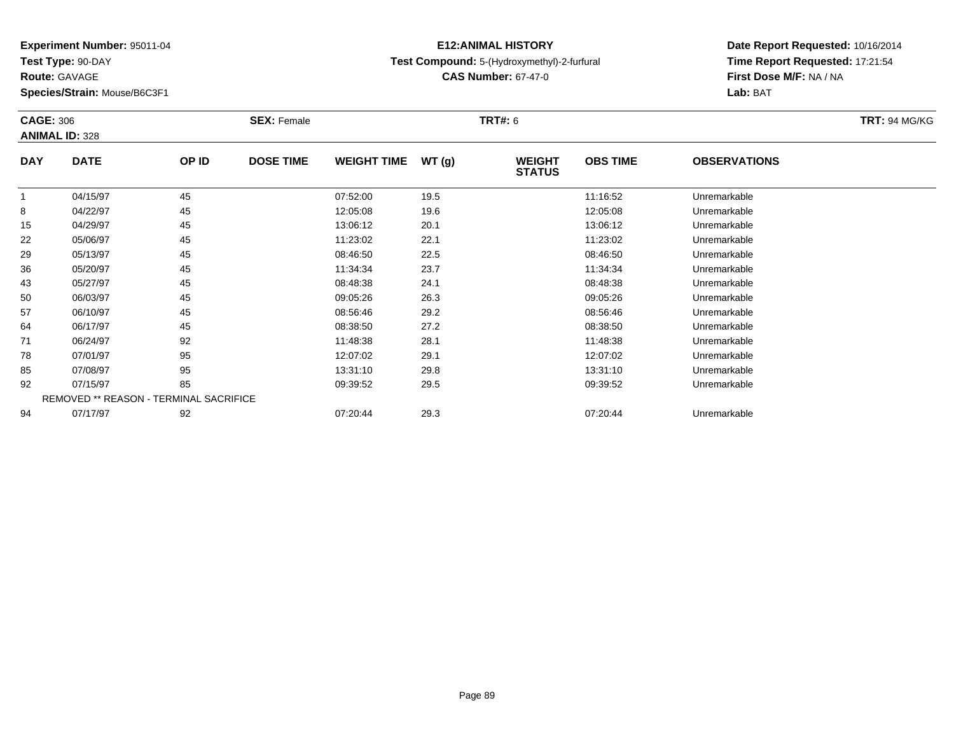**Test Type:** 90-DAY

**Route:** GAVAGE

**Species/Strain:** Mouse/B6C3F1

### **E12:ANIMAL HISTORYTest Compound:** 5-(Hydroxymethyl)-2-furfural

**CAS Number:** 67-47-0

| <b>CAGE: 306</b> | <b>ANIMAL ID: 328</b>                  |       | <b>SEX: Female</b> |                    |       | <b>TRT#:</b> 6                 |                 |                     | <b>TRT:</b> 94 MG/KG |
|------------------|----------------------------------------|-------|--------------------|--------------------|-------|--------------------------------|-----------------|---------------------|----------------------|
| <b>DAY</b>       | <b>DATE</b>                            | OP ID | <b>DOSE TIME</b>   | <b>WEIGHT TIME</b> | WT(g) | <b>WEIGHT</b><br><b>STATUS</b> | <b>OBS TIME</b> | <b>OBSERVATIONS</b> |                      |
|                  | 04/15/97                               | 45    |                    | 07:52:00           | 19.5  |                                | 11:16:52        | Unremarkable        |                      |
| 8                | 04/22/97                               | 45    |                    | 12:05:08           | 19.6  |                                | 12:05:08        | Unremarkable        |                      |
| 15               | 04/29/97                               | 45    |                    | 13:06:12           | 20.1  |                                | 13:06:12        | Unremarkable        |                      |
| 22               | 05/06/97                               | 45    |                    | 11:23:02           | 22.1  |                                | 11:23:02        | Unremarkable        |                      |
| 29               | 05/13/97                               | 45    |                    | 08:46:50           | 22.5  |                                | 08:46:50        | Unremarkable        |                      |
| 36               | 05/20/97                               | 45    |                    | 11:34:34           | 23.7  |                                | 11:34:34        | Unremarkable        |                      |
| 43               | 05/27/97                               | 45    |                    | 08:48:38           | 24.1  |                                | 08:48:38        | Unremarkable        |                      |
| 50               | 06/03/97                               | 45    |                    | 09:05:26           | 26.3  |                                | 09:05:26        | Unremarkable        |                      |
| 57               | 06/10/97                               | 45    |                    | 08:56:46           | 29.2  |                                | 08:56:46        | Unremarkable        |                      |
| 64               | 06/17/97                               | 45    |                    | 08:38:50           | 27.2  |                                | 08:38:50        | Unremarkable        |                      |
| 71               | 06/24/97                               | 92    |                    | 11:48:38           | 28.1  |                                | 11:48:38        | Unremarkable        |                      |
| 78               | 07/01/97                               | 95    |                    | 12:07:02           | 29.1  |                                | 12:07:02        | Unremarkable        |                      |
| 85               | 07/08/97                               | 95    |                    | 13:31:10           | 29.8  |                                | 13:31:10        | Unremarkable        |                      |
| 92               | 07/15/97                               | 85    |                    | 09:39:52           | 29.5  |                                | 09:39:52        | Unremarkable        |                      |
|                  | REMOVED ** REASON - TERMINAL SACRIFICE |       |                    |                    |       |                                |                 |                     |                      |
| 94               | 07/17/97                               | 92    |                    | 07:20:44           | 29.3  |                                | 07:20:44        | Unremarkable        |                      |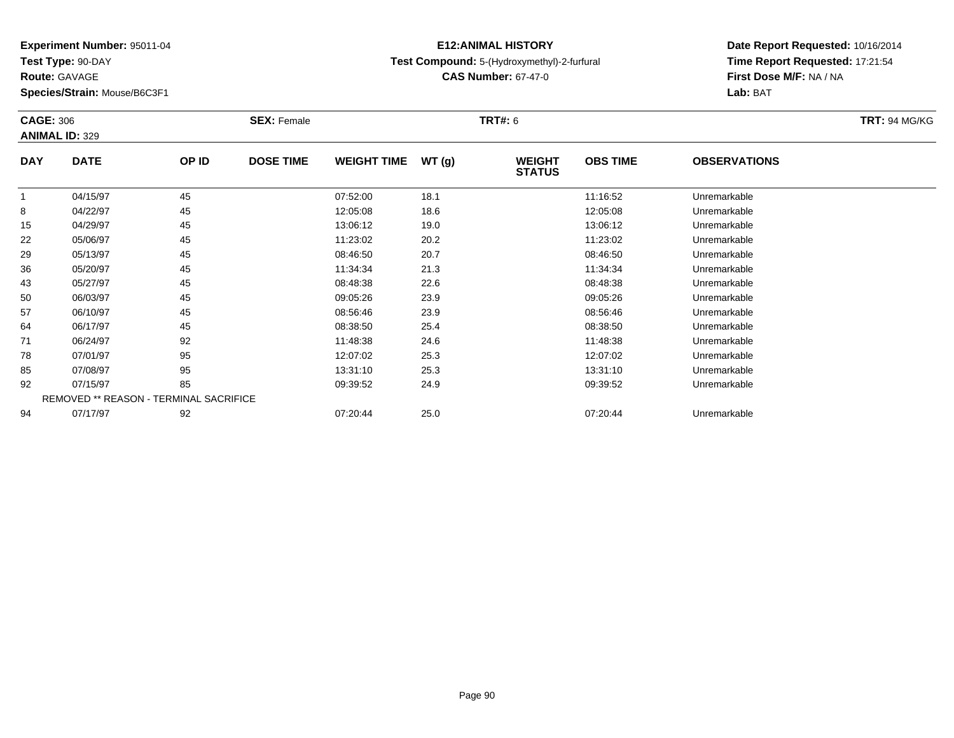**Test Type:** 90-DAY

**Route:** GAVAGE

**Species/Strain:** Mouse/B6C3F1

### **E12:ANIMAL HISTORYTest Compound:** 5-(Hydroxymethyl)-2-furfural

**CAS Number:** 67-47-0

| <b>CAGE: 306</b>      |       | <b>SEX: Female</b> |                                        |       |                                |                 |                     | <b>TRT: 94 MG/KG</b> |
|-----------------------|-------|--------------------|----------------------------------------|-------|--------------------------------|-----------------|---------------------|----------------------|
| <b>ANIMAL ID: 329</b> |       |                    |                                        |       |                                |                 |                     |                      |
| <b>DATE</b>           | OP ID | <b>DOSE TIME</b>   | <b>WEIGHT TIME</b>                     | WT(g) | <b>WEIGHT</b><br><b>STATUS</b> | <b>OBS TIME</b> | <b>OBSERVATIONS</b> |                      |
| 04/15/97              | 45    |                    | 07:52:00                               | 18.1  |                                | 11:16:52        | Unremarkable        |                      |
| 04/22/97              | 45    |                    | 12:05:08                               | 18.6  |                                | 12:05:08        | Unremarkable        |                      |
| 04/29/97              | 45    |                    | 13:06:12                               | 19.0  |                                | 13:06:12        | Unremarkable        |                      |
| 05/06/97              | 45    |                    | 11:23:02                               | 20.2  |                                | 11:23:02        | Unremarkable        |                      |
| 05/13/97              | 45    |                    | 08:46:50                               | 20.7  |                                | 08:46:50        | Unremarkable        |                      |
| 05/20/97              | 45    |                    | 11:34:34                               | 21.3  |                                | 11:34:34        | Unremarkable        |                      |
| 05/27/97              | 45    |                    | 08:48:38                               | 22.6  |                                | 08:48:38        | Unremarkable        |                      |
| 06/03/97              | 45    |                    | 09:05:26                               | 23.9  |                                | 09:05:26        | Unremarkable        |                      |
| 06/10/97              | 45    |                    | 08:56:46                               | 23.9  |                                | 08:56:46        | Unremarkable        |                      |
| 06/17/97              | 45    |                    | 08:38:50                               | 25.4  |                                | 08:38:50        | Unremarkable        |                      |
| 06/24/97              | 92    |                    | 11:48:38                               | 24.6  |                                | 11:48:38        | Unremarkable        |                      |
| 07/01/97              | 95    |                    | 12:07:02                               | 25.3  |                                | 12:07:02        | Unremarkable        |                      |
| 07/08/97              | 95    |                    | 13:31:10                               | 25.3  |                                | 13:31:10        | Unremarkable        |                      |
| 07/15/97              | 85    |                    | 09:39:52                               | 24.9  |                                | 09:39:52        | Unremarkable        |                      |
|                       |       |                    |                                        |       |                                |                 |                     |                      |
| 07/17/97              | 92    |                    | 07:20:44                               | 25.0  |                                | 07:20:44        | Unremarkable        |                      |
|                       |       |                    | REMOVED ** REASON - TERMINAL SACRIFICE |       |                                | <b>TRT#: 6</b>  |                     |                      |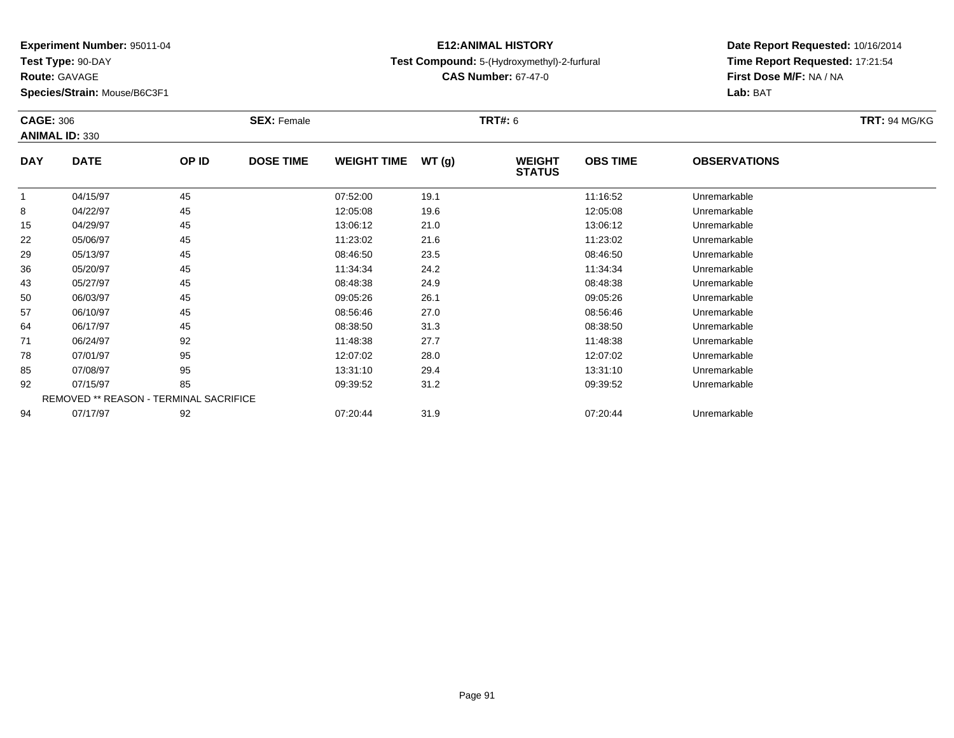**Test Type:** 90-DAY

**Species/Strain:** Mouse/B6C3F1

### **E12:ANIMAL HISTORYTest Compound:** 5-(Hydroxymethyl)-2-furfural

**CAS Number:** 67-47-0

**Date Report Requested:** 10/16/2014 **Time Report Requested:** 17:21:54**First Dose M/F:** NA / NA**Lab:** BAT

| <b>CAGE: 306</b> |                                        |       | <b>SEX: Female</b> |                    |       | <b>TRT#:</b> 6                 |                 |                     | <b>TRT: 94 MG/KG</b> |
|------------------|----------------------------------------|-------|--------------------|--------------------|-------|--------------------------------|-----------------|---------------------|----------------------|
|                  | <b>ANIMAL ID: 330</b>                  |       |                    |                    |       |                                |                 |                     |                      |
| <b>DAY</b>       | <b>DATE</b>                            | OP ID | <b>DOSE TIME</b>   | <b>WEIGHT TIME</b> | WT(g) | <b>WEIGHT</b><br><b>STATUS</b> | <b>OBS TIME</b> | <b>OBSERVATIONS</b> |                      |
| 1                | 04/15/97                               | 45    |                    | 07:52:00           | 19.1  |                                | 11:16:52        | Unremarkable        |                      |
| 8                | 04/22/97                               | 45    |                    | 12:05:08           | 19.6  |                                | 12:05:08        | Unremarkable        |                      |
| 15               | 04/29/97                               | 45    |                    | 13:06:12           | 21.0  |                                | 13:06:12        | Unremarkable        |                      |
| 22               | 05/06/97                               | 45    |                    | 11:23:02           | 21.6  |                                | 11:23:02        | Unremarkable        |                      |
| 29               | 05/13/97                               | 45    |                    | 08:46:50           | 23.5  |                                | 08:46:50        | Unremarkable        |                      |
| 36               | 05/20/97                               | 45    |                    | 11:34:34           | 24.2  |                                | 11:34:34        | Unremarkable        |                      |
| 43               | 05/27/97                               | 45    |                    | 08:48:38           | 24.9  |                                | 08:48:38        | Unremarkable        |                      |
| 50               | 06/03/97                               | 45    |                    | 09:05:26           | 26.1  |                                | 09:05:26        | Unremarkable        |                      |
| 57               | 06/10/97                               | 45    |                    | 08:56:46           | 27.0  |                                | 08:56:46        | Unremarkable        |                      |
| 64               | 06/17/97                               | 45    |                    | 08:38:50           | 31.3  |                                | 08:38:50        | Unremarkable        |                      |
| 71               | 06/24/97                               | 92    |                    | 11:48:38           | 27.7  |                                | 11:48:38        | Unremarkable        |                      |
| 78               | 07/01/97                               | 95    |                    | 12:07:02           | 28.0  |                                | 12:07:02        | Unremarkable        |                      |
| 85               | 07/08/97                               | 95    |                    | 13:31:10           | 29.4  |                                | 13:31:10        | Unremarkable        |                      |
| 92               | 07/15/97                               | 85    |                    | 09:39:52           | 31.2  |                                | 09:39:52        | Unremarkable        |                      |
|                  | REMOVED ** REASON - TERMINAL SACRIFICE |       |                    |                    |       |                                |                 |                     |                      |
| 94               | 07/17/97                               | 92    |                    | 07:20:44           | 31.9  |                                | 07:20:44        | Unremarkable        |                      |

**Route:** GAVAGE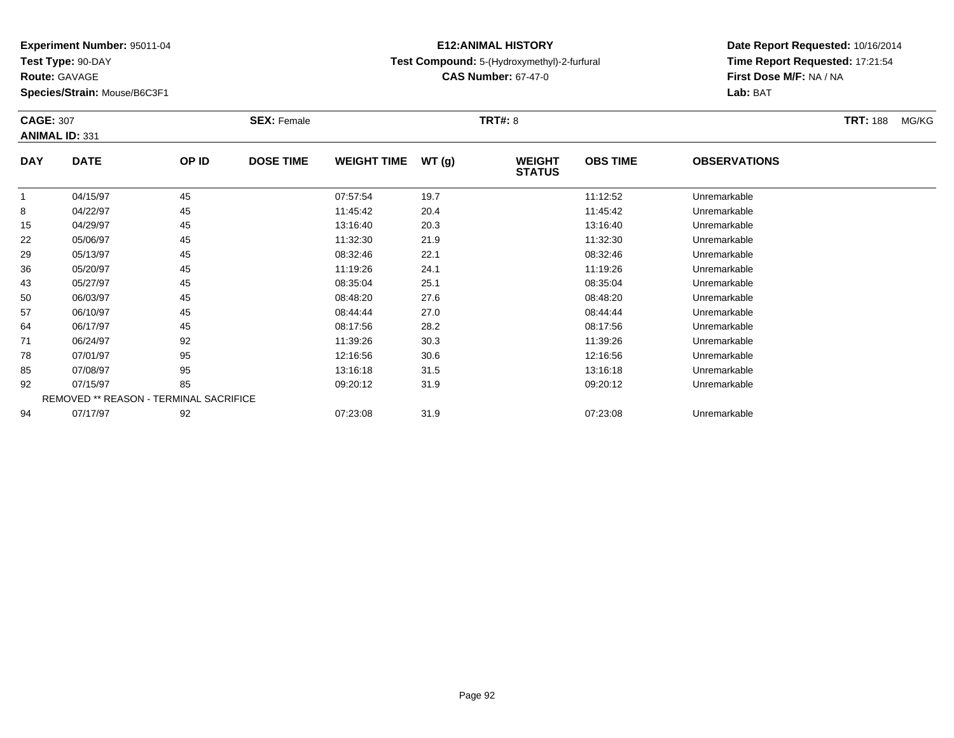**Test Type:** 90-DAY

**Route:** GAVAGE

**Species/Strain:** Mouse/B6C3F1

### **E12:ANIMAL HISTORYTest Compound:** 5-(Hydroxymethyl)-2-furfural

**CAS Number:** 67-47-0

| <b>CAGE: 307</b> | <b>ANIMAL ID: 331</b>                  |       | <b>SEX: Female</b> |                    |       | <b>TRT#: 8</b>                 |                 |                     | <b>TRT: 188</b> | MG/KG |
|------------------|----------------------------------------|-------|--------------------|--------------------|-------|--------------------------------|-----------------|---------------------|-----------------|-------|
| <b>DAY</b>       | <b>DATE</b>                            | OP ID | <b>DOSE TIME</b>   | <b>WEIGHT TIME</b> | WT(g) | <b>WEIGHT</b><br><b>STATUS</b> | <b>OBS TIME</b> | <b>OBSERVATIONS</b> |                 |       |
|                  | 04/15/97                               | 45    |                    | 07:57:54           | 19.7  |                                | 11:12:52        | Unremarkable        |                 |       |
| 8                | 04/22/97                               | 45    |                    | 11:45:42           | 20.4  |                                | 11:45:42        | Unremarkable        |                 |       |
| 15               | 04/29/97                               | 45    |                    | 13:16:40           | 20.3  |                                | 13:16:40        | Unremarkable        |                 |       |
| 22               | 05/06/97                               | 45    |                    | 11:32:30           | 21.9  |                                | 11:32:30        | Unremarkable        |                 |       |
| 29               | 05/13/97                               | 45    |                    | 08:32:46           | 22.1  |                                | 08:32:46        | Unremarkable        |                 |       |
| 36               | 05/20/97                               | 45    |                    | 11:19:26           | 24.1  |                                | 11:19:26        | Unremarkable        |                 |       |
| 43               | 05/27/97                               | 45    |                    | 08:35:04           | 25.1  |                                | 08:35:04        | Unremarkable        |                 |       |
| 50               | 06/03/97                               | 45    |                    | 08:48:20           | 27.6  |                                | 08:48:20        | Unremarkable        |                 |       |
| 57               | 06/10/97                               | 45    |                    | 08:44:44           | 27.0  |                                | 08:44:44        | Unremarkable        |                 |       |
| 64               | 06/17/97                               | 45    |                    | 08:17:56           | 28.2  |                                | 08:17:56        | Unremarkable        |                 |       |
| 71               | 06/24/97                               | 92    |                    | 11:39:26           | 30.3  |                                | 11:39:26        | Unremarkable        |                 |       |
| 78               | 07/01/97                               | 95    |                    | 12:16:56           | 30.6  |                                | 12:16:56        | Unremarkable        |                 |       |
| 85               | 07/08/97                               | 95    |                    | 13:16:18           | 31.5  |                                | 13:16:18        | Unremarkable        |                 |       |
| 92               | 07/15/97                               | 85    |                    | 09:20:12           | 31.9  |                                | 09:20:12        | Unremarkable        |                 |       |
|                  | REMOVED ** REASON - TERMINAL SACRIFICE |       |                    |                    |       |                                |                 |                     |                 |       |
| 94               | 07/17/97                               | 92    |                    | 07:23:08           | 31.9  |                                | 07:23:08        | Unremarkable        |                 |       |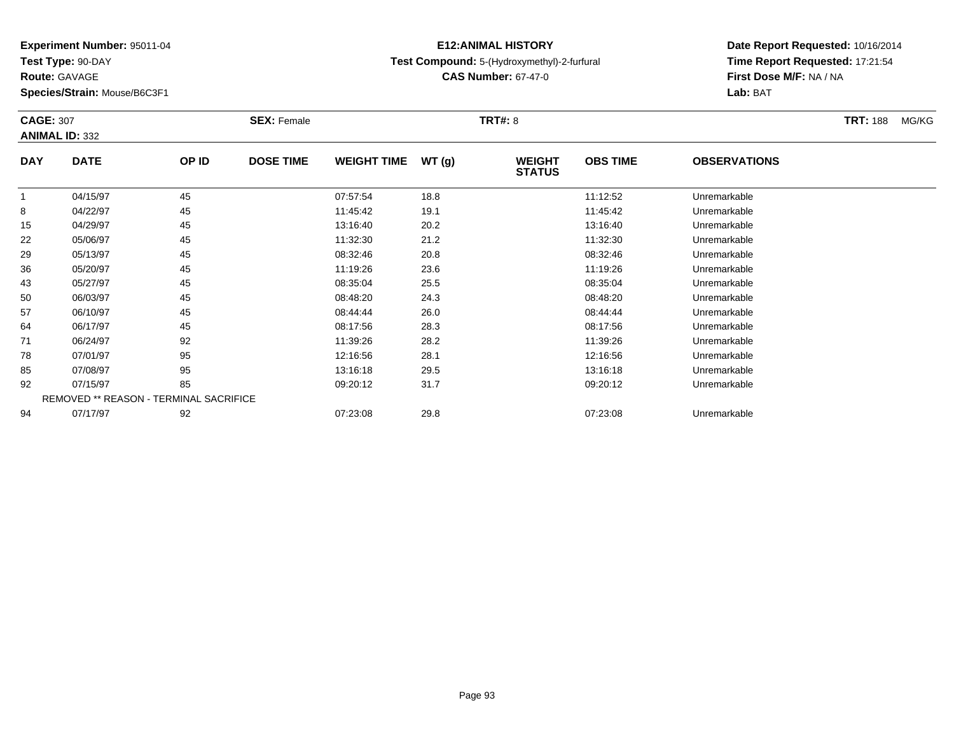**Test Type:** 90-DAY

**Route:** GAVAGE

**Species/Strain:** Mouse/B6C3F1

### **E12:ANIMAL HISTORYTest Compound:** 5-(Hydroxymethyl)-2-furfural

**CAS Number:** 67-47-0

| <b>CAGE: 307</b> | <b>ANIMAL ID: 332</b>                         |       | <b>SEX: Female</b> |                    |       | <b>TRT#: 8</b>                 |                 |                     | <b>TRT:</b> 188 | MG/KG |
|------------------|-----------------------------------------------|-------|--------------------|--------------------|-------|--------------------------------|-----------------|---------------------|-----------------|-------|
| <b>DAY</b>       | <b>DATE</b>                                   | OP ID | <b>DOSE TIME</b>   | <b>WEIGHT TIME</b> | WT(g) | <b>WEIGHT</b><br><b>STATUS</b> | <b>OBS TIME</b> | <b>OBSERVATIONS</b> |                 |       |
| 1                | 04/15/97                                      | 45    |                    | 07:57:54           | 18.8  |                                | 11:12:52        | Unremarkable        |                 |       |
| 8                | 04/22/97                                      | 45    |                    | 11:45:42           | 19.1  |                                | 11:45:42        | Unremarkable        |                 |       |
| 15               | 04/29/97                                      | 45    |                    | 13:16:40           | 20.2  |                                | 13:16:40        | Unremarkable        |                 |       |
| 22               | 05/06/97                                      | 45    |                    | 11:32:30           | 21.2  |                                | 11:32:30        | Unremarkable        |                 |       |
| 29               | 05/13/97                                      | 45    |                    | 08:32:46           | 20.8  |                                | 08:32:46        | Unremarkable        |                 |       |
| 36               | 05/20/97                                      | 45    |                    | 11:19:26           | 23.6  |                                | 11:19:26        | Unremarkable        |                 |       |
| 43               | 05/27/97                                      | 45    |                    | 08:35:04           | 25.5  |                                | 08:35:04        | Unremarkable        |                 |       |
| 50               | 06/03/97                                      | 45    |                    | 08:48:20           | 24.3  |                                | 08:48:20        | Unremarkable        |                 |       |
| 57               | 06/10/97                                      | 45    |                    | 08:44:44           | 26.0  |                                | 08:44:44        | Unremarkable        |                 |       |
| 64               | 06/17/97                                      | 45    |                    | 08:17:56           | 28.3  |                                | 08:17:56        | Unremarkable        |                 |       |
| 71               | 06/24/97                                      | 92    |                    | 11:39:26           | 28.2  |                                | 11:39:26        | Unremarkable        |                 |       |
| 78               | 07/01/97                                      | 95    |                    | 12:16:56           | 28.1  |                                | 12:16:56        | Unremarkable        |                 |       |
| 85               | 07/08/97                                      | 95    |                    | 13:16:18           | 29.5  |                                | 13:16:18        | Unremarkable        |                 |       |
| 92               | 07/15/97                                      | 85    |                    | 09:20:12           | 31.7  |                                | 09:20:12        | Unremarkable        |                 |       |
|                  | <b>REMOVED ** REASON - TERMINAL SACRIFICE</b> |       |                    |                    |       |                                |                 |                     |                 |       |
| 94               | 07/17/97                                      | 92    |                    | 07:23:08           | 29.8  |                                | 07:23:08        | Unremarkable        |                 |       |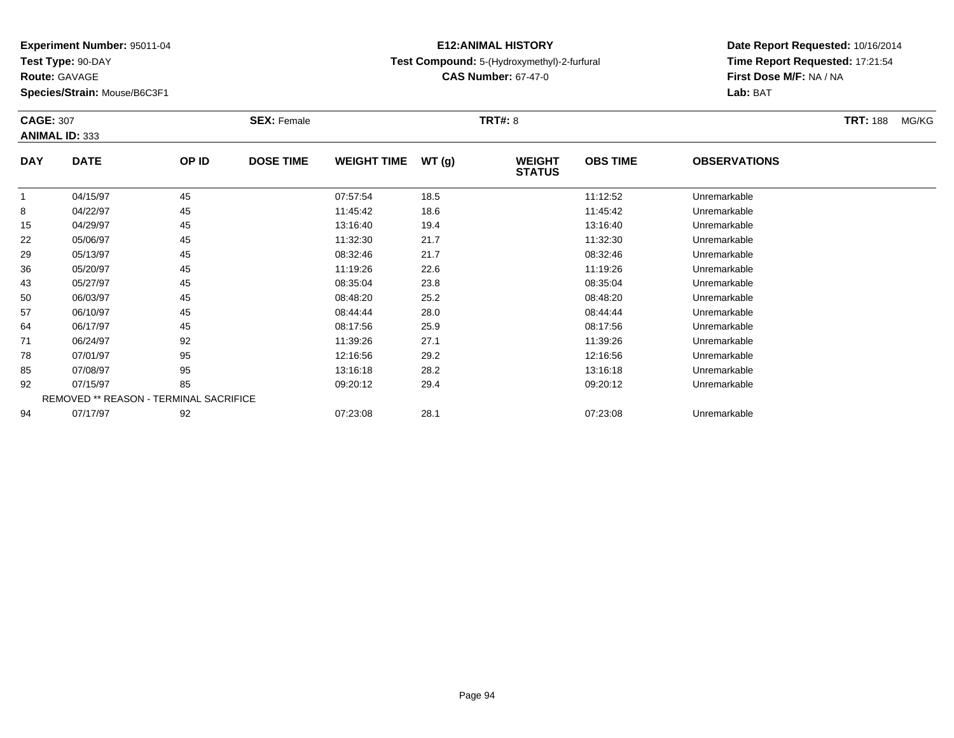**Test Type:** 90-DAY

**Route:** GAVAGE

**Species/Strain:** Mouse/B6C3F1

### **E12:ANIMAL HISTORYTest Compound:** 5-(Hydroxymethyl)-2-furfural

**CAS Number:** 67-47-0

| <b>CAGE: 307</b> | <b>ANIMAL ID: 333</b>                  |       | <b>SEX: Female</b> |                    |       | <b>TRT#: 8</b>                 |                 |                     | <b>TRT: 188</b><br>MG/KG |
|------------------|----------------------------------------|-------|--------------------|--------------------|-------|--------------------------------|-----------------|---------------------|--------------------------|
| <b>DAY</b>       | <b>DATE</b>                            | OP ID | <b>DOSE TIME</b>   | <b>WEIGHT TIME</b> | WT(g) | <b>WEIGHT</b><br><b>STATUS</b> | <b>OBS TIME</b> | <b>OBSERVATIONS</b> |                          |
| -1               | 04/15/97                               | 45    |                    | 07:57:54           | 18.5  |                                | 11:12:52        | Unremarkable        |                          |
| 8                | 04/22/97                               | 45    |                    | 11:45:42           | 18.6  |                                | 11:45:42        | Unremarkable        |                          |
| 15               | 04/29/97                               | 45    |                    | 13:16:40           | 19.4  |                                | 13:16:40        | Unremarkable        |                          |
| 22               | 05/06/97                               | 45    |                    | 11:32:30           | 21.7  |                                | 11:32:30        | Unremarkable        |                          |
| 29               | 05/13/97                               | 45    |                    | 08:32:46           | 21.7  |                                | 08:32:46        | Unremarkable        |                          |
| 36               | 05/20/97                               | 45    |                    | 11:19:26           | 22.6  |                                | 11:19:26        | Unremarkable        |                          |
| 43               | 05/27/97                               | 45    |                    | 08:35:04           | 23.8  |                                | 08:35:04        | Unremarkable        |                          |
| 50               | 06/03/97                               | 45    |                    | 08:48:20           | 25.2  |                                | 08:48:20        | Unremarkable        |                          |
| 57               | 06/10/97                               | 45    |                    | 08:44:44           | 28.0  |                                | 08:44:44        | Unremarkable        |                          |
| 64               | 06/17/97                               | 45    |                    | 08:17:56           | 25.9  |                                | 08:17:56        | Unremarkable        |                          |
| 71               | 06/24/97                               | 92    |                    | 11:39:26           | 27.1  |                                | 11:39:26        | Unremarkable        |                          |
| 78               | 07/01/97                               | 95    |                    | 12:16:56           | 29.2  |                                | 12:16:56        | Unremarkable        |                          |
| 85               | 07/08/97                               | 95    |                    | 13:16:18           | 28.2  |                                | 13:16:18        | Unremarkable        |                          |
| 92               | 07/15/97                               | 85    |                    | 09:20:12           | 29.4  |                                | 09:20:12        | Unremarkable        |                          |
|                  | REMOVED ** REASON - TERMINAL SACRIFICE |       |                    |                    |       |                                |                 |                     |                          |
| 94               | 07/17/97                               | 92    |                    | 07:23:08           | 28.1  |                                | 07:23:08        | Unremarkable        |                          |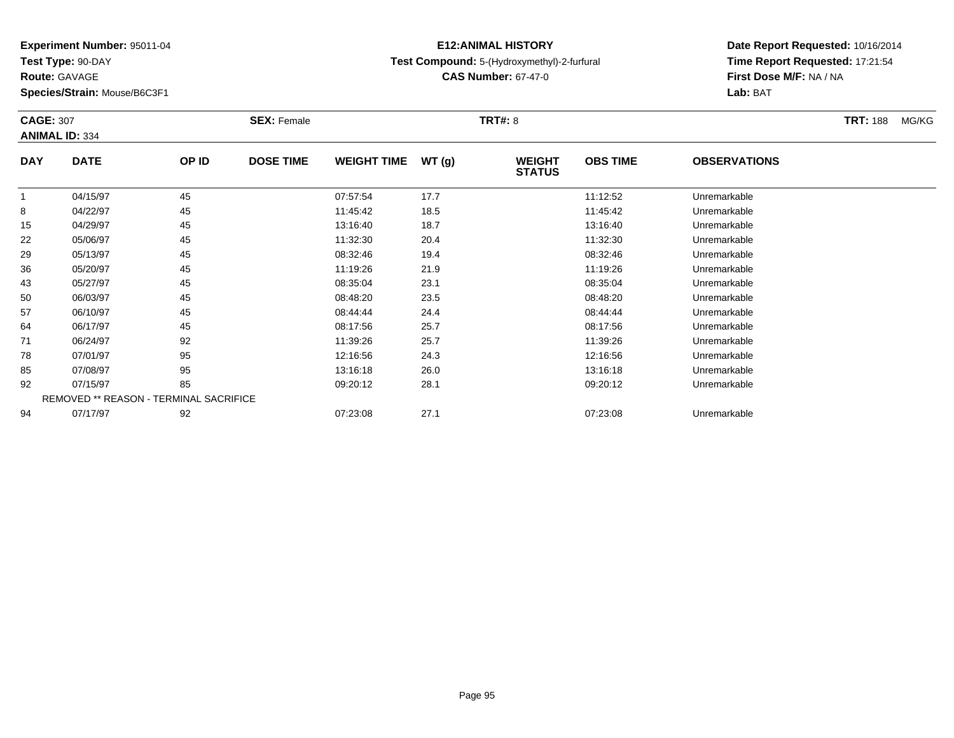**Test Type:** 90-DAY

**Route:** GAVAGE

**Species/Strain:** Mouse/B6C3F1

### **E12:ANIMAL HISTORYTest Compound:** 5-(Hydroxymethyl)-2-furfural

**CAS Number:** 67-47-0

| <b>CAGE: 307</b> | <b>ANIMAL ID: 334</b>                  |       | <b>SEX: Female</b> |                    |       | <b>TRT#: 8</b>                 |                 |                     | <b>TRT: 188</b><br>MG/KG |
|------------------|----------------------------------------|-------|--------------------|--------------------|-------|--------------------------------|-----------------|---------------------|--------------------------|
| <b>DAY</b>       | <b>DATE</b>                            | OP ID | <b>DOSE TIME</b>   | <b>WEIGHT TIME</b> | WT(g) | <b>WEIGHT</b><br><b>STATUS</b> | <b>OBS TIME</b> | <b>OBSERVATIONS</b> |                          |
| 1                | 04/15/97                               | 45    |                    | 07:57:54           | 17.7  |                                | 11:12:52        | Unremarkable        |                          |
| 8                | 04/22/97                               | 45    |                    | 11:45:42           | 18.5  |                                | 11:45:42        | Unremarkable        |                          |
| 15               | 04/29/97                               | 45    |                    | 13:16:40           | 18.7  |                                | 13:16:40        | Unremarkable        |                          |
| 22               | 05/06/97                               | 45    |                    | 11:32:30           | 20.4  |                                | 11:32:30        | Unremarkable        |                          |
| 29               | 05/13/97                               | 45    |                    | 08:32:46           | 19.4  |                                | 08:32:46        | Unremarkable        |                          |
| 36               | 05/20/97                               | 45    |                    | 11:19:26           | 21.9  |                                | 11:19:26        | Unremarkable        |                          |
| 43               | 05/27/97                               | 45    |                    | 08:35:04           | 23.1  |                                | 08:35:04        | Unremarkable        |                          |
| 50               | 06/03/97                               | 45    |                    | 08:48:20           | 23.5  |                                | 08:48:20        | Unremarkable        |                          |
| 57               | 06/10/97                               | 45    |                    | 08:44:44           | 24.4  |                                | 08:44:44        | Unremarkable        |                          |
| 64               | 06/17/97                               | 45    |                    | 08:17:56           | 25.7  |                                | 08:17:56        | Unremarkable        |                          |
| 71               | 06/24/97                               | 92    |                    | 11:39:26           | 25.7  |                                | 11:39:26        | Unremarkable        |                          |
| 78               | 07/01/97                               | 95    |                    | 12:16:56           | 24.3  |                                | 12:16:56        | Unremarkable        |                          |
| 85               | 07/08/97                               | 95    |                    | 13:16:18           | 26.0  |                                | 13:16:18        | Unremarkable        |                          |
| 92               | 07/15/97                               | 85    |                    | 09:20:12           | 28.1  |                                | 09:20:12        | Unremarkable        |                          |
|                  | REMOVED ** REASON - TERMINAL SACRIFICE |       |                    |                    |       |                                |                 |                     |                          |
| 94               | 07/17/97                               | 92    |                    | 07:23:08           | 27.1  |                                | 07:23:08        | Unremarkable        |                          |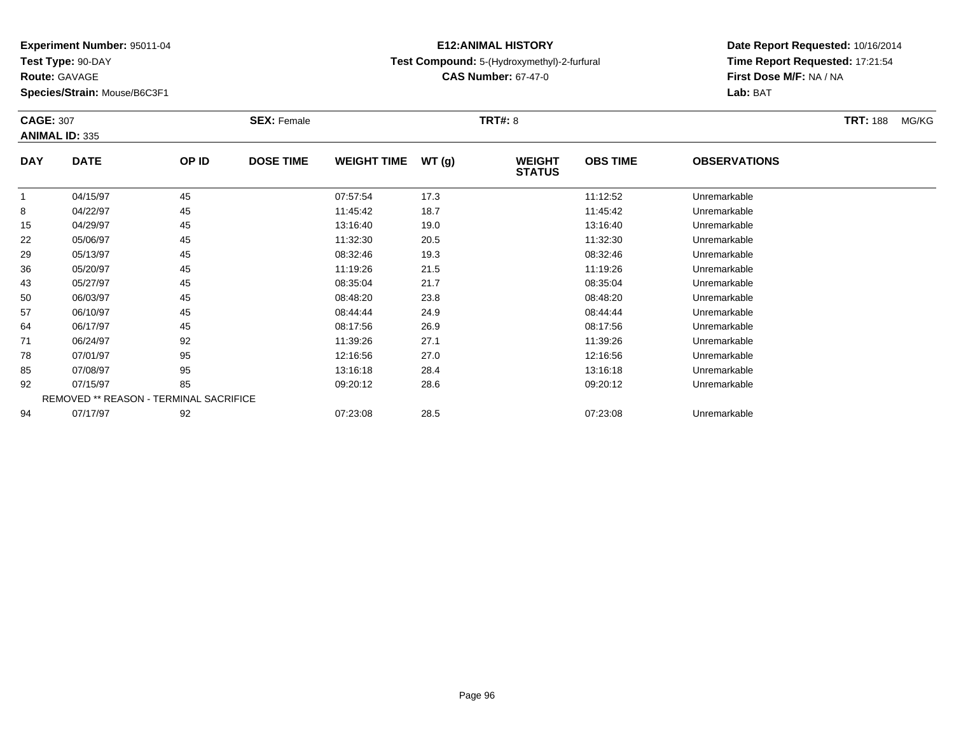**Test Type:** 90-DAY

**Route:** GAVAGE

**Species/Strain:** Mouse/B6C3F1

### **E12:ANIMAL HISTORYTest Compound:** 5-(Hydroxymethyl)-2-furfural

**CAS Number:** 67-47-0

| <b>CAGE: 307</b> | <b>ANIMAL ID: 335</b>                         |       | <b>SEX: Female</b> |                    |       | <b>TRT#: 8</b>                 |                 |                     | <b>TRT: 188</b> | MG/KG |
|------------------|-----------------------------------------------|-------|--------------------|--------------------|-------|--------------------------------|-----------------|---------------------|-----------------|-------|
| <b>DAY</b>       | <b>DATE</b>                                   | OP ID | <b>DOSE TIME</b>   | <b>WEIGHT TIME</b> | WT(g) | <b>WEIGHT</b><br><b>STATUS</b> | <b>OBS TIME</b> | <b>OBSERVATIONS</b> |                 |       |
| $\mathbf{1}$     | 04/15/97                                      | 45    |                    | 07:57:54           | 17.3  |                                | 11:12:52        | Unremarkable        |                 |       |
| 8                | 04/22/97                                      | 45    |                    | 11:45:42           | 18.7  |                                | 11:45:42        | Unremarkable        |                 |       |
| 15               | 04/29/97                                      | 45    |                    | 13:16:40           | 19.0  |                                | 13:16:40        | Unremarkable        |                 |       |
| 22               | 05/06/97                                      | 45    |                    | 11:32:30           | 20.5  |                                | 11:32:30        | Unremarkable        |                 |       |
| 29               | 05/13/97                                      | 45    |                    | 08:32:46           | 19.3  |                                | 08:32:46        | Unremarkable        |                 |       |
| 36               | 05/20/97                                      | 45    |                    | 11:19:26           | 21.5  |                                | 11:19:26        | Unremarkable        |                 |       |
| 43               | 05/27/97                                      | 45    |                    | 08:35:04           | 21.7  |                                | 08:35:04        | Unremarkable        |                 |       |
| 50               | 06/03/97                                      | 45    |                    | 08:48:20           | 23.8  |                                | 08:48:20        | Unremarkable        |                 |       |
| 57               | 06/10/97                                      | 45    |                    | 08:44:44           | 24.9  |                                | 08:44:44        | Unremarkable        |                 |       |
| 64               | 06/17/97                                      | 45    |                    | 08:17:56           | 26.9  |                                | 08:17:56        | Unremarkable        |                 |       |
| 71               | 06/24/97                                      | 92    |                    | 11:39:26           | 27.1  |                                | 11:39:26        | Unremarkable        |                 |       |
| 78               | 07/01/97                                      | 95    |                    | 12:16:56           | 27.0  |                                | 12:16:56        | Unremarkable        |                 |       |
| 85               | 07/08/97                                      | 95    |                    | 13:16:18           | 28.4  |                                | 13:16:18        | Unremarkable        |                 |       |
| 92               | 07/15/97                                      | 85    |                    | 09:20:12           | 28.6  |                                | 09:20:12        | Unremarkable        |                 |       |
|                  | <b>REMOVED ** REASON - TERMINAL SACRIFICE</b> |       |                    |                    |       |                                |                 |                     |                 |       |
| 94               | 07/17/97                                      | 92    |                    | 07:23:08           | 28.5  |                                | 07:23:08        | Unremarkable        |                 |       |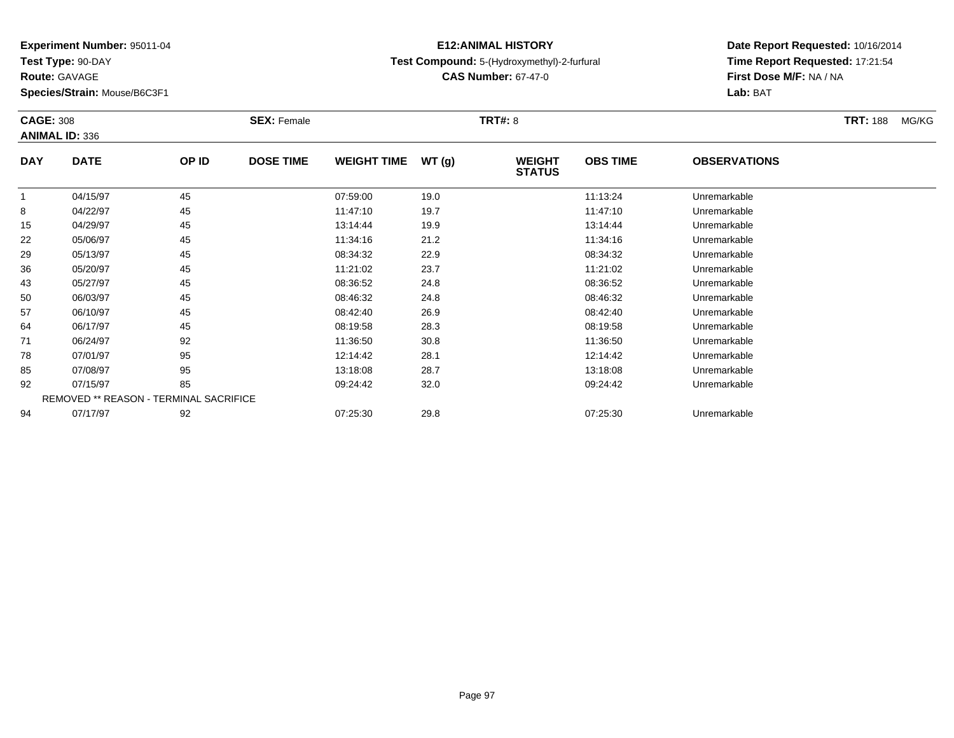**Test Type:** 90-DAY

**Route:** GAVAGE

**Species/Strain:** Mouse/B6C3F1

### **E12:ANIMAL HISTORYTest Compound:** 5-(Hydroxymethyl)-2-furfural

**CAS Number:** 67-47-0

|            | <b>CAGE: 308</b><br><b>ANIMAL ID: 336</b> |       | <b>SEX: Female</b> |                    |       | <b>TRT#: 8</b>                 | <b>TRT: 188</b> | MG/KG               |  |  |
|------------|-------------------------------------------|-------|--------------------|--------------------|-------|--------------------------------|-----------------|---------------------|--|--|
| <b>DAY</b> | <b>DATE</b>                               | OP ID | <b>DOSE TIME</b>   | <b>WEIGHT TIME</b> | WT(g) | <b>WEIGHT</b><br><b>STATUS</b> | <b>OBS TIME</b> | <b>OBSERVATIONS</b> |  |  |
| 1          | 04/15/97                                  | 45    |                    | 07:59:00           | 19.0  |                                | 11:13:24        | Unremarkable        |  |  |
| 8          | 04/22/97                                  | 45    |                    | 11:47:10           | 19.7  |                                | 11:47:10        | Unremarkable        |  |  |
| 15         | 04/29/97                                  | 45    |                    | 13:14:44           | 19.9  |                                | 13:14:44        | Unremarkable        |  |  |
| 22         | 05/06/97                                  | 45    |                    | 11:34:16           | 21.2  |                                | 11:34:16        | Unremarkable        |  |  |
| 29         | 05/13/97                                  | 45    |                    | 08:34:32           | 22.9  |                                | 08:34:32        | Unremarkable        |  |  |
| 36         | 05/20/97                                  | 45    |                    | 11:21:02           | 23.7  |                                | 11:21:02        | Unremarkable        |  |  |
| 43         | 05/27/97                                  | 45    |                    | 08:36:52           | 24.8  |                                | 08:36:52        | Unremarkable        |  |  |
| 50         | 06/03/97                                  | 45    |                    | 08:46:32           | 24.8  |                                | 08:46:32        | Unremarkable        |  |  |
| 57         | 06/10/97                                  | 45    |                    | 08:42:40           | 26.9  |                                | 08:42:40        | Unremarkable        |  |  |
| 64         | 06/17/97                                  | 45    |                    | 08:19:58           | 28.3  |                                | 08:19:58        | Unremarkable        |  |  |
| 71         | 06/24/97                                  | 92    |                    | 11:36:50           | 30.8  |                                | 11:36:50        | Unremarkable        |  |  |
| 78         | 07/01/97                                  | 95    |                    | 12:14:42           | 28.1  |                                | 12:14:42        | Unremarkable        |  |  |
| 85         | 07/08/97                                  | 95    |                    | 13:18:08           | 28.7  |                                | 13:18:08        | Unremarkable        |  |  |
| 92         | 07/15/97                                  | 85    |                    | 09:24:42           | 32.0  |                                | 09:24:42        | Unremarkable        |  |  |
|            | REMOVED ** REASON - TERMINAL SACRIFICE    |       |                    |                    |       |                                |                 |                     |  |  |
| 94         | 07/17/97                                  | 92    |                    | 07:25:30           | 29.8  |                                | 07:25:30        | Unremarkable        |  |  |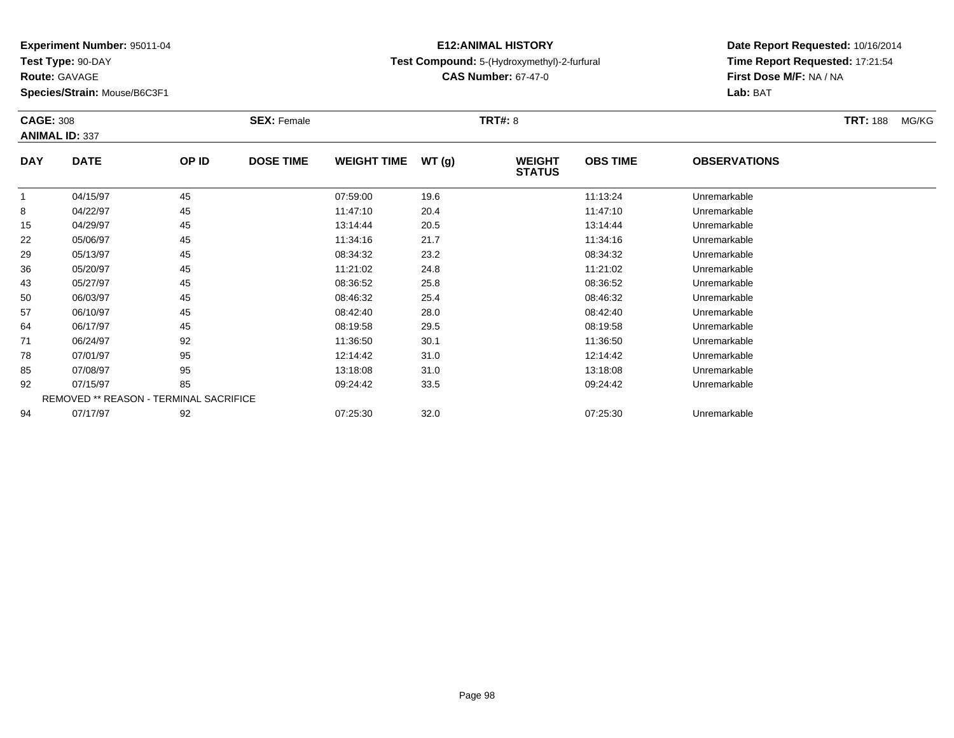**Test Type:** 90-DAY

**Route:** GAVAGE

**Species/Strain:** Mouse/B6C3F1

### **E12:ANIMAL HISTORYTest Compound:** 5-(Hydroxymethyl)-2-furfural

**CAS Number:** 67-47-0

|            | <b>CAGE: 308</b><br><b>ANIMAL ID: 337</b> |       | <b>SEX: Female</b> |                    |       | <b>TRT#: 8</b>                 |                 | <b>TRT: 188</b>     | MG/KG |  |
|------------|-------------------------------------------|-------|--------------------|--------------------|-------|--------------------------------|-----------------|---------------------|-------|--|
| <b>DAY</b> | <b>DATE</b>                               | OP ID | <b>DOSE TIME</b>   | <b>WEIGHT TIME</b> | WT(g) | <b>WEIGHT</b><br><b>STATUS</b> | <b>OBS TIME</b> | <b>OBSERVATIONS</b> |       |  |
| 1          | 04/15/97                                  | 45    |                    | 07:59:00           | 19.6  |                                | 11:13:24        | Unremarkable        |       |  |
| 8          | 04/22/97                                  | 45    |                    | 11:47:10           | 20.4  |                                | 11:47:10        | Unremarkable        |       |  |
| 15         | 04/29/97                                  | 45    |                    | 13:14:44           | 20.5  |                                | 13:14:44        | Unremarkable        |       |  |
| 22         | 05/06/97                                  | 45    |                    | 11:34:16           | 21.7  |                                | 11:34:16        | Unremarkable        |       |  |
| 29         | 05/13/97                                  | 45    |                    | 08:34:32           | 23.2  |                                | 08:34:32        | Unremarkable        |       |  |
| 36         | 05/20/97                                  | 45    |                    | 11:21:02           | 24.8  |                                | 11:21:02        | Unremarkable        |       |  |
| 43         | 05/27/97                                  | 45    |                    | 08:36:52           | 25.8  |                                | 08:36:52        | Unremarkable        |       |  |
| 50         | 06/03/97                                  | 45    |                    | 08:46:32           | 25.4  |                                | 08:46:32        | Unremarkable        |       |  |
| 57         | 06/10/97                                  | 45    |                    | 08:42:40           | 28.0  |                                | 08:42:40        | Unremarkable        |       |  |
| 64         | 06/17/97                                  | 45    |                    | 08:19:58           | 29.5  |                                | 08:19:58        | Unremarkable        |       |  |
| 71         | 06/24/97                                  | 92    |                    | 11:36:50           | 30.1  |                                | 11:36:50        | Unremarkable        |       |  |
| 78         | 07/01/97                                  | 95    |                    | 12:14:42           | 31.0  |                                | 12:14:42        | Unremarkable        |       |  |
| 85         | 07/08/97                                  | 95    |                    | 13:18:08           | 31.0  |                                | 13:18:08        | Unremarkable        |       |  |
| 92         | 07/15/97                                  | 85    |                    | 09:24:42           | 33.5  |                                | 09:24:42        | Unremarkable        |       |  |
|            | REMOVED ** REASON - TERMINAL SACRIFICE    |       |                    |                    |       |                                |                 |                     |       |  |
| 94         | 07/17/97                                  | 92    |                    | 07:25:30           | 32.0  |                                | 07:25:30        | Unremarkable        |       |  |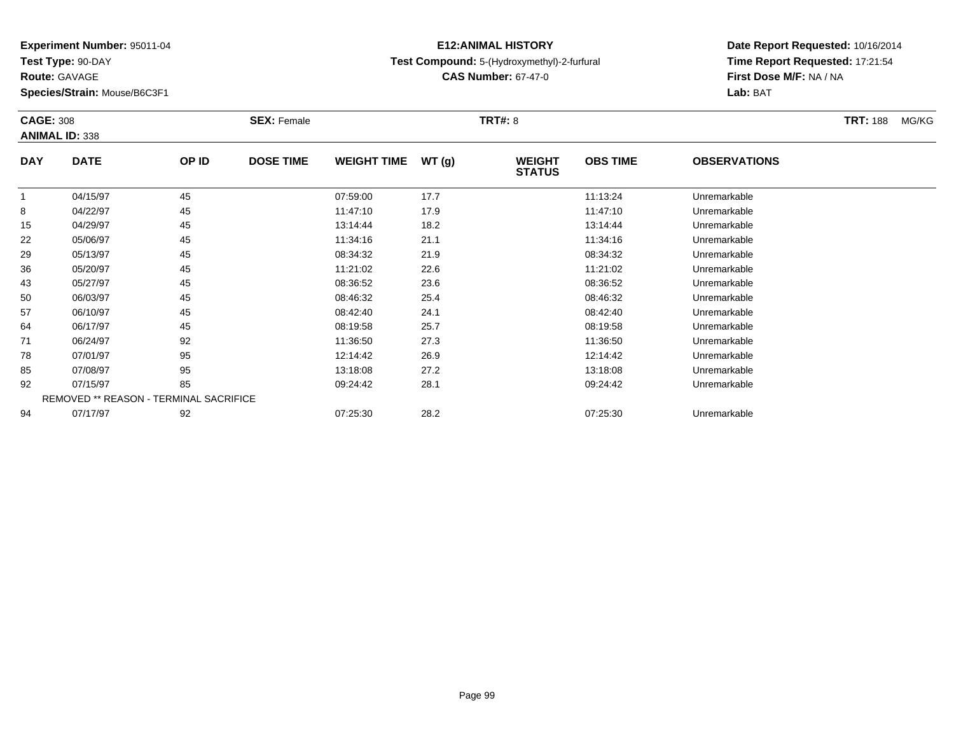**Test Type:** 90-DAY

**Route:** GAVAGE

**Species/Strain:** Mouse/B6C3F1

### **E12:ANIMAL HISTORYTest Compound:** 5-(Hydroxymethyl)-2-furfural

**CAS Number:** 67-47-0

|              | <b>CAGE: 308</b><br><b>ANIMAL ID: 338</b>     |       | <b>SEX: Female</b> |                    |       | <b>TRT#: 8</b>                 | <b>TRT: 188</b> | MG/KG               |  |  |
|--------------|-----------------------------------------------|-------|--------------------|--------------------|-------|--------------------------------|-----------------|---------------------|--|--|
| <b>DAY</b>   | <b>DATE</b>                                   | OP ID | <b>DOSE TIME</b>   | <b>WEIGHT TIME</b> | WT(g) | <b>WEIGHT</b><br><b>STATUS</b> | <b>OBS TIME</b> | <b>OBSERVATIONS</b> |  |  |
| $\mathbf{1}$ | 04/15/97                                      | 45    |                    | 07:59:00           | 17.7  |                                | 11:13:24        | Unremarkable        |  |  |
| 8            | 04/22/97                                      | 45    |                    | 11:47:10           | 17.9  |                                | 11:47:10        | Unremarkable        |  |  |
| 15           | 04/29/97                                      | 45    |                    | 13:14:44           | 18.2  |                                | 13:14:44        | Unremarkable        |  |  |
| 22           | 05/06/97                                      | 45    |                    | 11:34:16           | 21.1  |                                | 11:34:16        | Unremarkable        |  |  |
| 29           | 05/13/97                                      | 45    |                    | 08:34:32           | 21.9  |                                | 08:34:32        | Unremarkable        |  |  |
| 36           | 05/20/97                                      | 45    |                    | 11:21:02           | 22.6  |                                | 11:21:02        | Unremarkable        |  |  |
| 43           | 05/27/97                                      | 45    |                    | 08:36:52           | 23.6  |                                | 08:36:52        | Unremarkable        |  |  |
| 50           | 06/03/97                                      | 45    |                    | 08:46:32           | 25.4  |                                | 08:46:32        | Unremarkable        |  |  |
| 57           | 06/10/97                                      | 45    |                    | 08:42:40           | 24.1  |                                | 08:42:40        | Unremarkable        |  |  |
| 64           | 06/17/97                                      | 45    |                    | 08:19:58           | 25.7  |                                | 08:19:58        | Unremarkable        |  |  |
| 71           | 06/24/97                                      | 92    |                    | 11:36:50           | 27.3  |                                | 11:36:50        | Unremarkable        |  |  |
| 78           | 07/01/97                                      | 95    |                    | 12:14:42           | 26.9  |                                | 12:14:42        | Unremarkable        |  |  |
| 85           | 07/08/97                                      | 95    |                    | 13:18:08           | 27.2  |                                | 13:18:08        | Unremarkable        |  |  |
| 92           | 07/15/97                                      | 85    |                    | 09:24:42           | 28.1  |                                | 09:24:42        | Unremarkable        |  |  |
|              | <b>REMOVED ** REASON - TERMINAL SACRIFICE</b> |       |                    |                    |       |                                |                 |                     |  |  |
| 94           | 07/17/97                                      | 92    |                    | 07:25:30           | 28.2  |                                | 07:25:30        | Unremarkable        |  |  |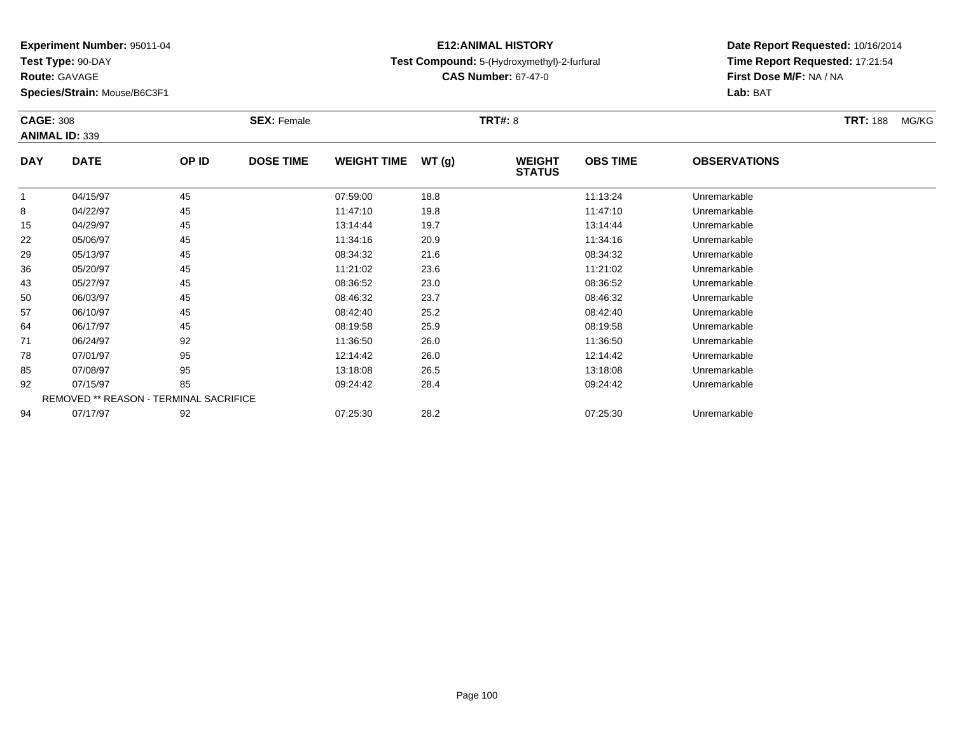**Test Type:** 90-DAY

**Route:** GAVAGE

**Species/Strain:** Mouse/B6C3F1

### **E12:ANIMAL HISTORYTest Compound:** 5-(Hydroxymethyl)-2-furfural

**CAS Number:** 67-47-0

|            | <b>CAGE: 308</b><br><b>ANIMAL ID: 339</b>     |       | <b>SEX: Female</b> |                    |       | <b>TRT#: 8</b>                 | <b>TRT: 188</b> | MG/KG               |  |  |
|------------|-----------------------------------------------|-------|--------------------|--------------------|-------|--------------------------------|-----------------|---------------------|--|--|
| <b>DAY</b> | <b>DATE</b>                                   | OP ID | <b>DOSE TIME</b>   | <b>WEIGHT TIME</b> | WT(g) | <b>WEIGHT</b><br><b>STATUS</b> | <b>OBS TIME</b> | <b>OBSERVATIONS</b> |  |  |
| 1          | 04/15/97                                      | 45    |                    | 07:59:00           | 18.8  |                                | 11:13:24        | Unremarkable        |  |  |
| 8          | 04/22/97                                      | 45    |                    | 11:47:10           | 19.8  |                                | 11:47:10        | Unremarkable        |  |  |
| 15         | 04/29/97                                      | 45    |                    | 13:14:44           | 19.7  |                                | 13:14:44        | Unremarkable        |  |  |
| 22         | 05/06/97                                      | 45    |                    | 11:34:16           | 20.9  |                                | 11:34:16        | Unremarkable        |  |  |
| 29         | 05/13/97                                      | 45    |                    | 08:34:32           | 21.6  |                                | 08:34:32        | Unremarkable        |  |  |
| 36         | 05/20/97                                      | 45    |                    | 11:21:02           | 23.6  |                                | 11:21:02        | Unremarkable        |  |  |
| 43         | 05/27/97                                      | 45    |                    | 08:36:52           | 23.0  |                                | 08:36:52        | Unremarkable        |  |  |
| 50         | 06/03/97                                      | 45    |                    | 08:46:32           | 23.7  |                                | 08:46:32        | Unremarkable        |  |  |
| 57         | 06/10/97                                      | 45    |                    | 08:42:40           | 25.2  |                                | 08:42:40        | Unremarkable        |  |  |
| 64         | 06/17/97                                      | 45    |                    | 08:19:58           | 25.9  |                                | 08:19:58        | Unremarkable        |  |  |
| 71         | 06/24/97                                      | 92    |                    | 11:36:50           | 26.0  |                                | 11:36:50        | Unremarkable        |  |  |
| 78         | 07/01/97                                      | 95    |                    | 12:14:42           | 26.0  |                                | 12:14:42        | Unremarkable        |  |  |
| 85         | 07/08/97                                      | 95    |                    | 13:18:08           | 26.5  |                                | 13:18:08        | Unremarkable        |  |  |
| 92         | 07/15/97                                      | 85    |                    | 09:24:42           | 28.4  |                                | 09:24:42        | Unremarkable        |  |  |
|            | <b>REMOVED ** REASON - TERMINAL SACRIFICE</b> |       |                    |                    |       |                                |                 |                     |  |  |
| 94         | 07/17/97                                      | 92    |                    | 07:25:30           | 28.2  |                                | 07:25:30        | Unremarkable        |  |  |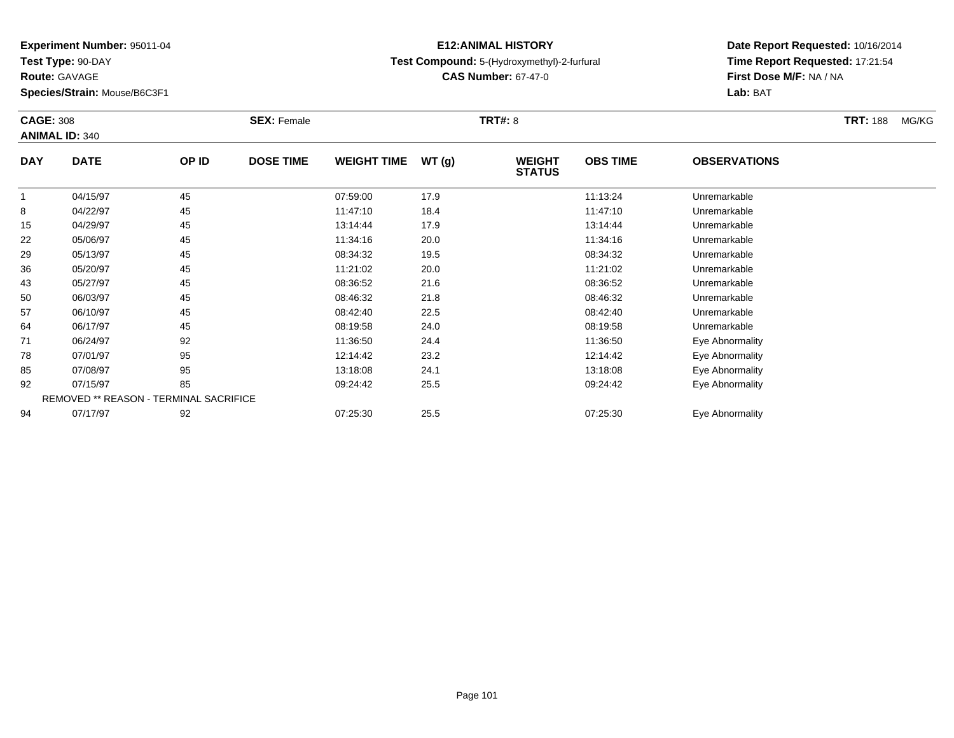**Test Type:** 90-DAY

**Route:** GAVAGE

**Species/Strain:** Mouse/B6C3F1

### **E12:ANIMAL HISTORYTest Compound:** 5-(Hydroxymethyl)-2-furfural

**CAS Number:** 67-47-0

|            | <b>CAGE: 308</b><br><b>ANIMAL ID: 340</b> |       | <b>SEX: Female</b> |                    |       | <b>TRT#: 8</b>                 | <b>TRT: 188</b>                        | MG/KG           |  |  |
|------------|-------------------------------------------|-------|--------------------|--------------------|-------|--------------------------------|----------------------------------------|-----------------|--|--|
| <b>DAY</b> | <b>DATE</b>                               | OP ID | <b>DOSE TIME</b>   | <b>WEIGHT TIME</b> | WT(g) | <b>WEIGHT</b><br><b>STATUS</b> | <b>OBS TIME</b><br><b>OBSERVATIONS</b> |                 |  |  |
| 1          | 04/15/97                                  | 45    |                    | 07:59:00           | 17.9  |                                | 11:13:24                               | Unremarkable    |  |  |
| 8          | 04/22/97                                  | 45    |                    | 11:47:10           | 18.4  |                                | 11:47:10                               | Unremarkable    |  |  |
| 15         | 04/29/97                                  | 45    |                    | 13:14:44           | 17.9  |                                | 13:14:44                               | Unremarkable    |  |  |
| 22         | 05/06/97                                  | 45    |                    | 11:34:16           | 20.0  |                                | 11:34:16                               | Unremarkable    |  |  |
| 29         | 05/13/97                                  | 45    |                    | 08:34:32           | 19.5  |                                | 08:34:32                               | Unremarkable    |  |  |
| 36         | 05/20/97                                  | 45    |                    | 11:21:02           | 20.0  |                                | 11:21:02                               | Unremarkable    |  |  |
| 43         | 05/27/97                                  | 45    |                    | 08:36:52           | 21.6  |                                | 08:36:52                               | Unremarkable    |  |  |
| 50         | 06/03/97                                  | 45    |                    | 08:46:32           | 21.8  |                                | 08:46:32                               | Unremarkable    |  |  |
| 57         | 06/10/97                                  | 45    |                    | 08:42:40           | 22.5  |                                | 08:42:40                               | Unremarkable    |  |  |
| 64         | 06/17/97                                  | 45    |                    | 08:19:58           | 24.0  |                                | 08:19:58                               | Unremarkable    |  |  |
| 71         | 06/24/97                                  | 92    |                    | 11:36:50           | 24.4  |                                | 11:36:50                               | Eye Abnormality |  |  |
| 78         | 07/01/97                                  | 95    |                    | 12:14:42           | 23.2  |                                | 12:14:42                               | Eye Abnormality |  |  |
| 85         | 07/08/97                                  | 95    |                    | 13:18:08           | 24.1  |                                | 13:18:08                               | Eye Abnormality |  |  |
| 92         | 07/15/97                                  | 85    |                    | 09:24:42           | 25.5  |                                | 09:24:42                               | Eye Abnormality |  |  |
|            | REMOVED ** REASON - TERMINAL SACRIFICE    |       |                    |                    |       |                                |                                        |                 |  |  |
| 94         | 07/17/97                                  | 92    |                    | 07:25:30           | 25.5  |                                | 07:25:30                               | Eye Abnormality |  |  |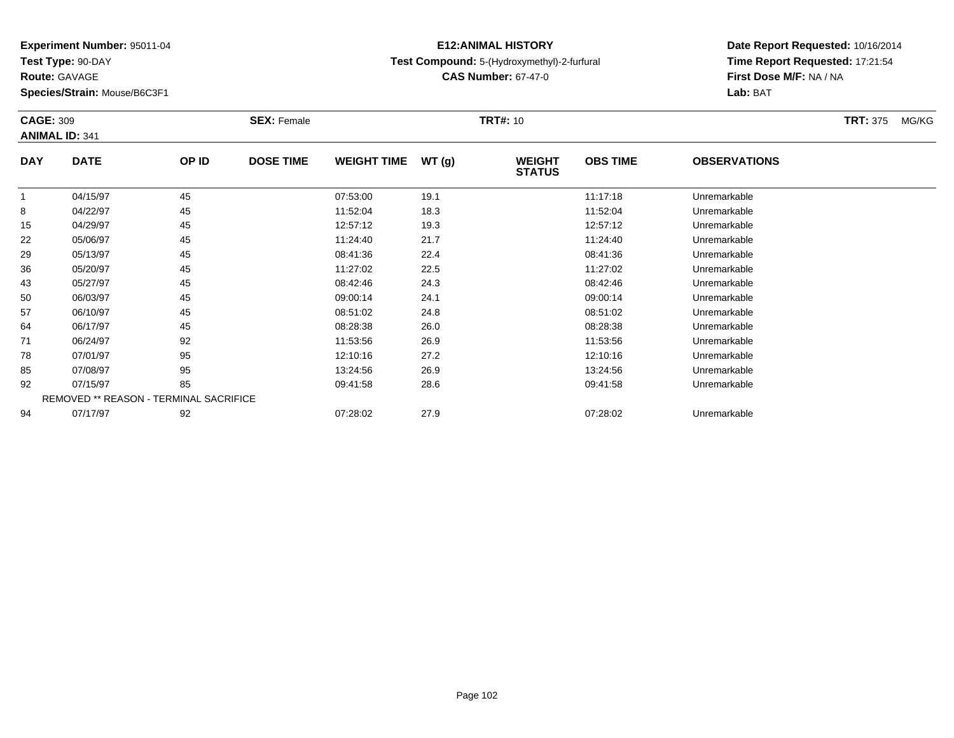**Test Type:** 90-DAY

**Route:** GAVAGE

**Species/Strain:** Mouse/B6C3F1

### **E12:ANIMAL HISTORYTest Compound:** 5-(Hydroxymethyl)-2-furfural

**CAS Number:** 67-47-0

| <b>CAGE: 309</b> | <b>ANIMAL ID: 341</b>                  |       | <b>SEX: Female</b> |                    |        | <b>TRT#: 10</b>                |                 |                     | <b>TRT: 375</b><br>MG/KG |
|------------------|----------------------------------------|-------|--------------------|--------------------|--------|--------------------------------|-----------------|---------------------|--------------------------|
| <b>DAY</b>       | <b>DATE</b>                            | OP ID | <b>DOSE TIME</b>   | <b>WEIGHT TIME</b> | WT (g) | <b>WEIGHT</b><br><b>STATUS</b> | <b>OBS TIME</b> | <b>OBSERVATIONS</b> |                          |
|                  | 04/15/97                               | 45    |                    | 07:53:00           | 19.1   |                                | 11:17:18        | Unremarkable        |                          |
| 8                | 04/22/97                               | 45    |                    | 11:52:04           | 18.3   |                                | 11:52:04        | Unremarkable        |                          |
| 15               | 04/29/97                               | 45    |                    | 12:57:12           | 19.3   |                                | 12:57:12        | Unremarkable        |                          |
| 22               | 05/06/97                               | 45    |                    | 11:24:40           | 21.7   |                                | 11:24:40        | Unremarkable        |                          |
| 29               | 05/13/97                               | 45    |                    | 08:41:36           | 22.4   |                                | 08:41:36        | Unremarkable        |                          |
| 36               | 05/20/97                               | 45    |                    | 11:27:02           | 22.5   |                                | 11:27:02        | Unremarkable        |                          |
| 43               | 05/27/97                               | 45    |                    | 08:42:46           | 24.3   |                                | 08:42:46        | Unremarkable        |                          |
| 50               | 06/03/97                               | 45    |                    | 09:00:14           | 24.1   |                                | 09:00:14        | Unremarkable        |                          |
| 57               | 06/10/97                               | 45    |                    | 08:51:02           | 24.8   |                                | 08:51:02        | Unremarkable        |                          |
| 64               | 06/17/97                               | 45    |                    | 08:28:38           | 26.0   |                                | 08:28:38        | Unremarkable        |                          |
| 71               | 06/24/97                               | 92    |                    | 11:53:56           | 26.9   |                                | 11:53:56        | Unremarkable        |                          |
| 78               | 07/01/97                               | 95    |                    | 12:10:16           | 27.2   |                                | 12:10:16        | Unremarkable        |                          |
| 85               | 07/08/97                               | 95    |                    | 13:24:56           | 26.9   |                                | 13:24:56        | Unremarkable        |                          |
| 92               | 07/15/97                               | 85    |                    | 09:41:58           | 28.6   |                                | 09:41:58        | Unremarkable        |                          |
|                  | REMOVED ** REASON - TERMINAL SACRIFICE |       |                    |                    |        |                                |                 |                     |                          |
| 94               | 07/17/97                               | 92    |                    | 07:28:02           | 27.9   |                                | 07:28:02        | Unremarkable        |                          |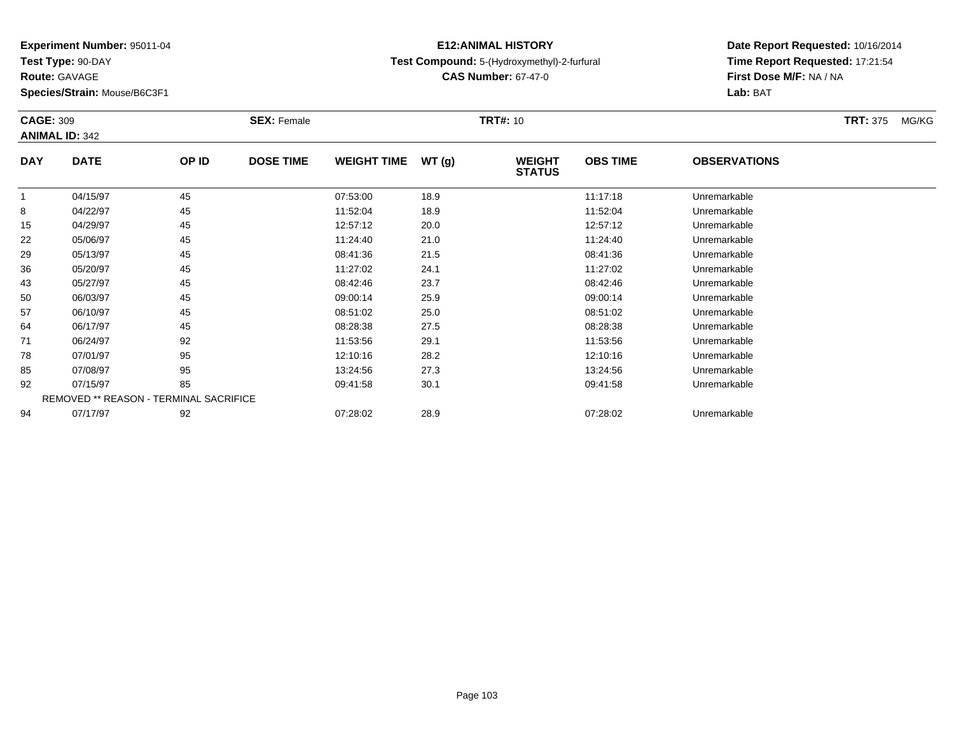**Test Type:** 90-DAY

**Route:** GAVAGE

**Species/Strain:** Mouse/B6C3F1

### **E12:ANIMAL HISTORYTest Compound:** 5-(Hydroxymethyl)-2-furfural

**CAS Number:** 67-47-0

|            | <b>CAGE: 309</b><br><b>ANIMAL ID: 342</b> |       | <b>SEX: Female</b> |                    |       | <b>TRT#:</b> 10                |                 |                     | <b>TRT: 375</b><br>MG/KG |
|------------|-------------------------------------------|-------|--------------------|--------------------|-------|--------------------------------|-----------------|---------------------|--------------------------|
| <b>DAY</b> | <b>DATE</b>                               | OP ID | <b>DOSE TIME</b>   | <b>WEIGHT TIME</b> | WT(g) | <b>WEIGHT</b><br><b>STATUS</b> | <b>OBS TIME</b> | <b>OBSERVATIONS</b> |                          |
| 1          | 04/15/97                                  | 45    |                    | 07:53:00           | 18.9  |                                | 11:17:18        | Unremarkable        |                          |
| 8          | 04/22/97                                  | 45    |                    | 11:52:04           | 18.9  |                                | 11:52:04        | Unremarkable        |                          |
| 15         | 04/29/97                                  | 45    |                    | 12:57:12           | 20.0  |                                | 12:57:12        | Unremarkable        |                          |
| 22         | 05/06/97                                  | 45    |                    | 11:24:40           | 21.0  |                                | 11:24:40        | Unremarkable        |                          |
| 29         | 05/13/97                                  | 45    |                    | 08:41:36           | 21.5  |                                | 08:41:36        | Unremarkable        |                          |
| 36         | 05/20/97                                  | 45    |                    | 11:27:02           | 24.1  |                                | 11:27:02        | Unremarkable        |                          |
| 43         | 05/27/97                                  | 45    |                    | 08:42:46           | 23.7  |                                | 08:42:46        | Unremarkable        |                          |
| 50         | 06/03/97                                  | 45    |                    | 09:00:14           | 25.9  |                                | 09:00:14        | Unremarkable        |                          |
| 57         | 06/10/97                                  | 45    |                    | 08:51:02           | 25.0  |                                | 08:51:02        | Unremarkable        |                          |
| 64         | 06/17/97                                  | 45    |                    | 08:28:38           | 27.5  |                                | 08:28:38        | Unremarkable        |                          |
| 71         | 06/24/97                                  | 92    |                    | 11:53:56           | 29.1  |                                | 11:53:56        | Unremarkable        |                          |
| 78         | 07/01/97                                  | 95    |                    | 12:10:16           | 28.2  |                                | 12:10:16        | Unremarkable        |                          |
| 85         | 07/08/97                                  | 95    |                    | 13:24:56           | 27.3  |                                | 13:24:56        | Unremarkable        |                          |
| 92         | 07/15/97                                  | 85    |                    | 09:41:58           | 30.1  |                                | 09:41:58        | Unremarkable        |                          |
|            | REMOVED ** REASON - TERMINAL SACRIFICE    |       |                    |                    |       |                                |                 |                     |                          |
| 94         | 07/17/97                                  | 92    |                    | 07:28:02           | 28.9  |                                | 07:28:02        | Unremarkable        |                          |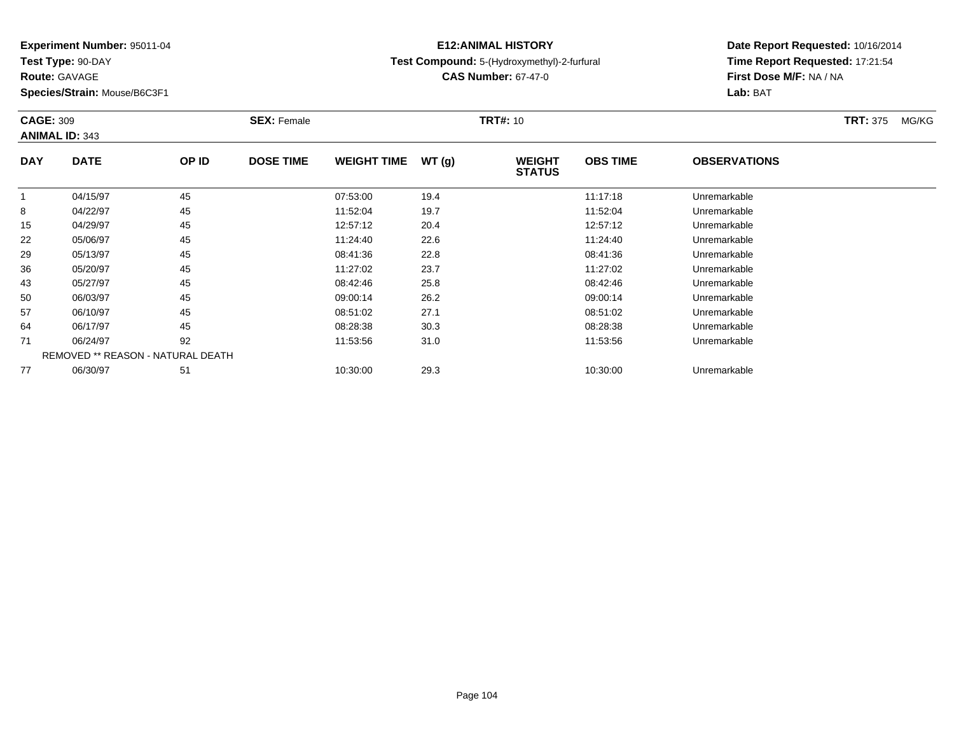**Test Type:** 90-DAY

**Route:** GAVAGE

**Species/Strain:** Mouse/B6C3F1

### **E12:ANIMAL HISTORYTest Compound:** 5-(Hydroxymethyl)-2-furfural

**CAS Number:** 67-47-0

| <b>CAGE: 309</b> | <b>ANIMAL ID: 343</b>             |       | <b>SEX: Female</b> |                    |       | <b>TRT#:</b> 10                |                 |                     | <b>TRT: 375</b><br>MG/KG |
|------------------|-----------------------------------|-------|--------------------|--------------------|-------|--------------------------------|-----------------|---------------------|--------------------------|
| <b>DAY</b>       | <b>DATE</b>                       | OP ID | <b>DOSE TIME</b>   | <b>WEIGHT TIME</b> | WT(g) | <b>WEIGHT</b><br><b>STATUS</b> | <b>OBS TIME</b> | <b>OBSERVATIONS</b> |                          |
|                  | 04/15/97                          | 45    |                    | 07:53:00           | 19.4  |                                | 11:17:18        | Unremarkable        |                          |
| 8                | 04/22/97                          | 45    |                    | 11:52:04           | 19.7  |                                | 11:52:04        | Unremarkable        |                          |
| 15               | 04/29/97                          | 45    |                    | 12:57:12           | 20.4  |                                | 12:57:12        | Unremarkable        |                          |
| 22               | 05/06/97                          | 45    |                    | 11:24:40           | 22.6  |                                | 11:24:40        | Unremarkable        |                          |
| 29               | 05/13/97                          | 45    |                    | 08:41:36           | 22.8  |                                | 08:41:36        | Unremarkable        |                          |
| 36               | 05/20/97                          | 45    |                    | 11:27:02           | 23.7  |                                | 11:27:02        | Unremarkable        |                          |
| 43               | 05/27/97                          | 45    |                    | 08:42:46           | 25.8  |                                | 08:42:46        | Unremarkable        |                          |
| 50               | 06/03/97                          | 45    |                    | 09:00:14           | 26.2  |                                | 09:00:14        | Unremarkable        |                          |
| 57               | 06/10/97                          | 45    |                    | 08:51:02           | 27.1  |                                | 08:51:02        | Unremarkable        |                          |
| 64               | 06/17/97                          | 45    |                    | 08:28:38           | 30.3  |                                | 08:28:38        | Unremarkable        |                          |
| 71               | 06/24/97                          | 92    |                    | 11:53:56           | 31.0  |                                | 11:53:56        | Unremarkable        |                          |
|                  | REMOVED ** REASON - NATURAL DEATH |       |                    |                    |       |                                |                 |                     |                          |
| 77               | 06/30/97                          | 51    |                    | 10:30:00           | 29.3  |                                | 10:30:00        | Unremarkable        |                          |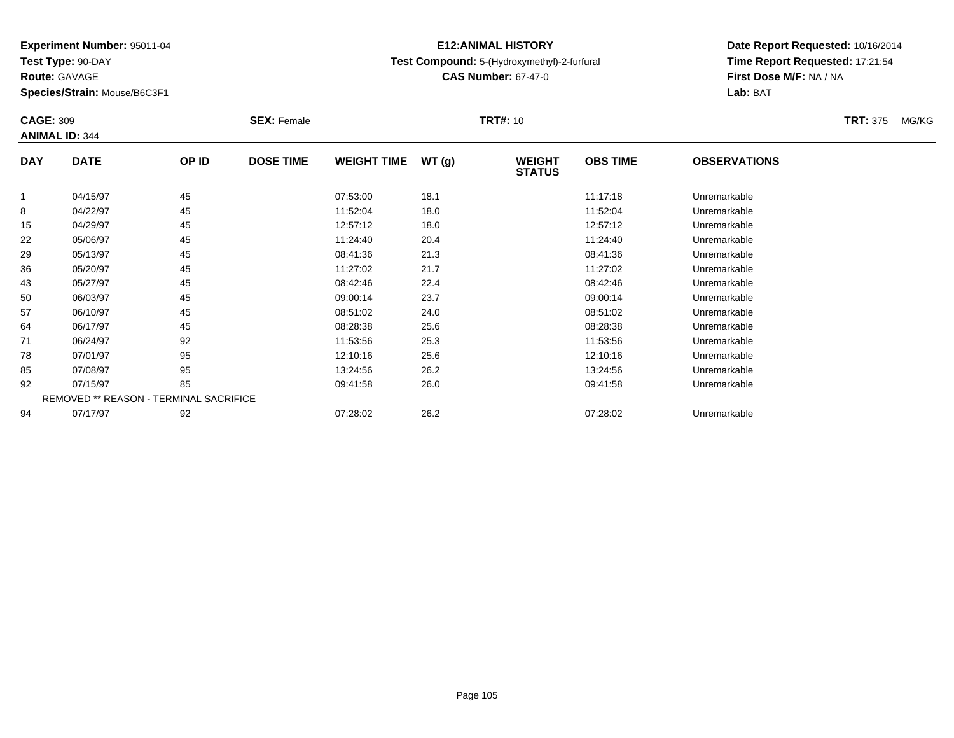**Test Type:** 90-DAY

**Route:** GAVAGE

**Species/Strain:** Mouse/B6C3F1

### **E12:ANIMAL HISTORYTest Compound:** 5-(Hydroxymethyl)-2-furfural

**CAS Number:** 67-47-0

| <b>CAGE: 309</b> |                                        |       | <b>SEX: Female</b> |                    |       | <b>TRT#:</b> 10                |                 |                     | <b>TRT:</b> 375<br>MG/KG |
|------------------|----------------------------------------|-------|--------------------|--------------------|-------|--------------------------------|-----------------|---------------------|--------------------------|
|                  | <b>ANIMAL ID: 344</b>                  |       |                    |                    |       |                                |                 |                     |                          |
| <b>DAY</b>       | <b>DATE</b>                            | OP ID | <b>DOSE TIME</b>   | <b>WEIGHT TIME</b> | WT(g) | <b>WEIGHT</b><br><b>STATUS</b> | <b>OBS TIME</b> | <b>OBSERVATIONS</b> |                          |
|                  | 04/15/97                               | 45    |                    | 07:53:00           | 18.1  |                                | 11:17:18        | Unremarkable        |                          |
| 8                | 04/22/97                               | 45    |                    | 11:52:04           | 18.0  |                                | 11:52:04        | Unremarkable        |                          |
| 15               | 04/29/97                               | 45    |                    | 12:57:12           | 18.0  |                                | 12:57:12        | Unremarkable        |                          |
| 22               | 05/06/97                               | 45    |                    | 11:24:40           | 20.4  |                                | 11:24:40        | Unremarkable        |                          |
| 29               | 05/13/97                               | 45    |                    | 08:41:36           | 21.3  |                                | 08:41:36        | Unremarkable        |                          |
| 36               | 05/20/97                               | 45    |                    | 11:27:02           | 21.7  |                                | 11:27:02        | Unremarkable        |                          |
| 43               | 05/27/97                               | 45    |                    | 08:42:46           | 22.4  |                                | 08:42:46        | Unremarkable        |                          |
| 50               | 06/03/97                               | 45    |                    | 09:00:14           | 23.7  |                                | 09:00:14        | Unremarkable        |                          |
| 57               | 06/10/97                               | 45    |                    | 08:51:02           | 24.0  |                                | 08:51:02        | Unremarkable        |                          |
| 64               | 06/17/97                               | 45    |                    | 08:28:38           | 25.6  |                                | 08:28:38        | Unremarkable        |                          |
| 71               | 06/24/97                               | 92    |                    | 11:53:56           | 25.3  |                                | 11:53:56        | Unremarkable        |                          |
| 78               | 07/01/97                               | 95    |                    | 12:10:16           | 25.6  |                                | 12:10:16        | Unremarkable        |                          |
| 85               | 07/08/97                               | 95    |                    | 13:24:56           | 26.2  |                                | 13:24:56        | Unremarkable        |                          |
| 92               | 07/15/97                               | 85    |                    | 09:41:58           | 26.0  |                                | 09:41:58        | Unremarkable        |                          |
|                  | REMOVED ** REASON - TERMINAL SACRIFICE |       |                    |                    |       |                                |                 |                     |                          |
| 94               | 07/17/97                               | 92    |                    | 07:28:02           | 26.2  |                                | 07:28:02        | Unremarkable        |                          |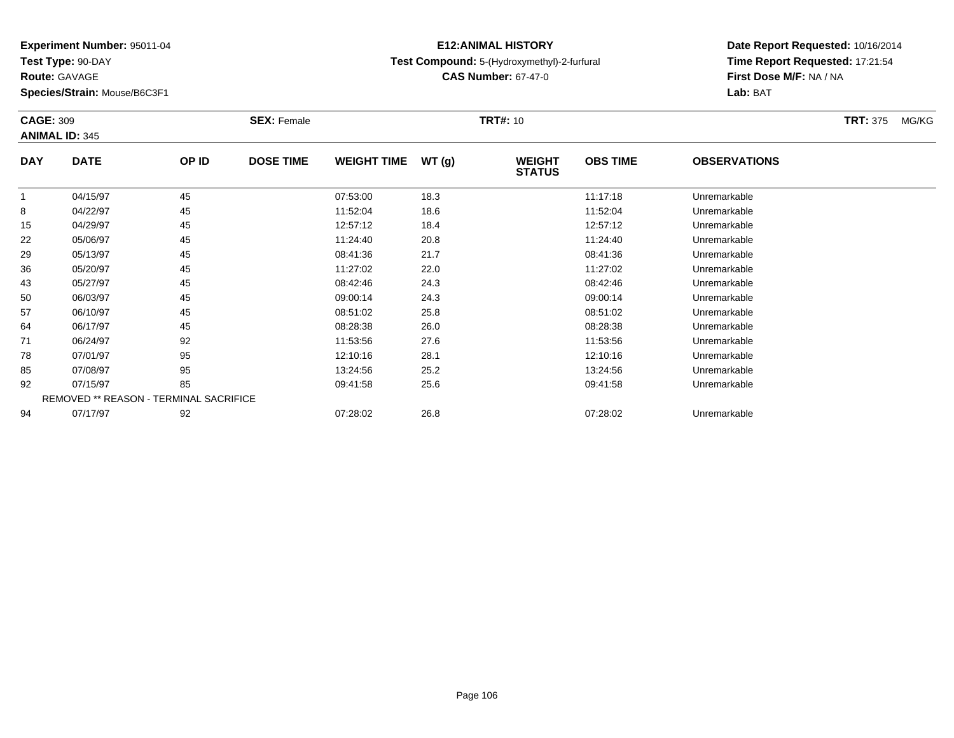**Test Type:** 90-DAY

**Route:** GAVAGE

**Species/Strain:** Mouse/B6C3F1

### **E12:ANIMAL HISTORYTest Compound:** 5-(Hydroxymethyl)-2-furfural

**CAS Number:** 67-47-0

| <b>CAGE: 309</b> | <b>ANIMAL ID: 345</b>                  |       | <b>SEX: Female</b> |                    |        | <b>TRT#: 10</b>                |                 |                     | <b>TRT: 375</b><br>MG/KG |
|------------------|----------------------------------------|-------|--------------------|--------------------|--------|--------------------------------|-----------------|---------------------|--------------------------|
| <b>DAY</b>       | <b>DATE</b>                            | OP ID | <b>DOSE TIME</b>   | <b>WEIGHT TIME</b> | WT (g) | <b>WEIGHT</b><br><b>STATUS</b> | <b>OBS TIME</b> | <b>OBSERVATIONS</b> |                          |
|                  | 04/15/97                               | 45    |                    | 07:53:00           | 18.3   |                                | 11:17:18        | Unremarkable        |                          |
| 8                | 04/22/97                               | 45    |                    | 11:52:04           | 18.6   |                                | 11:52:04        | Unremarkable        |                          |
| 15               | 04/29/97                               | 45    |                    | 12:57:12           | 18.4   |                                | 12:57:12        | Unremarkable        |                          |
| 22               | 05/06/97                               | 45    |                    | 11:24:40           | 20.8   |                                | 11:24:40        | Unremarkable        |                          |
| 29               | 05/13/97                               | 45    |                    | 08:41:36           | 21.7   |                                | 08:41:36        | Unremarkable        |                          |
| 36               | 05/20/97                               | 45    |                    | 11:27:02           | 22.0   |                                | 11:27:02        | Unremarkable        |                          |
| 43               | 05/27/97                               | 45    |                    | 08:42:46           | 24.3   |                                | 08:42:46        | Unremarkable        |                          |
| 50               | 06/03/97                               | 45    |                    | 09:00:14           | 24.3   |                                | 09:00:14        | Unremarkable        |                          |
| 57               | 06/10/97                               | 45    |                    | 08:51:02           | 25.8   |                                | 08:51:02        | Unremarkable        |                          |
| 64               | 06/17/97                               | 45    |                    | 08:28:38           | 26.0   |                                | 08:28:38        | Unremarkable        |                          |
| 71               | 06/24/97                               | 92    |                    | 11:53:56           | 27.6   |                                | 11:53:56        | Unremarkable        |                          |
| 78               | 07/01/97                               | 95    |                    | 12:10:16           | 28.1   |                                | 12:10:16        | Unremarkable        |                          |
| 85               | 07/08/97                               | 95    |                    | 13:24:56           | 25.2   |                                | 13:24:56        | Unremarkable        |                          |
| 92               | 07/15/97                               | 85    |                    | 09:41:58           | 25.6   |                                | 09:41:58        | Unremarkable        |                          |
|                  | REMOVED ** REASON - TERMINAL SACRIFICE |       |                    |                    |        |                                |                 |                     |                          |
| 94               | 07/17/97                               | 92    |                    | 07:28:02           | 26.8   |                                | 07:28:02        | Unremarkable        |                          |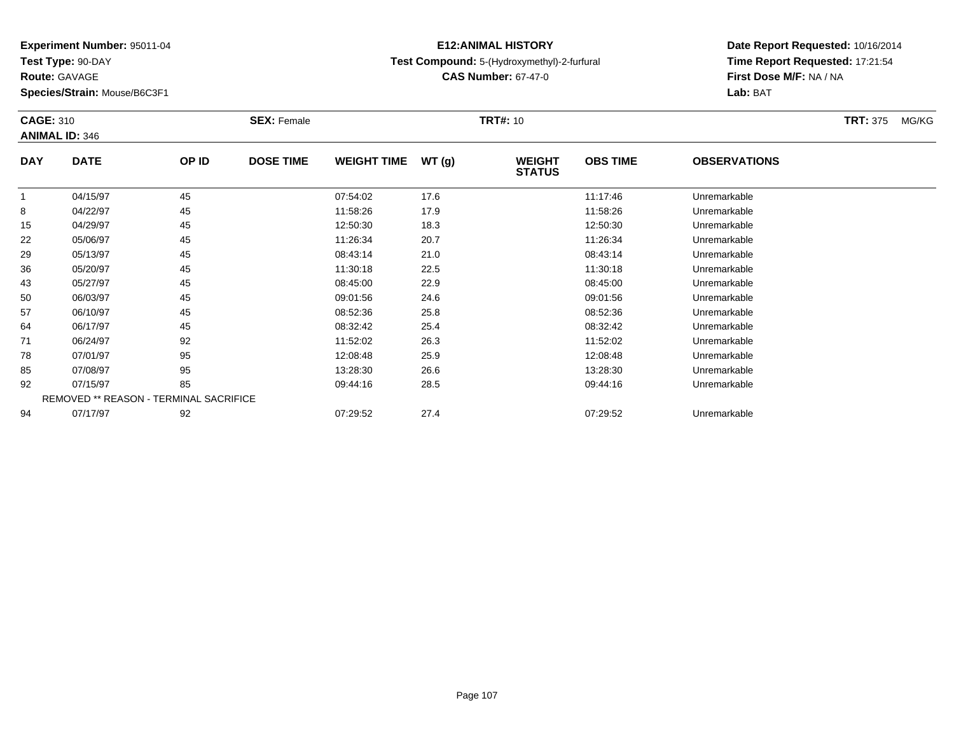**Test Type:** 90-DAY

**Route:** GAVAGE

**Species/Strain:** Mouse/B6C3F1

### **E12:ANIMAL HISTORYTest Compound:** 5-(Hydroxymethyl)-2-furfural

**CAS Number:** 67-47-0

| <b>CAGE: 310</b> | <b>ANIMAL ID: 346</b>                  |       | <b>SEX: Female</b> |                    |        | <b>TRT#: 10</b>                |                 |                     | <b>TRT: 375</b><br>MG/KG |
|------------------|----------------------------------------|-------|--------------------|--------------------|--------|--------------------------------|-----------------|---------------------|--------------------------|
| <b>DAY</b>       | <b>DATE</b>                            | OP ID | <b>DOSE TIME</b>   | <b>WEIGHT TIME</b> | WT (g) | <b>WEIGHT</b><br><b>STATUS</b> | <b>OBS TIME</b> | <b>OBSERVATIONS</b> |                          |
|                  | 04/15/97                               | 45    |                    | 07:54:02           | 17.6   |                                | 11:17:46        | Unremarkable        |                          |
| 8                | 04/22/97                               | 45    |                    | 11:58:26           | 17.9   |                                | 11:58:26        | Unremarkable        |                          |
| 15               | 04/29/97                               | 45    |                    | 12:50:30           | 18.3   |                                | 12:50:30        | Unremarkable        |                          |
| 22               | 05/06/97                               | 45    |                    | 11:26:34           | 20.7   |                                | 11:26:34        | Unremarkable        |                          |
| 29               | 05/13/97                               | 45    |                    | 08:43:14           | 21.0   |                                | 08:43:14        | Unremarkable        |                          |
| 36               | 05/20/97                               | 45    |                    | 11:30:18           | 22.5   |                                | 11:30:18        | Unremarkable        |                          |
| 43               | 05/27/97                               | 45    |                    | 08:45:00           | 22.9   |                                | 08:45:00        | Unremarkable        |                          |
| 50               | 06/03/97                               | 45    |                    | 09:01:56           | 24.6   |                                | 09:01:56        | Unremarkable        |                          |
| 57               | 06/10/97                               | 45    |                    | 08:52:36           | 25.8   |                                | 08:52:36        | Unremarkable        |                          |
| 64               | 06/17/97                               | 45    |                    | 08:32:42           | 25.4   |                                | 08:32:42        | Unremarkable        |                          |
| 71               | 06/24/97                               | 92    |                    | 11:52:02           | 26.3   |                                | 11:52:02        | Unremarkable        |                          |
| 78               | 07/01/97                               | 95    |                    | 12:08:48           | 25.9   |                                | 12:08:48        | Unremarkable        |                          |
| 85               | 07/08/97                               | 95    |                    | 13:28:30           | 26.6   |                                | 13:28:30        | Unremarkable        |                          |
| 92               | 07/15/97                               | 85    |                    | 09:44:16           | 28.5   |                                | 09:44:16        | Unremarkable        |                          |
|                  | REMOVED ** REASON - TERMINAL SACRIFICE |       |                    |                    |        |                                |                 |                     |                          |
| 94               | 07/17/97                               | 92    |                    | 07:29:52           | 27.4   |                                | 07:29:52        | Unremarkable        |                          |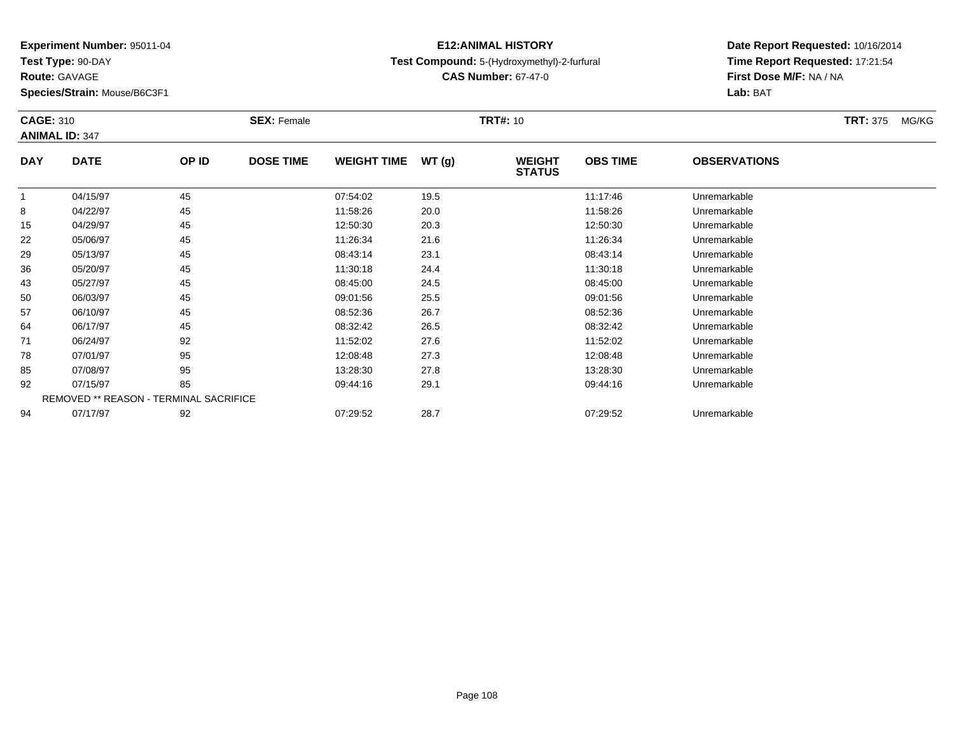**Test Type:** 90-DAY

**Route:** GAVAGE

**Species/Strain:** Mouse/B6C3F1

### **E12:ANIMAL HISTORYTest Compound:** 5-(Hydroxymethyl)-2-furfural

**CAS Number:** 67-47-0

| <b>CAGE: 310</b> |                                        |       | <b>SEX: Female</b> |                    |       | <b>TRT#: 10</b>                |                 |                     | <b>TRT:</b> 375<br>MG/KG |
|------------------|----------------------------------------|-------|--------------------|--------------------|-------|--------------------------------|-----------------|---------------------|--------------------------|
|                  | <b>ANIMAL ID: 347</b>                  |       |                    |                    |       |                                |                 |                     |                          |
| <b>DAY</b>       | <b>DATE</b>                            | OP ID | <b>DOSE TIME</b>   | <b>WEIGHT TIME</b> | WT(g) | <b>WEIGHT</b><br><b>STATUS</b> | <b>OBS TIME</b> | <b>OBSERVATIONS</b> |                          |
|                  | 04/15/97                               | 45    |                    | 07:54:02           | 19.5  |                                | 11:17:46        | Unremarkable        |                          |
| 8                | 04/22/97                               | 45    |                    | 11:58:26           | 20.0  |                                | 11:58:26        | Unremarkable        |                          |
| 15               | 04/29/97                               | 45    |                    | 12:50:30           | 20.3  |                                | 12:50:30        | Unremarkable        |                          |
| 22               | 05/06/97                               | 45    |                    | 11:26:34           | 21.6  |                                | 11:26:34        | Unremarkable        |                          |
| 29               | 05/13/97                               | 45    |                    | 08:43:14           | 23.1  |                                | 08:43:14        | Unremarkable        |                          |
| 36               | 05/20/97                               | 45    |                    | 11:30:18           | 24.4  |                                | 11:30:18        | Unremarkable        |                          |
| 43               | 05/27/97                               | 45    |                    | 08:45:00           | 24.5  |                                | 08:45:00        | Unremarkable        |                          |
| 50               | 06/03/97                               | 45    |                    | 09:01:56           | 25.5  |                                | 09:01:56        | Unremarkable        |                          |
| 57               | 06/10/97                               | 45    |                    | 08:52:36           | 26.7  |                                | 08.52.36        | Unremarkable        |                          |
| 64               | 06/17/97                               | 45    |                    | 08:32:42           | 26.5  |                                | 08:32:42        | Unremarkable        |                          |
| 71               | 06/24/97                               | 92    |                    | 11:52:02           | 27.6  |                                | 11:52:02        | Unremarkable        |                          |
| 78               | 07/01/97                               | 95    |                    | 12:08:48           | 27.3  |                                | 12:08:48        | Unremarkable        |                          |
| 85               | 07/08/97                               | 95    |                    | 13:28:30           | 27.8  |                                | 13:28:30        | Unremarkable        |                          |
| 92               | 07/15/97                               | 85    |                    | 09:44:16           | 29.1  |                                | 09:44:16        | Unremarkable        |                          |
|                  | REMOVED ** REASON - TERMINAL SACRIFICE |       |                    |                    |       |                                |                 |                     |                          |
| 94               | 07/17/97                               | 92    |                    | 07:29:52           | 28.7  |                                | 07:29:52        | Unremarkable        |                          |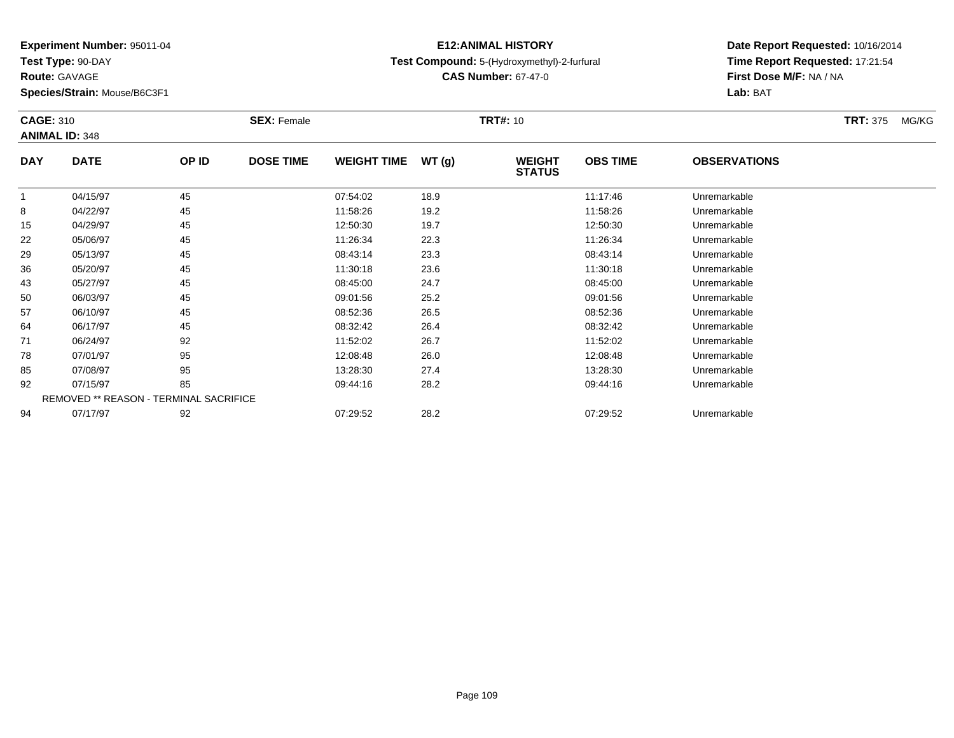**Test Type:** 90-DAY

**Route:** GAVAGE

**Species/Strain:** Mouse/B6C3F1

## **E12:ANIMAL HISTORYTest Compound:** 5-(Hydroxymethyl)-2-furfural

**CAS Number:** 67-47-0

|            | <b>CAGE: 310</b><br><b>ANIMAL ID: 348</b> |       | <b>SEX: Female</b> |                    |       | <b>TRT#:</b> 10                |                 |                     | <b>TRT:</b> 375<br>MG/KG |
|------------|-------------------------------------------|-------|--------------------|--------------------|-------|--------------------------------|-----------------|---------------------|--------------------------|
| <b>DAY</b> | <b>DATE</b>                               | OP ID | <b>DOSE TIME</b>   | <b>WEIGHT TIME</b> | WT(g) | <b>WEIGHT</b><br><b>STATUS</b> | <b>OBS TIME</b> | <b>OBSERVATIONS</b> |                          |
|            | 04/15/97                                  | 45    |                    | 07:54:02           | 18.9  |                                | 11:17:46        | Unremarkable        |                          |
| 8          | 04/22/97                                  | 45    |                    | 11:58:26           | 19.2  |                                | 11:58:26        | Unremarkable        |                          |
| 15         | 04/29/97                                  | 45    |                    | 12:50:30           | 19.7  |                                | 12:50:30        | Unremarkable        |                          |
| 22         | 05/06/97                                  | 45    |                    | 11:26:34           | 22.3  |                                | 11:26:34        | Unremarkable        |                          |
| 29         | 05/13/97                                  | 45    |                    | 08:43:14           | 23.3  |                                | 08:43:14        | Unremarkable        |                          |
| 36         | 05/20/97                                  | 45    |                    | 11:30:18           | 23.6  |                                | 11:30:18        | Unremarkable        |                          |
| 43         | 05/27/97                                  | 45    |                    | 08:45:00           | 24.7  |                                | 08:45:00        | Unremarkable        |                          |
| 50         | 06/03/97                                  | 45    |                    | 09:01:56           | 25.2  |                                | 09:01:56        | Unremarkable        |                          |
| 57         | 06/10/97                                  | 45    |                    | 08:52:36           | 26.5  |                                | 08:52:36        | Unremarkable        |                          |
| 64         | 06/17/97                                  | 45    |                    | 08:32:42           | 26.4  |                                | 08:32:42        | Unremarkable        |                          |
| 71         | 06/24/97                                  | 92    |                    | 11:52:02           | 26.7  |                                | 11:52:02        | Unremarkable        |                          |
| 78         | 07/01/97                                  | 95    |                    | 12:08:48           | 26.0  |                                | 12:08:48        | Unremarkable        |                          |
| 85         | 07/08/97                                  | 95    |                    | 13:28:30           | 27.4  |                                | 13:28:30        | Unremarkable        |                          |
| 92         | 07/15/97                                  | 85    |                    | 09:44:16           | 28.2  |                                | 09:44:16        | Unremarkable        |                          |
|            | REMOVED ** REASON - TERMINAL SACRIFICE    |       |                    |                    |       |                                |                 |                     |                          |
| 94         | 07/17/97                                  | 92    |                    | 07:29:52           | 28.2  |                                | 07:29:52        | Unremarkable        |                          |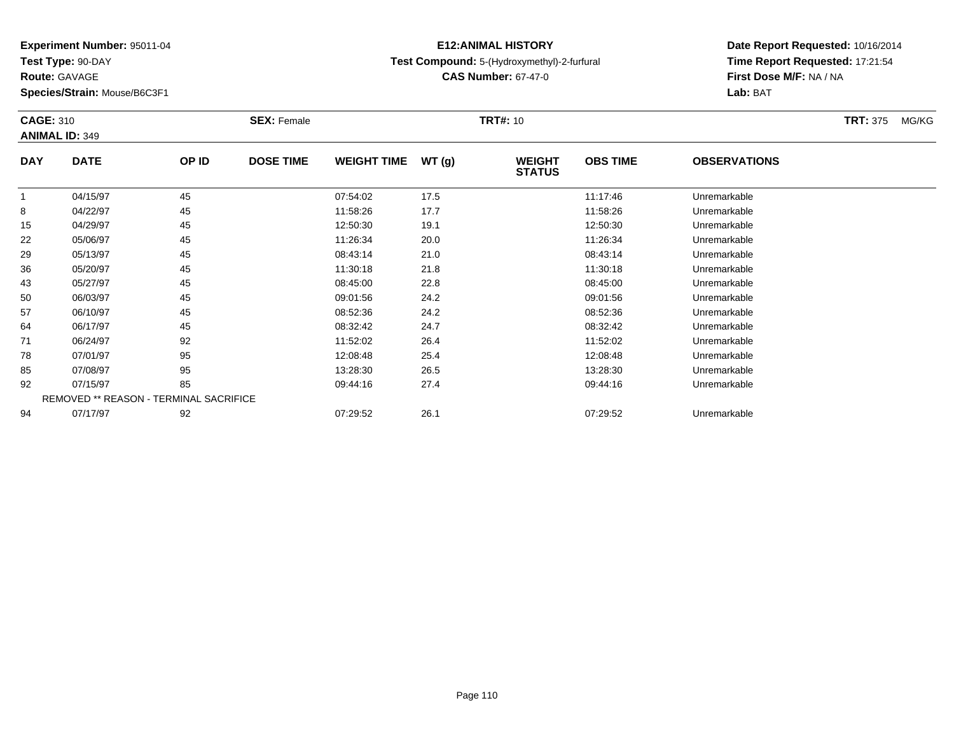**Test Type:** 90-DAY

**Route:** GAVAGE

**Species/Strain:** Mouse/B6C3F1

## **E12:ANIMAL HISTORYTest Compound:** 5-(Hydroxymethyl)-2-furfural

**Date Report Requested:** 10/16/2014 **Time Report Requested:** 17:21:54**First Dose M/F:** NA / NA**Lab:** BAT

| <b>CAGE: 310</b> | <b>ANIMAL ID: 349</b>                  |       | <b>SEX: Female</b> |                    |       | <b>TRT#: 10</b>                |                 |                     | <b>TRT: 375</b><br>MG/KG |
|------------------|----------------------------------------|-------|--------------------|--------------------|-------|--------------------------------|-----------------|---------------------|--------------------------|
| <b>DAY</b>       | <b>DATE</b>                            | OP ID | <b>DOSE TIME</b>   | <b>WEIGHT TIME</b> | WT(g) | <b>WEIGHT</b><br><b>STATUS</b> | <b>OBS TIME</b> | <b>OBSERVATIONS</b> |                          |
| 1                | 04/15/97                               | 45    |                    | 07:54:02           | 17.5  |                                | 11:17:46        | Unremarkable        |                          |
| 8                | 04/22/97                               | 45    |                    | 11:58:26           | 17.7  |                                | 11:58:26        | Unremarkable        |                          |
| 15               | 04/29/97                               | 45    |                    | 12:50:30           | 19.1  |                                | 12:50:30        | Unremarkable        |                          |
| 22               | 05/06/97                               | 45    |                    | 11:26:34           | 20.0  |                                | 11:26:34        | Unremarkable        |                          |
| 29               | 05/13/97                               | 45    |                    | 08:43:14           | 21.0  |                                | 08:43:14        | Unremarkable        |                          |
| 36               | 05/20/97                               | 45    |                    | 11:30:18           | 21.8  |                                | 11:30:18        | Unremarkable        |                          |
| 43               | 05/27/97                               | 45    |                    | 08:45:00           | 22.8  |                                | 08:45:00        | Unremarkable        |                          |
| 50               | 06/03/97                               | 45    |                    | 09:01:56           | 24.2  |                                | 09:01:56        | Unremarkable        |                          |
| 57               | 06/10/97                               | 45    |                    | 08:52:36           | 24.2  |                                | 08:52:36        | Unremarkable        |                          |
| 64               | 06/17/97                               | 45    |                    | 08:32:42           | 24.7  |                                | 08:32:42        | Unremarkable        |                          |
| 71               | 06/24/97                               | 92    |                    | 11:52:02           | 26.4  |                                | 11:52:02        | Unremarkable        |                          |
| 78               | 07/01/97                               | 95    |                    | 12:08:48           | 25.4  |                                | 12:08:48        | Unremarkable        |                          |
| 85               | 07/08/97                               | 95    |                    | 13:28:30           | 26.5  |                                | 13:28:30        | Unremarkable        |                          |
| 92               | 07/15/97                               | 85    |                    | 09:44:16           | 27.4  |                                | 09:44:16        | Unremarkable        |                          |
|                  | REMOVED ** REASON - TERMINAL SACRIFICE |       |                    |                    |       |                                |                 |                     |                          |
| 94               | 07/17/97                               | 92    |                    | 07:29:52           | 26.1  |                                | 07:29:52        | Unremarkable        |                          |

**CAS Number:** 67-47-0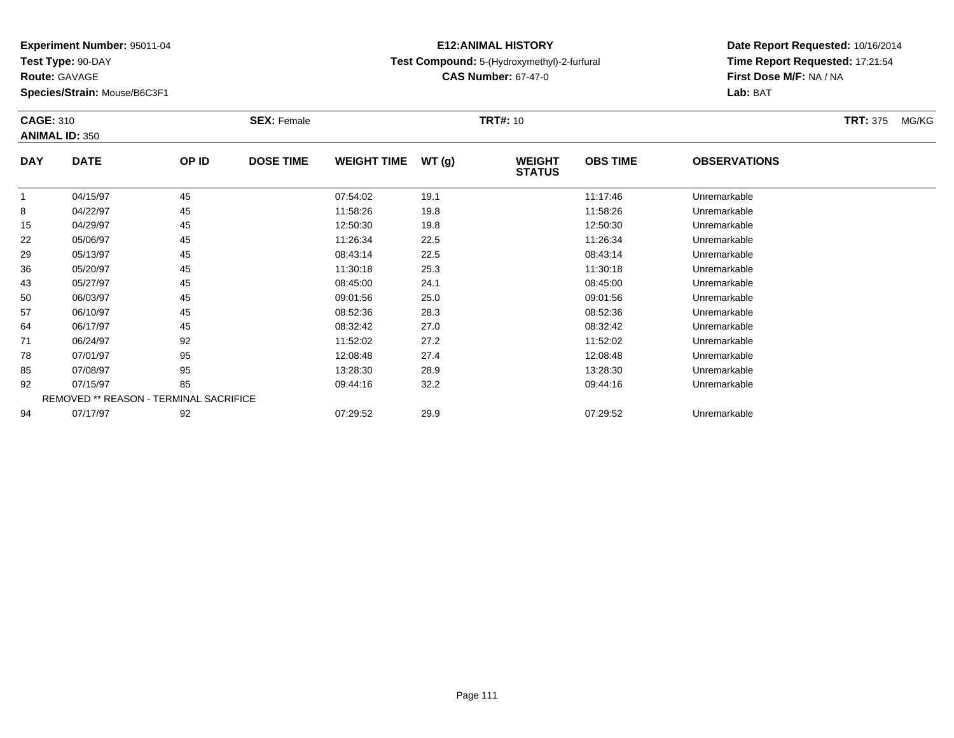**Test Type:** 90-DAY

**Route:** GAVAGE

**Species/Strain:** Mouse/B6C3F1

## **E12:ANIMAL HISTORYTest Compound:** 5-(Hydroxymethyl)-2-furfural

**CAS Number:** 67-47-0

**Date Report Requested:** 10/16/2014 **Time Report Requested:** 17:21:54**Lab:** BAT

| <b>CAGE: 310</b> |                                        |       | <b>SEX: Female</b> |                    |       | <b>TRT#:</b> 10                |                 |                     | <b>TRT: 375</b><br>MG/KG |
|------------------|----------------------------------------|-------|--------------------|--------------------|-------|--------------------------------|-----------------|---------------------|--------------------------|
|                  | <b>ANIMAL ID: 350</b>                  |       |                    |                    |       |                                |                 |                     |                          |
| <b>DAY</b>       | <b>DATE</b>                            | OP ID | <b>DOSE TIME</b>   | <b>WEIGHT TIME</b> | WT(g) | <b>WEIGHT</b><br><b>STATUS</b> | <b>OBS TIME</b> | <b>OBSERVATIONS</b> |                          |
|                  | 04/15/97                               | 45    |                    | 07:54:02           | 19.1  |                                | 11:17:46        | Unremarkable        |                          |
| 8                | 04/22/97                               | 45    |                    | 11:58:26           | 19.8  |                                | 11:58:26        | Unremarkable        |                          |
| 15               | 04/29/97                               | 45    |                    | 12:50:30           | 19.8  |                                | 12:50:30        | Unremarkable        |                          |
| 22               | 05/06/97                               | 45    |                    | 11:26:34           | 22.5  |                                | 11:26:34        | Unremarkable        |                          |
| 29               | 05/13/97                               | 45    |                    | 08:43:14           | 22.5  |                                | 08:43:14        | Unremarkable        |                          |
| 36               | 05/20/97                               | 45    |                    | 11:30:18           | 25.3  |                                | 11:30:18        | Unremarkable        |                          |
| 43               | 05/27/97                               | 45    |                    | 08:45:00           | 24.1  |                                | 08:45:00        | Unremarkable        |                          |
| 50               | 06/03/97                               | 45    |                    | 09:01:56           | 25.0  |                                | 09:01:56        | Unremarkable        |                          |
| 57               | 06/10/97                               | 45    |                    | 08:52:36           | 28.3  |                                | 08:52:36        | Unremarkable        |                          |
| 64               | 06/17/97                               | 45    |                    | 08:32:42           | 27.0  |                                | 08:32:42        | Unremarkable        |                          |
| 71               | 06/24/97                               | 92    |                    | 11:52:02           | 27.2  |                                | 11:52:02        | Unremarkable        |                          |
| 78               | 07/01/97                               | 95    |                    | 12:08:48           | 27.4  |                                | 12:08:48        | Unremarkable        |                          |
| 85               | 07/08/97                               | 95    |                    | 13:28:30           | 28.9  |                                | 13:28:30        | Unremarkable        |                          |
| 92               | 07/15/97                               | 85    |                    | 09:44:16           | 32.2  |                                | 09:44:16        | Unremarkable        |                          |
|                  | REMOVED ** REASON - TERMINAL SACRIFICE |       |                    |                    |       |                                |                 |                     |                          |
| 94               | 07/17/97                               | 92    |                    | 07:29:52           | 29.9  |                                | 07:29:52        | Unremarkable        |                          |
|                  |                                        |       |                    |                    |       |                                |                 |                     |                          |

**First Dose M/F:** NA / NA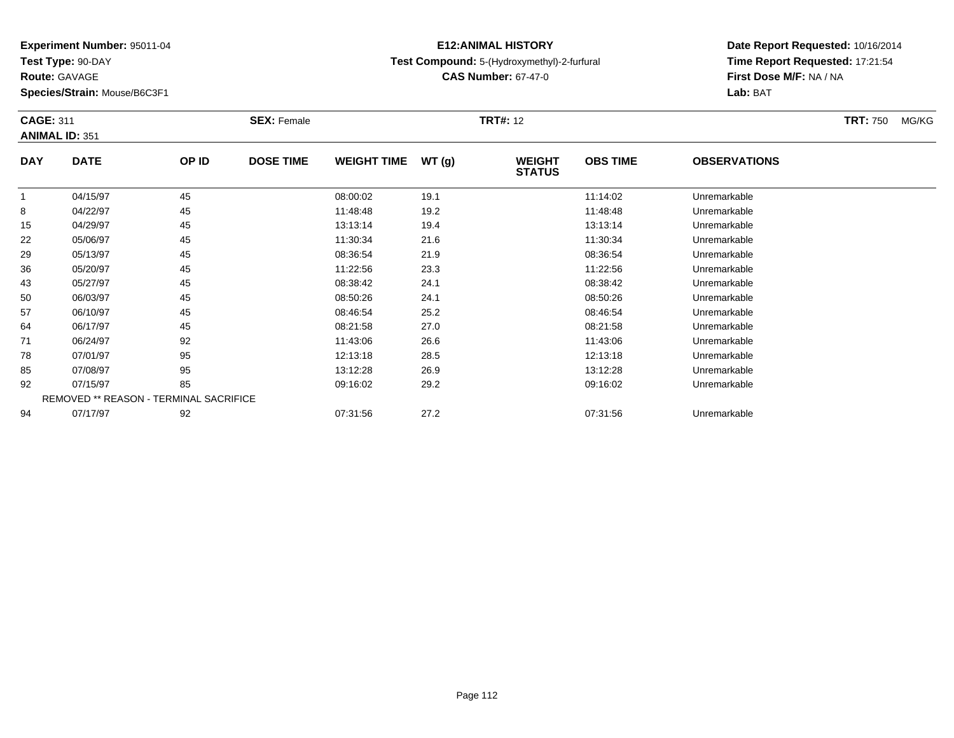**Test Type:** 90-DAY

**Route:** GAVAGE

**Species/Strain:** Mouse/B6C3F1

## **E12:ANIMAL HISTORYTest Compound:** 5-(Hydroxymethyl)-2-furfural

**CAS Number:** 67-47-0

| <b>CAGE: 311</b> |                       |                                        | <b>SEX: Female</b> |                    |       | <b>TRT#: 12</b>                |                 |                     | <b>TRT:</b> 750<br>MG/KG |
|------------------|-----------------------|----------------------------------------|--------------------|--------------------|-------|--------------------------------|-----------------|---------------------|--------------------------|
|                  | <b>ANIMAL ID: 351</b> |                                        |                    |                    |       |                                |                 |                     |                          |
| <b>DAY</b>       | <b>DATE</b>           | OP ID                                  | <b>DOSE TIME</b>   | <b>WEIGHT TIME</b> | WT(g) | <b>WEIGHT</b><br><b>STATUS</b> | <b>OBS TIME</b> | <b>OBSERVATIONS</b> |                          |
| -1               | 04/15/97              | 45                                     |                    | 08:00:02           | 19.1  |                                | 11:14:02        | Unremarkable        |                          |
| 8                | 04/22/97              | 45                                     |                    | 11:48:48           | 19.2  |                                | 11:48:48        | Unremarkable        |                          |
| 15               | 04/29/97              | 45                                     |                    | 13:13:14           | 19.4  |                                | 13:13:14        | Unremarkable        |                          |
| 22               | 05/06/97              | 45                                     |                    | 11:30:34           | 21.6  |                                | 11:30:34        | Unremarkable        |                          |
| 29               | 05/13/97              | 45                                     |                    | 08:36:54           | 21.9  |                                | 08:36:54        | Unremarkable        |                          |
| 36               | 05/20/97              | 45                                     |                    | 11:22:56           | 23.3  |                                | 11:22:56        | Unremarkable        |                          |
| 43               | 05/27/97              | 45                                     |                    | 08:38:42           | 24.1  |                                | 08:38:42        | Unremarkable        |                          |
| 50               | 06/03/97              | 45                                     |                    | 08:50:26           | 24.1  |                                | 08:50:26        | Unremarkable        |                          |
| 57               | 06/10/97              | 45                                     |                    | 08:46:54           | 25.2  |                                | 08:46:54        | Unremarkable        |                          |
| 64               | 06/17/97              | 45                                     |                    | 08:21:58           | 27.0  |                                | 08:21:58        | Unremarkable        |                          |
| 71               | 06/24/97              | 92                                     |                    | 11:43:06           | 26.6  |                                | 11:43:06        | Unremarkable        |                          |
| 78               | 07/01/97              | 95                                     |                    | 12:13:18           | 28.5  |                                | 12:13:18        | Unremarkable        |                          |
| 85               | 07/08/97              | 95                                     |                    | 13:12:28           | 26.9  |                                | 13:12:28        | Unremarkable        |                          |
| 92               | 07/15/97              | 85                                     |                    | 09:16:02           | 29.2  |                                | 09:16:02        | Unremarkable        |                          |
|                  |                       | REMOVED ** REASON - TERMINAL SACRIFICE |                    |                    |       |                                |                 |                     |                          |
| 94               | 07/17/97              | 92                                     |                    | 07:31:56           | 27.2  |                                | 07:31:56        | Unremarkable        |                          |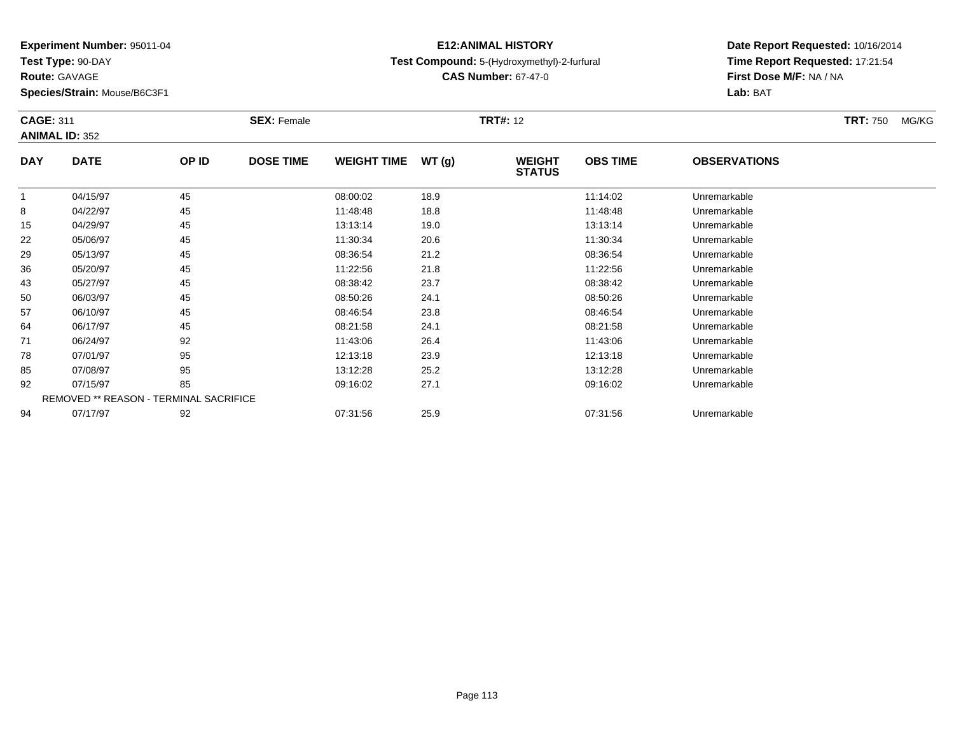**Test Type:** 90-DAY

**Route:** GAVAGE

**Species/Strain:** Mouse/B6C3F1

## **E12:ANIMAL HISTORYTest Compound:** 5-(Hydroxymethyl)-2-furfural

**CAS Number:** 67-47-0

| <b>CAGE: 311</b> |                                        |       | <b>SEX: Female</b> |                    |       | <b>TRT#:</b> 12                |                 |                     | <b>TRT:</b> 750<br>MG/KG |
|------------------|----------------------------------------|-------|--------------------|--------------------|-------|--------------------------------|-----------------|---------------------|--------------------------|
|                  | <b>ANIMAL ID: 352</b>                  |       |                    |                    |       |                                |                 |                     |                          |
| <b>DAY</b>       | <b>DATE</b>                            | OP ID | <b>DOSE TIME</b>   | <b>WEIGHT TIME</b> | WT(g) | <b>WEIGHT</b><br><b>STATUS</b> | <b>OBS TIME</b> | <b>OBSERVATIONS</b> |                          |
|                  | 04/15/97                               | 45    |                    | 08:00:02           | 18.9  |                                | 11:14:02        | Unremarkable        |                          |
| 8                | 04/22/97                               | 45    |                    | 11:48:48           | 18.8  |                                | 11:48:48        | Unremarkable        |                          |
| 15               | 04/29/97                               | 45    |                    | 13:13:14           | 19.0  |                                | 13:13:14        | Unremarkable        |                          |
| 22               | 05/06/97                               | 45    |                    | 11:30:34           | 20.6  |                                | 11:30:34        | Unremarkable        |                          |
| 29               | 05/13/97                               | 45    |                    | 08:36:54           | 21.2  |                                | 08:36:54        | Unremarkable        |                          |
| 36               | 05/20/97                               | 45    |                    | 11:22:56           | 21.8  |                                | 11:22:56        | Unremarkable        |                          |
| 43               | 05/27/97                               | 45    |                    | 08:38:42           | 23.7  |                                | 08:38:42        | Unremarkable        |                          |
| 50               | 06/03/97                               | 45    |                    | 08:50:26           | 24.1  |                                | 08:50:26        | Unremarkable        |                          |
| 57               | 06/10/97                               | 45    |                    | 08:46:54           | 23.8  |                                | 08:46:54        | Unremarkable        |                          |
| 64               | 06/17/97                               | 45    |                    | 08:21:58           | 24.1  |                                | 08:21:58        | Unremarkable        |                          |
| 71               | 06/24/97                               | 92    |                    | 11:43:06           | 26.4  |                                | 11:43:06        | Unremarkable        |                          |
| 78               | 07/01/97                               | 95    |                    | 12:13:18           | 23.9  |                                | 12:13:18        | Unremarkable        |                          |
| 85               | 07/08/97                               | 95    |                    | 13:12:28           | 25.2  |                                | 13:12:28        | Unremarkable        |                          |
| 92               | 07/15/97                               | 85    |                    | 09:16:02           | 27.1  |                                | 09:16:02        | Unremarkable        |                          |
|                  | REMOVED ** REASON - TERMINAL SACRIFICE |       |                    |                    |       |                                |                 |                     |                          |
| 94               | 07/17/97                               | 92    |                    | 07:31:56           | 25.9  |                                | 07:31:56        | Unremarkable        |                          |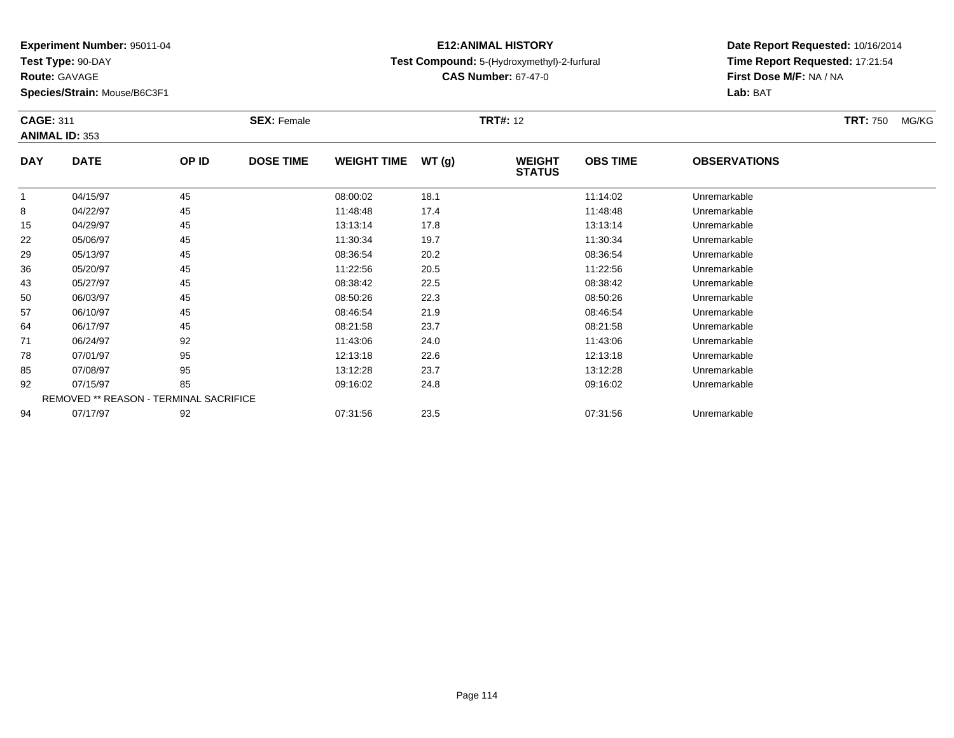**Test Type:** 90-DAY

**Route:** GAVAGE

**Species/Strain:** Mouse/B6C3F1

## **E12:ANIMAL HISTORYTest Compound:** 5-(Hydroxymethyl)-2-furfural

**CAS Number:** 67-47-0

| <b>CAGE: 311</b> |                                        |       | <b>SEX: Female</b> |                    |       | <b>TRT#:</b> 12                |                 |                     | <b>TRT:</b> 750<br>MG/KG |
|------------------|----------------------------------------|-------|--------------------|--------------------|-------|--------------------------------|-----------------|---------------------|--------------------------|
|                  | <b>ANIMAL ID: 353</b>                  |       |                    |                    |       |                                |                 |                     |                          |
| <b>DAY</b>       | <b>DATE</b>                            | OP ID | <b>DOSE TIME</b>   | <b>WEIGHT TIME</b> | WT(g) | <b>WEIGHT</b><br><b>STATUS</b> | <b>OBS TIME</b> | <b>OBSERVATIONS</b> |                          |
|                  | 04/15/97                               | 45    |                    | 08:00:02           | 18.1  |                                | 11:14:02        | Unremarkable        |                          |
| 8                | 04/22/97                               | 45    |                    | 11:48:48           | 17.4  |                                | 11:48:48        | Unremarkable        |                          |
| 15               | 04/29/97                               | 45    |                    | 13:13:14           | 17.8  |                                | 13:13:14        | Unremarkable        |                          |
| 22               | 05/06/97                               | 45    |                    | 11:30:34           | 19.7  |                                | 11:30:34        | Unremarkable        |                          |
| 29               | 05/13/97                               | 45    |                    | 08:36:54           | 20.2  |                                | 08:36:54        | Unremarkable        |                          |
| 36               | 05/20/97                               | 45    |                    | 11:22:56           | 20.5  |                                | 11:22:56        | Unremarkable        |                          |
| 43               | 05/27/97                               | 45    |                    | 08:38:42           | 22.5  |                                | 08:38:42        | Unremarkable        |                          |
| 50               | 06/03/97                               | 45    |                    | 08:50:26           | 22.3  |                                | 08:50:26        | Unremarkable        |                          |
| 57               | 06/10/97                               | 45    |                    | 08:46:54           | 21.9  |                                | 08:46:54        | Unremarkable        |                          |
| 64               | 06/17/97                               | 45    |                    | 08:21:58           | 23.7  |                                | 08:21:58        | Unremarkable        |                          |
| 71               | 06/24/97                               | 92    |                    | 11:43:06           | 24.0  |                                | 11:43:06        | Unremarkable        |                          |
| 78               | 07/01/97                               | 95    |                    | 12:13:18           | 22.6  |                                | 12:13:18        | Unremarkable        |                          |
| 85               | 07/08/97                               | 95    |                    | 13:12:28           | 23.7  |                                | 13:12:28        | Unremarkable        |                          |
| 92               | 07/15/97                               | 85    |                    | 09:16:02           | 24.8  |                                | 09:16:02        | Unremarkable        |                          |
|                  | REMOVED ** REASON - TERMINAL SACRIFICE |       |                    |                    |       |                                |                 |                     |                          |
| 94               | 07/17/97                               | 92    |                    | 07:31:56           | 23.5  |                                | 07:31:56        | Unremarkable        |                          |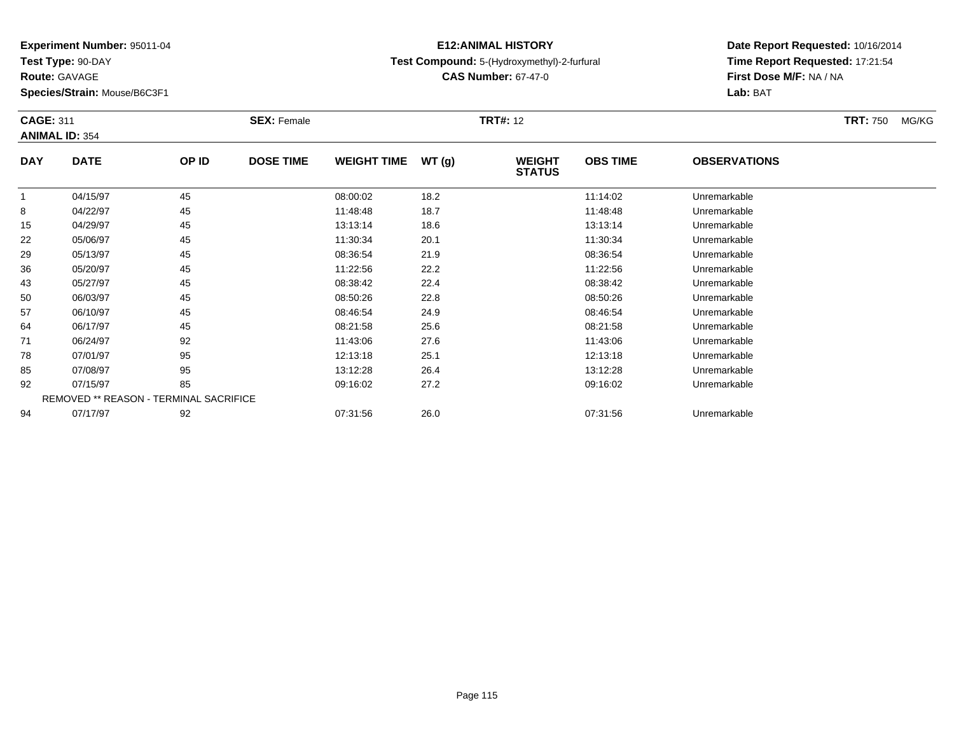**Test Type:** 90-DAY

**Route:** GAVAGE

**Species/Strain:** Mouse/B6C3F1

## **E12:ANIMAL HISTORYTest Compound:** 5-(Hydroxymethyl)-2-furfural

**CAS Number:** 67-47-0

| <b>CAGE: 311</b> |                                        |       | <b>SEX: Female</b> |                    |       | <b>TRT#:</b> 12                |                 |                     | <b>TRT:</b> 750<br>MG/KG |
|------------------|----------------------------------------|-------|--------------------|--------------------|-------|--------------------------------|-----------------|---------------------|--------------------------|
|                  | <b>ANIMAL ID: 354</b>                  |       |                    |                    |       |                                |                 |                     |                          |
| <b>DAY</b>       | <b>DATE</b>                            | OP ID | <b>DOSE TIME</b>   | <b>WEIGHT TIME</b> | WT(g) | <b>WEIGHT</b><br><b>STATUS</b> | <b>OBS TIME</b> | <b>OBSERVATIONS</b> |                          |
|                  | 04/15/97                               | 45    |                    | 08:00:02           | 18.2  |                                | 11:14:02        | Unremarkable        |                          |
| 8                | 04/22/97                               | 45    |                    | 11:48:48           | 18.7  |                                | 11:48:48        | Unremarkable        |                          |
| 15               | 04/29/97                               | 45    |                    | 13:13:14           | 18.6  |                                | 13:13:14        | Unremarkable        |                          |
| 22               | 05/06/97                               | 45    |                    | 11:30:34           | 20.1  |                                | 11:30:34        | Unremarkable        |                          |
| 29               | 05/13/97                               | 45    |                    | 08:36:54           | 21.9  |                                | 08:36:54        | Unremarkable        |                          |
| 36               | 05/20/97                               | 45    |                    | 11:22:56           | 22.2  |                                | 11:22:56        | Unremarkable        |                          |
| 43               | 05/27/97                               | 45    |                    | 08:38:42           | 22.4  |                                | 08:38:42        | Unremarkable        |                          |
| 50               | 06/03/97                               | 45    |                    | 08:50:26           | 22.8  |                                | 08:50:26        | Unremarkable        |                          |
| 57               | 06/10/97                               | 45    |                    | 08:46:54           | 24.9  |                                | 08:46:54        | Unremarkable        |                          |
| 64               | 06/17/97                               | 45    |                    | 08:21:58           | 25.6  |                                | 08:21:58        | Unremarkable        |                          |
| 71               | 06/24/97                               | 92    |                    | 11:43:06           | 27.6  |                                | 11:43:06        | Unremarkable        |                          |
| 78               | 07/01/97                               | 95    |                    | 12:13:18           | 25.1  |                                | 12:13:18        | Unremarkable        |                          |
| 85               | 07/08/97                               | 95    |                    | 13:12:28           | 26.4  |                                | 13:12:28        | Unremarkable        |                          |
| 92               | 07/15/97                               | 85    |                    | 09:16:02           | 27.2  |                                | 09:16:02        | Unremarkable        |                          |
|                  | REMOVED ** REASON - TERMINAL SACRIFICE |       |                    |                    |       |                                |                 |                     |                          |
| 94               | 07/17/97                               | 92    |                    | 07:31:56           | 26.0  |                                | 07:31:56        | Unremarkable        |                          |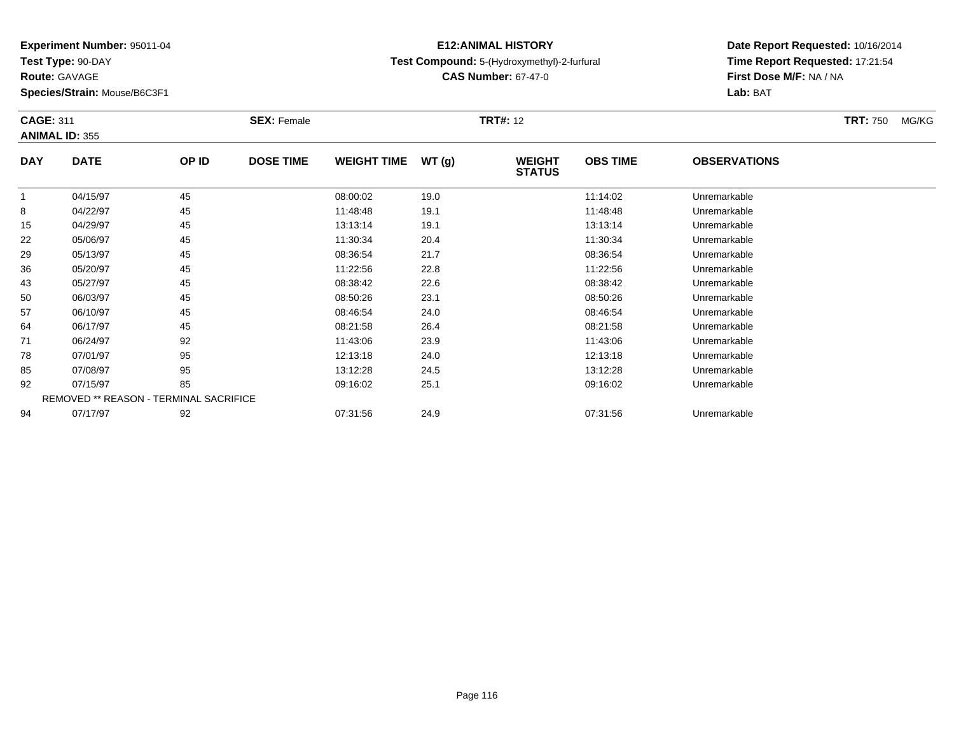**Test Type:** 90-DAY

**Route:** GAVAGE

**Species/Strain:** Mouse/B6C3F1

## **E12:ANIMAL HISTORYTest Compound:** 5-(Hydroxymethyl)-2-furfural

**CAS Number:** 67-47-0

| <b>CAGE: 311</b>      |       | <b>SEX: Female</b> |                                        |       |                                |                 |                     | <b>TRT:</b> 750<br>MG/KG |
|-----------------------|-------|--------------------|----------------------------------------|-------|--------------------------------|-----------------|---------------------|--------------------------|
| <b>ANIMAL ID: 355</b> |       |                    |                                        |       |                                |                 |                     |                          |
| <b>DATE</b>           | OP ID | <b>DOSE TIME</b>   | <b>WEIGHT TIME</b>                     | WT(g) | <b>WEIGHT</b><br><b>STATUS</b> | <b>OBS TIME</b> | <b>OBSERVATIONS</b> |                          |
| 04/15/97              | 45    |                    | 08:00:02                               | 19.0  |                                | 11:14:02        | Unremarkable        |                          |
| 04/22/97              | 45    |                    | 11:48:48                               | 19.1  |                                | 11:48:48        | Unremarkable        |                          |
| 04/29/97              | 45    |                    | 13:13:14                               | 19.1  |                                | 13:13:14        | Unremarkable        |                          |
| 05/06/97              | 45    |                    | 11:30:34                               | 20.4  |                                | 11:30:34        | Unremarkable        |                          |
| 05/13/97              | 45    |                    | 08:36:54                               | 21.7  |                                | 08:36:54        | Unremarkable        |                          |
| 05/20/97              | 45    |                    | 11:22:56                               | 22.8  |                                | 11:22:56        | Unremarkable        |                          |
| 05/27/97              | 45    |                    | 08:38:42                               | 22.6  |                                | 08:38:42        | Unremarkable        |                          |
| 06/03/97              | 45    |                    | 08:50:26                               | 23.1  |                                | 08:50:26        | Unremarkable        |                          |
| 06/10/97              | 45    |                    | 08:46:54                               | 24.0  |                                | 08:46:54        | Unremarkable        |                          |
| 06/17/97              | 45    |                    | 08:21:58                               | 26.4  |                                | 08:21:58        | Unremarkable        |                          |
| 06/24/97              | 92    |                    | 11:43:06                               | 23.9  |                                | 11:43:06        | Unremarkable        |                          |
| 07/01/97              | 95    |                    | 12:13:18                               | 24.0  |                                | 12:13:18        | Unremarkable        |                          |
| 07/08/97              | 95    |                    | 13:12:28                               | 24.5  |                                | 13:12:28        | Unremarkable        |                          |
| 07/15/97              | 85    |                    | 09:16:02                               | 25.1  |                                | 09:16:02        | Unremarkable        |                          |
|                       |       |                    |                                        |       |                                |                 |                     |                          |
| 07/17/97              | 92    |                    | 07:31:56                               | 24.9  |                                | 07:31:56        | Unremarkable        |                          |
|                       |       |                    | REMOVED ** REASON - TERMINAL SACRIFICE |       |                                | <b>TRT#:</b> 12 |                     |                          |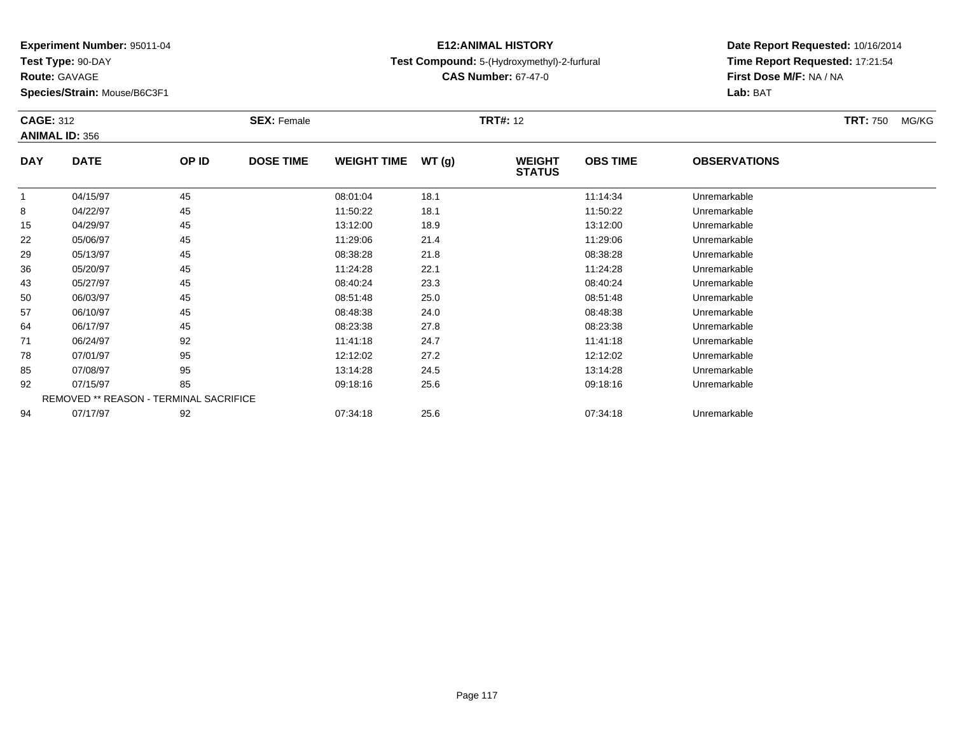**Test Type:** 90-DAY

**Route:** GAVAGE

**Species/Strain:** Mouse/B6C3F1

## **E12:ANIMAL HISTORYTest Compound:** 5-(Hydroxymethyl)-2-furfural

**CAS Number:** 67-47-0

| <b>CAGE: 312</b> |                                        |       | <b>SEX: Female</b> |                    |       | <b>TRT#:</b> 12                |                 |                     | <b>TRT:</b> 750<br>MG/KG |
|------------------|----------------------------------------|-------|--------------------|--------------------|-------|--------------------------------|-----------------|---------------------|--------------------------|
|                  | <b>ANIMAL ID: 356</b>                  |       |                    |                    |       |                                |                 |                     |                          |
| <b>DAY</b>       | <b>DATE</b>                            | OP ID | <b>DOSE TIME</b>   | <b>WEIGHT TIME</b> | WT(g) | <b>WEIGHT</b><br><b>STATUS</b> | <b>OBS TIME</b> | <b>OBSERVATIONS</b> |                          |
| -1               | 04/15/97                               | 45    |                    | 08:01:04           | 18.1  |                                | 11:14:34        | Unremarkable        |                          |
| 8                | 04/22/97                               | 45    |                    | 11:50:22           | 18.1  |                                | 11:50:22        | Unremarkable        |                          |
| 15               | 04/29/97                               | 45    |                    | 13:12:00           | 18.9  |                                | 13:12:00        | Unremarkable        |                          |
| 22               | 05/06/97                               | 45    |                    | 11:29:06           | 21.4  |                                | 11:29:06        | Unremarkable        |                          |
| 29               | 05/13/97                               | 45    |                    | 08:38:28           | 21.8  |                                | 08:38:28        | Unremarkable        |                          |
| 36               | 05/20/97                               | 45    |                    | 11:24:28           | 22.1  |                                | 11:24:28        | Unremarkable        |                          |
| 43               | 05/27/97                               | 45    |                    | 08:40:24           | 23.3  |                                | 08:40:24        | Unremarkable        |                          |
| 50               | 06/03/97                               | 45    |                    | 08:51:48           | 25.0  |                                | 08:51:48        | Unremarkable        |                          |
| 57               | 06/10/97                               | 45    |                    | 08:48:38           | 24.0  |                                | 08:48:38        | Unremarkable        |                          |
| 64               | 06/17/97                               | 45    |                    | 08:23:38           | 27.8  |                                | 08:23:38        | Unremarkable        |                          |
| 71               | 06/24/97                               | 92    |                    | 11:41:18           | 24.7  |                                | 11:41:18        | Unremarkable        |                          |
| 78               | 07/01/97                               | 95    |                    | 12:12:02           | 27.2  |                                | 12:12:02        | Unremarkable        |                          |
| 85               | 07/08/97                               | 95    |                    | 13:14:28           | 24.5  |                                | 13:14:28        | Unremarkable        |                          |
| 92               | 07/15/97                               | 85    |                    | 09:18:16           | 25.6  |                                | 09:18:16        | Unremarkable        |                          |
|                  | REMOVED ** REASON - TERMINAL SACRIFICE |       |                    |                    |       |                                |                 |                     |                          |
| 94               | 07/17/97                               | 92    |                    | 07:34:18           | 25.6  |                                | 07:34:18        | Unremarkable        |                          |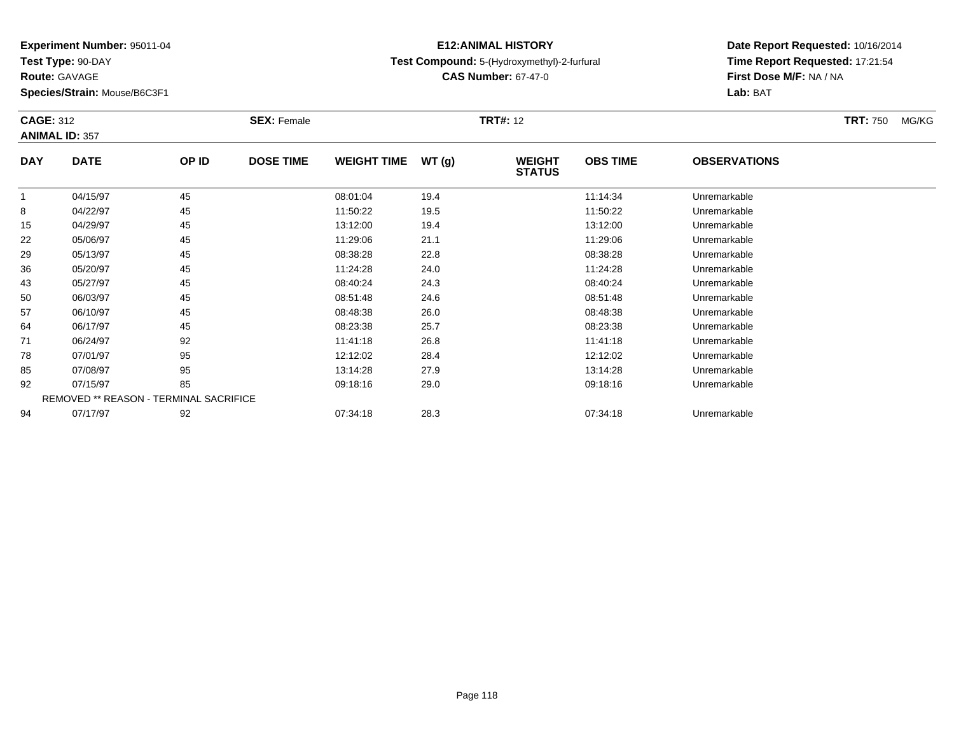**Test Type:** 90-DAY

**Route:** GAVAGE

**Species/Strain:** Mouse/B6C3F1

## **E12:ANIMAL HISTORYTest Compound:** 5-(Hydroxymethyl)-2-furfural

**CAS Number:** 67-47-0

**Date Report Requested:** 10/16/2014 **Time Report Requested:** 17:21:54**Lab:** BAT

| <b>CAGE: 312</b> |                                        |       | <b>SEX: Female</b> |                    |       | <b>TRT#:</b> 12                |                 |                     | <b>TRT:</b> 750<br>MG/KG |
|------------------|----------------------------------------|-------|--------------------|--------------------|-------|--------------------------------|-----------------|---------------------|--------------------------|
|                  | <b>ANIMAL ID: 357</b>                  |       |                    |                    |       |                                |                 |                     |                          |
| <b>DAY</b>       | <b>DATE</b>                            | OP ID | <b>DOSE TIME</b>   | <b>WEIGHT TIME</b> | WT(g) | <b>WEIGHT</b><br><b>STATUS</b> | <b>OBS TIME</b> | <b>OBSERVATIONS</b> |                          |
|                  | 04/15/97                               | 45    |                    | 08:01:04           | 19.4  |                                | 11:14:34        | Unremarkable        |                          |
| 8                | 04/22/97                               | 45    |                    | 11:50:22           | 19.5  |                                | 11:50:22        | Unremarkable        |                          |
| 15               | 04/29/97                               | 45    |                    | 13:12:00           | 19.4  |                                | 13:12:00        | Unremarkable        |                          |
| 22               | 05/06/97                               | 45    |                    | 11:29:06           | 21.1  |                                | 11:29:06        | Unremarkable        |                          |
| 29               | 05/13/97                               | 45    |                    | 08:38:28           | 22.8  |                                | 08:38:28        | Unremarkable        |                          |
| 36               | 05/20/97                               | 45    |                    | 11:24:28           | 24.0  |                                | 11:24:28        | Unremarkable        |                          |
| 43               | 05/27/97                               | 45    |                    | 08:40:24           | 24.3  |                                | 08:40:24        | Unremarkable        |                          |
| 50               | 06/03/97                               | 45    |                    | 08:51:48           | 24.6  |                                | 08:51:48        | Unremarkable        |                          |
| 57               | 06/10/97                               | 45    |                    | 08:48:38           | 26.0  |                                | 08:48:38        | Unremarkable        |                          |
| 64               | 06/17/97                               | 45    |                    | 08:23:38           | 25.7  |                                | 08:23:38        | Unremarkable        |                          |
| 71               | 06/24/97                               | 92    |                    | 11:41:18           | 26.8  |                                | 11:41:18        | Unremarkable        |                          |
| 78               | 07/01/97                               | 95    |                    | 12:12:02           | 28.4  |                                | 12:12:02        | Unremarkable        |                          |
| 85               | 07/08/97                               | 95    |                    | 13:14:28           | 27.9  |                                | 13:14:28        | Unremarkable        |                          |
| 92               | 07/15/97                               | 85    |                    | 09:18:16           | 29.0  |                                | 09:18:16        | Unremarkable        |                          |
|                  | REMOVED ** REASON - TERMINAL SACRIFICE |       |                    |                    |       |                                |                 |                     |                          |
| 94               | 07/17/97                               | 92    |                    | 07:34:18           | 28.3  |                                | 07:34:18        | Unremarkable        |                          |

**First Dose M/F:** NA / NA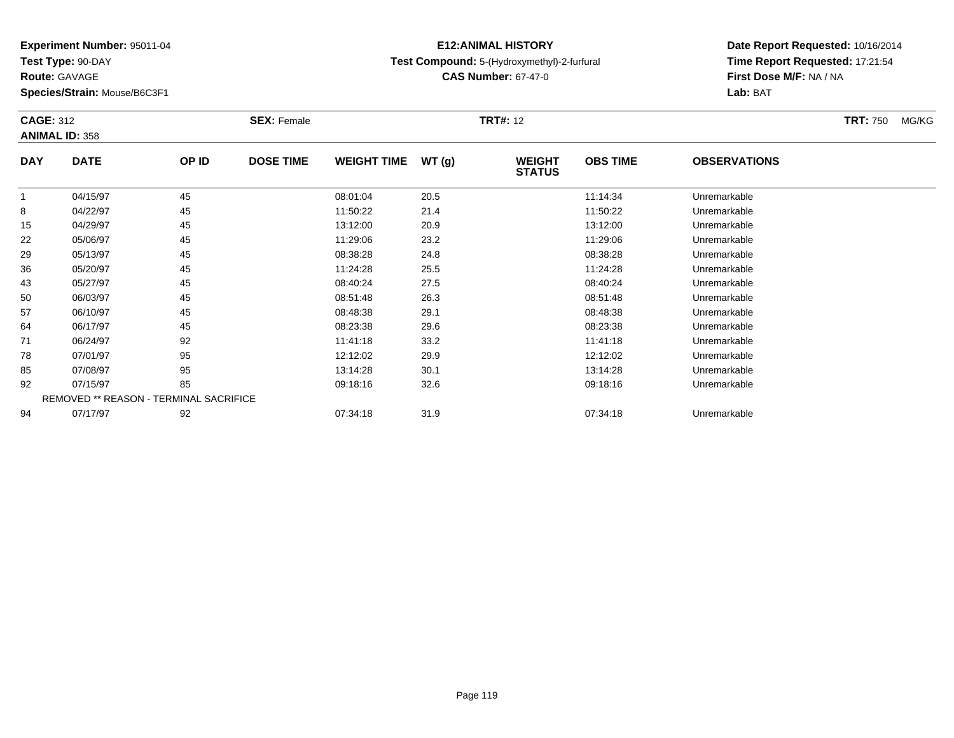**Test Type:** 90-DAY

**Route:** GAVAGE

**Species/Strain:** Mouse/B6C3F1

## **E12:ANIMAL HISTORYTest Compound:** 5-(Hydroxymethyl)-2-furfural

**CAS Number:** 67-47-0

| <b>CAGE: 312</b> | <b>ANIMAL ID: 358</b>                         |       | <b>SEX: Female</b> |                    |       | <b>TRT#: 12</b>                |                 |                     | <b>TRT: 750</b> | MG/KG |
|------------------|-----------------------------------------------|-------|--------------------|--------------------|-------|--------------------------------|-----------------|---------------------|-----------------|-------|
| <b>DAY</b>       | <b>DATE</b>                                   | OP ID | <b>DOSE TIME</b>   | <b>WEIGHT TIME</b> | WT(g) | <b>WEIGHT</b><br><b>STATUS</b> | <b>OBS TIME</b> | <b>OBSERVATIONS</b> |                 |       |
|                  | 04/15/97                                      | 45    |                    | 08:01:04           | 20.5  |                                | 11:14:34        | Unremarkable        |                 |       |
| 8                | 04/22/97                                      | 45    |                    | 11:50:22           | 21.4  |                                | 11:50:22        | Unremarkable        |                 |       |
| 15               | 04/29/97                                      | 45    |                    | 13:12:00           | 20.9  |                                | 13:12:00        | Unremarkable        |                 |       |
| 22               | 05/06/97                                      | 45    |                    | 11:29:06           | 23.2  |                                | 11:29:06        | Unremarkable        |                 |       |
| 29               | 05/13/97                                      | 45    |                    | 08:38:28           | 24.8  |                                | 08:38:28        | Unremarkable        |                 |       |
| 36               | 05/20/97                                      | 45    |                    | 11:24:28           | 25.5  |                                | 11:24:28        | Unremarkable        |                 |       |
| 43               | 05/27/97                                      | 45    |                    | 08:40:24           | 27.5  |                                | 08:40:24        | Unremarkable        |                 |       |
| 50               | 06/03/97                                      | 45    |                    | 08:51:48           | 26.3  |                                | 08:51:48        | Unremarkable        |                 |       |
| 57               | 06/10/97                                      | 45    |                    | 08:48:38           | 29.1  |                                | 08:48:38        | Unremarkable        |                 |       |
| 64               | 06/17/97                                      | 45    |                    | 08:23:38           | 29.6  |                                | 08:23:38        | Unremarkable        |                 |       |
| 71               | 06/24/97                                      | 92    |                    | 11:41:18           | 33.2  |                                | 11:41:18        | Unremarkable        |                 |       |
| 78               | 07/01/97                                      | 95    |                    | 12:12:02           | 29.9  |                                | 12:12:02        | Unremarkable        |                 |       |
| 85               | 07/08/97                                      | 95    |                    | 13:14:28           | 30.1  |                                | 13:14:28        | Unremarkable        |                 |       |
| 92               | 07/15/97                                      | 85    |                    | 09:18:16           | 32.6  |                                | 09:18:16        | Unremarkable        |                 |       |
|                  | <b>REMOVED ** REASON - TERMINAL SACRIFICE</b> |       |                    |                    |       |                                |                 |                     |                 |       |
| 94               | 07/17/97                                      | 92    |                    | 07:34:18           | 31.9  |                                | 07:34:18        | Unremarkable        |                 |       |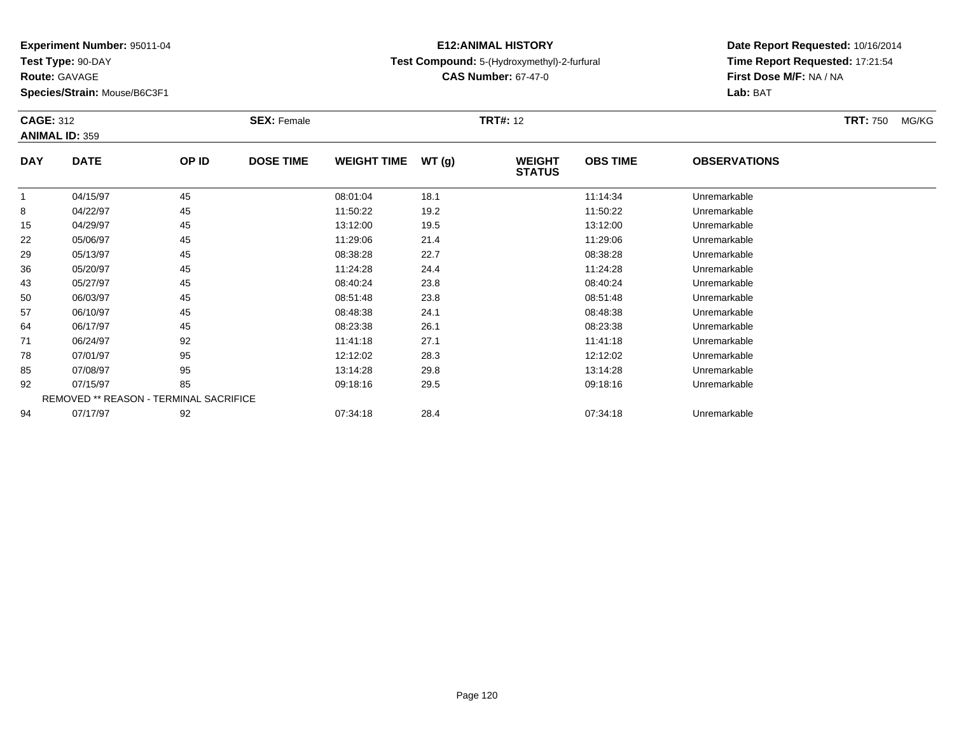**Test Type:** 90-DAY

**Route:** GAVAGE

**Species/Strain:** Mouse/B6C3F1

## **E12:ANIMAL HISTORYTest Compound:** 5-(Hydroxymethyl)-2-furfural

**CAS Number:** 67-47-0

**Date Report Requested:** 10/16/2014 **Time Report Requested:** 17:21:54**Lab:** BAT

| <b>CAGE: 312</b> | <b>ANIMAL ID: 359</b>                  |       | <b>SEX: Female</b> |                    |       | <b>TRT#:</b> 12                |                 |                     | <b>TRT: 750</b><br>MG/KG |
|------------------|----------------------------------------|-------|--------------------|--------------------|-------|--------------------------------|-----------------|---------------------|--------------------------|
| <b>DAY</b>       | <b>DATE</b>                            | OP ID | <b>DOSE TIME</b>   | <b>WEIGHT TIME</b> | WT(g) | <b>WEIGHT</b><br><b>STATUS</b> | <b>OBS TIME</b> | <b>OBSERVATIONS</b> |                          |
|                  | 04/15/97                               | 45    |                    | 08:01:04           | 18.1  |                                | 11:14:34        | Unremarkable        |                          |
| 8                | 04/22/97                               | 45    |                    | 11:50:22           | 19.2  |                                | 11:50:22        | Unremarkable        |                          |
| 15               | 04/29/97                               | 45    |                    | 13:12:00           | 19.5  |                                | 13:12:00        | Unremarkable        |                          |
| 22               | 05/06/97                               | 45    |                    | 11:29:06           | 21.4  |                                | 11:29:06        | Unremarkable        |                          |
| 29               | 05/13/97                               | 45    |                    | 08:38:28           | 22.7  |                                | 08:38:28        | Unremarkable        |                          |
| 36               | 05/20/97                               | 45    |                    | 11:24:28           | 24.4  |                                | 11:24:28        | Unremarkable        |                          |
| 43               | 05/27/97                               | 45    |                    | 08:40:24           | 23.8  |                                | 08:40:24        | Unremarkable        |                          |
| 50               | 06/03/97                               | 45    |                    | 08:51:48           | 23.8  |                                | 08:51:48        | Unremarkable        |                          |
| 57               | 06/10/97                               | 45    |                    | 08:48:38           | 24.1  |                                | 08:48:38        | Unremarkable        |                          |
| 64               | 06/17/97                               | 45    |                    | 08:23:38           | 26.1  |                                | 08:23:38        | Unremarkable        |                          |
| 71               | 06/24/97                               | 92    |                    | 11:41:18           | 27.1  |                                | 11:41:18        | Unremarkable        |                          |
| 78               | 07/01/97                               | 95    |                    | 12:12:02           | 28.3  |                                | 12:12:02        | Unremarkable        |                          |
| 85               | 07/08/97                               | 95    |                    | 13:14:28           | 29.8  |                                | 13:14:28        | Unremarkable        |                          |
| 92               | 07/15/97                               | 85    |                    | 09:18:16           | 29.5  |                                | 09:18:16        | Unremarkable        |                          |
|                  | REMOVED ** REASON - TERMINAL SACRIFICE |       |                    |                    |       |                                |                 |                     |                          |
| 94               | 07/17/97                               | 92    |                    | 07:34:18           | 28.4  |                                | 07:34:18        | Unremarkable        |                          |

**First Dose M/F:** NA / NA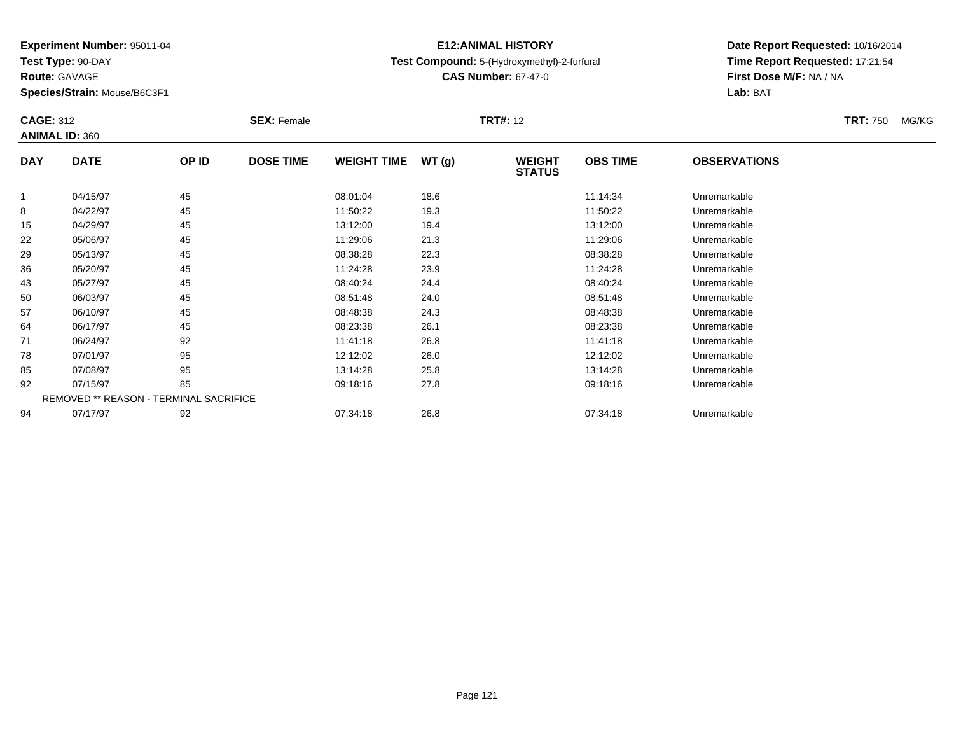**Test Type:** 90-DAY

**Route:** GAVAGE

**Species/Strain:** Mouse/B6C3F1

## **E12:ANIMAL HISTORYTest Compound:** 5-(Hydroxymethyl)-2-furfural

**CAS Number:** 67-47-0

| <b>CAGE: 312</b><br><b>ANIMAL ID: 360</b> |                                               |       | <b>SEX: Female</b> | <b>TRT#: 12</b>    |       |                                |                 |                     | <b>TRT: 750</b> | MG/KG |
|-------------------------------------------|-----------------------------------------------|-------|--------------------|--------------------|-------|--------------------------------|-----------------|---------------------|-----------------|-------|
| <b>DAY</b>                                | <b>DATE</b>                                   | OP ID | <b>DOSE TIME</b>   | <b>WEIGHT TIME</b> | WT(g) | <b>WEIGHT</b><br><b>STATUS</b> | <b>OBS TIME</b> | <b>OBSERVATIONS</b> |                 |       |
|                                           | 04/15/97                                      | 45    |                    | 08:01:04           | 18.6  |                                | 11:14:34        | Unremarkable        |                 |       |
| 8                                         | 04/22/97                                      | 45    |                    | 11:50:22           | 19.3  |                                | 11:50:22        | Unremarkable        |                 |       |
| 15                                        | 04/29/97                                      | 45    |                    | 13:12:00           | 19.4  |                                | 13:12:00        | Unremarkable        |                 |       |
| 22                                        | 05/06/97                                      | 45    |                    | 11:29:06           | 21.3  |                                | 11:29:06        | Unremarkable        |                 |       |
| 29                                        | 05/13/97                                      | 45    |                    | 08:38:28           | 22.3  |                                | 08:38:28        | Unremarkable        |                 |       |
| 36                                        | 05/20/97                                      | 45    |                    | 11:24:28           | 23.9  |                                | 11:24:28        | Unremarkable        |                 |       |
| 43                                        | 05/27/97                                      | 45    |                    | 08:40:24           | 24.4  |                                | 08:40:24        | Unremarkable        |                 |       |
| 50                                        | 06/03/97                                      | 45    |                    | 08:51:48           | 24.0  |                                | 08:51:48        | Unremarkable        |                 |       |
| 57                                        | 06/10/97                                      | 45    |                    | 08:48:38           | 24.3  |                                | 08:48:38        | Unremarkable        |                 |       |
| 64                                        | 06/17/97                                      | 45    |                    | 08:23:38           | 26.1  |                                | 08:23:38        | Unremarkable        |                 |       |
| 71                                        | 06/24/97                                      | 92    |                    | 11:41:18           | 26.8  |                                | 11:41:18        | Unremarkable        |                 |       |
| 78                                        | 07/01/97                                      | 95    |                    | 12:12:02           | 26.0  |                                | 12:12:02        | Unremarkable        |                 |       |
| 85                                        | 07/08/97                                      | 95    |                    | 13:14:28           | 25.8  |                                | 13:14:28        | Unremarkable        |                 |       |
| 92                                        | 07/15/97                                      | 85    |                    | 09:18:16           | 27.8  |                                | 09:18:16        | Unremarkable        |                 |       |
|                                           | <b>REMOVED ** REASON - TERMINAL SACRIFICE</b> |       |                    |                    |       |                                |                 |                     |                 |       |
| 94                                        | 07/17/97                                      | 92    |                    | 07:34:18           | 26.8  |                                | 07:34:18        | Unremarkable        |                 |       |